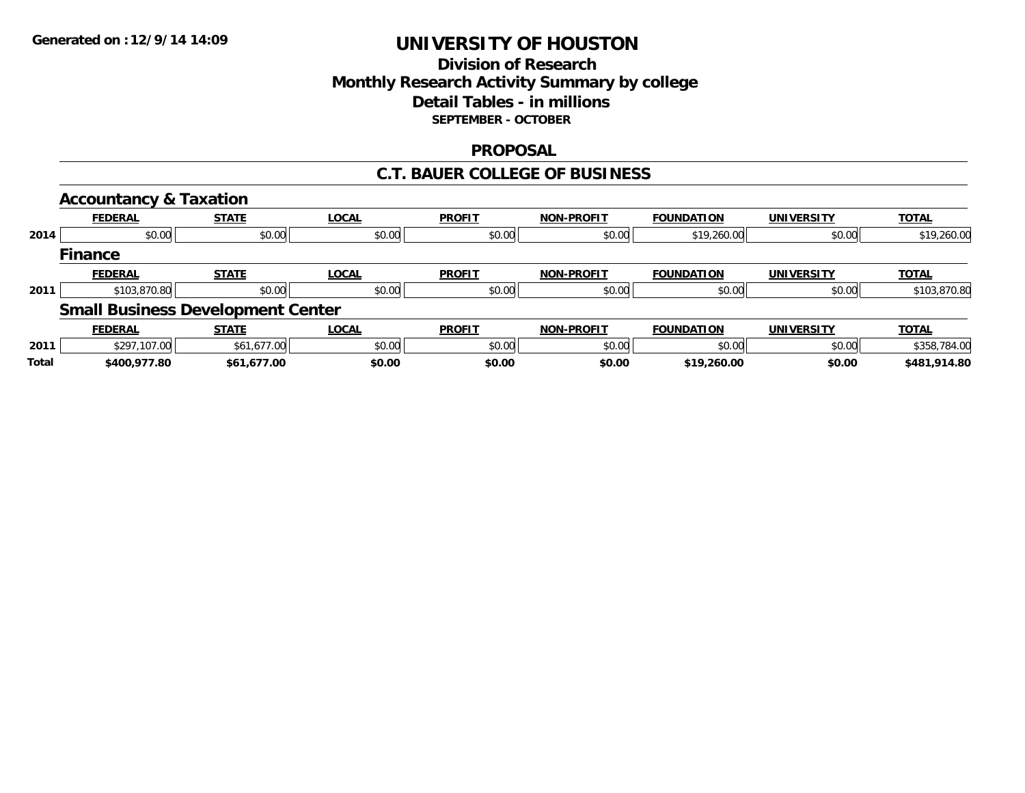## **Division of ResearchMonthly Research Activity Summary by college Detail Tables - in millions SEPTEMBER - OCTOBER**

### **PROPOSAL**

### **C.T. BAUER COLLEGE OF BUSINESS**

|              | <b>Accountancy &amp; Taxation</b>        |              |              |               |                   |                   |                   |              |
|--------------|------------------------------------------|--------------|--------------|---------------|-------------------|-------------------|-------------------|--------------|
|              | <b>FEDERAL</b>                           | <b>STATE</b> | <b>LOCAL</b> | <b>PROFIT</b> | <b>NON-PROFIT</b> | <b>FOUNDATION</b> | <b>UNIVERSITY</b> | <b>TOTAL</b> |
| 2014         | \$0.00                                   | \$0.00       | \$0.00       | \$0.00        | \$0.00            | \$19,260.00       | \$0.00            | \$19,260.00  |
|              | <b>Finance</b>                           |              |              |               |                   |                   |                   |              |
|              | <b>FEDERAL</b>                           | <b>STATE</b> | <b>LOCAL</b> | <b>PROFIT</b> | <b>NON-PROFIT</b> | <b>FOUNDATION</b> | <b>UNIVERSITY</b> | <b>TOTAL</b> |
| 2011         | \$103,870.80                             | \$0.00       | \$0.00       | \$0.00        | \$0.00            | \$0.00            | \$0.00            | \$103,870.80 |
|              | <b>Small Business Development Center</b> |              |              |               |                   |                   |                   |              |
|              | <b>FEDERAL</b>                           | <b>STATE</b> | <b>LOCAL</b> | <b>PROFIT</b> | <b>NON-PROFIT</b> | <b>FOUNDATION</b> | <b>UNIVERSITY</b> | <b>TOTAL</b> |
| 2011         | \$297,107.00                             | \$61,677.00  | \$0.00       | \$0.00        | \$0.00            | \$0.00            | \$0.00            | \$358,784.00 |
| <b>Total</b> | \$400,977.80                             | \$61,677.00  | \$0.00       | \$0.00        | \$0.00            | \$19,260.00       | \$0.00            | \$481,914.80 |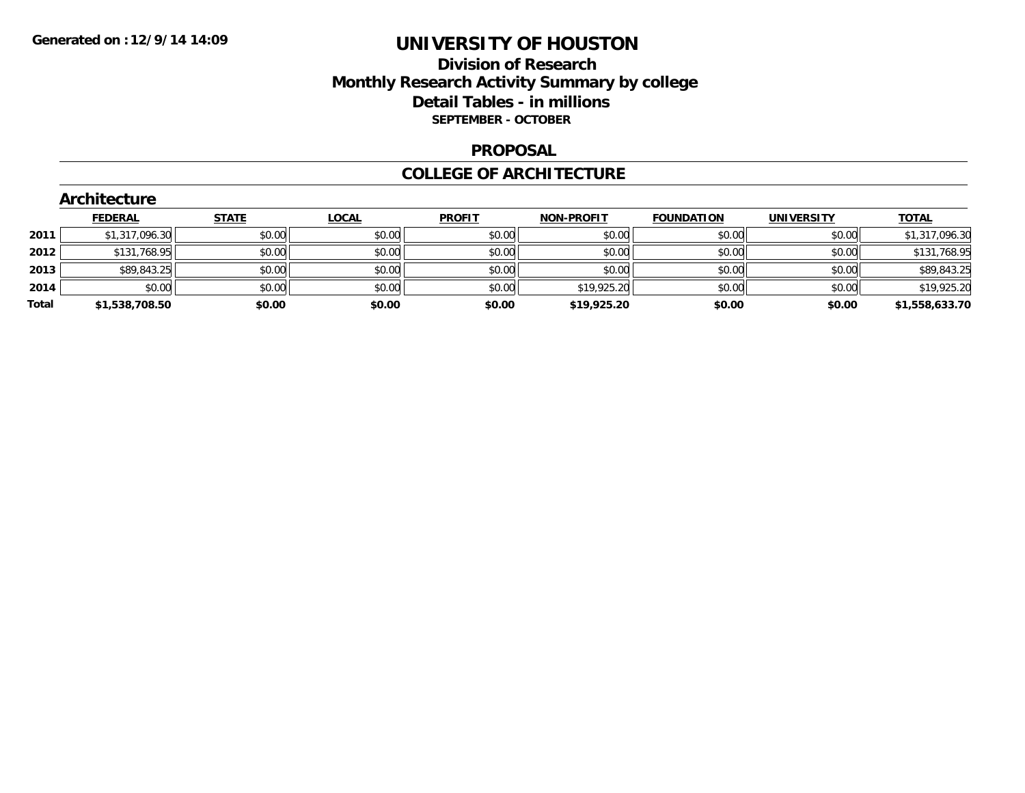## **Division of Research Monthly Research Activity Summary by college Detail Tables - in millions SEPTEMBER - OCTOBER**

#### **PROPOSAL**

#### **COLLEGE OF ARCHITECTURE**

|       | <b>Architecture</b> |              |              |               |                   |                   |                   |                |
|-------|---------------------|--------------|--------------|---------------|-------------------|-------------------|-------------------|----------------|
|       | <b>FEDERAL</b>      | <b>STATE</b> | <b>LOCAL</b> | <b>PROFIT</b> | <b>NON-PROFIT</b> | <b>FOUNDATION</b> | <b>UNIVERSITY</b> | <b>TOTAL</b>   |
| 2011  | \$1,317,096.30      | \$0.00       | \$0.00       | \$0.00        | \$0.00            | \$0.00            | \$0.00            | \$1,317,096.30 |
| 2012  | \$131,768.95        | \$0.00       | \$0.00       | \$0.00        | \$0.00            | \$0.00            | \$0.00            | \$131,768.95   |
| 2013  | \$89,843.25         | \$0.00       | \$0.00       | \$0.00        | \$0.00            | \$0.00            | \$0.00            | \$89,843.25    |
| 2014  | \$0.00              | \$0.00       | \$0.00       | \$0.00        | \$19,925.20       | \$0.00            | \$0.00            | \$19,925.20    |
| Total | \$1,538,708.50      | \$0.00       | \$0.00       | \$0.00        | \$19,925.20       | \$0.00            | \$0.00            | \$1,558,633.70 |
|       |                     |              |              |               |                   |                   |                   |                |

# **Architecture**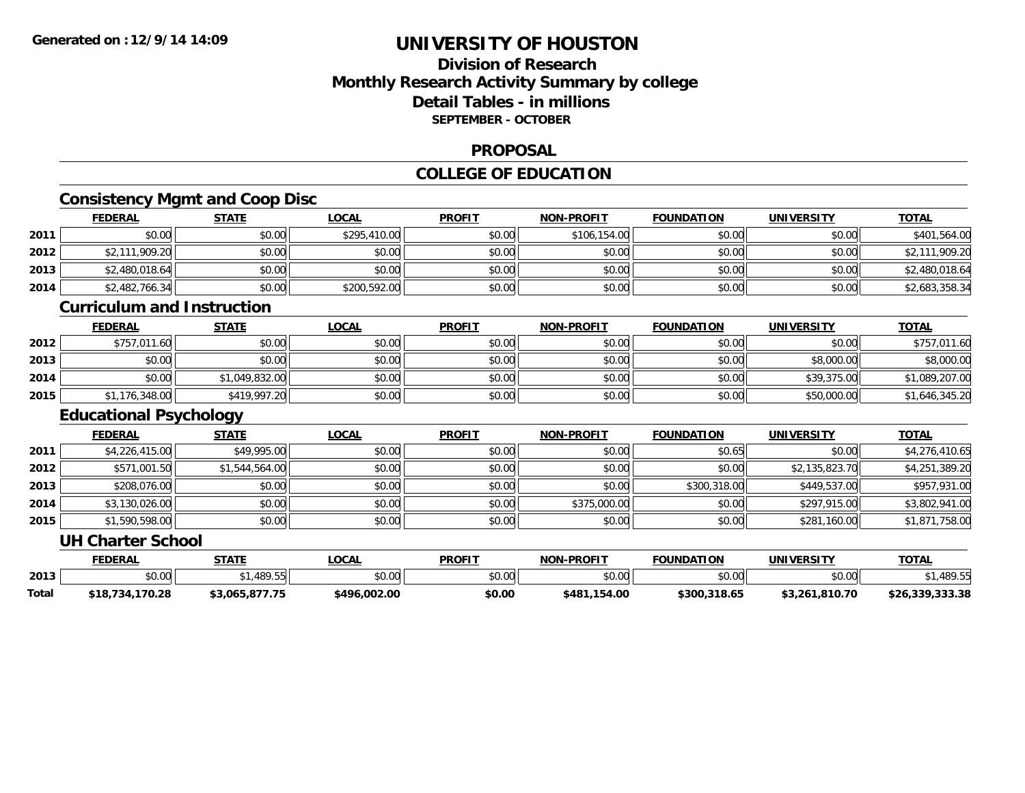## **Division of ResearchMonthly Research Activity Summary by college Detail Tables - in millionsSEPTEMBER - OCTOBER**

#### **PROPOSAL**

## **COLLEGE OF EDUCATION**

## **Consistency Mgmt and Coop Disc**

|      | <b>FEDERAL</b> | <b>STATE</b> | <u>LOCAL</u> | <b>PROFIT</b> | <b>NON-PROFIT</b> | <b>FOUNDATION</b> | <b>UNIVERSITY</b> | <b>TOTAL</b>   |
|------|----------------|--------------|--------------|---------------|-------------------|-------------------|-------------------|----------------|
| 2011 | \$0.00         | \$0.00       | \$295,410.00 | \$0.00        | \$106,154,00      | \$0.00            | \$0.00            | \$401,564.00   |
| 2012 | \$2,111,909.20 | \$0.00       | \$0.00       | \$0.00        | \$0.00            | \$0.00            | \$0.00            | \$2,111,909.20 |
| 2013 | \$2,480,018.64 | \$0.00       | \$0.00       | \$0.00        | \$0.00            | \$0.00            | \$0.00            | \$2,480,018.64 |
| 2014 | \$2,482,766.34 | \$0.00       | \$200,592.00 | \$0.00        | \$0.00            | \$0.00            | \$0.00            | \$2,683,358.34 |

### **Curriculum and Instruction**

|      | <b>FEDERAL</b> | <b>STATE</b>   | <u>LOCAL</u> | <b>PROFIT</b> | <b>NON-PROFIT</b> | <b>FOUNDATION</b> | <b>UNIVERSITY</b> | <b>TOTAL</b>   |
|------|----------------|----------------|--------------|---------------|-------------------|-------------------|-------------------|----------------|
| 2012 | \$757,011.60   | \$0.00         | \$0.00       | \$0.00        | \$0.00            | \$0.00            | \$0.00            | \$757,011.60   |
| 2013 | \$0.00         | \$0.00         | \$0.00       | \$0.00        | \$0.00            | \$0.00            | \$8,000.00        | \$8,000.00     |
| 2014 | \$0.00         | \$1,049,832.00 | \$0.00       | \$0.00        | \$0.00            | \$0.00            | \$39,375.00       | \$1,089,207.00 |
| 2015 | \$1,176,348.00 | \$419,997.20   | \$0.00       | \$0.00        | \$0.00            | \$0.00            | \$50,000.00       | \$1,646,345.20 |

### **Educational Psychology**

|      | <b>FEDERAL</b> | <b>STATE</b>   | <u>LOCAL</u> | <b>PROFIT</b> | <b>NON-PROFIT</b> | <b>FOUNDATION</b> | <b>UNIVERSITY</b> | <b>TOTAL</b>   |
|------|----------------|----------------|--------------|---------------|-------------------|-------------------|-------------------|----------------|
| 2011 | \$4,226,415.00 | \$49,995.00    | \$0.00       | \$0.00        | \$0.00            | \$0.65            | \$0.00            | \$4,276,410.65 |
| 2012 | \$571,001.50   | \$1,544,564.00 | \$0.00       | \$0.00        | \$0.00            | \$0.00            | \$2,135,823.70    | \$4,251,389.20 |
| 2013 | \$208,076.00   | \$0.00         | \$0.00       | \$0.00        | \$0.00            | \$300,318.00      | \$449,537.00      | \$957,931.00   |
| 2014 | \$3,130,026.00 | \$0.00         | \$0.00       | \$0.00        | \$375,000.00      | \$0.00            | \$297.915.00      | \$3,802,941.00 |
| 2015 | \$1,590,598.00 | \$0.00         | \$0.00       | \$0.00        | \$0.00            | \$0.00            | \$281,160.00      | \$1,871,758.00 |

#### **UH Charter School**

|       | <b>FEDERAL</b>      | <b>STATE</b>   | <b>_OCAL</b> | <b>PROFIT</b> | <b>NON-PROFIT</b> | <b>FOUNDATION</b> | <b>UNIVERSITY</b> | <b>TOTAL</b>             |
|-------|---------------------|----------------|--------------|---------------|-------------------|-------------------|-------------------|--------------------------|
| 2013  | $\sim$<br>PU.UU     | .489.55        | \$0.00       | \$0.00        | \$0.00            | \$0.00            | \$0.00            | $.489.5^{r}$             |
| Total | ້ 734,170.28<br>:18 | \$3,065,877.75 | \$496.002.00 | \$0.00        | \$481,154.00      | \$300,318.65      | \$3,261,810.70    | <br>\$26.339<br>, ડડડ.ડగ |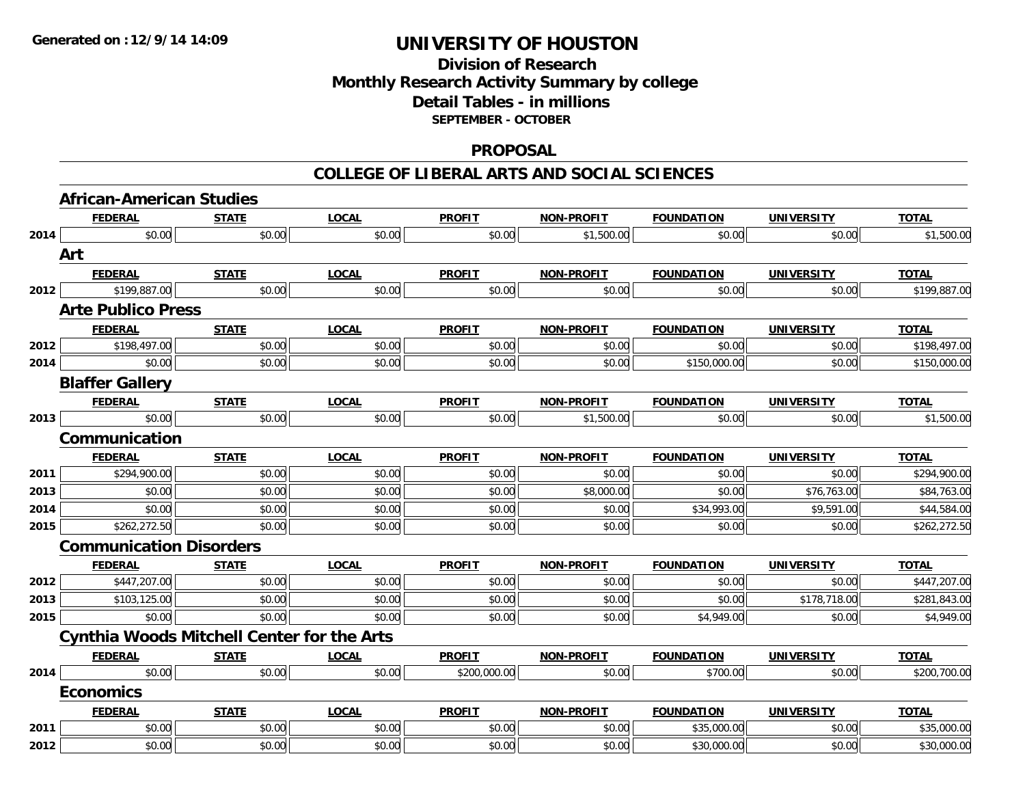## **Division of Research Monthly Research Activity Summary by college Detail Tables - in millions SEPTEMBER - OCTOBER**

#### **PROPOSAL**

|      | <b>African-American Studies</b> |                                                   |              |               |                   |                   |                   |              |  |  |  |  |
|------|---------------------------------|---------------------------------------------------|--------------|---------------|-------------------|-------------------|-------------------|--------------|--|--|--|--|
|      | <b>FEDERAL</b>                  | <b>STATE</b>                                      | <b>LOCAL</b> | <b>PROFIT</b> | NON-PROFIT        | <b>FOUNDATION</b> | <b>UNIVERSITY</b> | <b>TOTAL</b> |  |  |  |  |
| 2014 | \$0.00                          | \$0.00                                            | \$0.00       | \$0.00        | \$1,500.00        | \$0.00            | \$0.00            | \$1,500.00   |  |  |  |  |
|      | Art                             |                                                   |              |               |                   |                   |                   |              |  |  |  |  |
|      | <b>FEDERAL</b>                  | <b>STATE</b>                                      | <b>LOCAL</b> | <b>PROFIT</b> | <b>NON-PROFIT</b> | <b>FOUNDATION</b> | <b>UNIVERSITY</b> | <b>TOTAL</b> |  |  |  |  |
| 2012 | \$199,887.00                    | \$0.00                                            | \$0.00       | \$0.00        | \$0.00            | \$0.00            | \$0.00            | \$199,887.00 |  |  |  |  |
|      | <b>Arte Publico Press</b>       |                                                   |              |               |                   |                   |                   |              |  |  |  |  |
|      | <b>FEDERAL</b>                  | <b>STATE</b>                                      | <b>LOCAL</b> | <b>PROFIT</b> | <b>NON-PROFIT</b> | <b>FOUNDATION</b> | <b>UNIVERSITY</b> | <b>TOTAL</b> |  |  |  |  |
| 2012 | \$198,497.00                    | \$0.00                                            | \$0.00       | \$0.00        | \$0.00            | \$0.00            | \$0.00            | \$198,497.00 |  |  |  |  |
| 2014 | \$0.00                          | \$0.00                                            | \$0.00       | \$0.00        | \$0.00            | \$150,000.00      | \$0.00            | \$150,000.00 |  |  |  |  |
|      | <b>Blaffer Gallery</b>          |                                                   |              |               |                   |                   |                   |              |  |  |  |  |
|      | <b>FEDERAL</b>                  | <b>STATE</b>                                      | <b>LOCAL</b> | <b>PROFIT</b> | <b>NON-PROFIT</b> | <b>FOUNDATION</b> | <b>UNIVERSITY</b> | <b>TOTAL</b> |  |  |  |  |
| 2013 | \$0.00                          | \$0.00                                            | \$0.00       | \$0.00        | \$1,500.00        | \$0.00            | \$0.00            | \$1,500.00   |  |  |  |  |
|      | Communication                   |                                                   |              |               |                   |                   |                   |              |  |  |  |  |
|      | <b>FEDERAL</b>                  | <b>STATE</b>                                      | <b>LOCAL</b> | <b>PROFIT</b> | <b>NON-PROFIT</b> | <b>FOUNDATION</b> | <b>UNIVERSITY</b> | <b>TOTAL</b> |  |  |  |  |
| 2011 | \$294,900.00                    | \$0.00                                            | \$0.00       | \$0.00        | \$0.00            | \$0.00            | \$0.00            | \$294,900.00 |  |  |  |  |
| 2013 | \$0.00                          | \$0.00                                            | \$0.00       | \$0.00        | \$8,000.00        | \$0.00            | \$76,763.00       | \$84,763.00  |  |  |  |  |
| 2014 | \$0.00                          | \$0.00                                            | \$0.00       | \$0.00        | \$0.00            | \$34,993.00       | \$9,591.00        | \$44,584.00  |  |  |  |  |
| 2015 | \$262,272.50                    | \$0.00                                            | \$0.00       | \$0.00        | \$0.00            | \$0.00            | \$0.00            | \$262,272.50 |  |  |  |  |
|      | <b>Communication Disorders</b>  |                                                   |              |               |                   |                   |                   |              |  |  |  |  |
|      | <b>FEDERAL</b>                  | <b>STATE</b>                                      | <b>LOCAL</b> | <b>PROFIT</b> | <b>NON-PROFIT</b> | <b>FOUNDATION</b> | <b>UNIVERSITY</b> | <b>TOTAL</b> |  |  |  |  |
| 2012 | \$447,207.00                    | \$0.00                                            | \$0.00       | \$0.00        | \$0.00            | \$0.00            | \$0.00            | \$447,207.00 |  |  |  |  |
| 2013 | \$103,125.00                    | \$0.00                                            | \$0.00       | \$0.00        | \$0.00            | \$0.00            | \$178,718.00      | \$281,843.00 |  |  |  |  |
| 2015 | \$0.00                          | \$0.00                                            | \$0.00       | \$0.00        | \$0.00            | \$4,949.00        | \$0.00            | \$4,949.00   |  |  |  |  |
|      |                                 | <b>Cynthia Woods Mitchell Center for the Arts</b> |              |               |                   |                   |                   |              |  |  |  |  |
|      | <b>FEDERAL</b>                  | <b>STATE</b>                                      | <b>LOCAL</b> | <b>PROFIT</b> | <b>NON-PROFIT</b> | <b>FOUNDATION</b> | <b>UNIVERSITY</b> | <b>TOTAL</b> |  |  |  |  |
| 2014 | \$0.00                          | \$0.00                                            | \$0.00       | \$200,000.00  | \$0.00            | \$700.00          | \$0.00            | \$200,700.00 |  |  |  |  |
|      | <b>Economics</b>                |                                                   |              |               |                   |                   |                   |              |  |  |  |  |
|      | <b>FEDERAL</b>                  | <b>STATE</b>                                      | <b>LOCAL</b> | <b>PROFIT</b> | <b>NON-PROFIT</b> | <b>FOUNDATION</b> | <b>UNIVERSITY</b> | <b>TOTAL</b> |  |  |  |  |
| 2011 | \$0.00                          | \$0.00                                            | \$0.00       | \$0.00        | \$0.00            | \$35,000.00       | \$0.00            | \$35,000.00  |  |  |  |  |
| 2012 | \$0.00                          | \$0.00                                            | \$0.00       | \$0.00        | \$0.00            | \$30,000.00       | \$0.00            | \$30,000.00  |  |  |  |  |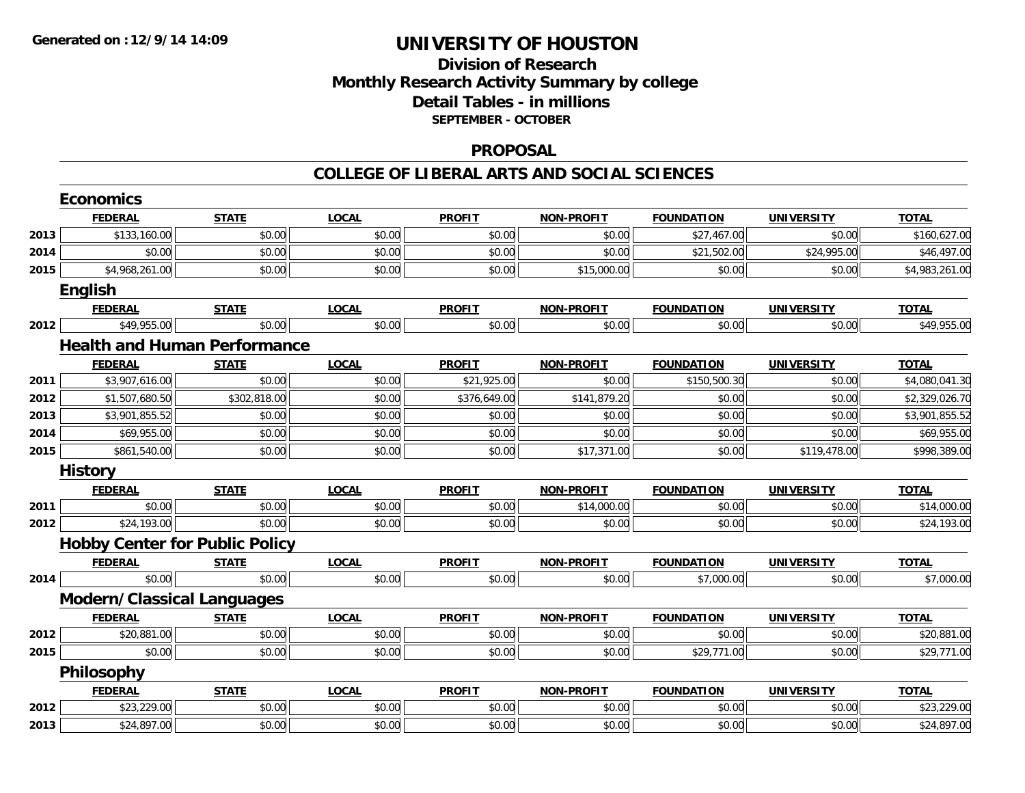## **Division of Research Monthly Research Activity Summary by college Detail Tables - in millions SEPTEMBER - OCTOBER**

#### **PROPOSAL**

|      | <b>Economics</b>                      |              |              |               |                   |                   |                   |                |
|------|---------------------------------------|--------------|--------------|---------------|-------------------|-------------------|-------------------|----------------|
|      | <b>FEDERAL</b>                        | <b>STATE</b> | <b>LOCAL</b> | <b>PROFIT</b> | <b>NON-PROFIT</b> | <b>FOUNDATION</b> | <b>UNIVERSITY</b> | <b>TOTAL</b>   |
| 2013 | \$133,160.00                          | \$0.00       | \$0.00       | \$0.00        | \$0.00            | \$27,467.00       | \$0.00            | \$160,627.00   |
| 2014 | \$0.00                                | \$0.00       | \$0.00       | \$0.00        | \$0.00            | \$21,502.00       | \$24,995.00       | \$46,497.00    |
| 2015 | \$4,968,261.00                        | \$0.00       | \$0.00       | \$0.00        | \$15,000.00       | \$0.00            | \$0.00            | \$4,983,261.00 |
|      | English                               |              |              |               |                   |                   |                   |                |
|      | <b>FEDERAL</b>                        | <b>STATE</b> | <b>LOCAL</b> | <b>PROFIT</b> | <b>NON-PROFIT</b> | <b>FOUNDATION</b> | <b>UNIVERSITY</b> | <b>TOTAL</b>   |
| 2012 | \$49,955.00                           | \$0.00       | \$0.00       | \$0.00        | \$0.00            | \$0.00            | \$0.00            | \$49,955.00    |
|      | <b>Health and Human Performance</b>   |              |              |               |                   |                   |                   |                |
|      | <b>FEDERAL</b>                        | <b>STATE</b> | <b>LOCAL</b> | <b>PROFIT</b> | <b>NON-PROFIT</b> | <b>FOUNDATION</b> | <b>UNIVERSITY</b> | <b>TOTAL</b>   |
| 2011 | \$3,907,616.00                        | \$0.00       | \$0.00       | \$21,925.00   | \$0.00            | \$150,500.30      | \$0.00            | \$4,080,041.30 |
| 2012 | \$1,507,680.50                        | \$302,818.00 | \$0.00       | \$376,649.00  | \$141,879.20      | \$0.00            | \$0.00            | \$2,329,026.70 |
| 2013 | \$3,901,855.52                        | \$0.00       | \$0.00       | \$0.00        | \$0.00            | \$0.00            | \$0.00            | \$3,901,855.52 |
| 2014 | \$69,955.00                           | \$0.00       | \$0.00       | \$0.00        | \$0.00            | \$0.00            | \$0.00            | \$69,955.00    |
| 2015 | \$861,540.00                          | \$0.00       | \$0.00       | \$0.00        | \$17,371.00       | \$0.00            | \$119,478.00      | \$998,389.00   |
|      | <b>History</b>                        |              |              |               |                   |                   |                   |                |
|      | <b>FEDERAL</b>                        | <b>STATE</b> | <b>LOCAL</b> | <b>PROFIT</b> | <b>NON-PROFIT</b> | <b>FOUNDATION</b> | <b>UNIVERSITY</b> | <b>TOTAL</b>   |
| 2011 | \$0.00                                | \$0.00       | \$0.00       | \$0.00        | \$14,000.00       | \$0.00            | \$0.00            | \$14,000.00    |
| 2012 | \$24,193.00                           | \$0.00       | \$0.00       | \$0.00        | \$0.00            | \$0.00            | \$0.00            | \$24,193.00    |
|      | <b>Hobby Center for Public Policy</b> |              |              |               |                   |                   |                   |                |
|      | <b>FEDERAL</b>                        | <b>STATE</b> | <b>LOCAL</b> | <b>PROFIT</b> | <b>NON-PROFIT</b> | <b>FOUNDATION</b> | <b>UNIVERSITY</b> | <b>TOTAL</b>   |
| 2014 | \$0.00                                | \$0.00       | \$0.00       | \$0.00        | \$0.00            | \$7,000.00        | \$0.00            | \$7,000.00     |
|      | <b>Modern/Classical Languages</b>     |              |              |               |                   |                   |                   |                |
|      | <b>FEDERAL</b>                        | <b>STATE</b> | <b>LOCAL</b> | <b>PROFIT</b> | <b>NON-PROFIT</b> | <b>FOUNDATION</b> | <b>UNIVERSITY</b> | <b>TOTAL</b>   |
| 2012 | \$20,881.00                           | \$0.00       | \$0.00       | \$0.00        | \$0.00            | \$0.00            | \$0.00            | \$20,881.00    |
| 2015 | \$0.00                                | \$0.00       | \$0.00       | \$0.00        | \$0.00            | \$29,771.00       | \$0.00            | \$29,771.00    |
|      | Philosophy                            |              |              |               |                   |                   |                   |                |
|      | <b>FEDERAL</b>                        | <b>STATE</b> | <b>LOCAL</b> | <b>PROFIT</b> | <b>NON-PROFIT</b> | <b>FOUNDATION</b> | <b>UNIVERSITY</b> | <b>TOTAL</b>   |
| 2012 | \$23,229.00                           | \$0.00       | \$0.00       | \$0.00        | \$0.00            | \$0.00            | \$0.00            | \$23,229.00    |
| 2013 | \$24,897.00                           | \$0.00       | \$0.00       | \$0.00        | \$0.00            | \$0.00            | \$0.00            | \$24,897.00    |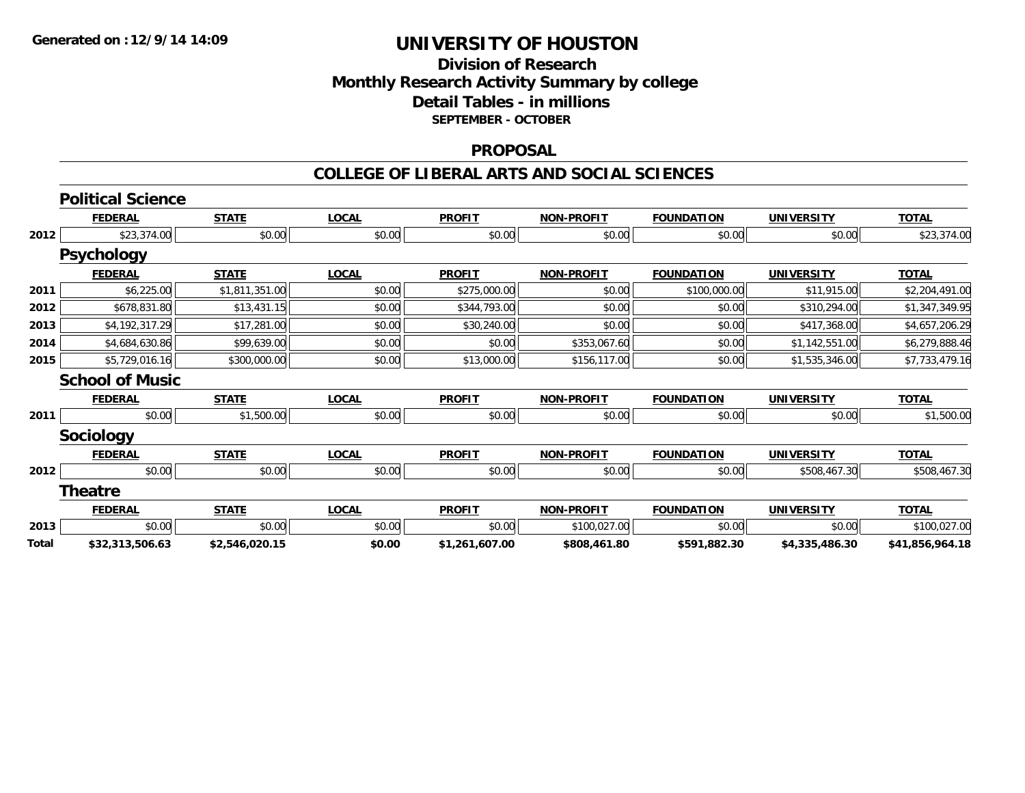### **Division of Research Monthly Research Activity Summary by college Detail Tables - in millions SEPTEMBER - OCTOBER**

#### **PROPOSAL**

|       | <b>Political Science</b> |                |              |                |                   |                   |                   |                 |
|-------|--------------------------|----------------|--------------|----------------|-------------------|-------------------|-------------------|-----------------|
|       | <b>FEDERAL</b>           | <b>STATE</b>   | <b>LOCAL</b> | <b>PROFIT</b>  | <b>NON-PROFIT</b> | <b>FOUNDATION</b> | <b>UNIVERSITY</b> | <b>TOTAL</b>    |
| 2012  | \$23,374.00              | \$0.00         | \$0.00       | \$0.00         | \$0.00            | \$0.00            | \$0.00            | \$23,374.00     |
|       | <b>Psychology</b>        |                |              |                |                   |                   |                   |                 |
|       | <b>FEDERAL</b>           | <b>STATE</b>   | <b>LOCAL</b> | <b>PROFIT</b>  | <b>NON-PROFIT</b> | <b>FOUNDATION</b> | <b>UNIVERSITY</b> | <b>TOTAL</b>    |
| 2011  | \$6,225.00               | \$1,811,351.00 | \$0.00       | \$275,000.00   | \$0.00            | \$100,000.00      | \$11,915.00       | \$2,204,491.00  |
| 2012  | \$678,831.80             | \$13,431.15    | \$0.00       | \$344,793.00   | \$0.00            | \$0.00            | \$310,294.00      | \$1,347,349.95  |
| 2013  | \$4,192,317.29           | \$17,281.00    | \$0.00       | \$30,240.00    | \$0.00            | \$0.00            | \$417,368.00      | \$4,657,206.29  |
| 2014  | \$4,684,630.86           | \$99,639.00    | \$0.00       | \$0.00         | \$353,067.60      | \$0.00            | \$1,142,551.00    | \$6,279,888.46  |
| 2015  | \$5,729,016.16           | \$300,000.00   | \$0.00       | \$13,000.00    | \$156,117.00      | \$0.00            | \$1,535,346.00    | \$7,733,479.16  |
|       | <b>School of Music</b>   |                |              |                |                   |                   |                   |                 |
|       | <b>FEDERAL</b>           | <b>STATE</b>   | <b>LOCAL</b> | <b>PROFIT</b>  | <b>NON-PROFIT</b> | <b>FOUNDATION</b> | <b>UNIVERSITY</b> | <b>TOTAL</b>    |
| 2011  | \$0.00                   | \$1,500.00     | \$0.00       | \$0.00         | \$0.00            | \$0.00            | \$0.00            | \$1,500.00      |
|       | <b>Sociology</b>         |                |              |                |                   |                   |                   |                 |
|       | <b>FEDERAL</b>           | <b>STATE</b>   | <b>LOCAL</b> | <b>PROFIT</b>  | <b>NON-PROFIT</b> | <b>FOUNDATION</b> | <b>UNIVERSITY</b> | <b>TOTAL</b>    |
| 2012  | \$0.00                   | \$0.00         | \$0.00       | \$0.00         | \$0.00            | \$0.00            | \$508,467.30      | \$508,467.30    |
|       | <b>Theatre</b>           |                |              |                |                   |                   |                   |                 |
|       | <b>FEDERAL</b>           | <b>STATE</b>   | <b>LOCAL</b> | <b>PROFIT</b>  | <b>NON-PROFIT</b> | <b>FOUNDATION</b> | <b>UNIVERSITY</b> | <b>TOTAL</b>    |
| 2013  | \$0.00                   | \$0.00         | \$0.00       | \$0.00         | \$100,027.00      | \$0.00            | \$0.00            | \$100,027.00    |
| Total | \$32,313,506.63          | \$2,546,020.15 | \$0.00       | \$1,261,607.00 | \$808,461.80      | \$591,882.30      | \$4,335,486.30    | \$41,856,964.18 |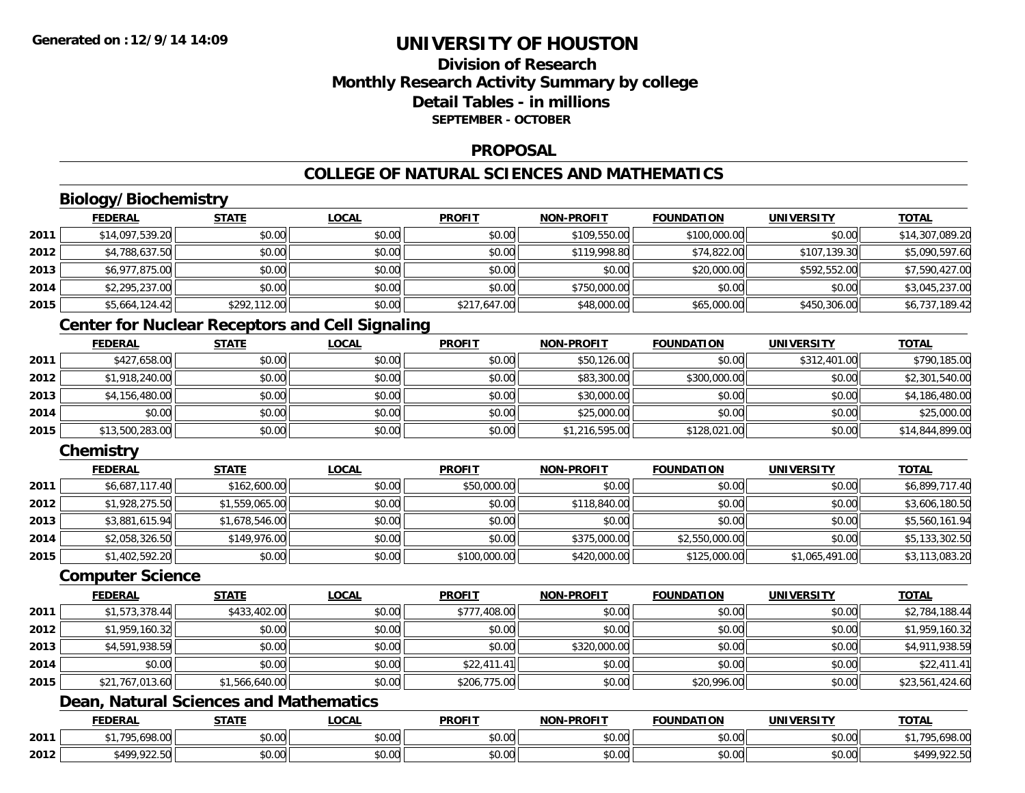## **Division of ResearchMonthly Research Activity Summary by college Detail Tables - in millionsSEPTEMBER - OCTOBER**

## **PROPOSAL**

## **COLLEGE OF NATURAL SCIENCES AND MATHEMATICS**

## **Biology/Biochemistry**

|      | <b>FEDERAL</b>  | <b>STATE</b> | <b>LOCAL</b> | <b>PROFIT</b> | <b>NON-PROFIT</b> | <b>FOUNDATION</b> | <b>UNIVERSITY</b> | <b>TOTAL</b>    |
|------|-----------------|--------------|--------------|---------------|-------------------|-------------------|-------------------|-----------------|
| 2011 | \$14,097,539.20 | \$0.00       | \$0.00       | \$0.00        | \$109,550.00      | \$100,000.00      | \$0.00            | \$14,307,089.20 |
| 2012 | \$4,788,637.50  | \$0.00       | \$0.00       | \$0.00        | \$119,998.80      | \$74,822.00       | \$107,139.30      | \$5,090,597.60  |
| 2013 | \$6,977,875.00  | \$0.00       | \$0.00       | \$0.00        | \$0.00            | \$20,000.00       | \$592,552.00      | \$7,590,427.00  |
| 2014 | \$2,295,237.00  | \$0.00       | \$0.00       | \$0.00        | \$750,000.00      | \$0.00            | \$0.00            | \$3,045,237.00  |
| 2015 | \$5,664,124.42  | \$292,112.00 | \$0.00       | \$217,647.00  | \$48,000.00       | \$65,000.00       | \$450,306.00      | \$6,737,189.42  |

## **Center for Nuclear Receptors and Cell Signaling**

|      | <b>FEDERAL</b>  | <b>STATE</b> | <u>LOCAL</u> | <b>PROFIT</b> | <b>NON-PROFIT</b> | <b>FOUNDATION</b> | <b>UNIVERSITY</b> | <b>TOTAL</b>    |
|------|-----------------|--------------|--------------|---------------|-------------------|-------------------|-------------------|-----------------|
| 2011 | \$427,658.00    | \$0.00       | \$0.00       | \$0.00        | \$50,126.00       | \$0.00            | \$312,401.00      | \$790,185.00    |
| 2012 | \$1,918,240.00  | \$0.00       | \$0.00       | \$0.00        | \$83,300.00       | \$300,000.00      | \$0.00            | \$2,301,540.00  |
| 2013 | \$4,156,480.00  | \$0.00       | \$0.00       | \$0.00        | \$30,000.00       | \$0.00            | \$0.00            | \$4,186,480.00  |
| 2014 | \$0.00          | \$0.00       | \$0.00       | \$0.00        | \$25,000.00       | \$0.00            | \$0.00            | \$25,000.00     |
| 2015 | \$13,500,283.00 | \$0.00       | \$0.00       | \$0.00        | \$1,216,595.00    | \$128,021.00      | \$0.00            | \$14,844,899.00 |

## **Chemistry**

|      | <b>FEDERAL</b> | <b>STATE</b>   | <u>LOCAL</u> | <b>PROFIT</b> | <b>NON-PROFIT</b> | <b>FOUNDATION</b> | <b>UNIVERSITY</b> | <b>TOTAL</b>   |
|------|----------------|----------------|--------------|---------------|-------------------|-------------------|-------------------|----------------|
| 2011 | \$6,687,117.40 | \$162,600.00   | \$0.00       | \$50,000.00   | \$0.00            | \$0.00            | \$0.00            | \$6,899,717.40 |
| 2012 | \$1,928,275.50 | \$1,559,065.00 | \$0.00       | \$0.00        | \$118,840.00      | \$0.00            | \$0.00            | \$3,606,180.50 |
| 2013 | \$3,881,615.94 | \$1,678,546.00 | \$0.00       | \$0.00        | \$0.00            | \$0.00            | \$0.00            | \$5,560,161.94 |
| 2014 | \$2,058,326.50 | \$149,976.00   | \$0.00       | \$0.00        | \$375,000.00      | \$2,550,000.00    | \$0.00            | \$5,133,302.50 |
| 2015 | \$1,402,592.20 | \$0.00         | \$0.00       | \$100,000.00  | \$420,000.00      | \$125,000.00      | \$1,065,491.00    | \$3,113,083.20 |

#### **Computer Science**

|      | <b>FEDERAL</b>  | <b>STATE</b>   | <b>LOCAL</b> | <b>PROFIT</b> | <b>NON-PROFIT</b> | <b>FOUNDATION</b> | <b>UNIVERSITY</b> | <b>TOTAL</b>    |
|------|-----------------|----------------|--------------|---------------|-------------------|-------------------|-------------------|-----------------|
| 2011 | \$1,573,378.44  | \$433,402.00   | \$0.00       | \$777,408.00  | \$0.00            | \$0.00            | \$0.00            | \$2,784,188.44  |
| 2012 | \$1,959,160.32  | \$0.00         | \$0.00       | \$0.00        | \$0.00            | \$0.00            | \$0.00            | \$1,959,160.32  |
| 2013 | \$4,591,938.59  | \$0.00         | \$0.00       | \$0.00        | \$320,000.00      | \$0.00            | \$0.00            | \$4,911,938.59  |
| 2014 | \$0.00          | \$0.00         | \$0.00       | \$22,411.41   | \$0.00            | \$0.00            | \$0.00            | \$22,411.41     |
| 2015 | \$21,767,013.60 | \$1,566,640.00 | \$0.00       | \$206,775.00  | \$0.00            | \$20,996.00       | \$0.00            | \$23,561,424.60 |

## **Dean, Natural Sciences and Mathematics**

|      | <b>FEDERAL</b>                                       | $- - - - -$   | <b>OCAI</b>        | <b>PROFIT</b>      | <b>LPROFIT</b><br>81/18 | FOUNDATION                                         | UNIVERSIT                                     | <b>TOTI</b>                |
|------|------------------------------------------------------|---------------|--------------------|--------------------|-------------------------|----------------------------------------------------|-----------------------------------------------|----------------------------|
| 2011 | 100.00<br>705                                        | 0000<br>DU.UU | $\sim$ 00<br>vu.uu | 0000<br>JU.UU      | 0000<br>vu.vu           | \$0.00                                             | no ool<br>งบ.บบ                               | $\sim$<br>79,070.00        |
| 2012 | <b>COND</b><br>$\sim$ $\sim$ $\sim$ $\sim$<br>122.31 | 0000<br>JU.UU | $\sim$ 00<br>vv.vv | $\sim$ 00<br>JU.UL | 0000<br>JU.UU           | $\mathsf{A}\cap\mathsf{A}\cap\mathsf{A}$<br>\$0.00 | $\mathfrak{g}$ $\mathfrak{g}$<br><b>DU.UU</b> | OOD EC<br>t 1 OC<br>722.JU |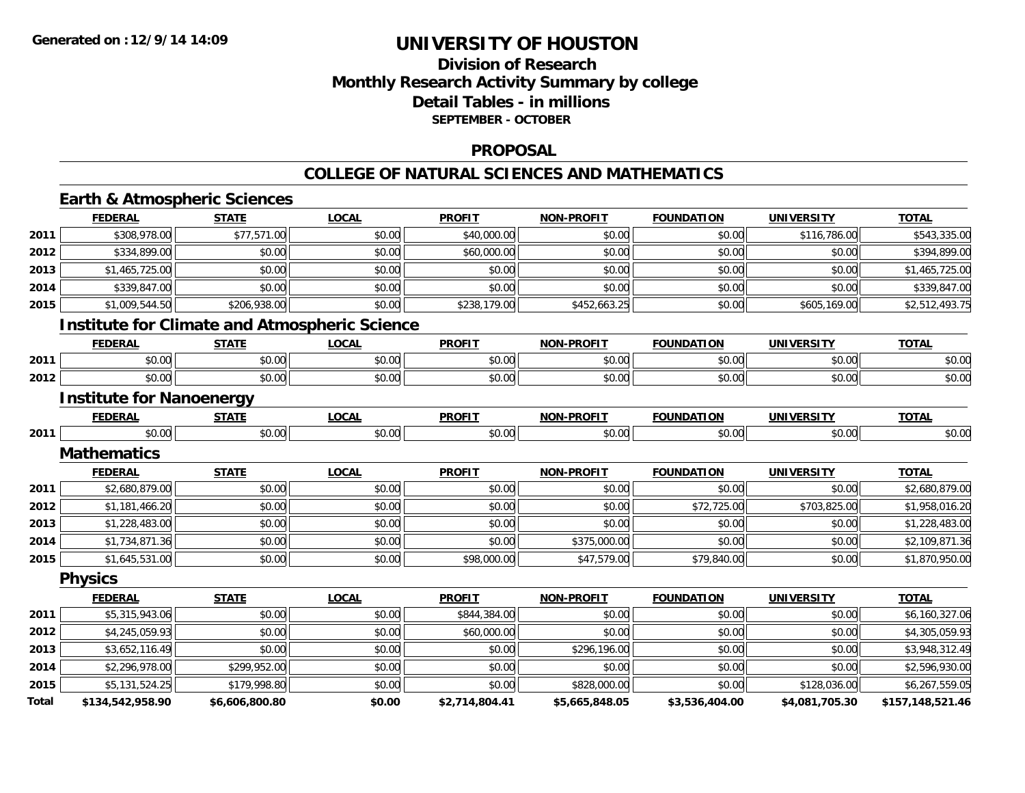## **Division of ResearchMonthly Research Activity Summary by college Detail Tables - in millions SEPTEMBER - OCTOBER**

### **PROPOSAL**

### **COLLEGE OF NATURAL SCIENCES AND MATHEMATICS**

## **Earth & Atmospheric Sciences**

|       | <b>FEDERAL</b>                  | <b>STATE</b>   | <b>LOCAL</b>                                         | <b>PROFIT</b>  | <b>NON-PROFIT</b> | <b>FOUNDATION</b> | <b>UNIVERSITY</b> | <b>TOTAL</b>     |
|-------|---------------------------------|----------------|------------------------------------------------------|----------------|-------------------|-------------------|-------------------|------------------|
| 2011  | \$308,978.00                    | \$77,571.00    | \$0.00                                               | \$40,000.00    | \$0.00            | \$0.00            | \$116,786.00      | \$543,335.00     |
| 2012  | \$334,899.00                    | \$0.00         | \$0.00                                               | \$60,000.00    | \$0.00            | \$0.00            | \$0.00            | \$394,899.00     |
| 2013  | \$1,465,725.00                  | \$0.00         | \$0.00                                               | \$0.00         | \$0.00            | \$0.00            | \$0.00            | \$1,465,725.00   |
| 2014  | \$339,847.00                    | \$0.00         | \$0.00                                               | \$0.00         | \$0.00            | \$0.00            | \$0.00            | \$339,847.00     |
| 2015  | \$1,009,544.50                  | \$206,938.00   | \$0.00                                               | \$238,179.00   | \$452,663.25      | \$0.00            | \$605,169.00      | \$2,512,493.75   |
|       |                                 |                | <b>Institute for Climate and Atmospheric Science</b> |                |                   |                   |                   |                  |
|       | <b>FEDERAL</b>                  | <b>STATE</b>   | <b>LOCAL</b>                                         | <b>PROFIT</b>  | <b>NON-PROFIT</b> | <b>FOUNDATION</b> | <b>UNIVERSITY</b> | <b>TOTAL</b>     |
| 2011  | \$0.00                          | \$0.00         | \$0.00                                               | \$0.00         | \$0.00            | \$0.00            | \$0.00            | \$0.00           |
| 2012  | \$0.00                          | \$0.00         | \$0.00                                               | \$0.00         | \$0.00            | \$0.00            | \$0.00            | \$0.00           |
|       | <b>Institute for Nanoenergy</b> |                |                                                      |                |                   |                   |                   |                  |
|       | <b>FEDERAL</b>                  | <b>STATE</b>   | <b>LOCAL</b>                                         | <b>PROFIT</b>  | <b>NON-PROFIT</b> | <b>FOUNDATION</b> | <b>UNIVERSITY</b> | <b>TOTAL</b>     |
| 2011  | \$0.00                          | \$0.00         | \$0.00                                               | \$0.00         | \$0.00            | \$0.00            | \$0.00            | \$0.00           |
|       | <b>Mathematics</b>              |                |                                                      |                |                   |                   |                   |                  |
|       | <b>FEDERAL</b>                  | <b>STATE</b>   | <b>LOCAL</b>                                         | <b>PROFIT</b>  | <b>NON-PROFIT</b> | <b>FOUNDATION</b> | <b>UNIVERSITY</b> | <b>TOTAL</b>     |
| 2011  | \$2,680,879.00                  | \$0.00         | \$0.00                                               | \$0.00         | \$0.00            | \$0.00            | \$0.00            | \$2,680,879.00   |
| 2012  | \$1,181,466.20                  | \$0.00         | \$0.00                                               | \$0.00         | \$0.00            | \$72,725.00       | \$703,825.00      | \$1,958,016.20   |
| 2013  | \$1,228,483.00                  | \$0.00         | \$0.00                                               | \$0.00         | \$0.00            | \$0.00            | \$0.00            | \$1,228,483.00   |
| 2014  | \$1,734,871.36                  | \$0.00         | \$0.00                                               | \$0.00         | \$375,000.00      | \$0.00            | \$0.00            | \$2,109,871.36   |
| 2015  | \$1,645,531.00                  | \$0.00         | \$0.00                                               | \$98,000.00    | \$47,579.00       | \$79,840.00       | \$0.00            | \$1,870,950.00   |
|       | <b>Physics</b>                  |                |                                                      |                |                   |                   |                   |                  |
|       | <b>FEDERAL</b>                  | <b>STATE</b>   | <b>LOCAL</b>                                         | <b>PROFIT</b>  | <b>NON-PROFIT</b> | <b>FOUNDATION</b> | <b>UNIVERSITY</b> | <b>TOTAL</b>     |
| 2011  | \$5,315,943.06                  | \$0.00         | \$0.00                                               | \$844,384.00   | \$0.00            | \$0.00            | \$0.00            | \$6,160,327.06   |
| 2012  | \$4,245,059.93                  | \$0.00         | \$0.00                                               | \$60,000.00    | \$0.00            | \$0.00            | \$0.00            | \$4,305,059.93   |
| 2013  | \$3,652,116.49                  | \$0.00         | \$0.00                                               | \$0.00         | \$296,196.00      | \$0.00            | \$0.00            | \$3,948,312.49   |
| 2014  | \$2,296,978.00                  | \$299,952.00   | \$0.00                                               | \$0.00         | \$0.00            | \$0.00            | \$0.00            | \$2,596,930.00   |
| 2015  | \$5,131,524.25                  | \$179,998.80   | \$0.00                                               | \$0.00         | \$828,000.00      | \$0.00            | \$128,036.00      | \$6,267,559.05   |
| Total | \$134,542,958.90                | \$6,606,800.80 | \$0.00                                               | \$2,714,804.41 | \$5,665,848.05    | \$3,536,404.00    | \$4,081,705.30    | \$157,148,521.46 |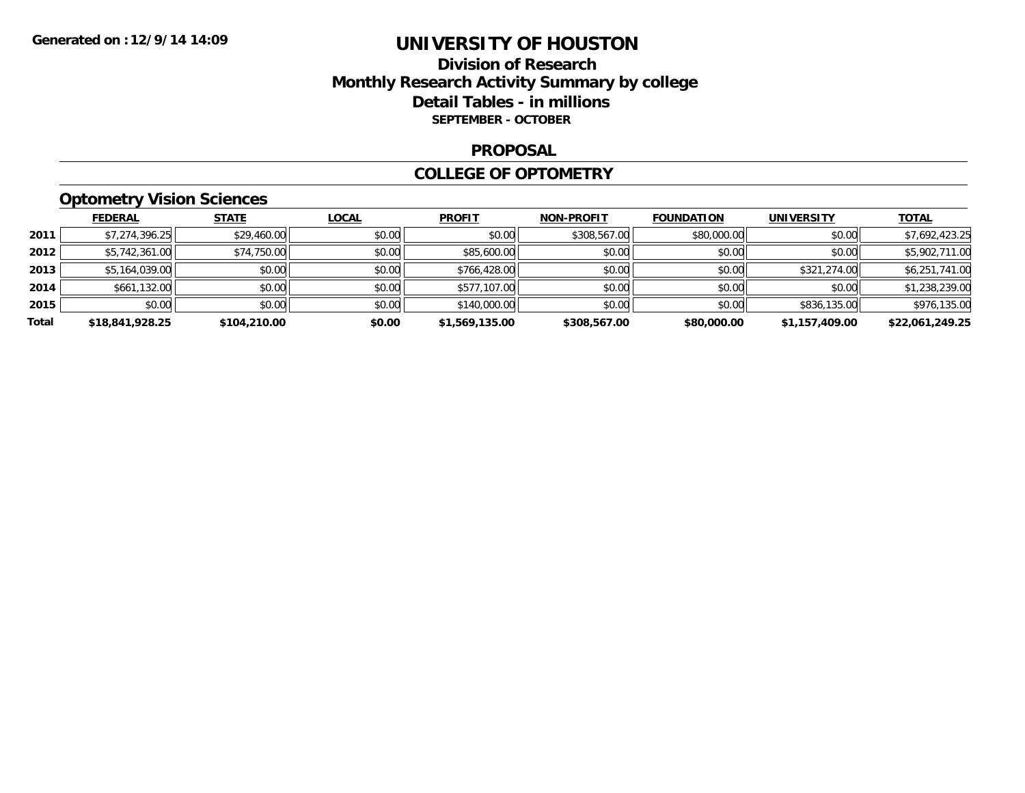## **Division of Research Monthly Research Activity Summary by college Detail Tables - in millions SEPTEMBER - OCTOBER**

#### **PROPOSAL**

#### **COLLEGE OF OPTOMETRY**

## **Optometry Vision Sciences**

|       | <b>FEDERAL</b>  | <b>STATE</b> | <b>LOCAL</b> | <b>PROFIT</b>  | <b>NON-PROFIT</b> | <b>FOUNDATION</b> | <b>UNIVERSITY</b> | <b>TOTAL</b>    |
|-------|-----------------|--------------|--------------|----------------|-------------------|-------------------|-------------------|-----------------|
| 2011  | \$7,274,396.25  | \$29,460.00  | \$0.00       | \$0.00         | \$308,567.00      | \$80,000.00       | \$0.00            | \$7,692,423.25  |
| 2012  | \$5,742,361.00  | \$74,750.00  | \$0.00       | \$85,600.00    | \$0.00            | \$0.00            | \$0.00            | \$5,902,711.00  |
| 2013  | \$5,164,039.00  | \$0.00       | \$0.00       | \$766,428.00   | \$0.00            | \$0.00            | \$321,274.00      | \$6,251,741.00  |
| 2014  | \$661,132.00    | \$0.00       | \$0.00       | \$577,107.00   | \$0.00            | \$0.00            | \$0.00            | \$1,238,239.00  |
| 2015  | \$0.00          | \$0.00       | \$0.00       | \$140,000.00   | \$0.00            | \$0.00            | \$836,135.00      | \$976,135.00    |
| Total | \$18,841,928.25 | \$104,210.00 | \$0.00       | \$1,569,135.00 | \$308,567.00      | \$80,000.00       | \$1,157,409.00    | \$22,061,249.25 |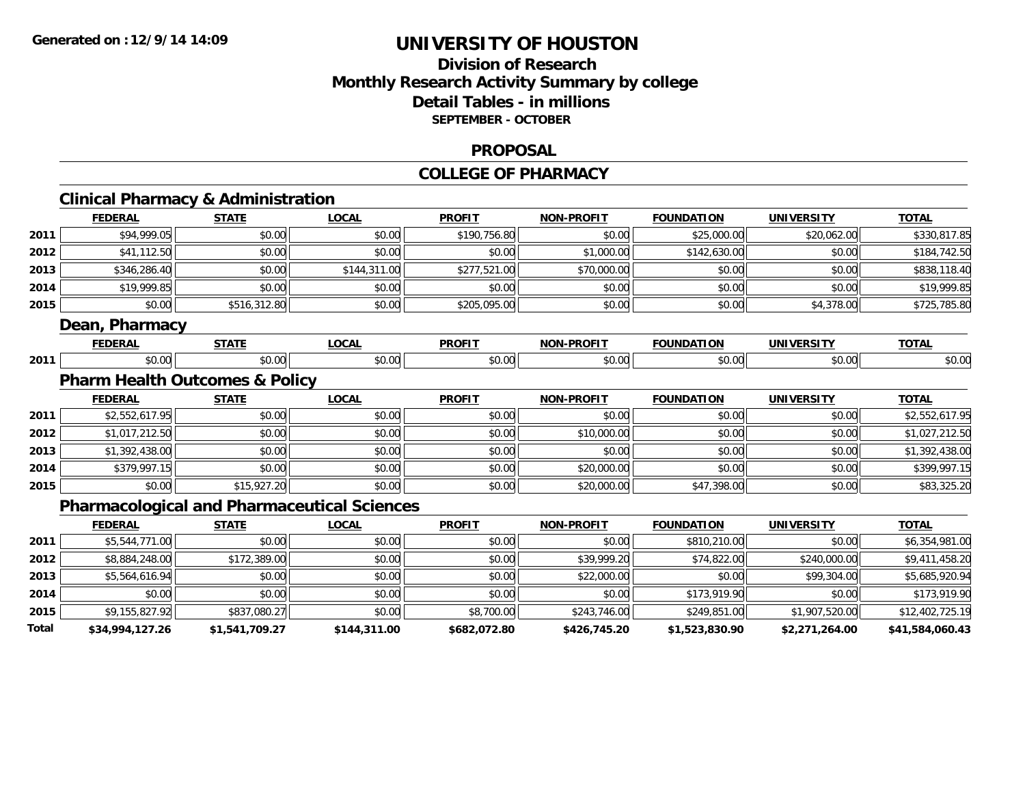## **Division of ResearchMonthly Research Activity Summary by college Detail Tables - in millions SEPTEMBER - OCTOBER**

#### **PROPOSAL**

#### **COLLEGE OF PHARMACY**

|       | <b>Clinical Pharmacy &amp; Administration</b> |                |                                                    |               |                   |                   |                   |                 |
|-------|-----------------------------------------------|----------------|----------------------------------------------------|---------------|-------------------|-------------------|-------------------|-----------------|
|       | <b>FEDERAL</b>                                | <b>STATE</b>   | <b>LOCAL</b>                                       | <b>PROFIT</b> | <b>NON-PROFIT</b> | <b>FOUNDATION</b> | <b>UNIVERSITY</b> | <b>TOTAL</b>    |
| 2011  | \$94,999.05                                   | \$0.00         | \$0.00                                             | \$190,756.80  | \$0.00            | \$25,000.00       | \$20,062.00       | \$330,817.85    |
| 2012  | \$41,112.50                                   | \$0.00         | \$0.00                                             | \$0.00        | \$1,000.00        | \$142,630.00      | \$0.00            | \$184,742.50    |
| 2013  | \$346,286.40                                  | \$0.00         | \$144,311.00                                       | \$277,521.00  | \$70,000.00       | \$0.00            | \$0.00            | \$838,118.40    |
| 2014  | \$19,999.85                                   | \$0.00         | \$0.00                                             | \$0.00        | \$0.00            | \$0.00            | \$0.00            | \$19,999.85     |
| 2015  | \$0.00                                        | \$516,312.80   | \$0.00                                             | \$205,095.00  | \$0.00            | \$0.00            | \$4,378.00        | \$725,785.80    |
|       | Dean, Pharmacy                                |                |                                                    |               |                   |                   |                   |                 |
|       | <b>FEDERAL</b>                                | <b>STATE</b>   | <b>LOCAL</b>                                       | <b>PROFIT</b> | <b>NON-PROFIT</b> | <b>FOUNDATION</b> | <b>UNIVERSITY</b> | <b>TOTAL</b>    |
| 2011  | \$0.00                                        | \$0.00         | \$0.00                                             | \$0.00        | \$0.00            | \$0.00            | \$0.00            | \$0.00          |
|       | <b>Pharm Health Outcomes &amp; Policy</b>     |                |                                                    |               |                   |                   |                   |                 |
|       | <b>FEDERAL</b>                                | <b>STATE</b>   | <b>LOCAL</b>                                       | <b>PROFIT</b> | <b>NON-PROFIT</b> | <b>FOUNDATION</b> | <b>UNIVERSITY</b> | <b>TOTAL</b>    |
| 2011  | \$2,552,617.95                                | \$0.00         | \$0.00                                             | \$0.00        | \$0.00            | \$0.00            | \$0.00            | \$2,552,617.95  |
| 2012  | \$1,017,212.50                                | \$0.00         | \$0.00                                             | \$0.00        | \$10,000.00       | \$0.00            | \$0.00            | \$1,027,212.50  |
| 2013  | \$1,392,438.00                                | \$0.00         | \$0.00                                             | \$0.00        | \$0.00            | \$0.00            | \$0.00            | \$1,392,438.00  |
| 2014  | \$379,997.15                                  | \$0.00         | \$0.00                                             | \$0.00        | \$20,000.00       | \$0.00            | \$0.00            | \$399,997.15    |
| 2015  | \$0.00                                        | \$15,927.20    | \$0.00                                             | \$0.00        | \$20,000.00       | \$47,398.00       | \$0.00            | \$83,325.20     |
|       |                                               |                | <b>Pharmacological and Pharmaceutical Sciences</b> |               |                   |                   |                   |                 |
|       | <b>FEDERAL</b>                                | <b>STATE</b>   | <b>LOCAL</b>                                       | <b>PROFIT</b> | <b>NON-PROFIT</b> | <b>FOUNDATION</b> | <b>UNIVERSITY</b> | <b>TOTAL</b>    |
| 2011  | \$5,544,771.00                                | \$0.00         | \$0.00                                             | \$0.00        | \$0.00            | \$810,210.00      | \$0.00            | \$6,354,981.00  |
| 2012  | \$8,884,248.00                                | \$172,389.00   | \$0.00                                             | \$0.00        | \$39,999.20       | \$74,822.00       | \$240,000.00      | \$9,411,458.20  |
| 2013  | \$5,564,616.94                                | \$0.00         | \$0.00                                             | \$0.00        | \$22,000.00       | \$0.00            | \$99,304.00       | \$5,685,920.94  |
| 2014  | \$0.00                                        | \$0.00         | \$0.00                                             | \$0.00        | \$0.00            | \$173,919.90      | \$0.00            | \$173,919.90    |
| 2015  | \$9,155,827.92                                | \$837,080.27   | \$0.00                                             | \$8,700.00    | \$243,746.00      | \$249,851.00      | \$1,907,520.00    | \$12,402,725.19 |
| Total | \$34,994,127.26                               | \$1,541,709.27 | \$144,311.00                                       | \$682,072.80  | \$426,745.20      | \$1,523,830.90    | \$2,271,264.00    | \$41,584,060.43 |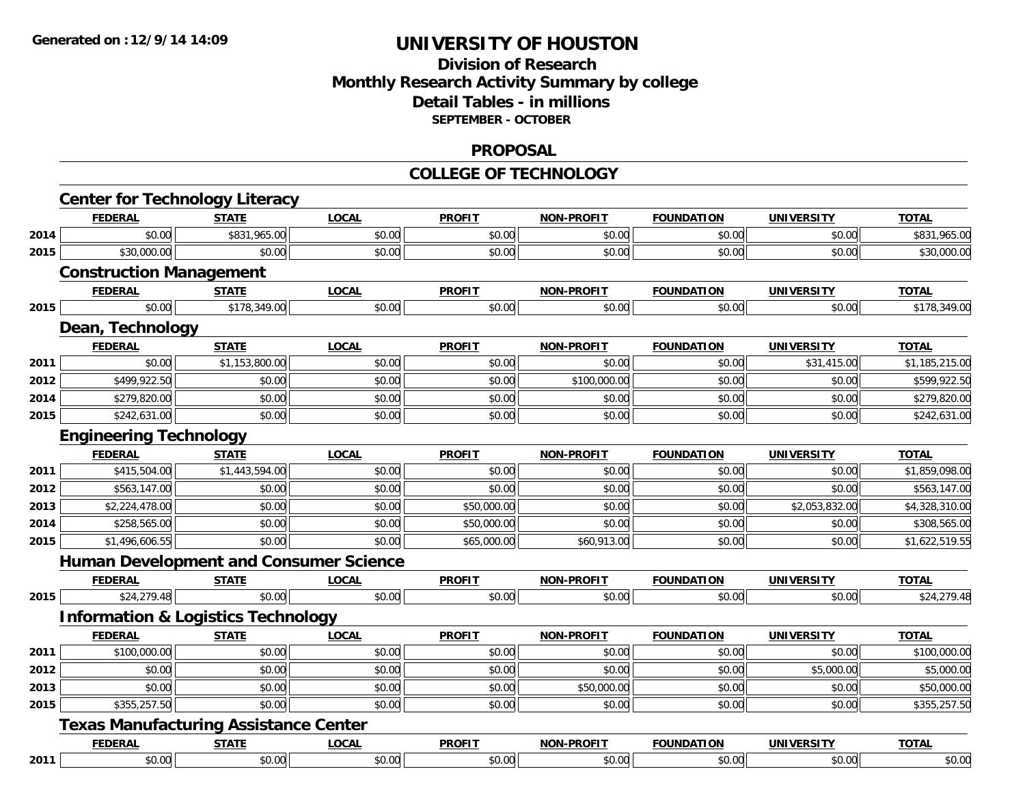### **Division of Research Monthly Research Activity Summary by college Detail Tables - in millions SEPTEMBER - OCTOBER**

#### **PROPOSAL**

#### **COLLEGE OF TECHNOLOGY**

|      | <b>Center for Technology Literacy</b>         |                |              |               |                   |                   |                   |                |
|------|-----------------------------------------------|----------------|--------------|---------------|-------------------|-------------------|-------------------|----------------|
|      | <b>FEDERAL</b>                                | <b>STATE</b>   | <b>LOCAL</b> | <b>PROFIT</b> | NON-PROFIT        | <b>FOUNDATION</b> | <b>UNIVERSITY</b> | <b>TOTAL</b>   |
| 2014 | \$0.00                                        | \$831,965.00   | \$0.00       | \$0.00        | \$0.00            | \$0.00            | \$0.00            | \$831,965.00   |
| 2015 | \$30,000.00                                   | \$0.00         | \$0.00       | \$0.00        | \$0.00            | \$0.00            | \$0.00            | \$30,000.00    |
|      | <b>Construction Management</b>                |                |              |               |                   |                   |                   |                |
|      | <b>FEDERAL</b>                                | <b>STATE</b>   | <b>LOCAL</b> | <b>PROFIT</b> | <b>NON-PROFIT</b> | <b>FOUNDATION</b> | <b>UNIVERSITY</b> | <b>TOTAL</b>   |
| 2015 | \$0.00                                        | \$178,349.00   | \$0.00       | \$0.00        | \$0.00            | \$0.00            | \$0.00            | \$178,349.00   |
|      | Dean, Technology                              |                |              |               |                   |                   |                   |                |
|      | <b>FEDERAL</b>                                | <b>STATE</b>   | <b>LOCAL</b> | <b>PROFIT</b> | <b>NON-PROFIT</b> | <b>FOUNDATION</b> | <b>UNIVERSITY</b> | <b>TOTAL</b>   |
| 2011 | \$0.00                                        | \$1,153,800.00 | \$0.00       | \$0.00        | \$0.00            | \$0.00            | \$31,415.00       | \$1,185,215.00 |
| 2012 | \$499,922.50                                  | \$0.00         | \$0.00       | \$0.00        | \$100,000.00      | \$0.00            | \$0.00            | \$599,922.50   |
| 2014 | \$279,820.00                                  | \$0.00         | \$0.00       | \$0.00        | \$0.00            | \$0.00            | \$0.00            | \$279,820.00   |
| 2015 | \$242,631.00                                  | \$0.00         | \$0.00       | \$0.00        | \$0.00            | \$0.00            | \$0.00            | \$242,631.00   |
|      | <b>Engineering Technology</b>                 |                |              |               |                   |                   |                   |                |
|      | <b>FEDERAL</b>                                | <b>STATE</b>   | <b>LOCAL</b> | <b>PROFIT</b> | <b>NON-PROFIT</b> | <b>FOUNDATION</b> | <b>UNIVERSITY</b> | <b>TOTAL</b>   |
| 2011 | \$415,504.00                                  | \$1,443,594.00 | \$0.00       | \$0.00        | \$0.00            | \$0.00            | \$0.00            | \$1,859,098.00 |
| 2012 | \$563,147.00                                  | \$0.00         | \$0.00       | \$0.00        | \$0.00            | \$0.00            | \$0.00            | \$563,147.00   |
| 2013 | \$2,224,478.00                                | \$0.00         | \$0.00       | \$50,000.00   | \$0.00            | \$0.00            | \$2,053,832.00    | \$4,328,310.00 |
| 2014 | \$258,565.00                                  | \$0.00         | \$0.00       | \$50,000.00   | \$0.00            | \$0.00            | \$0.00            | \$308,565.00   |
| 2015 | \$1,496,606.55                                | \$0.00         | \$0.00       | \$65,000.00   | \$60,913.00       | \$0.00            | \$0.00            | \$1,622,519.55 |
|      | <b>Human Development and Consumer Science</b> |                |              |               |                   |                   |                   |                |
|      | <b>FEDERAL</b>                                | <b>STATE</b>   | <b>LOCAL</b> | <b>PROFIT</b> | <b>NON-PROFIT</b> | <b>FOUNDATION</b> | <b>UNIVERSITY</b> | <b>TOTAL</b>   |
| 2015 | \$24,279.48                                   | \$0.00         | \$0.00       | \$0.00        | \$0.00            | \$0.00            | \$0.00            | \$24,279.48    |
|      | <b>Information &amp; Logistics Technology</b> |                |              |               |                   |                   |                   |                |
|      | <b>FEDERAL</b>                                | <b>STATE</b>   | <b>LOCAL</b> | <b>PROFIT</b> | <b>NON-PROFIT</b> | <b>FOUNDATION</b> | <b>UNIVERSITY</b> | <b>TOTAL</b>   |
| 2011 | \$100,000.00                                  | \$0.00         | \$0.00       | \$0.00        | \$0.00            | \$0.00            | \$0.00            | \$100,000.00   |
| 2012 | \$0.00                                        | \$0.00         | \$0.00       | \$0.00        | \$0.00            | \$0.00            | \$5,000.00        | \$5,000.00     |
| 2013 | \$0.00                                        | \$0.00         | \$0.00       | \$0.00        | \$50,000.00       | \$0.00            | \$0.00            | \$50,000.00    |
| 2015 | \$355,257.50                                  | \$0.00         | \$0.00       | \$0.00        | \$0.00            | \$0.00            | \$0.00            | \$355,257.50   |
|      | <b>Texas Manufacturing Assistance Center</b>  |                |              |               |                   |                   |                   |                |
|      | <b>FEDERAL</b>                                | <b>STATE</b>   | <b>LOCAL</b> | <b>PROFIT</b> | <b>NON-PROFIT</b> | <b>FOUNDATION</b> | <b>UNIVERSITY</b> | <b>TOTAL</b>   |
| 2011 | \$0.00                                        | \$0.00         | \$0.00       | \$0.00        | \$0.00            | \$0.00            | \$0.00            | \$0.00         |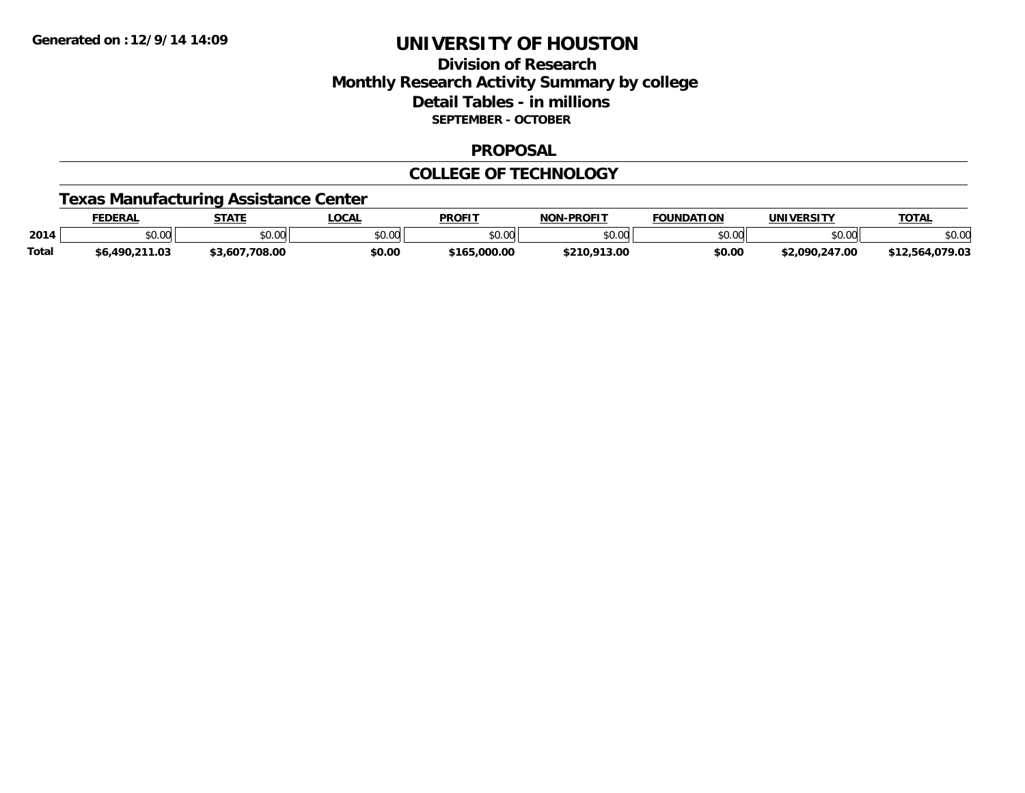## **Division of ResearchMonthly Research Activity Summary by college Detail Tables - in millions SEPTEMBER - OCTOBER**

#### **PROPOSAL**

### **COLLEGE OF TECHNOLOGY**

## **Texas Manufacturing Assistance Center**

|              | <b>FEDERAL</b> | <b>STATE</b>   | <b>LOCAL</b>  | <b>PROFI</b> | -PROFIT<br><b>NON</b> | <b>FOUNDATION</b> | <b>UNIVERSITY</b> | <b>TOTAL</b> |
|--------------|----------------|----------------|---------------|--------------|-----------------------|-------------------|-------------------|--------------|
| 2014         | \$0.00         | \$0.00         | 0000<br>JU.UU | \$0.00       | \$0.00                | ልስ ሀህ<br>טט.טע    | 0.00<br>DU.UG     | \$0.00       |
| <b>Total</b> | \$6,490,211.03 | \$3,607,708.00 | \$0.00        | \$165,000,00 | \$210,913.00          | \$0.00            | \$2,090,247.00    | .079.03      |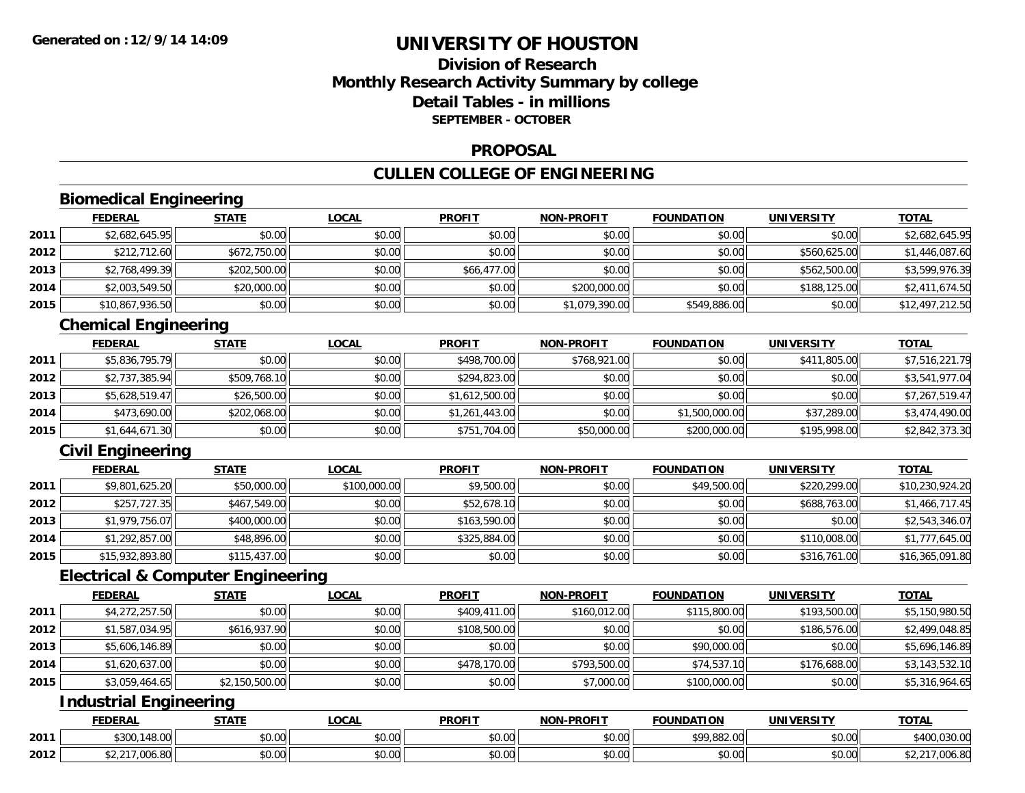## **Division of ResearchMonthly Research Activity Summary by college Detail Tables - in millionsSEPTEMBER - OCTOBER**

#### **PROPOSAL**

## **CULLEN COLLEGE OF ENGINEERING**

## **Biomedical Engineering**

|      | <b>FEDERAL</b>  | <b>STATE</b> | <u>LOCAL</u> | <b>PROFIT</b> | <b>NON-PROFIT</b> | <b>FOUNDATION</b> | <b>UNIVERSITY</b> | <b>TOTAL</b>    |
|------|-----------------|--------------|--------------|---------------|-------------------|-------------------|-------------------|-----------------|
| 2011 | \$2,682,645.95  | \$0.00       | \$0.00       | \$0.00        | \$0.00            | \$0.00            | \$0.00            | \$2,682,645.95  |
| 2012 | \$212,712.60    | \$672,750.00 | \$0.00       | \$0.00        | \$0.00            | \$0.00            | \$560,625,00      | \$1,446,087.60  |
| 2013 | \$2,768,499.39  | \$202,500.00 | \$0.00       | \$66,477.00   | \$0.00            | \$0.00            | \$562,500.00      | \$3,599,976.39  |
| 2014 | \$2,003,549.50  | \$20,000.00  | \$0.00       | \$0.00        | \$200,000.00      | \$0.00            | \$188,125.00      | \$2,411,674.50  |
| 2015 | \$10,867,936.50 | \$0.00       | \$0.00       | \$0.00        | \$1,079,390.00    | \$549,886.00      | \$0.00            | \$12,497,212.50 |

## **Chemical Engineering**

|      | <b>FEDERAL</b> | <b>STATE</b> | <u>LOCAL</u> | <b>PROFIT</b>  | <b>NON-PROFIT</b> | <b>FOUNDATION</b> | <b>UNIVERSITY</b> | <b>TOTAL</b>   |
|------|----------------|--------------|--------------|----------------|-------------------|-------------------|-------------------|----------------|
| 2011 | \$5,836,795.79 | \$0.00       | \$0.00       | \$498,700.00   | \$768,921.00      | \$0.00            | \$411,805.00      | \$7,516,221.79 |
| 2012 | \$2,737,385.94 | \$509,768.10 | \$0.00       | \$294,823.00   | \$0.00            | \$0.00            | \$0.00            | \$3,541,977.04 |
| 2013 | \$5,628,519.47 | \$26,500.00  | \$0.00       | \$1,612,500.00 | \$0.00            | \$0.00            | \$0.00            | \$7,267,519.47 |
| 2014 | \$473,690.00   | \$202,068.00 | \$0.00       | \$1,261,443.00 | \$0.00            | \$1,500,000.00    | \$37,289.00       | \$3,474,490.00 |
| 2015 | \$1,644,671.30 | \$0.00       | \$0.00       | \$751,704.00   | \$50,000.00       | \$200,000.00      | \$195,998.00      | \$2,842,373.30 |

## **Civil Engineering**

|      | <b>FEDERAL</b>  | <b>STATE</b> | <u>LOCAL</u> | <b>PROFIT</b> | <b>NON-PROFIT</b> | <b>FOUNDATION</b> | <b>UNIVERSITY</b> | <b>TOTAL</b>    |
|------|-----------------|--------------|--------------|---------------|-------------------|-------------------|-------------------|-----------------|
| 2011 | \$9,801,625.20  | \$50,000.00  | \$100,000.00 | \$9,500.00    | \$0.00            | \$49,500.00       | \$220,299.00      | \$10,230,924.20 |
| 2012 | \$257,727.35    | \$467,549.00 | \$0.00       | \$52,678.10   | \$0.00            | \$0.00            | \$688,763.00      | \$1,466,717.45  |
| 2013 | \$1,979,756.07  | \$400,000.00 | \$0.00       | \$163,590.00  | \$0.00            | \$0.00            | \$0.00            | \$2,543,346.07  |
| 2014 | \$1,292,857.00  | \$48,896.00  | \$0.00       | \$325,884.00  | \$0.00            | \$0.00            | \$110,008.00      | \$1,777,645.00  |
| 2015 | \$15,932,893.80 | \$115,437.00 | \$0.00       | \$0.00        | \$0.00            | \$0.00            | \$316,761.00      | \$16,365,091.80 |

### **Electrical & Computer Engineering**

|      | <b>FEDERAL</b> | <b>STATE</b>   | <b>LOCAL</b> | <b>PROFIT</b> | <b>NON-PROFIT</b> | <b>FOUNDATION</b> | <b>UNIVERSITY</b> | <b>TOTAL</b>   |
|------|----------------|----------------|--------------|---------------|-------------------|-------------------|-------------------|----------------|
| 2011 | \$4,272,257.50 | \$0.00         | \$0.00       | \$409,411.00  | \$160,012.00      | \$115,800.00      | \$193,500.00      | \$5,150,980.50 |
| 2012 | \$1,587,034.95 | \$616,937.90   | \$0.00       | \$108,500.00  | \$0.00            | \$0.00            | \$186,576.00      | \$2,499,048.85 |
| 2013 | \$5,606,146.89 | \$0.00         | \$0.00       | \$0.00        | \$0.00            | \$90,000.00       | \$0.00            | \$5,696,146.89 |
| 2014 | \$1,620,637.00 | \$0.00         | \$0.00       | \$478,170.00  | \$793,500.00      | \$74,537.10       | \$176,688.00      | \$3,143,532.10 |
| 2015 | \$3,059,464.65 | \$2,150,500.00 | \$0.00       | \$0.00        | \$7,000.00        | \$100,000.00      | \$0.00            | \$5,316,964.65 |

## **Industrial Engineering**

|      | <b>FEDERAL</b>                       | $- - - -$          | .OCA.                 | <b>PROFIT</b>             | $\cdot$ <sub>J</sub> -PROF!<br>ימות | <b>FOUNDATION</b>    | UNIVE<br>ידו את:   | <b>TOTAL</b><br>ותו י                            |
|------|--------------------------------------|--------------------|-----------------------|---------------------------|-------------------------------------|----------------------|--------------------|--------------------------------------------------|
| 2011 | <b>ACCB</b><br>1100<br>5UU.<br>40.VJ | \$0.00             | $\sim$ $\sim$<br>וטט. | ሐሴ ሰሰ<br>JU.UU            | 0000<br>vu.uu                       | 0.000000<br>7.882.UU | $\sim$ 00<br>vu.vu | t v Ul<br>$\sim$ $\sim$ $\sim$<br>IJU.UU<br>, טי |
| 2012 | $\sim$<br>,uuo.ou                    | $\sim$ 00<br>,u.uu | $\sim$<br>vv.vv       | $\sim$<br>$\sim$<br>JU.UL | ስ ለሰ<br>PO.OO                       | \$0.00               | 0.00<br>\$0.00     | ົ້າ ຕິ<br>,uuo.ou                                |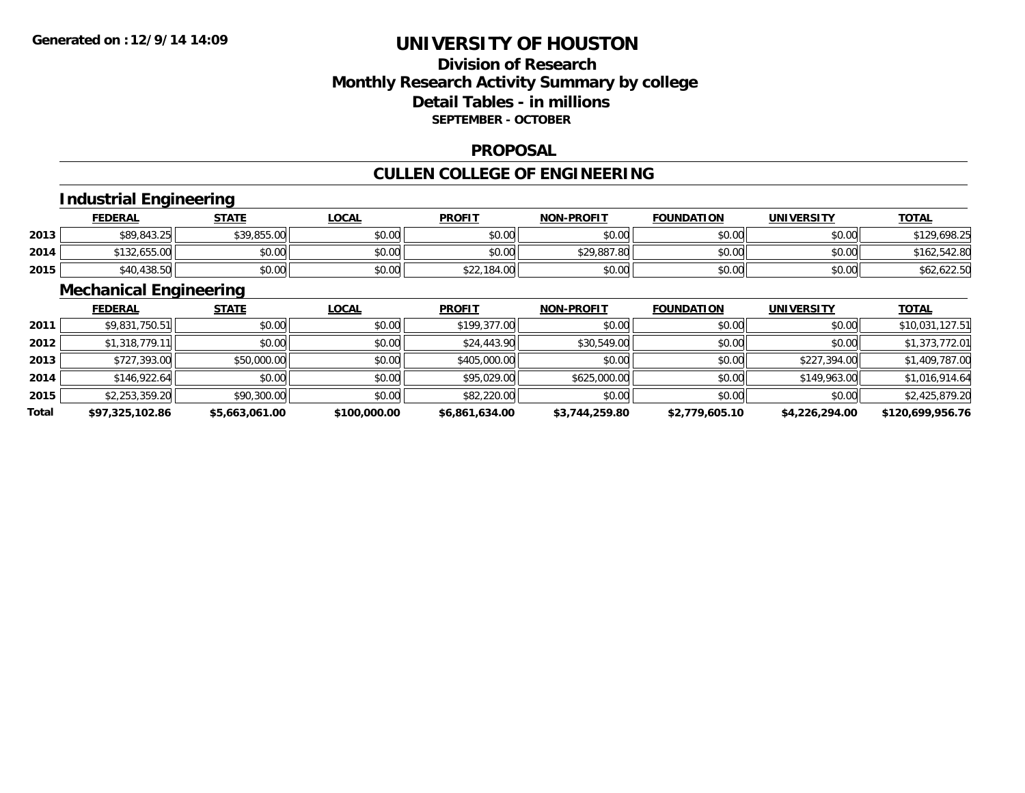## **Division of ResearchMonthly Research Activity Summary by college Detail Tables - in millions SEPTEMBER - OCTOBER**

#### **PROPOSAL**

# **CULLEN COLLEGE OF ENGINEERING**

## **Industrial Engineering**

|      | <u>FEDERAL</u> | <b>STATE</b> | LOCAL  | <b>PROFIT</b> | <b>NON-PROFIT</b> | <b>FOUNDATION</b> | UNIVERSITY | <b>TOTAL</b> |
|------|----------------|--------------|--------|---------------|-------------------|-------------------|------------|--------------|
| 2013 | \$89,843.25    | \$39,855.00  | \$0.00 | \$0.00        | \$0.00            | \$0.00            | \$0.00     | \$129,698.25 |
| 2014 | \$132,655.00   | \$0.00       | \$0.00 | \$0.00        | \$29,887.80       | \$0.00            | \$0.00     | \$162,542.80 |
| 2015 | \$40,438.50    | \$0.00       | \$0.00 | \$22,184.00   | \$0.00            | \$0.00            | \$0.00     | \$62,622.50  |

## **Mechanical Engineering**

|       | <b>FEDERAL</b>  | <b>STATE</b>   | <b>LOCAL</b> | <b>PROFIT</b>  | <b>NON-PROFIT</b> | <b>FOUNDATION</b> | <b>UNIVERSITY</b> | <b>TOTAL</b>     |
|-------|-----------------|----------------|--------------|----------------|-------------------|-------------------|-------------------|------------------|
| 2011  | \$9,831,750.51  | \$0.00         | \$0.00       | \$199,377.00   | \$0.00            | \$0.00            | \$0.00            | \$10,031,127.51  |
| 2012  | \$1,318,779.11  | \$0.00         | \$0.00       | \$24,443.90    | \$30,549.00       | \$0.00            | \$0.00            | \$1,373,772.01   |
| 2013  | \$727,393.00    | \$50,000.00    | \$0.00       | \$405,000.00   | \$0.00            | \$0.00            | \$227,394.00      | \$1,409,787.00   |
| 2014  | \$146,922.64    | \$0.00         | \$0.00       | \$95,029.00    | \$625,000.00      | \$0.00            | \$149,963.00      | \$1,016,914.64   |
| 2015  | \$2,253,359.20  | \$90,300.00    | \$0.00       | \$82,220.00    | \$0.00            | \$0.00            | \$0.00            | \$2,425,879.20   |
| Total | \$97,325,102.86 | \$5.663.061.00 | \$100,000.00 | \$6,861,634.00 | \$3,744,259.80    | \$2,779,605.10    | \$4,226,294.00    | \$120,699,956.76 |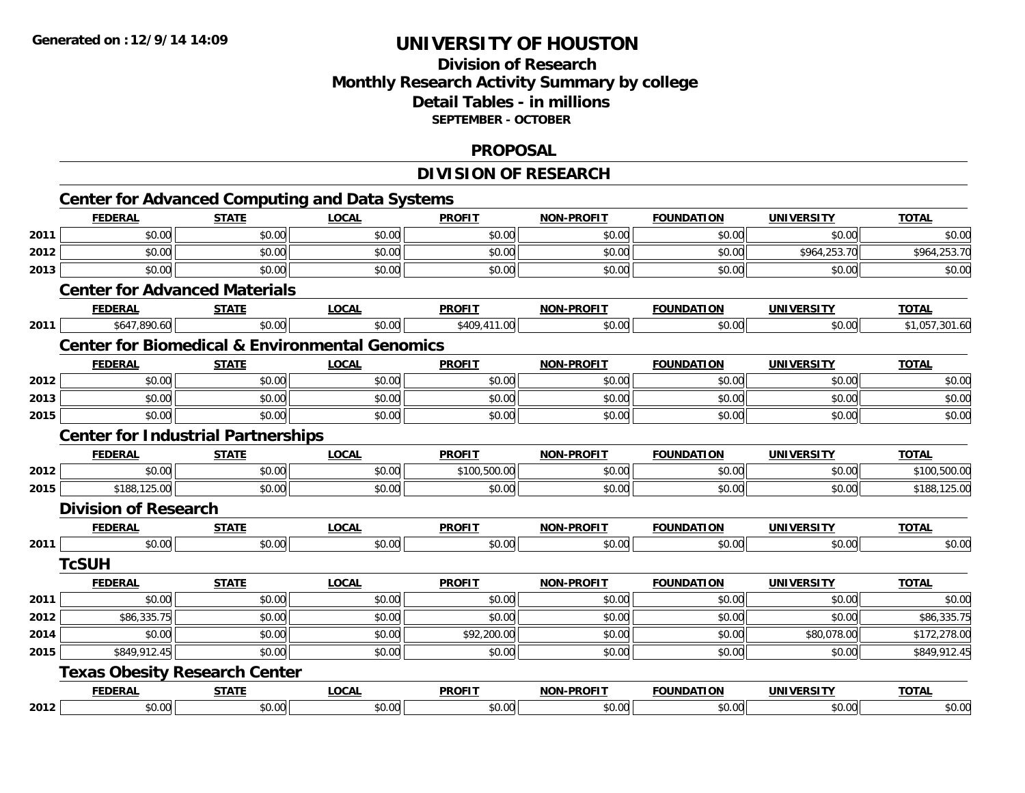## **Division of Research Monthly Research Activity Summary by college Detail Tables - in millions SEPTEMBER - OCTOBER**

#### **PROPOSAL**

## **DIVISION OF RESEARCH**

|      | <b>Center for Advanced Computing and Data Systems</b>     |              |              |               |                   |                   |                   |                |
|------|-----------------------------------------------------------|--------------|--------------|---------------|-------------------|-------------------|-------------------|----------------|
|      | <b>FEDERAL</b>                                            | <b>STATE</b> | <b>LOCAL</b> | <b>PROFIT</b> | <b>NON-PROFIT</b> | <b>FOUNDATION</b> | <b>UNIVERSITY</b> | <b>TOTAL</b>   |
| 2011 | \$0.00                                                    | \$0.00       | \$0.00       | \$0.00        | \$0.00            | \$0.00            | \$0.00            | \$0.00         |
| 2012 | \$0.00                                                    | \$0.00       | \$0.00       | \$0.00        | \$0.00            | \$0.00            | \$964,253.70      | \$964,253.70   |
| 2013 | \$0.00                                                    | \$0.00       | \$0.00       | \$0.00        | \$0.00            | \$0.00            | \$0.00            | \$0.00         |
|      | <b>Center for Advanced Materials</b>                      |              |              |               |                   |                   |                   |                |
|      | <b>FEDERAL</b>                                            | <b>STATE</b> | <b>LOCAL</b> | <b>PROFIT</b> | NON-PROFIT        | <b>FOUNDATION</b> | <b>UNIVERSITY</b> | <b>TOTAL</b>   |
| 2011 | \$647,890.60                                              | \$0.00       | \$0.00       | \$409,411.00  | \$0.00            | \$0.00            | \$0.00            | \$1,057,301.60 |
|      | <b>Center for Biomedical &amp; Environmental Genomics</b> |              |              |               |                   |                   |                   |                |
|      | <b>FEDERAL</b>                                            | <b>STATE</b> | <b>LOCAL</b> | <b>PROFIT</b> | <b>NON-PROFIT</b> | <b>FOUNDATION</b> | <b>UNIVERSITY</b> | <b>TOTAL</b>   |
| 2012 | \$0.00                                                    | \$0.00       | \$0.00       | \$0.00        | \$0.00            | \$0.00            | \$0.00            | \$0.00         |
| 2013 | \$0.00                                                    | \$0.00       | \$0.00       | \$0.00        | \$0.00            | \$0.00            | \$0.00            | \$0.00         |
| 2015 | \$0.00                                                    | \$0.00       | \$0.00       | \$0.00        | \$0.00            | \$0.00            | \$0.00            | \$0.00         |
|      | <b>Center for Industrial Partnerships</b>                 |              |              |               |                   |                   |                   |                |
|      | <b>FEDERAL</b>                                            | <b>STATE</b> | <b>LOCAL</b> | <b>PROFIT</b> | <b>NON-PROFIT</b> | <b>FOUNDATION</b> | <b>UNIVERSITY</b> | <b>TOTAL</b>   |
| 2012 | \$0.00                                                    | \$0.00       | \$0.00       | \$100,500.00  | \$0.00            | \$0.00            | \$0.00            | \$100,500.00   |
| 2015 | \$188,125.00                                              | \$0.00       | \$0.00       | \$0.00        | \$0.00            | \$0.00            | \$0.00            | \$188,125.00   |
|      | <b>Division of Research</b>                               |              |              |               |                   |                   |                   |                |
|      | <b>FEDERAL</b>                                            | <b>STATE</b> | <b>LOCAL</b> | <b>PROFIT</b> | NON-PROFIT        | <b>FOUNDATION</b> | <b>UNIVERSITY</b> | <b>TOTAL</b>   |
| 2011 | \$0.00                                                    | \$0.00       | \$0.00       | \$0.00        | \$0.00            | \$0.00            | \$0.00            | \$0.00         |
|      | <b>TcSUH</b>                                              |              |              |               |                   |                   |                   |                |
|      | <b>FEDERAL</b>                                            | <b>STATE</b> | <b>LOCAL</b> | <b>PROFIT</b> | <b>NON-PROFIT</b> | <b>FOUNDATION</b> | <b>UNIVERSITY</b> | <b>TOTAL</b>   |
| 2011 | \$0.00                                                    | \$0.00       | \$0.00       | \$0.00        | \$0.00            | \$0.00            | \$0.00            | \$0.00         |
| 2012 | \$86,335.75                                               | \$0.00       | \$0.00       | \$0.00        | \$0.00            | \$0.00            | \$0.00            | \$86,335.75    |
| 2014 | \$0.00                                                    | \$0.00       | \$0.00       | \$92,200.00   | \$0.00            | \$0.00            | \$80,078.00       | \$172,278.00   |
| 2015 | \$849,912.45                                              | \$0.00       | \$0.00       | \$0.00        | \$0.00            | \$0.00            | \$0.00            | \$849,912.45   |
|      | <b>Texas Obesity Research Center</b>                      |              |              |               |                   |                   |                   |                |
|      | <b>FEDERAL</b>                                            | <b>STATE</b> | <b>LOCAL</b> | <b>PROFIT</b> | <b>NON-PROFIT</b> | <b>FOUNDATION</b> | <b>UNIVERSITY</b> | <b>TOTAL</b>   |
| 2012 | \$0.00                                                    | \$0.00       | \$0.00       | \$0.00        | \$0.00            | \$0.00            | \$0.00            | \$0.00         |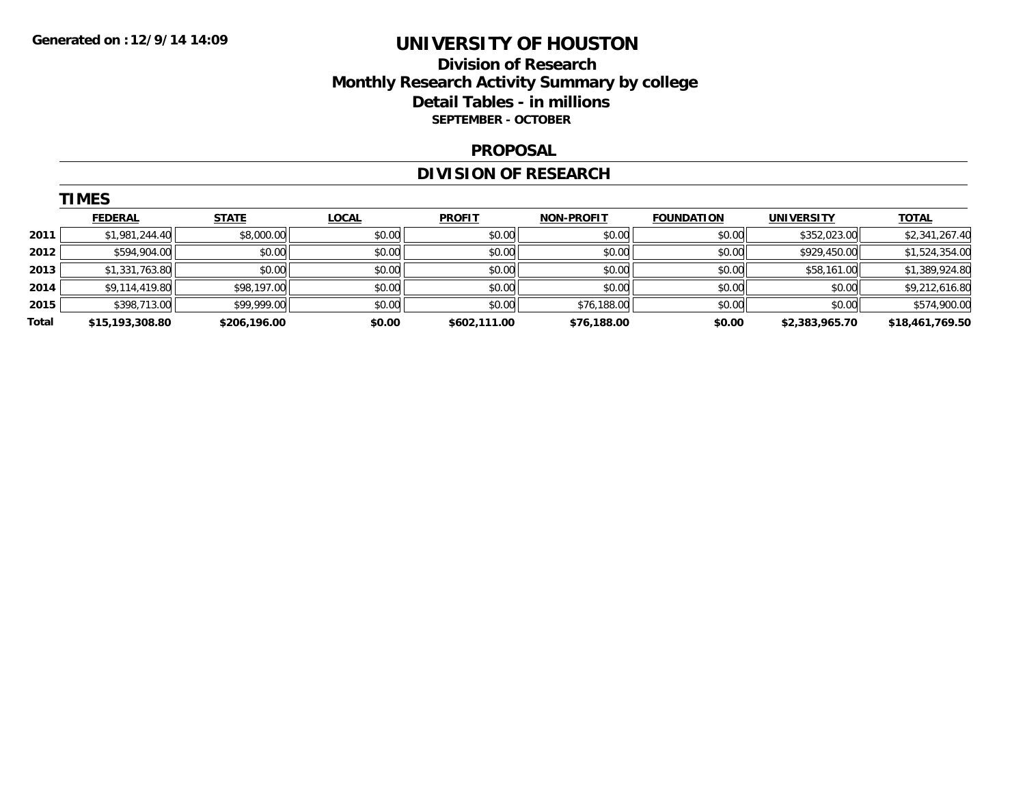## **Division of Research Monthly Research Activity Summary by college Detail Tables - in millions SEPTEMBER - OCTOBER**

#### **PROPOSAL**

#### **DIVISION OF RESEARCH**

|       | <b>TIMES</b>    |              |              |               |                   |                   |                   |                 |
|-------|-----------------|--------------|--------------|---------------|-------------------|-------------------|-------------------|-----------------|
|       | <b>FEDERAL</b>  | <b>STATE</b> | <b>LOCAL</b> | <b>PROFIT</b> | <b>NON-PROFIT</b> | <b>FOUNDATION</b> | <b>UNIVERSITY</b> | <b>TOTAL</b>    |
| 2011  | \$1,981,244.40  | \$8,000.00   | \$0.00       | \$0.00        | \$0.00            | \$0.00            | \$352,023.00      | \$2,341,267.40  |
| 2012  | \$594,904.00    | \$0.00       | \$0.00       | \$0.00        | \$0.00            | \$0.00            | \$929,450.00      | \$1,524,354.00  |
| 2013  | \$1,331,763.80  | \$0.00       | \$0.00       | \$0.00        | \$0.00            | \$0.00            | \$58,161.00       | \$1,389,924.80  |
| 2014  | \$9,114,419.80  | \$98,197.00  | \$0.00       | \$0.00        | \$0.00            | \$0.00            | \$0.00            | \$9,212,616.80  |
| 2015  | \$398,713.00    | \$99,999.00  | \$0.00       | \$0.00        | \$76,188.00       | \$0.00            | \$0.00            | \$574,900.00    |
| Total | \$15,193,308.80 | \$206,196.00 | \$0.00       | \$602,111.00  | \$76,188.00       | \$0.00            | \$2,383,965.70    | \$18,461,769.50 |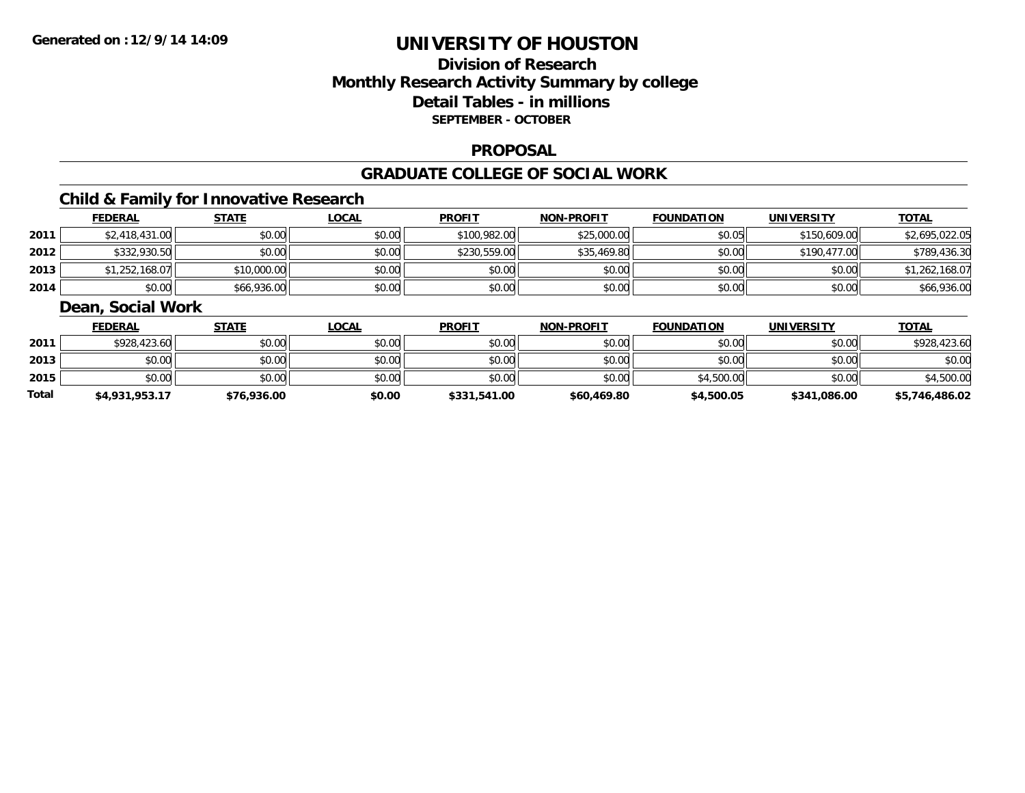## **Division of ResearchMonthly Research Activity Summary by college Detail Tables - in millions SEPTEMBER - OCTOBER**

### **PROPOSAL**

### **GRADUATE COLLEGE OF SOCIAL WORK**

## **Child & Family for Innovative Research**

|      | <b>FEDERAL</b> | <b>STATE</b> | <b>LOCAL</b> | <b>PROFIT</b> | <b>NON-PROFIT</b> | <b>FOUNDATION</b> | <b>UNIVERSITY</b> | <b>TOTAL</b>   |
|------|----------------|--------------|--------------|---------------|-------------------|-------------------|-------------------|----------------|
| 2011 | \$2,418,431.00 | \$0.00       | \$0.00       | \$100,982.00  | \$25,000.00       | \$0.05            | \$150,609.00      | \$2,695,022.05 |
| 2012 | \$332,930.50   | \$0.00       | \$0.00       | \$230,559.00  | \$35,469.80       | \$0.00            | \$190,477.00      | \$789,436.30   |
| 2013 | \$1,252,168.07 | \$10,000.00  | \$0.00       | \$0.00        | \$0.00            | \$0.00            | \$0.00            | \$1,262,168.07 |
| 2014 | \$0.00         | \$66,936.00  | \$0.00       | \$0.00        | \$0.00            | \$0.00            | \$0.00            | \$66,936.00    |

### **Dean, Social Work**

|              | <b>FEDERAL</b> | <u>STATE</u> | <u>LOCAL</u> | <b>PROFIT</b> | <b>NON-PROFIT</b> | <b>FOUNDATION</b> | <b>UNIVERSITY</b> | <b>TOTAL</b>   |
|--------------|----------------|--------------|--------------|---------------|-------------------|-------------------|-------------------|----------------|
| 2011         | \$928,423.60   | \$0.00       | \$0.00       | \$0.00        | \$0.00            | \$0.00            | \$0.00            | \$928,423.60   |
| 2013         | \$0.00         | \$0.00       | \$0.00       | \$0.00        | \$0.00            | \$0.00            | \$0.00            | \$0.00         |
| 2015         | \$0.00         | \$0.00       | \$0.00       | \$0.00        | \$0.00            | \$4,500.00        | \$0.00            | \$4,500.00     |
| <b>Total</b> | \$4,931,953.17 | \$76,936.00  | \$0.00       | \$331,541.00  | \$60,469.80       | \$4,500.05        | \$341,086.00      | \$5,746,486.02 |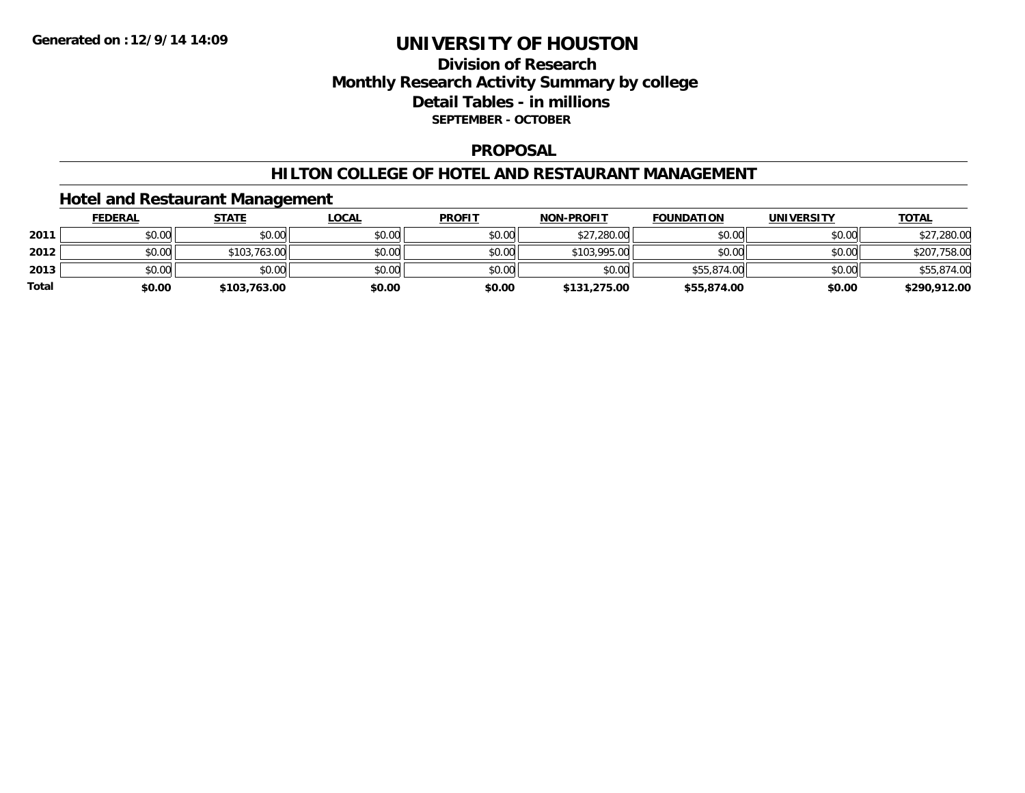## **Division of Research Monthly Research Activity Summary by college Detail Tables - in millions SEPTEMBER - OCTOBER**

#### **PROPOSAL**

### **HILTON COLLEGE OF HOTEL AND RESTAURANT MANAGEMENT**

### **Hotel and Restaurant Management**

|              | <b>FEDERAL</b> | <u>STATE</u> | <u>LOCAL</u> | <b>PROFIT</b> | <b>NON-PROFIT</b> | <b>FOUNDATION</b> | <b>UNIVERSITY</b> | <b>TOTAL</b> |
|--------------|----------------|--------------|--------------|---------------|-------------------|-------------------|-------------------|--------------|
| 2011         | \$0.00         | \$0.00       | \$0.00       | \$0.00        | \$27,280.00       | \$0.00            | \$0.00            | \$27,280.00  |
| 2012         | \$0.00         | \$103,763.00 | \$0.00       | \$0.00        | \$103,995.00      | \$0.00            | \$0.00            | \$207,758.00 |
| 2013         | \$0.00         | \$0.00       | \$0.00       | \$0.00        | \$0.00            | \$55,874.00       | \$0.00            | \$55,874.00  |
| <b>Total</b> | \$0.00         | \$103,763.00 | \$0.00       | \$0.00        | \$131,275.00      | \$55,874.00       | \$0.00            | \$290,912.00 |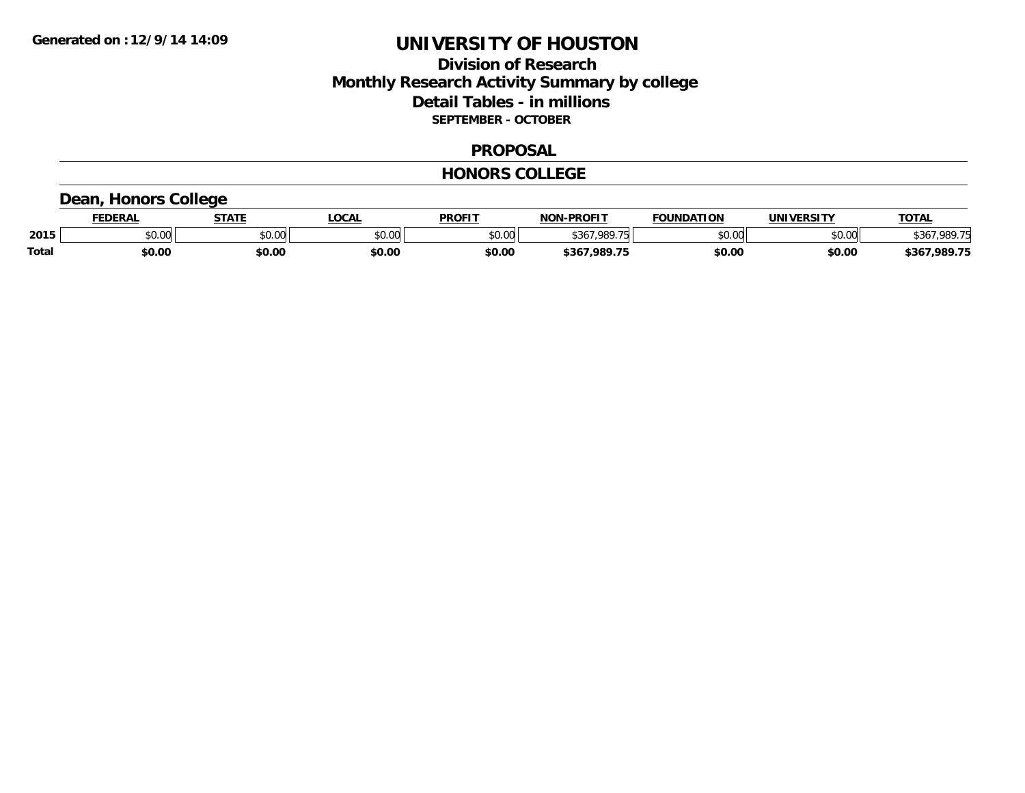## **Division of ResearchMonthly Research Activity Summary by college Detail Tables - in millions SEPTEMBER - OCTOBER**

#### **PROPOSAL**

#### **HONORS COLLEGE**

## **Dean, Honors College**

|              | FEDERAL                  | <b>STATE</b>                                      | <b>.OCAL</b> | <b>PROFIT</b> | <b>J-PROFIT</b><br>NON | <b>FOUNDATION</b> | UNIVERSITY | <b>TOTAL</b>     |
|--------------|--------------------------|---------------------------------------------------|--------------|---------------|------------------------|-------------------|------------|------------------|
| 2015         | $n \cap \Omega$<br>DU.UU | $\mathsf{A}\cap\mathsf{A}\cap\mathsf{A}$<br>JU.UU | \$0.00       | \$0.00        | <b>4367 080 75</b>     | \$0.00<br>טט.     | \$0.00     | !7.989.7<br>:የየ  |
| <b>Total</b> | \$0.00                   | \$0.00                                            | \$0.00       | \$0.00        | 7.989.75<br>\$367      | \$0.00            | \$0.00     | ,989.75<br>\$367 |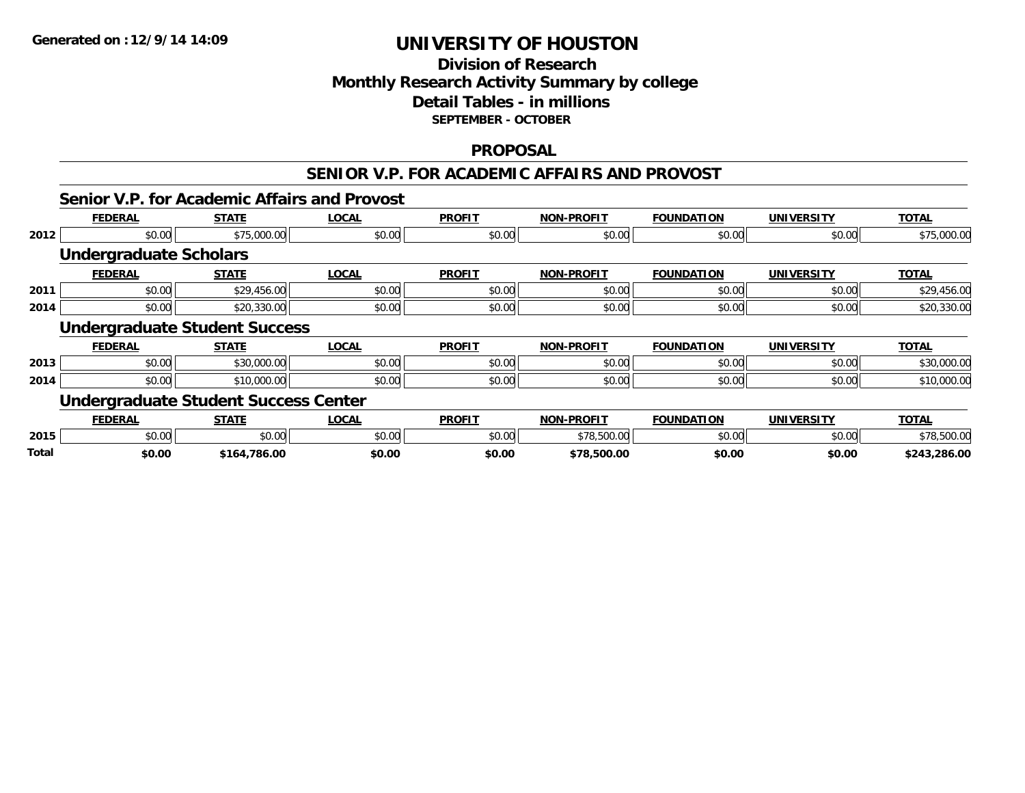## **Division of Research Monthly Research Activity Summary by college Detail Tables - in millions SEPTEMBER - OCTOBER**

### **PROPOSAL**

### **SENIOR V.P. FOR ACADEMIC AFFAIRS AND PROVOST**

## **Senior V.P. for Academic Affairs and Provost**

|      | <b>FEDERAL</b>                              | <b>STATE</b> | <b>LOCAL</b> | <b>PROFIT</b> | <b>NON-PROFIT</b> | <b>FOUNDATION</b> | <b>UNIVERSITY</b> | <b>TOTAL</b> |
|------|---------------------------------------------|--------------|--------------|---------------|-------------------|-------------------|-------------------|--------------|
| 2012 | \$0.00                                      | \$75,000.00  | \$0.00       | \$0.00        | \$0.00            | \$0.00            | \$0.00            | \$75,000.00  |
|      | <b>Undergraduate Scholars</b>               |              |              |               |                   |                   |                   |              |
|      | <b>FEDERAL</b>                              | <b>STATE</b> | <b>LOCAL</b> | <b>PROFIT</b> | <b>NON-PROFIT</b> | <b>FOUNDATION</b> | <b>UNIVERSITY</b> | <b>TOTAL</b> |
| 2011 | \$0.00                                      | \$29,456.00  | \$0.00       | \$0.00        | \$0.00            | \$0.00            | \$0.00            | \$29,456.00  |
| 2014 | \$0.00                                      | \$20,330.00  | \$0.00       | \$0.00        | \$0.00            | \$0.00            | \$0.00            | \$20,330.00  |
|      | <b>Undergraduate Student Success</b>        |              |              |               |                   |                   |                   |              |
|      |                                             |              |              |               |                   |                   |                   |              |
|      | <b>FEDERAL</b>                              | <b>STATE</b> | <b>LOCAL</b> | <b>PROFIT</b> | <b>NON-PROFIT</b> | <b>FOUNDATION</b> | <b>UNIVERSITY</b> | <b>TOTAL</b> |
| 2013 | \$0.00                                      | \$30,000.00  | \$0.00       | \$0.00        | \$0.00            | \$0.00            | \$0.00            | \$30,000.00  |
| 2014 | \$0.00                                      | \$10,000.00  | \$0.00       | \$0.00        | \$0.00            | \$0.00            | \$0.00            | \$10,000.00  |
|      | <b>Undergraduate Student Success Center</b> |              |              |               |                   |                   |                   |              |
|      | <b>FEDERAL</b>                              | <b>STATE</b> | <b>LOCAL</b> | <b>PROFIT</b> | <b>NON-PROFIT</b> | <b>FOUNDATION</b> | <b>UNIVERSITY</b> | <b>TOTAL</b> |
| 2015 | \$0.00                                      | \$0.00       | \$0.00       | \$0.00        | \$78,500.00       | \$0.00            | \$0.00            | \$78,500.00  |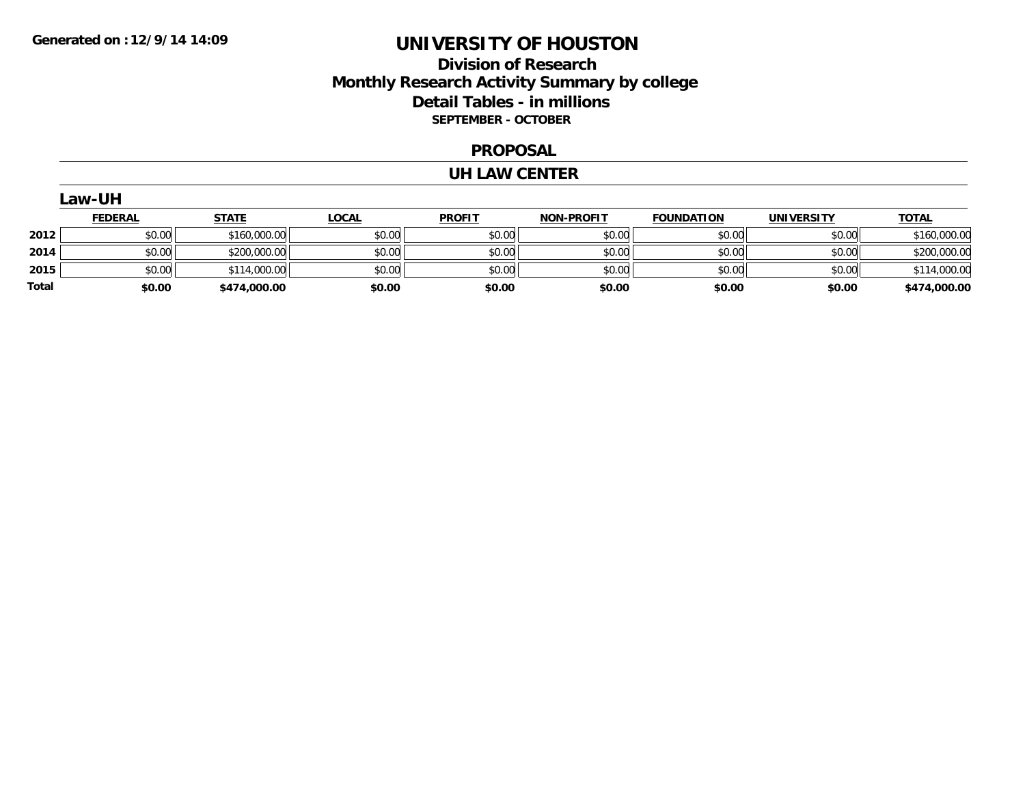## **Division of Research Monthly Research Activity Summary by college Detail Tables - in millions SEPTEMBER - OCTOBER**

#### **PROPOSAL**

#### **UH LAW CENTER**

| aw-Ur |  |  |
|-------|--|--|
|-------|--|--|

|       | <u>FEDERAL</u> | <u>STATE</u> | <u>LOCAL</u> | <b>PROFIT</b> | <b>NON-PROFIT</b> | <b>FOUNDATION</b> | <b>UNIVERSITY</b> | <b>TOTAL</b> |
|-------|----------------|--------------|--------------|---------------|-------------------|-------------------|-------------------|--------------|
| 2012  | \$0.00         | \$160,000.00 | \$0.00       | \$0.00        | \$0.00            | \$0.00            | \$0.00            | \$160,000.00 |
| 2014  | \$0.00         | \$200,000.00 | \$0.00       | \$0.00        | \$0.00            | \$0.00            | \$0.00            | \$200,000.00 |
| 2015  | \$0.00         | \$114,000.00 | \$0.00       | \$0.00        | \$0.00            | \$0.00            | \$0.00            | \$114,000.00 |
| Total | \$0.00         | \$474,000.00 | \$0.00       | \$0.00        | \$0.00            | \$0.00            | \$0.00            | \$474,000.00 |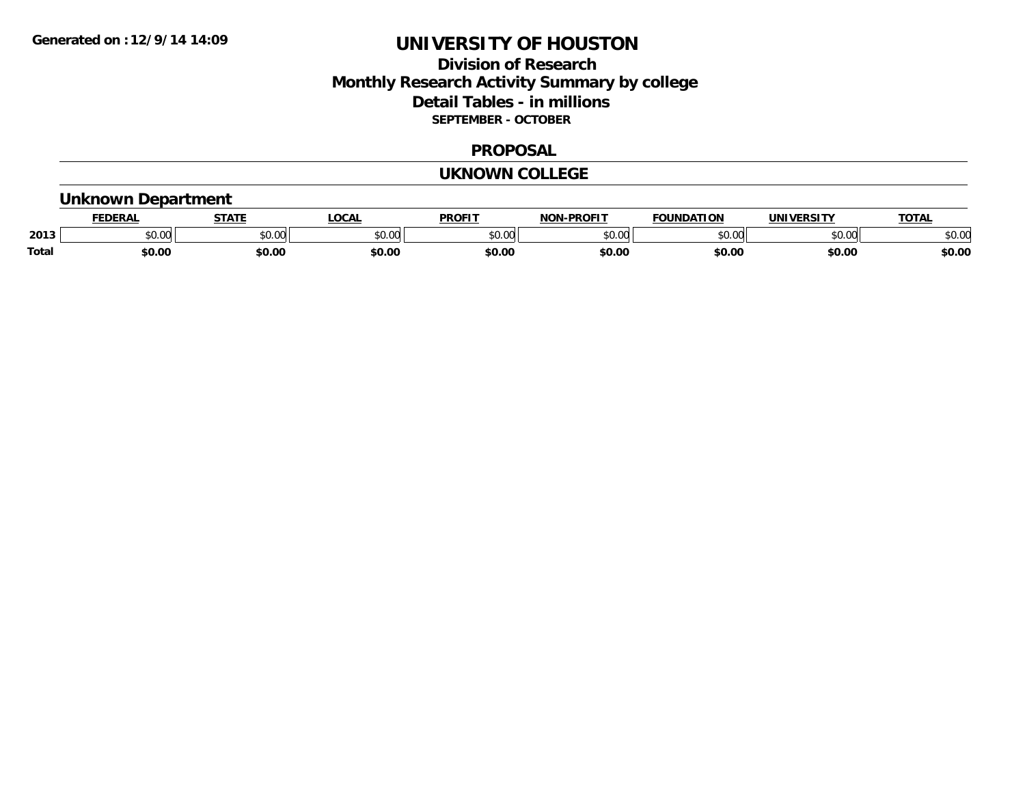## **Division of Research Monthly Research Activity Summary by college Detail Tables - in millions SEPTEMBER - OCTOBER**

#### **PROPOSAL**

#### **UKNOWN COLLEGE**

## **Unknown Department**

|       | .<br>- מ     | <b>STATI</b>       | OCA                                                                                    | <b>PROFIT</b> | <b>DDAEIT</b><br><b>BIAB</b> | ΠΟΝ            | <u>urneitv</u><br><b>INIV</b> | TOTA.          |
|-------|--------------|--------------------|----------------------------------------------------------------------------------------|---------------|------------------------------|----------------|-------------------------------|----------------|
| 2013  | 0000<br>u.uu | $\sim$ 0.00<br>υv. | $\begin{array}{c} \hline \text{A} & \text{A} & \text{B} \\ \hline \end{array}$<br>יש.ט | 0000<br>JU.UU | $*$ $\cap$ $\cap$<br>ט.טע    | 0 <sub>n</sub> | \$0.00                        | ልስ ስሰ<br>DU.UU |
| Total | \$0.00       | \$0.00             | \$0.00                                                                                 | ቀስ ሰ<br>Ψv.υ  | \$0.00                       | \$0.00         | \$0.00                        | \$0.00         |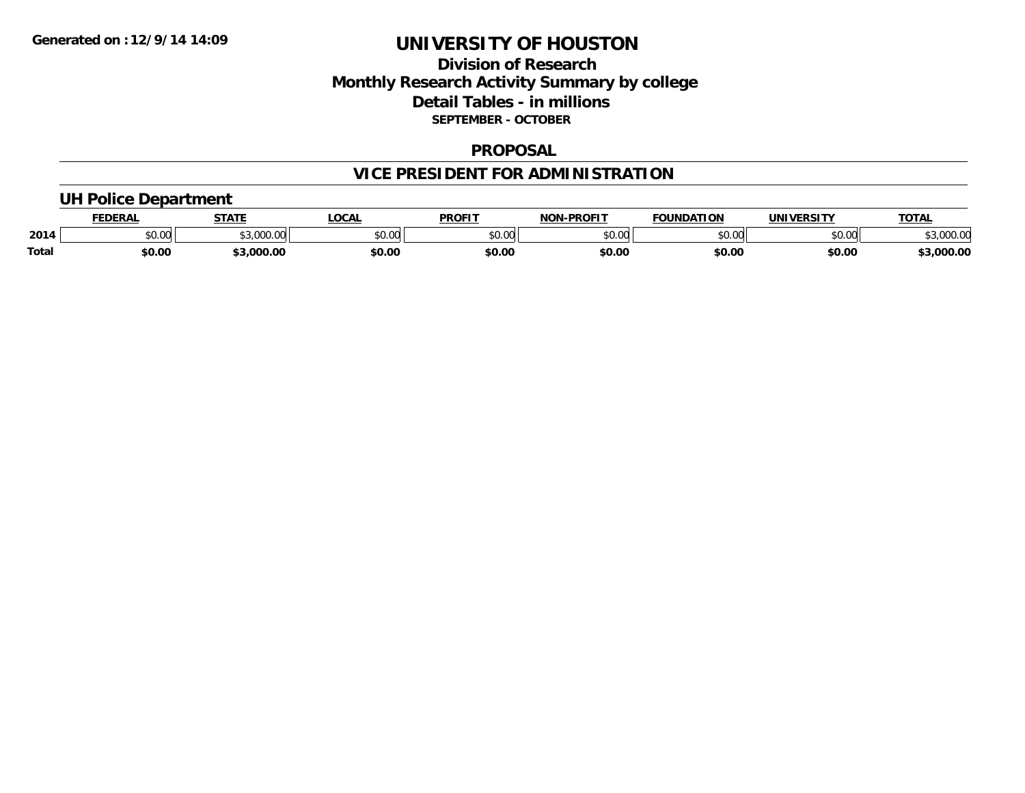## **Division of Research Monthly Research Activity Summary by college Detail Tables - in millions SEPTEMBER - OCTOBER**

#### **PROPOSAL**

# **VICE PRESIDENT FOR ADMINISTRATION**

### **UH Police Department**

|              | <b>FEDERAL</b> | <b>STATE</b>                         | <b>LOCAL</b>  | <b>PROFIT</b> | <b>J-PROFIT</b><br><b>NON</b> | <b>FOUNDATION</b> | UNIVERSITY | <b>TOTAL</b>                      |
|--------------|----------------|--------------------------------------|---------------|---------------|-------------------------------|-------------------|------------|-----------------------------------|
| 2014         | vv.vv          | $\uparrow$ 0.00 $\uparrow$<br>.uuu.u | 0000<br>PU.UU | 4000<br>DU.UU | 40.00<br>,u.uu                | \$0.00            | \$0.00     | 00000<br>$\sim$ $\sim$<br>JUUU.UU |
| <b>Total</b> | \$0.00         | \$3.000.00                           | \$0.00        | \$0.00        | \$0.00                        | \$0.00            | \$0.00     | 3,000.00                          |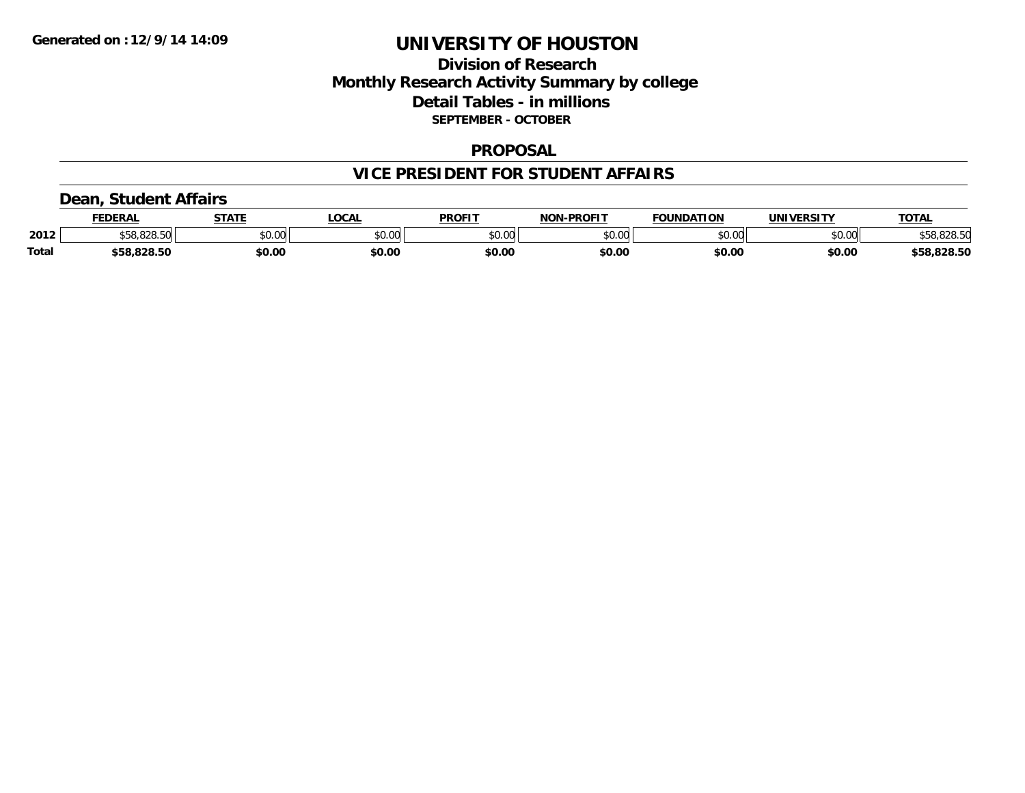## **Division of Research Monthly Research Activity Summary by college Detail Tables - in millions SEPTEMBER - OCTOBER**

#### **PROPOSAL**

### **VICE PRESIDENT FOR STUDENT AFFAIRS**

### **Dean, Student Affairs**

|              | FEDERAL                  | <b>STATE</b> | <b>_OCAL</b> | <b>PROFIT</b> | <b>NON-PROFIT</b> | <b>FOUNDATION</b> | UNIVERSITY | <b>TOTAL</b> |
|--------------|--------------------------|--------------|--------------|---------------|-------------------|-------------------|------------|--------------|
| 2012         | co ono enl<br>ა58.828.50 | \$0.00       | \$0.00       | \$0.00        | \$0.00            | \$0.00            | \$0.00     | \$58,828.50  |
| <b>Total</b> | \$58,828.50              | \$0.00       | \$0.00       | \$0.00        | \$0.00            | \$0.00            | \$0.00     | \$58,828.50  |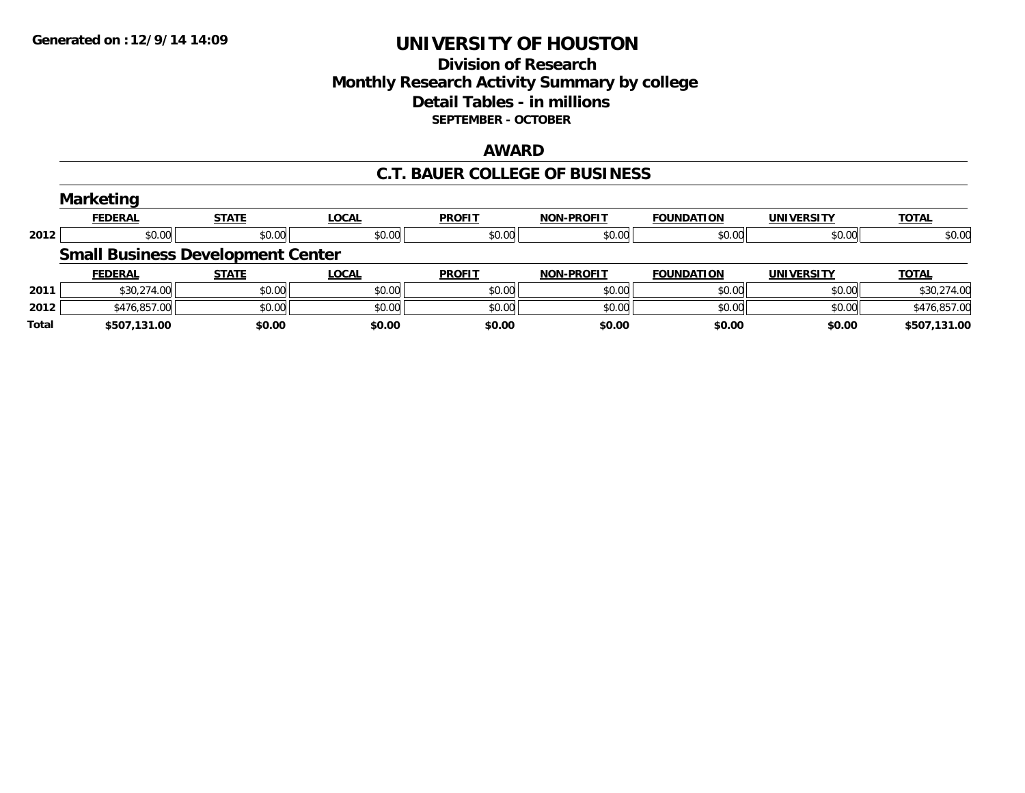## **Division of Research Monthly Research Activity Summary by college Detail Tables - in millions SEPTEMBER - OCTOBER**

#### **AWARD**

### **C.T. BAUER COLLEGE OF BUSINESS**

|              | <b>Marketing</b>                         |              |              |               |                   |                   |                   |              |
|--------------|------------------------------------------|--------------|--------------|---------------|-------------------|-------------------|-------------------|--------------|
|              | <b>FEDERAL</b>                           | <b>STATE</b> | <b>LOCAL</b> | <b>PROFIT</b> | <b>NON-PROFIT</b> | <b>FOUNDATION</b> | <b>UNIVERSITY</b> | <b>TOTAL</b> |
| 2012         | \$0.00                                   | \$0.00       | \$0.00       | \$0.00        | \$0.00            | \$0.00            | \$0.00            | \$0.00       |
|              | <b>Small Business Development Center</b> |              |              |               |                   |                   |                   |              |
|              | <b>FEDERAL</b>                           | <b>STATE</b> | LOCAL        | <b>PROFIT</b> | <b>NON-PROFIT</b> | <b>FOUNDATION</b> | <b>UNIVERSITY</b> | <b>TOTAL</b> |
| 2011         | \$30,274.00                              | \$0.00       | \$0.00       | \$0.00        | \$0.00            | \$0.00            | \$0.00            | \$30,274.00  |
| 2012         | \$476,857.00                             | \$0.00       | \$0.00       | \$0.00        | \$0.00            | \$0.00            | \$0.00            | \$476,857.00 |
| <b>Total</b> | \$507,131.00                             | \$0.00       | \$0.00       | \$0.00        | \$0.00            | \$0.00            | \$0.00            | \$507,131.00 |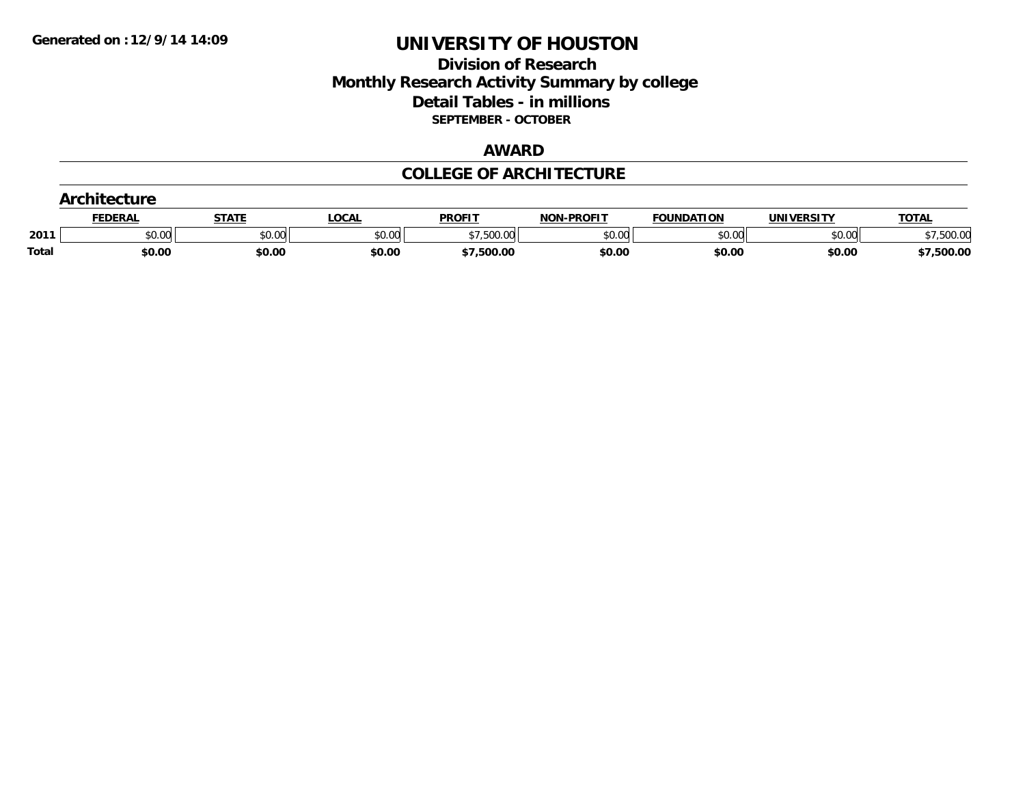## **Division of Research Monthly Research Activity Summary by college Detail Tables - in millions SEPTEMBER - OCTOBER**

#### **AWARD**

### **COLLEGE OF ARCHITECTURE**

| Architecture |         |        |        |               |                   |                   |                   |              |
|--------------|---------|--------|--------|---------------|-------------------|-------------------|-------------------|--------------|
|              | FEDERAL |        | LOCAL  | <b>PROFIT</b> | <b>NON-PROFIT</b> | <b>FOUNDATION</b> | <b>UNIVERSITY</b> | <b>TOTAL</b> |
| 2011         | \$0.00  | \$0.00 | \$0.00 | 7,500.00      | \$0.00            | \$0.00            | \$0.00            | 500.00       |
| <b>Total</b> | \$0.00  | \$0.00 | \$0.00 | \$7,500.00    | \$0.00            | \$0.00            | \$0.00            | \$7,500.00   |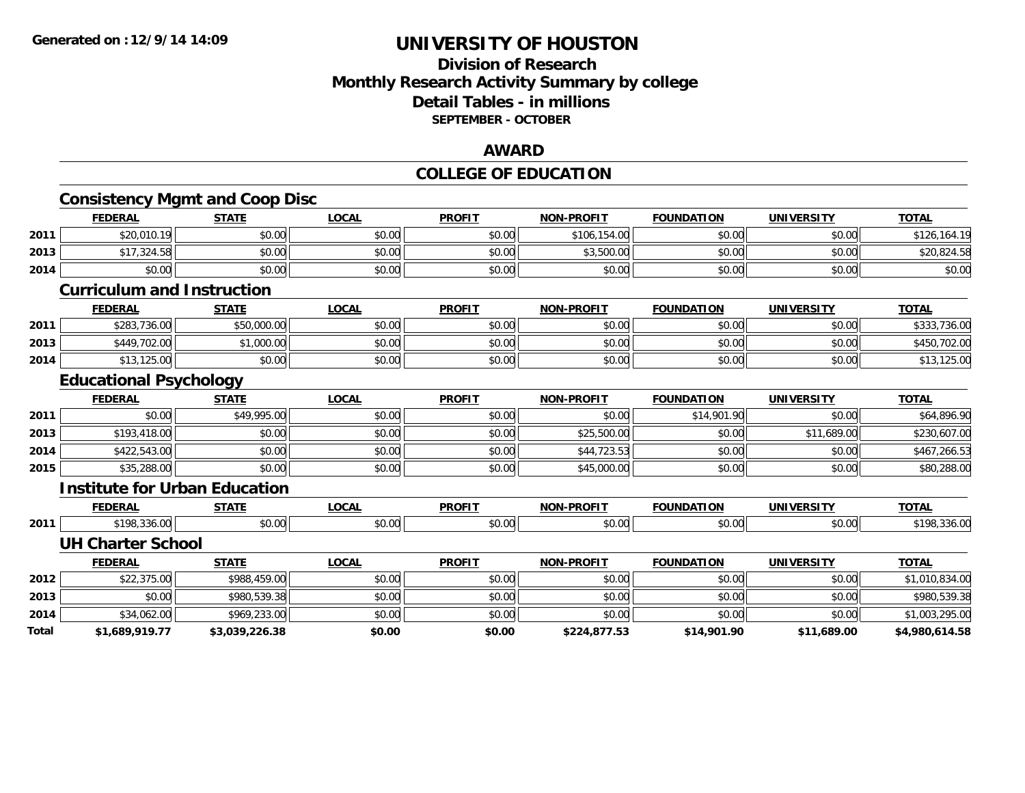### **Division of Research Monthly Research Activity Summary by college Detail Tables - in millions SEPTEMBER - OCTOBER**

#### **AWARD**

### **COLLEGE OF EDUCATION**

| <b>FEDERAL</b> | <b>STATE</b>   | <b>LOCAL</b>                                                                                                                           | <b>PROFIT</b>                         | <b>NON-PROFIT</b> | <b>FOUNDATION</b> | <b>UNIVERSITY</b> | <b>TOTAL</b>   |
|----------------|----------------|----------------------------------------------------------------------------------------------------------------------------------------|---------------------------------------|-------------------|-------------------|-------------------|----------------|
| \$20,010.19    | \$0.00         | \$0.00                                                                                                                                 | \$0.00                                | \$106,154.00      | \$0.00            | \$0.00            | \$126,164.19   |
| \$17,324.58    | \$0.00         | \$0.00                                                                                                                                 | \$0.00                                | \$3,500.00        | \$0.00            | \$0.00            | \$20,824.58    |
| \$0.00         | \$0.00         | \$0.00                                                                                                                                 | \$0.00                                | \$0.00            | \$0.00            | \$0.00            | \$0.00         |
|                |                |                                                                                                                                        |                                       |                   |                   |                   |                |
| <b>FEDERAL</b> | <b>STATE</b>   | <b>LOCAL</b>                                                                                                                           | <b>PROFIT</b>                         | <b>NON-PROFIT</b> | <b>FOUNDATION</b> | <b>UNIVERSITY</b> | <b>TOTAL</b>   |
| \$283,736.00   | \$50,000.00    | \$0.00                                                                                                                                 | \$0.00                                | \$0.00            | \$0.00            | \$0.00            | \$333,736.00   |
| \$449,702.00   | \$1,000.00     | \$0.00                                                                                                                                 | \$0.00                                | \$0.00            | \$0.00            | \$0.00            | \$450,702.00   |
| \$13,125.00    | \$0.00         | \$0.00                                                                                                                                 | \$0.00                                | \$0.00            | \$0.00            | \$0.00            | \$13,125.00    |
|                |                |                                                                                                                                        |                                       |                   |                   |                   |                |
| <b>FEDERAL</b> | <b>STATE</b>   | <b>LOCAL</b>                                                                                                                           | <b>PROFIT</b>                         | <b>NON-PROFIT</b> | <b>FOUNDATION</b> | <b>UNIVERSITY</b> | <b>TOTAL</b>   |
| \$0.00         | \$49,995.00    | \$0.00                                                                                                                                 | \$0.00                                | \$0.00            | \$14,901.90       | \$0.00            | \$64,896.90    |
| \$193,418.00   | \$0.00         | \$0.00                                                                                                                                 | \$0.00                                | \$25,500.00       | \$0.00            | \$11,689.00       | \$230,607.00   |
| \$422,543.00   | \$0.00         | \$0.00                                                                                                                                 | \$0.00                                | \$44,723.53       | \$0.00            | \$0.00            | \$467,266.53   |
| \$35,288.00    | \$0.00         | \$0.00                                                                                                                                 | \$0.00                                | \$45,000.00       | \$0.00            | \$0.00            | \$80,288.00    |
|                |                |                                                                                                                                        |                                       |                   |                   |                   |                |
| <b>FEDERAL</b> | <b>STATE</b>   | <b>LOCAL</b>                                                                                                                           | <b>PROFIT</b>                         | <b>NON-PROFIT</b> | <b>FOUNDATION</b> | <b>UNIVERSITY</b> | <b>TOTAL</b>   |
| \$198,336.00   | \$0.00         | \$0.00                                                                                                                                 | \$0.00                                | \$0.00            | \$0.00            | \$0.00            | \$198,336.00   |
|                |                |                                                                                                                                        |                                       |                   |                   |                   |                |
| <b>FEDERAL</b> | <b>STATE</b>   | <b>LOCAL</b>                                                                                                                           | <b>PROFIT</b>                         | <b>NON-PROFIT</b> | <b>FOUNDATION</b> | <b>UNIVERSITY</b> | <b>TOTAL</b>   |
| \$22,375.00    | \$988,459.00   | \$0.00                                                                                                                                 | \$0.00                                | \$0.00            | \$0.00            | \$0.00            | \$1,010,834.00 |
| \$0.00         | \$980,539.38   | \$0.00                                                                                                                                 | \$0.00                                | \$0.00            | \$0.00            | \$0.00            | \$980,539.38   |
| \$34,062.00    | \$969,233.00   | \$0.00                                                                                                                                 | \$0.00                                | \$0.00            | \$0.00            | \$0.00            | \$1,003,295.00 |
| \$1,689,919.77 | \$3,039,226.38 | \$0.00                                                                                                                                 | \$0.00                                | \$224,877.53      | \$14,901.90       | \$11,689.00       | \$4,980,614.58 |
|                |                | <b>Curriculum and Instruction</b><br><b>Educational Psychology</b><br><b>Institute for Urban Education</b><br><b>UH Charter School</b> | <b>Consistency Mgmt and Coop Disc</b> |                   |                   |                   |                |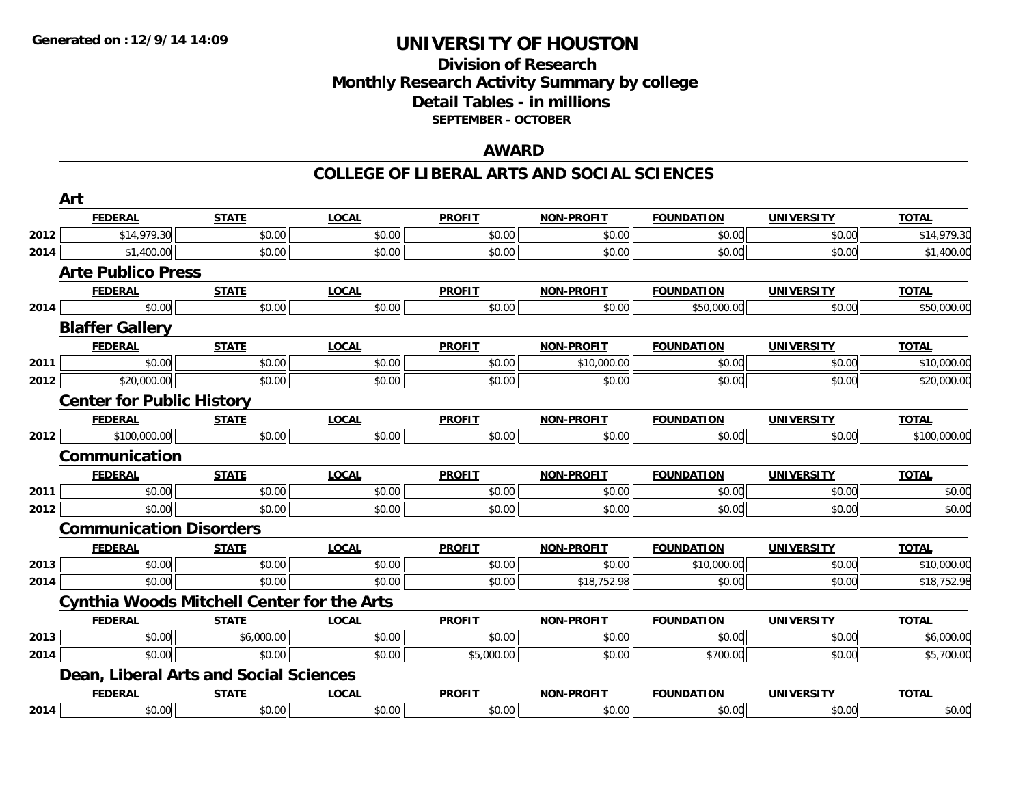### **Division of Research Monthly Research Activity Summary by college Detail Tables - in millions SEPTEMBER - OCTOBER**

#### **AWARD**

|      | Art                                               |              |              |               |                   |                   |                   |              |
|------|---------------------------------------------------|--------------|--------------|---------------|-------------------|-------------------|-------------------|--------------|
|      | <b>FEDERAL</b>                                    | <b>STATE</b> | <b>LOCAL</b> | <b>PROFIT</b> | <b>NON-PROFIT</b> | <b>FOUNDATION</b> | <b>UNIVERSITY</b> | <b>TOTAL</b> |
| 2012 | \$14,979.30                                       | \$0.00       | \$0.00       | \$0.00        | \$0.00            | \$0.00            | \$0.00            | \$14,979.30  |
| 2014 | \$1,400.00                                        | \$0.00       | \$0.00       | \$0.00        | \$0.00            | \$0.00            | \$0.00            | \$1,400.00   |
|      | <b>Arte Publico Press</b>                         |              |              |               |                   |                   |                   |              |
|      | <b>FEDERAL</b>                                    | <b>STATE</b> | <b>LOCAL</b> | <b>PROFIT</b> | <b>NON-PROFIT</b> | <b>FOUNDATION</b> | <b>UNIVERSITY</b> | <b>TOTAL</b> |
| 2014 | \$0.00                                            | \$0.00       | \$0.00       | \$0.00        | \$0.00            | \$50,000.00       | \$0.00            | \$50,000.00  |
|      | <b>Blaffer Gallery</b>                            |              |              |               |                   |                   |                   |              |
|      | <b>FEDERAL</b>                                    | <b>STATE</b> | <b>LOCAL</b> | <b>PROFIT</b> | <b>NON-PROFIT</b> | <b>FOUNDATION</b> | <b>UNIVERSITY</b> | <b>TOTAL</b> |
| 2011 | \$0.00                                            | \$0.00       | \$0.00       | \$0.00        | \$10,000.00       | \$0.00            | \$0.00            | \$10,000.00  |
| 2012 | \$20,000.00                                       | \$0.00       | \$0.00       | \$0.00        | \$0.00            | \$0.00            | \$0.00            | \$20,000.00  |
|      | <b>Center for Public History</b>                  |              |              |               |                   |                   |                   |              |
|      | <b>FEDERAL</b>                                    | <b>STATE</b> | <b>LOCAL</b> | <b>PROFIT</b> | <b>NON-PROFIT</b> | <b>FOUNDATION</b> | <b>UNIVERSITY</b> | <b>TOTAL</b> |
| 2012 | \$100,000.00                                      | \$0.00       | \$0.00       | \$0.00        | \$0.00            | \$0.00            | \$0.00            | \$100,000.00 |
|      | Communication                                     |              |              |               |                   |                   |                   |              |
|      | <b>FEDERAL</b>                                    | <b>STATE</b> | <b>LOCAL</b> | <b>PROFIT</b> | <b>NON-PROFIT</b> | <b>FOUNDATION</b> | <b>UNIVERSITY</b> | <b>TOTAL</b> |
| 2011 | \$0.00                                            | \$0.00       | \$0.00       | \$0.00        | \$0.00            | \$0.00            | \$0.00            | \$0.00       |
| 2012 | \$0.00                                            | \$0.00       | \$0.00       | \$0.00        | \$0.00            | \$0.00            | \$0.00            | \$0.00       |
|      | <b>Communication Disorders</b>                    |              |              |               |                   |                   |                   |              |
|      | <b>FEDERAL</b>                                    | <b>STATE</b> | <b>LOCAL</b> | <b>PROFIT</b> | <b>NON-PROFIT</b> | <b>FOUNDATION</b> | <b>UNIVERSITY</b> | <b>TOTAL</b> |
| 2013 | \$0.00                                            | \$0.00       | \$0.00       | \$0.00        | \$0.00            | \$10,000.00       | \$0.00            | \$10,000.00  |
| 2014 | \$0.00                                            | \$0.00       | \$0.00       | \$0.00        | \$18,752.98       | \$0.00            | \$0.00            | \$18,752.98  |
|      | <b>Cynthia Woods Mitchell Center for the Arts</b> |              |              |               |                   |                   |                   |              |
|      | <b>FEDERAL</b>                                    | <b>STATE</b> | <b>LOCAL</b> | <b>PROFIT</b> | <b>NON-PROFIT</b> | <b>FOUNDATION</b> | <b>UNIVERSITY</b> | <b>TOTAL</b> |
| 2013 | \$0.00                                            | \$6,000.00   | \$0.00       | \$0.00        | \$0.00            | \$0.00            | \$0.00            | \$6,000.00   |
| 2014 | \$0.00                                            | \$0.00       | \$0.00       | \$5,000.00    | \$0.00            | \$700.00          | \$0.00            | \$5,700.00   |
|      | Dean, Liberal Arts and Social Sciences            |              |              |               |                   |                   |                   |              |
|      | <b>FEDERAL</b>                                    | <b>STATE</b> | <b>LOCAL</b> | <b>PROFIT</b> | <b>NON-PROFIT</b> | <b>FOUNDATION</b> | <b>UNIVERSITY</b> | <b>TOTAL</b> |
| 2014 | \$0.00                                            | \$0.00       | \$0.00       | \$0.00        | \$0.00            | \$0.00            | \$0.00            | \$0.00       |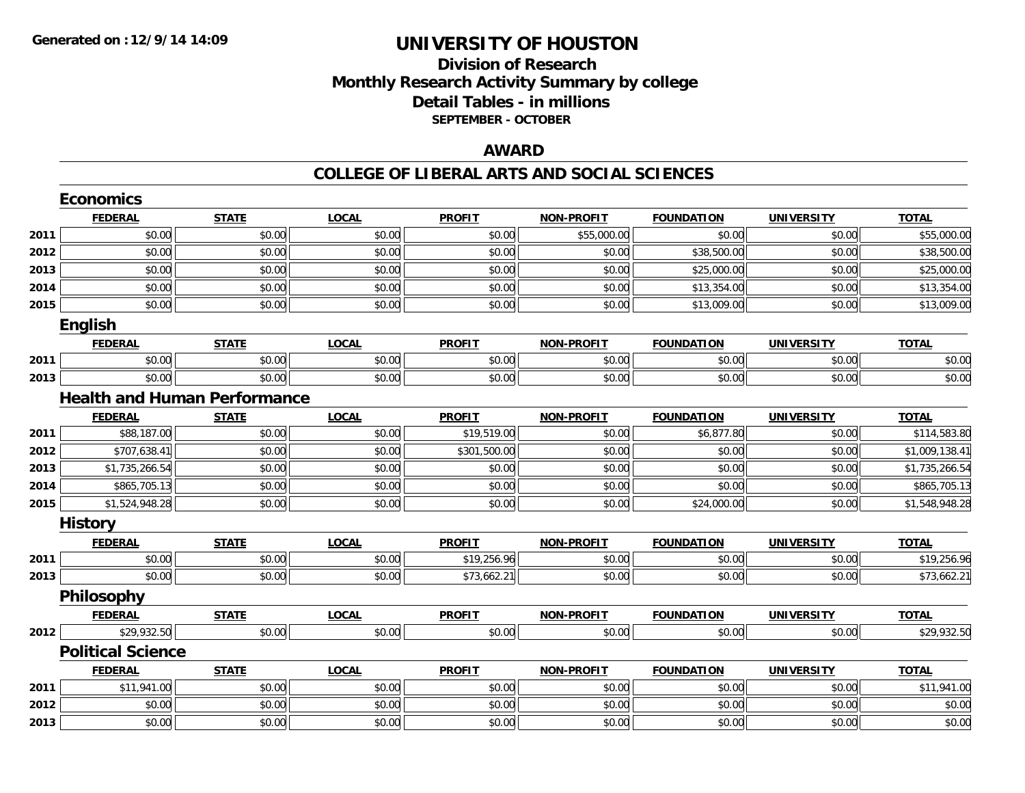## **Division of ResearchMonthly Research Activity Summary by college Detail Tables - in millions SEPTEMBER - OCTOBER**

### **AWARD**

|      | <b>Economics</b>                    |              |              |               |                   |                   |                   |                |
|------|-------------------------------------|--------------|--------------|---------------|-------------------|-------------------|-------------------|----------------|
|      | <b>FEDERAL</b>                      | <b>STATE</b> | <b>LOCAL</b> | <b>PROFIT</b> | <b>NON-PROFIT</b> | <b>FOUNDATION</b> | <b>UNIVERSITY</b> | <b>TOTAL</b>   |
| 2011 | \$0.00                              | \$0.00       | \$0.00       | \$0.00        | \$55,000.00       | \$0.00            | \$0.00            | \$55,000.00    |
| 2012 | \$0.00                              | \$0.00       | \$0.00       | \$0.00        | \$0.00            | \$38,500.00       | \$0.00            | \$38,500.00    |
| 2013 | \$0.00                              | \$0.00       | \$0.00       | \$0.00        | \$0.00            | \$25,000.00       | \$0.00            | \$25,000.00    |
| 2014 | \$0.00                              | \$0.00       | \$0.00       | \$0.00        | \$0.00            | \$13,354.00       | \$0.00            | \$13,354.00    |
| 2015 | \$0.00                              | \$0.00       | \$0.00       | \$0.00        | \$0.00            | \$13,009.00       | \$0.00            | \$13,009.00    |
|      | <b>English</b>                      |              |              |               |                   |                   |                   |                |
|      | <b>FEDERAL</b>                      | <b>STATE</b> | <b>LOCAL</b> | <b>PROFIT</b> | <b>NON-PROFIT</b> | <b>FOUNDATION</b> | <b>UNIVERSITY</b> | <b>TOTAL</b>   |
| 2011 | \$0.00                              | \$0.00       | \$0.00       | \$0.00        | \$0.00            | \$0.00            | \$0.00            | \$0.00         |
| 2013 | \$0.00                              | \$0.00       | \$0.00       | \$0.00        | \$0.00            | \$0.00            | \$0.00            | \$0.00         |
|      | <b>Health and Human Performance</b> |              |              |               |                   |                   |                   |                |
|      | <b>FEDERAL</b>                      | <b>STATE</b> | <b>LOCAL</b> | <b>PROFIT</b> | <b>NON-PROFIT</b> | <b>FOUNDATION</b> | <b>UNIVERSITY</b> | <b>TOTAL</b>   |
| 2011 | \$88,187.00                         | \$0.00       | \$0.00       | \$19,519.00   | \$0.00            | \$6,877.80        | \$0.00            | \$114,583.80   |
| 2012 | \$707,638.41                        | \$0.00       | \$0.00       | \$301,500.00  | \$0.00            | \$0.00            | \$0.00            | \$1,009,138.41 |
| 2013 | \$1,735,266.54                      | \$0.00       | \$0.00       | \$0.00        | \$0.00            | \$0.00            | \$0.00            | \$1,735,266.54 |
| 2014 | \$865,705.13                        | \$0.00       | \$0.00       | \$0.00        | \$0.00            | \$0.00            | \$0.00            | \$865,705.13   |
| 2015 | \$1,524,948.28                      | \$0.00       | \$0.00       | \$0.00        | \$0.00            | \$24,000.00       | \$0.00            | \$1,548,948.28 |
|      | <b>History</b>                      |              |              |               |                   |                   |                   |                |
|      | <b>FEDERAL</b>                      | <b>STATE</b> | <b>LOCAL</b> | <b>PROFIT</b> | <b>NON-PROFIT</b> | <b>FOUNDATION</b> | <b>UNIVERSITY</b> | <b>TOTAL</b>   |
| 2011 | \$0.00                              | \$0.00       | \$0.00       | \$19,256.96   | \$0.00            | \$0.00            | \$0.00            | \$19,256.96    |
| 2013 | \$0.00                              | \$0.00       | \$0.00       | \$73,662.21   | \$0.00            | \$0.00            | \$0.00            | \$73,662.21    |
|      | Philosophy                          |              |              |               |                   |                   |                   |                |
|      | <b>FEDERAL</b>                      | <b>STATE</b> | <b>LOCAL</b> | <b>PROFIT</b> | <b>NON-PROFIT</b> | <b>FOUNDATION</b> | <b>UNIVERSITY</b> | <b>TOTAL</b>   |
| 2012 | \$29,932.50                         | \$0.00       | \$0.00       | \$0.00        | \$0.00            | \$0.00            | \$0.00            | \$29,932.50    |
|      | <b>Political Science</b>            |              |              |               |                   |                   |                   |                |
|      | <b>FEDERAL</b>                      | <b>STATE</b> | <b>LOCAL</b> | <b>PROFIT</b> | <b>NON-PROFIT</b> | <b>FOUNDATION</b> | <b>UNIVERSITY</b> | <b>TOTAL</b>   |
| 2011 | \$11,941.00                         | \$0.00       | \$0.00       | \$0.00        | \$0.00            | \$0.00            | \$0.00            | \$11,941.00    |
| 2012 | \$0.00                              | \$0.00       | \$0.00       | \$0.00        | \$0.00            | \$0.00            | \$0.00            | \$0.00         |
| 2013 | \$0.00                              | \$0.00       | \$0.00       | \$0.00        | \$0.00            | \$0.00            | \$0.00            | \$0.00         |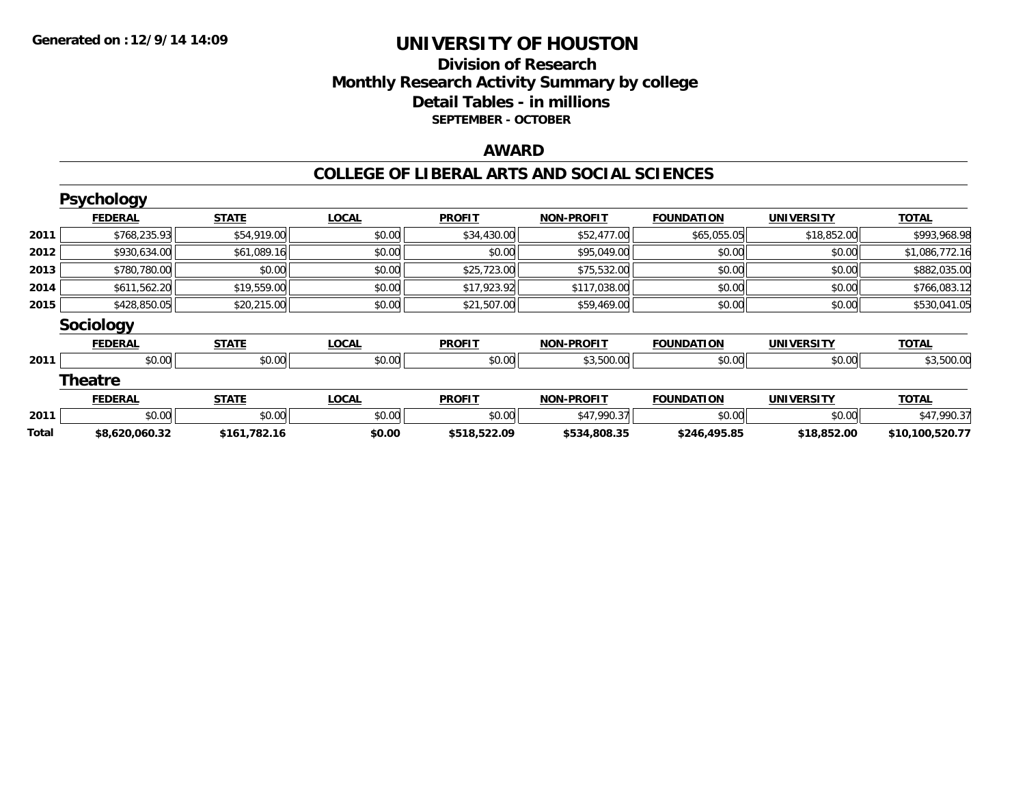## **Division of Research Monthly Research Activity Summary by college Detail Tables - in millions SEPTEMBER - OCTOBER**

#### **AWARD**

|       | Psychology       |              |              |               |                   |                   |                   |                 |
|-------|------------------|--------------|--------------|---------------|-------------------|-------------------|-------------------|-----------------|
|       | <b>FEDERAL</b>   | <b>STATE</b> | <b>LOCAL</b> | <b>PROFIT</b> | <b>NON-PROFIT</b> | <b>FOUNDATION</b> | <b>UNIVERSITY</b> | <b>TOTAL</b>    |
| 2011  | \$768,235.93     | \$54,919.00  | \$0.00       | \$34,430.00   | \$52,477.00       | \$65,055.05       | \$18,852.00       | \$993,968.98    |
| 2012  | \$930,634.00     | \$61,089.16  | \$0.00       | \$0.00        | \$95,049.00       | \$0.00            | \$0.00            | \$1,086,772.16  |
| 2013  | \$780,780.00     | \$0.00       | \$0.00       | \$25,723.00   | \$75,532.00       | \$0.00            | \$0.00            | \$882,035.00    |
| 2014  | \$611,562.20     | \$19,559.00  | \$0.00       | \$17,923.92   | \$117,038.00      | \$0.00            | \$0.00            | \$766,083.12    |
| 2015  | \$428,850.05     | \$20,215.00  | \$0.00       | \$21,507.00   | \$59,469.00       | \$0.00            | \$0.00            | \$530,041.05    |
|       | <b>Sociology</b> |              |              |               |                   |                   |                   |                 |
|       | <b>FEDERAL</b>   | <b>STATE</b> | <b>LOCAL</b> | <b>PROFIT</b> | <b>NON-PROFIT</b> | <b>FOUNDATION</b> | <b>UNIVERSITY</b> | <b>TOTAL</b>    |
| 2011  | \$0.00           | \$0.00       | \$0.00       | \$0.00        | \$3,500.00        | \$0.00            | \$0.00            | \$3,500.00      |
|       | <b>Theatre</b>   |              |              |               |                   |                   |                   |                 |
|       | <b>FEDERAL</b>   | <b>STATE</b> | <b>LOCAL</b> | <b>PROFIT</b> | <b>NON-PROFIT</b> | <b>FOUNDATION</b> | <b>UNIVERSITY</b> | <b>TOTAL</b>    |
| 2011  | \$0.00           | \$0.00       | \$0.00       | \$0.00        | \$47,990.37       | \$0.00            | \$0.00            | \$47,990.37     |
| Total | \$8,620,060.32   | \$161,782.16 | \$0.00       | \$518,522.09  | \$534,808.35      | \$246,495.85      | \$18,852.00       | \$10,100,520.77 |
|       |                  |              |              |               |                   |                   |                   |                 |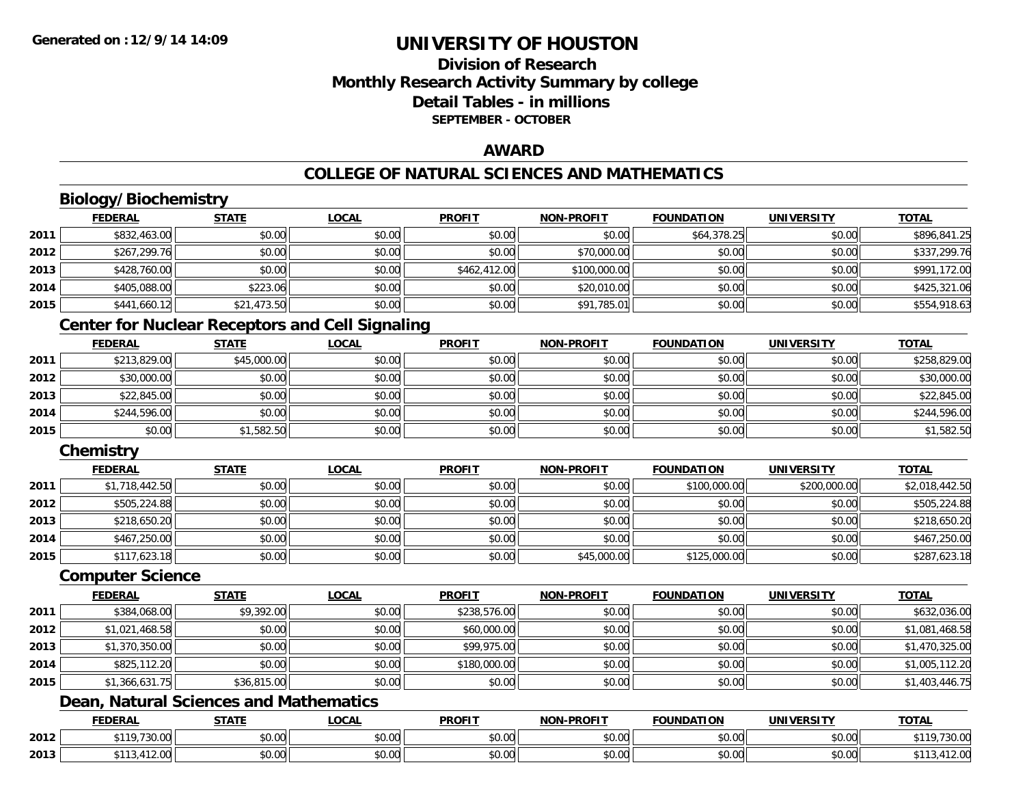## **Division of ResearchMonthly Research Activity Summary by college Detail Tables - in millionsSEPTEMBER - OCTOBER**

### **AWARD**

## **COLLEGE OF NATURAL SCIENCES AND MATHEMATICS**

## **Biology/Biochemistry**

|      | <b>FEDERAL</b> | <b>STATE</b> | <b>LOCAL</b> | <b>PROFIT</b> | <b>NON-PROFIT</b> | <b>FOUNDATION</b> | UNIVERSITY | <b>TOTAL</b> |
|------|----------------|--------------|--------------|---------------|-------------------|-------------------|------------|--------------|
| 2011 | \$832,463.00   | \$0.00       | \$0.00       | \$0.00        | \$0.00            | \$64,378.25       | \$0.00     | \$896.841.25 |
| 2012 | \$267,299.76   | \$0.00       | \$0.00       | \$0.00        | \$70,000.00       | \$0.00            | \$0.00     | \$337,299.76 |
| 2013 | \$428,760.00   | \$0.00       | \$0.00       | \$462,412.00  | \$100,000.00      | \$0.00            | \$0.00     | \$991,172.00 |
| 2014 | \$405,088.00   | \$223.06     | \$0.00       | \$0.00        | \$20,010.00       | \$0.00            | \$0.00     | \$425,321.06 |
| 2015 | \$441,660.12   | \$21,473.50  | \$0.00       | \$0.00        | \$91,785.01       | \$0.00            | \$0.00     | \$554,918.63 |

## **Center for Nuclear Receptors and Cell Signaling**

|      | <b>FEDERAL</b> | STATE       | <b>LOCAL</b> | <b>PROFIT</b> | <b>NON-PROFIT</b> | <b>FOUNDATION</b> | <b>UNIVERSITY</b> | <b>TOTAL</b> |
|------|----------------|-------------|--------------|---------------|-------------------|-------------------|-------------------|--------------|
| 2011 | \$213,829.00   | \$45,000.00 | \$0.00       | \$0.00        | \$0.00            | \$0.00            | \$0.00            | \$258,829.00 |
| 2012 | \$30,000.00    | \$0.00      | \$0.00       | \$0.00        | \$0.00            | \$0.00            | \$0.00            | \$30,000.00  |
| 2013 | \$22,845.00    | \$0.00      | \$0.00       | \$0.00        | \$0.00            | \$0.00            | \$0.00            | \$22,845.00  |
| 2014 | \$244,596.00   | \$0.00      | \$0.00       | \$0.00        | \$0.00            | \$0.00            | \$0.00            | \$244,596.00 |
| 2015 | \$0.00         | \$1,582.50  | \$0.00       | \$0.00        | \$0.00            | \$0.00            | \$0.00            | \$1,582.50   |

## **Chemistry**

|      | <b>FEDERAL</b> | <b>STATE</b> | <b>LOCAL</b> | <b>PROFIT</b> | <b>NON-PROFIT</b> | <b>FOUNDATION</b> | <b>UNIVERSITY</b> | <b>TOTAL</b>   |
|------|----------------|--------------|--------------|---------------|-------------------|-------------------|-------------------|----------------|
| 2011 | \$1,718,442.50 | \$0.00       | \$0.00       | \$0.00        | \$0.00            | \$100,000.00      | \$200,000.00      | \$2,018,442.50 |
| 2012 | \$505,224.88   | \$0.00       | \$0.00       | \$0.00        | \$0.00            | \$0.00            | \$0.00            | \$505,224.88   |
| 2013 | \$218,650.20   | \$0.00       | \$0.00       | \$0.00        | \$0.00            | \$0.00            | \$0.00            | \$218,650.20   |
| 2014 | \$467,250.00   | \$0.00       | \$0.00       | \$0.00        | \$0.00            | \$0.00            | \$0.00            | \$467,250.00   |
| 2015 | \$117,623.18   | \$0.00       | \$0.00       | \$0.00        | \$45,000.00       | \$125,000.00      | \$0.00            | \$287,623.18   |

#### **Computer Science**

|      | <b>FEDERAL</b> | <b>STATE</b> | <b>LOCAL</b> | <b>PROFIT</b> | <b>NON-PROFIT</b> | <b>FOUNDATION</b> | <b>UNIVERSITY</b> | <b>TOTAL</b>   |
|------|----------------|--------------|--------------|---------------|-------------------|-------------------|-------------------|----------------|
| 2011 | \$384,068.00   | \$9,392.00   | \$0.00       | \$238,576.00  | \$0.00            | \$0.00            | \$0.00            | \$632,036.00   |
| 2012 | \$1,021,468.58 | \$0.00       | \$0.00       | \$60,000.00   | \$0.00            | \$0.00            | \$0.00            | \$1,081,468.58 |
| 2013 | \$1,370,350.00 | \$0.00       | \$0.00       | \$99,975.00   | \$0.00            | \$0.00            | \$0.00            | \$1,470,325.00 |
| 2014 | \$825,112.20   | \$0.00       | \$0.00       | \$180,000.00  | \$0.00            | \$0.00            | \$0.00            | \$1,005,112.20 |
| 2015 | \$1,366,631.75 | \$36,815.00  | \$0.00       | \$0.00        | \$0.00            | \$0.00            | \$0.00            | \$1,403,446.75 |

## **Dean, Natural Sciences and Mathematics**

|      | <b>FEDERAL</b>                         | <b>CTATE</b><br>,,,,,, | LOCAL                     | <b>PROFIT</b>      | J-PROFIT<br><b>NION!</b> | <b>FOUNDATION</b> | <b>UNIVERSITY</b> | <b>TOTAL</b>        |
|------|----------------------------------------|------------------------|---------------------------|--------------------|--------------------------|-------------------|-------------------|---------------------|
| 2012 | 0.110<br>$\sim$ $\sim$ $\sim$<br>JU.UU | \$0.00                 | $\sim$<br>$\sim$<br>JU.UU | ሐሴ ሰሰ<br>งบ.บบ     | 0000<br>JU.UU            | \$0.00            | 0.00<br>\$0.00    | 20.00<br>30.UU      |
| 2013 | A<br>12.UU                             | \$0.00                 | $\sim$ 00<br>vu.vu        | $\sim$ 00<br>JU.UU | 0000<br>PO.OO            | \$0.00            | 0000<br>\$0.00    | 11000<br>12.UU<br>. |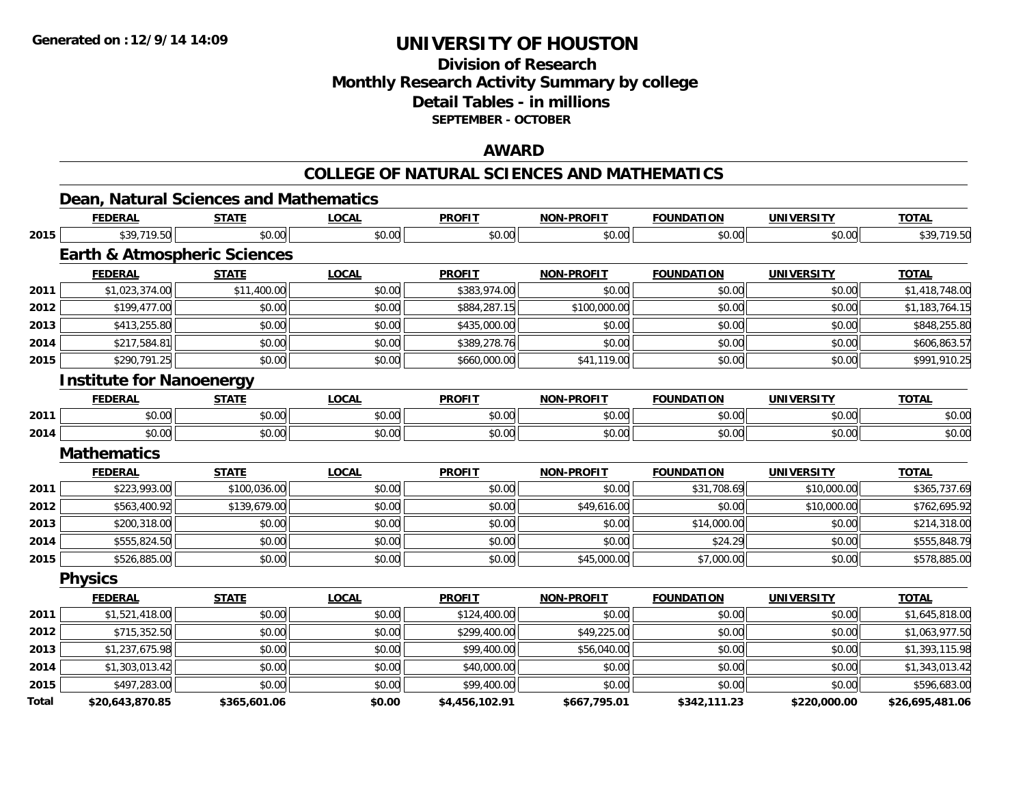## **Division of ResearchMonthly Research Activity Summary by college Detail Tables - in millions SEPTEMBER - OCTOBER**

### **AWARD**

#### **COLLEGE OF NATURAL SCIENCES AND MATHEMATICS**

|       | Dean, Natural Sciences and Mathematics  |              |              |                |                   |                   |                   |                 |
|-------|-----------------------------------------|--------------|--------------|----------------|-------------------|-------------------|-------------------|-----------------|
|       | <b>FEDERAL</b>                          | <b>STATE</b> | <b>LOCAL</b> | <b>PROFIT</b>  | <b>NON-PROFIT</b> | <b>FOUNDATION</b> | <b>UNIVERSITY</b> | <b>TOTAL</b>    |
| 2015  | \$39,719.50                             | \$0.00       | \$0.00       | \$0.00         | \$0.00            | \$0.00            | \$0.00            | \$39,719.50     |
|       | <b>Earth &amp; Atmospheric Sciences</b> |              |              |                |                   |                   |                   |                 |
|       | <b>FEDERAL</b>                          | <b>STATE</b> | <b>LOCAL</b> | <b>PROFIT</b>  | <b>NON-PROFIT</b> | <b>FOUNDATION</b> | <b>UNIVERSITY</b> | <b>TOTAL</b>    |
| 2011  | \$1,023,374.00                          | \$11,400.00  | \$0.00       | \$383,974.00   | \$0.00            | \$0.00            | \$0.00            | \$1,418,748.00  |
| 2012  | \$199,477.00                            | \$0.00       | \$0.00       | \$884,287.15   | \$100,000.00      | \$0.00            | \$0.00            | \$1,183,764.15  |
| 2013  | \$413,255.80                            | \$0.00       | \$0.00       | \$435,000.00   | \$0.00            | \$0.00            | \$0.00            | \$848,255.80    |
| 2014  | \$217,584.81                            | \$0.00       | \$0.00       | \$389,278.76   | \$0.00            | \$0.00            | \$0.00            | \$606,863.57    |
| 2015  | \$290,791.25                            | \$0.00       | \$0.00       | \$660,000.00   | \$41,119.00       | \$0.00            | \$0.00            | \$991,910.25    |
|       | <b>Institute for Nanoenergy</b>         |              |              |                |                   |                   |                   |                 |
|       | <b>FEDERAL</b>                          | <b>STATE</b> | <b>LOCAL</b> | <b>PROFIT</b>  | <b>NON-PROFIT</b> | <b>FOUNDATION</b> | <b>UNIVERSITY</b> | <b>TOTAL</b>    |
| 2011  | \$0.00                                  | \$0.00       | \$0.00       | \$0.00         | \$0.00            | \$0.00            | \$0.00            | \$0.00          |
| 2014  | \$0.00                                  | \$0.00       | \$0.00       | \$0.00         | \$0.00            | \$0.00            | \$0.00            | \$0.00          |
|       | <b>Mathematics</b>                      |              |              |                |                   |                   |                   |                 |
|       | <b>FEDERAL</b>                          | <b>STATE</b> | <b>LOCAL</b> | <b>PROFIT</b>  | <b>NON-PROFIT</b> | <b>FOUNDATION</b> | <b>UNIVERSITY</b> | <b>TOTAL</b>    |
| 2011  | \$223,993.00                            | \$100,036.00 | \$0.00       | \$0.00         | \$0.00            | \$31,708.69       | \$10,000.00       | \$365,737.69    |
| 2012  | \$563,400.92                            | \$139,679.00 | \$0.00       | \$0.00         | \$49,616.00       | \$0.00            | \$10,000.00       | \$762,695.92    |
| 2013  | \$200,318.00                            | \$0.00       | \$0.00       | \$0.00         | \$0.00            | \$14,000.00       | \$0.00            | \$214,318.00    |
| 2014  | \$555,824.50                            | \$0.00       | \$0.00       | \$0.00         | \$0.00            | \$24.29           | \$0.00            | \$555,848.79    |
| 2015  | \$526,885.00                            | \$0.00       | \$0.00       | \$0.00         | \$45,000.00       | \$7,000.00        | \$0.00            | \$578,885.00    |
|       | <b>Physics</b>                          |              |              |                |                   |                   |                   |                 |
|       | <b>FEDERAL</b>                          | <b>STATE</b> | <b>LOCAL</b> | <b>PROFIT</b>  | <b>NON-PROFIT</b> | <b>FOUNDATION</b> | <b>UNIVERSITY</b> | <b>TOTAL</b>    |
| 2011  | \$1,521,418.00                          | \$0.00       | \$0.00       | \$124,400.00   | \$0.00            | \$0.00            | \$0.00            | \$1,645,818.00  |
| 2012  | \$715,352.50                            | \$0.00       | \$0.00       | \$299,400.00   | \$49,225.00       | \$0.00            | \$0.00            | \$1,063,977.50  |
| 2013  | \$1,237,675.98                          | \$0.00       | \$0.00       | \$99,400.00    | \$56,040.00       | \$0.00            | \$0.00            | \$1,393,115.98  |
| 2014  | \$1,303,013.42                          | \$0.00       | \$0.00       | \$40,000.00    | \$0.00            | \$0.00            | \$0.00            | \$1,343,013.42  |
| 2015  | \$497,283.00                            | \$0.00       | \$0.00       | \$99,400.00    | \$0.00            | \$0.00            | \$0.00            | \$596,683.00    |
| Total | \$20,643,870.85                         | \$365,601.06 | \$0.00       | \$4,456,102.91 | \$667,795.01      | \$342,111.23      | \$220,000.00      | \$26,695,481.06 |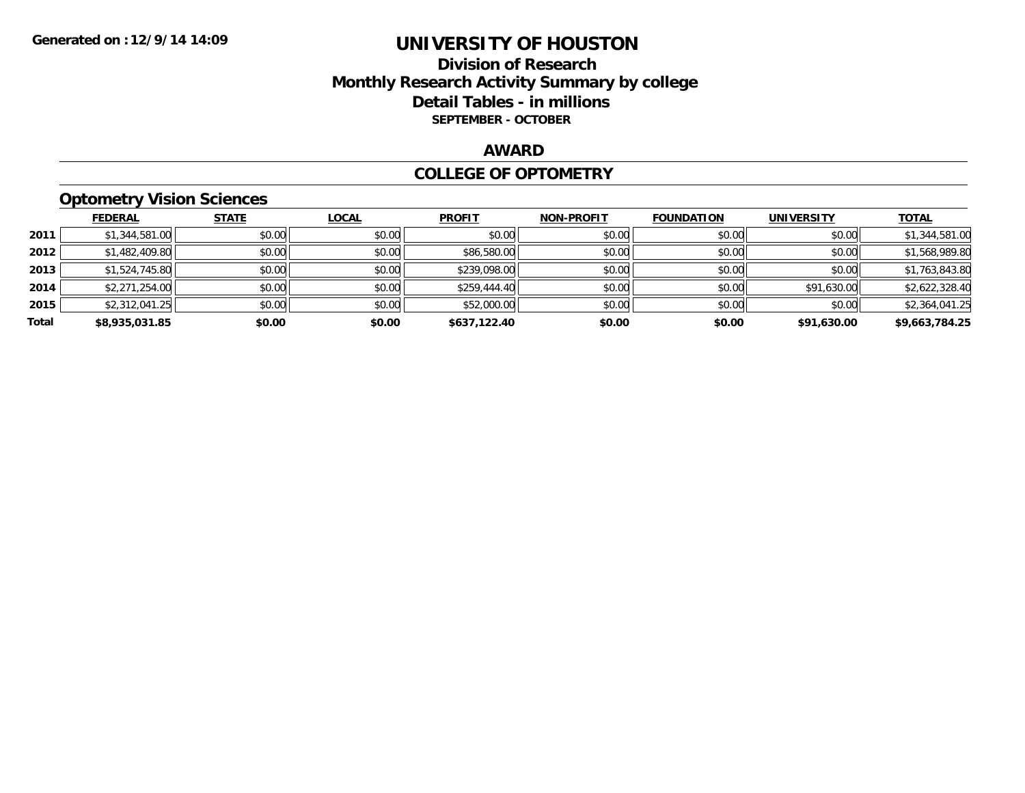### **Division of Research Monthly Research Activity Summary by college Detail Tables - in millions SEPTEMBER - OCTOBER**

### **AWARD**

#### **COLLEGE OF OPTOMETRY**

## **Optometry Vision Sciences**

|       | <b>FEDERAL</b> | <b>STATE</b> | <b>LOCAL</b> | <b>PROFIT</b> | <b>NON-PROFIT</b> | <b>FOUNDATION</b> | <b>UNIVERSITY</b> | <b>TOTAL</b>   |
|-------|----------------|--------------|--------------|---------------|-------------------|-------------------|-------------------|----------------|
| 2011  | \$1,344,581.00 | \$0.00       | \$0.00       | \$0.00        | \$0.00            | \$0.00            | \$0.00            | \$1,344,581.00 |
| 2012  | \$1,482,409.80 | \$0.00       | \$0.00       | \$86,580.00   | \$0.00            | \$0.00            | \$0.00            | \$1,568,989.80 |
| 2013  | \$1,524,745.80 | \$0.00       | \$0.00       | \$239,098.00  | \$0.00            | \$0.00            | \$0.00            | \$1,763,843.80 |
| 2014  | \$2,271,254.00 | \$0.00       | \$0.00       | \$259,444.40  | \$0.00            | \$0.00            | \$91,630.00       | \$2,622,328.40 |
| 2015  | \$2,312,041.25 | \$0.00       | \$0.00       | \$52,000.00   | \$0.00            | \$0.00            | \$0.00            | \$2,364,041.25 |
| Total | \$8,935,031.85 | \$0.00       | \$0.00       | \$637,122.40  | \$0.00            | \$0.00            | \$91,630.00       | \$9,663,784.25 |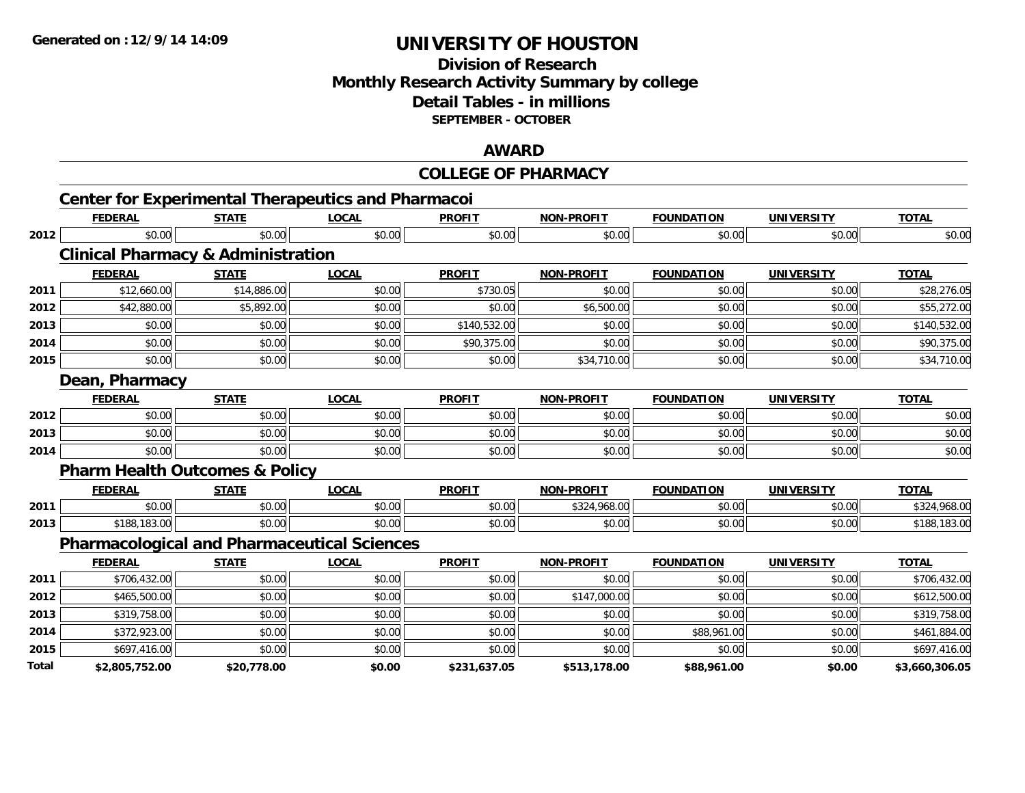## **Division of ResearchMonthly Research Activity Summary by college Detail Tables - in millions SEPTEMBER - OCTOBER**

### **AWARD**

|       |                                               |              |                                                           | <b>COLLEGE OF PHARMACY</b> |                   |                   |                   |                |
|-------|-----------------------------------------------|--------------|-----------------------------------------------------------|----------------------------|-------------------|-------------------|-------------------|----------------|
|       |                                               |              | <b>Center for Experimental Therapeutics and Pharmacoi</b> |                            |                   |                   |                   |                |
|       | <b>FEDERAL</b>                                | <b>STATE</b> | <b>LOCAL</b>                                              | <b>PROFIT</b>              | <b>NON-PROFIT</b> | <b>FOUNDATION</b> | <b>UNIVERSITY</b> | <b>TOTAL</b>   |
| 2012  | \$0.00                                        | \$0.00       | \$0.00                                                    | \$0.00                     | \$0.00            | \$0.00            | \$0.00            | \$0.00         |
|       | <b>Clinical Pharmacy &amp; Administration</b> |              |                                                           |                            |                   |                   |                   |                |
|       | <b>FEDERAL</b>                                | <b>STATE</b> | <b>LOCAL</b>                                              | <b>PROFIT</b>              | NON-PROFIT        | <b>FOUNDATION</b> | <b>UNIVERSITY</b> | <b>TOTAL</b>   |
| 2011  | \$12,660.00                                   | \$14,886.00  | \$0.00                                                    | \$730.05                   | \$0.00            | \$0.00            | \$0.00            | \$28,276.05    |
| 2012  | \$42,880.00                                   | \$5,892.00   | \$0.00                                                    | \$0.00                     | \$6,500.00        | \$0.00            | \$0.00            | \$55,272.00    |
| 2013  | \$0.00                                        | \$0.00       | \$0.00                                                    | \$140,532.00               | \$0.00            | \$0.00            | \$0.00            | \$140,532.00   |
| 2014  | \$0.00                                        | \$0.00       | \$0.00                                                    | \$90,375.00                | \$0.00            | \$0.00            | \$0.00            | \$90,375.00    |
| 2015  | \$0.00                                        | \$0.00       | \$0.00                                                    | \$0.00                     | \$34,710.00       | \$0.00            | \$0.00            | \$34,710.00    |
|       | Dean, Pharmacy                                |              |                                                           |                            |                   |                   |                   |                |
|       | <b>FEDERAL</b>                                | <b>STATE</b> | <b>LOCAL</b>                                              | <b>PROFIT</b>              | NON-PROFIT        | <b>FOUNDATION</b> | <b>UNIVERSITY</b> | <b>TOTAL</b>   |
| 2012  | \$0.00                                        | \$0.00       | \$0.00                                                    | \$0.00                     | \$0.00            | \$0.00            | \$0.00            | \$0.00         |
| 2013  | \$0.00                                        | \$0.00       | \$0.00                                                    | \$0.00                     | \$0.00            | \$0.00            | \$0.00            | \$0.00         |
| 2014  | \$0.00                                        | \$0.00       | \$0.00                                                    | \$0.00                     | \$0.00            | \$0.00            | \$0.00            | \$0.00         |
|       | <b>Pharm Health Outcomes &amp; Policy</b>     |              |                                                           |                            |                   |                   |                   |                |
|       | <b>FEDERAL</b>                                | <b>STATE</b> | <b>LOCAL</b>                                              | <b>PROFIT</b>              | NON-PROFIT        | <b>FOUNDATION</b> | <b>UNIVERSITY</b> | <b>TOTAL</b>   |
| 2011  | \$0.00                                        | \$0.00       | \$0.00                                                    | \$0.00                     | \$324,968.00      | \$0.00            | \$0.00            | \$324,968.00   |
| 2013  | \$188,183.00                                  | \$0.00       | \$0.00                                                    | \$0.00                     | \$0.00            | \$0.00            | \$0.00            | \$188,183.00   |
|       |                                               |              | <b>Pharmacological and Pharmaceutical Sciences</b>        |                            |                   |                   |                   |                |
|       | <b>FEDERAL</b>                                | <b>STATE</b> | <b>LOCAL</b>                                              | <b>PROFIT</b>              | <b>NON-PROFIT</b> | <b>FOUNDATION</b> | <b>UNIVERSITY</b> | <b>TOTAL</b>   |
| 2011  | \$706,432.00                                  | \$0.00       | \$0.00                                                    | \$0.00                     | \$0.00            | \$0.00            | \$0.00            | \$706,432.00   |
| 2012  | \$465,500.00                                  | \$0.00       | \$0.00                                                    | \$0.00                     | \$147,000.00      | \$0.00            | \$0.00            | \$612,500.00   |
| 2013  | \$319,758.00                                  | \$0.00       | \$0.00                                                    | \$0.00                     | \$0.00            | \$0.00            | \$0.00            | \$319,758.00   |
| 2014  | \$372,923.00                                  | \$0.00       | \$0.00                                                    | \$0.00                     | \$0.00            | \$88,961.00       | \$0.00            | \$461,884.00   |
| 2015  | \$697,416.00                                  | \$0.00       | \$0.00                                                    | \$0.00                     | \$0.00            | \$0.00            | \$0.00            | \$697,416.00   |
| Total | \$2.805.752.00                                | \$20.778.00  | \$0.00                                                    | \$231.637.05               | \$513.178.00      | \$88.961.00       | \$0.00            | \$3.660.306.05 |

**\$2,805,752.00 \$20,778.00 \$0.00 \$231,637.05 \$513,178.00 \$88,961.00 \$0.00 \$3,660,306.05**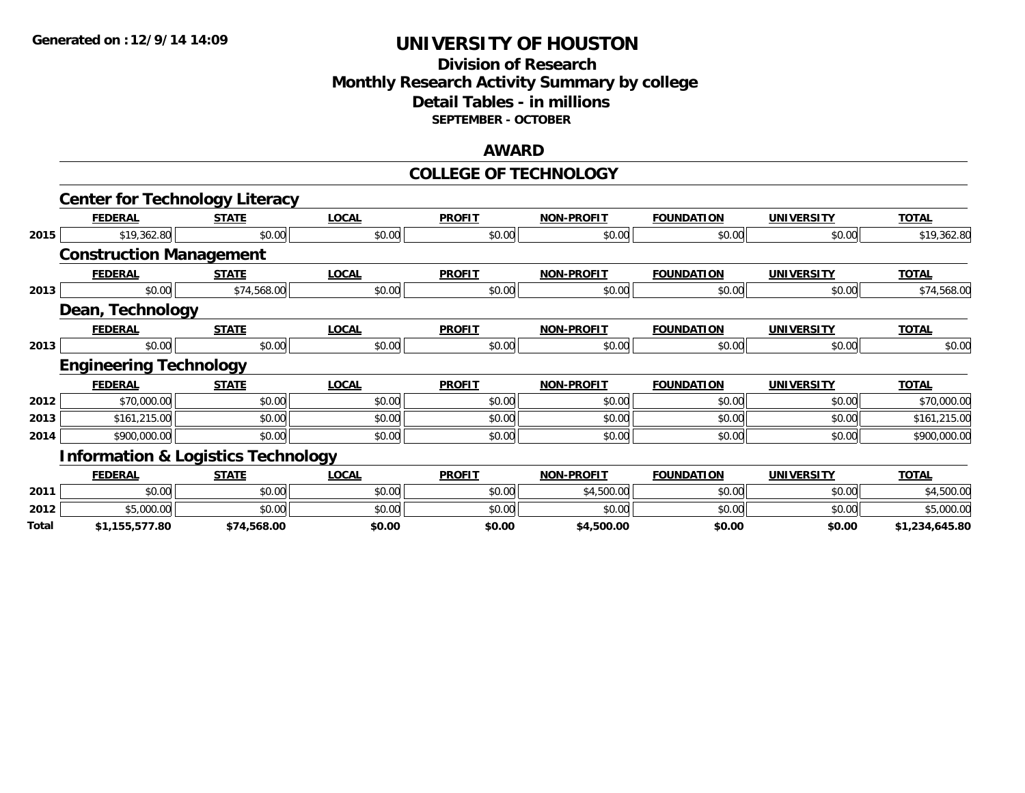### **Division of Research Monthly Research Activity Summary by college Detail Tables - in millions SEPTEMBER - OCTOBER**

#### **AWARD**

#### **COLLEGE OF TECHNOLOGY**

|       | <b>Center for Technology Literacy</b>         |              |              |               |                   |                   |                   |                |
|-------|-----------------------------------------------|--------------|--------------|---------------|-------------------|-------------------|-------------------|----------------|
|       | <b>FEDERAL</b>                                | <b>STATE</b> | <b>LOCAL</b> | <b>PROFIT</b> | <b>NON-PROFIT</b> | <b>FOUNDATION</b> | <b>UNIVERSITY</b> | <b>TOTAL</b>   |
| 2015  | \$19,362.80                                   | \$0.00       | \$0.00       | \$0.00        | \$0.00            | \$0.00            | \$0.00            | \$19,362.80    |
|       | <b>Construction Management</b>                |              |              |               |                   |                   |                   |                |
|       | <b>FEDERAL</b>                                | <b>STATE</b> | <b>LOCAL</b> | <b>PROFIT</b> | <b>NON-PROFIT</b> | <b>FOUNDATION</b> | <b>UNIVERSITY</b> | <b>TOTAL</b>   |
| 2013  | \$0.00                                        | \$74,568.00  | \$0.00       | \$0.00        | \$0.00            | \$0.00            | \$0.00            | \$74,568.00    |
|       | Dean, Technology                              |              |              |               |                   |                   |                   |                |
|       | <b>FEDERAL</b>                                | <b>STATE</b> | <b>LOCAL</b> | <b>PROFIT</b> | <b>NON-PROFIT</b> | <b>FOUNDATION</b> | <b>UNIVERSITY</b> | <b>TOTAL</b>   |
| 2013  | \$0.00                                        | \$0.00       | \$0.00       | \$0.00        | \$0.00            | \$0.00            | \$0.00            | \$0.00         |
|       | <b>Engineering Technology</b>                 |              |              |               |                   |                   |                   |                |
|       | <b>FEDERAL</b>                                | <b>STATE</b> | <b>LOCAL</b> | <b>PROFIT</b> | <b>NON-PROFIT</b> | <b>FOUNDATION</b> | <b>UNIVERSITY</b> | <b>TOTAL</b>   |
| 2012  | \$70,000.00                                   | \$0.00       | \$0.00       | \$0.00        | \$0.00            | \$0.00            | \$0.00            | \$70,000.00    |
| 2013  | \$161,215.00                                  | \$0.00       | \$0.00       | \$0.00        | \$0.00            | \$0.00            | \$0.00            | \$161,215.00   |
| 2014  | \$900,000.00                                  | \$0.00       | \$0.00       | \$0.00        | \$0.00            | \$0.00            | \$0.00            | \$900,000.00   |
|       | <b>Information &amp; Logistics Technology</b> |              |              |               |                   |                   |                   |                |
|       | <b>FEDERAL</b>                                | <b>STATE</b> | <b>LOCAL</b> | <b>PROFIT</b> | <b>NON-PROFIT</b> | <b>FOUNDATION</b> | <b>UNIVERSITY</b> | <b>TOTAL</b>   |
| 2011  | \$0.00                                        | \$0.00       | \$0.00       | \$0.00        | \$4,500.00        | \$0.00            | \$0.00            | \$4,500.00     |
| 2012  | \$5,000.00                                    | \$0.00       | \$0.00       | \$0.00        | \$0.00            | \$0.00            | \$0.00            | \$5,000.00     |
| Total | \$1,155,577.80                                | \$74,568.00  | \$0.00       | \$0.00        | \$4,500.00        | \$0.00            | \$0.00            | \$1,234,645.80 |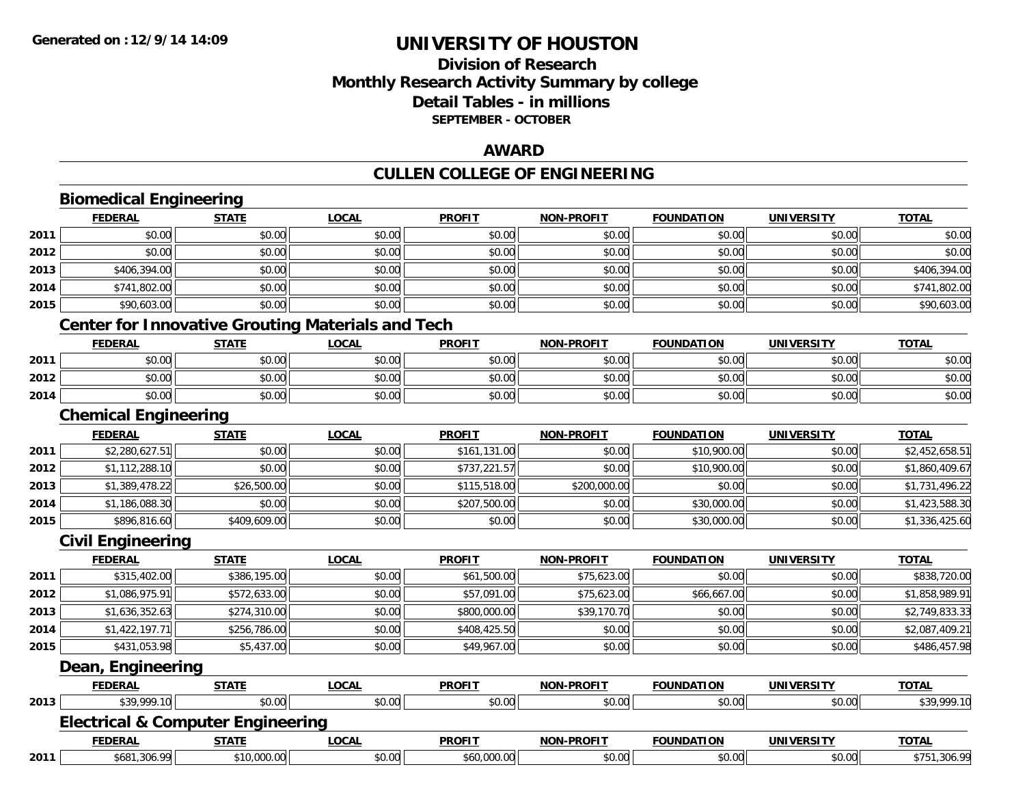## **Division of ResearchMonthly Research Activity Summary by college Detail Tables - in millions SEPTEMBER - OCTOBER**

### **AWARD**

## **CULLEN COLLEGE OF ENGINEERING**

|      | <b>Biomedical Engineering</b>                            |              |              |               |                   |                   |                   |                |
|------|----------------------------------------------------------|--------------|--------------|---------------|-------------------|-------------------|-------------------|----------------|
|      | <b>FEDERAL</b>                                           | <b>STATE</b> | <b>LOCAL</b> | <b>PROFIT</b> | <b>NON-PROFIT</b> | <b>FOUNDATION</b> | <b>UNIVERSITY</b> | <b>TOTAL</b>   |
| 2011 | \$0.00                                                   | \$0.00       | \$0.00       | \$0.00        | \$0.00            | \$0.00            | \$0.00            | \$0.00         |
| 2012 | \$0.00                                                   | \$0.00       | \$0.00       | \$0.00        | \$0.00            | \$0.00            | \$0.00            | \$0.00         |
| 2013 | \$406,394.00                                             | \$0.00       | \$0.00       | \$0.00        | \$0.00            | \$0.00            | \$0.00            | \$406,394.00   |
| 2014 | \$741,802.00                                             | \$0.00       | \$0.00       | \$0.00        | \$0.00            | \$0.00            | \$0.00            | \$741,802.00   |
| 2015 | \$90,603.00                                              | \$0.00       | \$0.00       | \$0.00        | \$0.00            | \$0.00            | \$0.00            | \$90,603.00    |
|      | <b>Center for Innovative Grouting Materials and Tech</b> |              |              |               |                   |                   |                   |                |
|      | <b>FEDERAL</b>                                           | <b>STATE</b> | <b>LOCAL</b> | <b>PROFIT</b> | <b>NON-PROFIT</b> | <b>FOUNDATION</b> | <b>UNIVERSITY</b> | <b>TOTAL</b>   |
| 2011 | \$0.00                                                   | \$0.00       | \$0.00       | \$0.00        | \$0.00            | \$0.00            | \$0.00            | \$0.00         |
| 2012 | \$0.00                                                   | \$0.00       | \$0.00       | \$0.00        | \$0.00            | \$0.00            | \$0.00            | \$0.00         |
| 2014 | \$0.00                                                   | \$0.00       | \$0.00       | \$0.00        | \$0.00            | \$0.00            | \$0.00            | \$0.00         |
|      | <b>Chemical Engineering</b>                              |              |              |               |                   |                   |                   |                |
|      | <b>FEDERAL</b>                                           | <b>STATE</b> | <b>LOCAL</b> | <b>PROFIT</b> | <b>NON-PROFIT</b> | <b>FOUNDATION</b> | <b>UNIVERSITY</b> | <b>TOTAL</b>   |
| 2011 | \$2,280,627.51                                           | \$0.00       | \$0.00       | \$161,131.00  | \$0.00            | \$10,900.00       | \$0.00            | \$2,452,658.51 |
| 2012 | \$1,112,288.10                                           | \$0.00       | \$0.00       | \$737,221.57  | \$0.00            | \$10,900.00       | \$0.00            | \$1,860,409.67 |
| 2013 | \$1,389,478.22                                           | \$26,500.00  | \$0.00       | \$115,518.00  | \$200,000.00      | \$0.00            | \$0.00            | \$1,731,496.22 |
| 2014 | \$1,186,088.30                                           | \$0.00       | \$0.00       | \$207,500.00  | \$0.00            | \$30,000.00       | \$0.00            | \$1,423,588.30 |
| 2015 | \$896,816.60                                             | \$409,609.00 | \$0.00       | \$0.00        | \$0.00            | \$30,000.00       | \$0.00            | \$1,336,425.60 |
|      | <b>Civil Engineering</b>                                 |              |              |               |                   |                   |                   |                |
|      | <b>FEDERAL</b>                                           | <b>STATE</b> | <b>LOCAL</b> | <b>PROFIT</b> | <b>NON-PROFIT</b> | <b>FOUNDATION</b> | <b>UNIVERSITY</b> | <b>TOTAL</b>   |
| 2011 | \$315,402.00                                             | \$386,195.00 | \$0.00       | \$61,500.00   | \$75,623.00       | \$0.00            | \$0.00            | \$838,720.00   |
| 2012 | \$1,086,975.91                                           | \$572,633.00 | \$0.00       | \$57,091.00   | \$75,623.00       | \$66,667.00       | \$0.00            | \$1,858,989.91 |
| 2013 | \$1,636,352.63                                           | \$274,310.00 | \$0.00       | \$800,000.00  | \$39,170.70       | \$0.00            | \$0.00            | \$2,749,833.33 |
| 2014 | \$1,422,197.71                                           | \$256,786.00 | \$0.00       | \$408,425.50  | \$0.00            | \$0.00            | \$0.00            | \$2,087,409.21 |
| 2015 | \$431,053.98                                             | \$5,437.00   | \$0.00       | \$49,967.00   | \$0.00            | \$0.00            | \$0.00            | \$486,457.98   |
|      | Dean, Engineering                                        |              |              |               |                   |                   |                   |                |
|      | <b>FEDERAL</b>                                           | <b>STATE</b> | <b>LOCAL</b> | <b>PROFIT</b> | <b>NON-PROFIT</b> | <b>FOUNDATION</b> | <b>UNIVERSITY</b> | <b>TOTAL</b>   |
| 2013 | \$39,999.10                                              | \$0.00       | \$0.00       | \$0.00        | \$0.00            | \$0.00            | \$0.00            | \$39,999.10    |
|      | <b>Electrical &amp; Computer Engineering</b>             |              |              |               |                   |                   |                   |                |
|      | <b>FEDERAL</b>                                           | <b>STATE</b> | <b>LOCAL</b> | <b>PROFIT</b> | <b>NON-PROFIT</b> | <b>FOUNDATION</b> | <b>UNIVERSITY</b> | <b>TOTAL</b>   |
| 2011 | \$681,306.99                                             | \$10,000.00  | \$0.00       | \$60,000.00   | \$0.00            | \$0.00            | \$0.00            | \$751,306.99   |

**2011**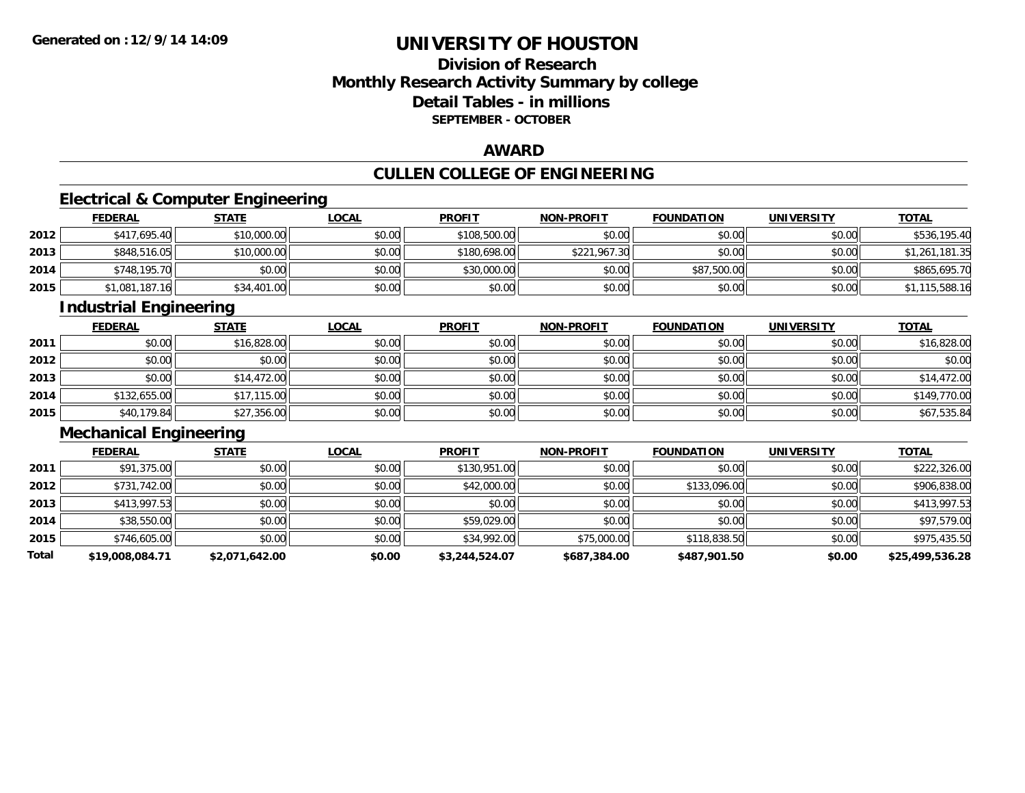### **Division of ResearchMonthly Research Activity Summary by college Detail Tables - in millions SEPTEMBER - OCTOBER**

#### **AWARD**

## **CULLEN COLLEGE OF ENGINEERING**

### **Electrical & Computer Engineering**

|      | <b>FEDERAL</b> | <u>STATE</u> | <u>LOCAL</u> | <b>PROFIT</b> | <b>NON-PROFIT</b> | <b>FOUNDATION</b> | <b>UNIVERSITY</b> | <b>TOTAL</b>   |
|------|----------------|--------------|--------------|---------------|-------------------|-------------------|-------------------|----------------|
| 2012 | \$417,695.40   | \$10,000.00  | \$0.00       | \$108,500.00  | \$0.00            | \$0.00            | \$0.00            | \$536,195.40   |
| 2013 | \$848,516.05   | \$10,000.00  | \$0.00       | \$180,698.00  | \$221,967.30      | \$0.00            | \$0.00            | \$1,261,181.35 |
| 2014 | \$748,195.70   | \$0.00       | \$0.00       | \$30,000.00   | \$0.00            | \$87,500.00       | \$0.00            | \$865,695.70   |
| 2015 | \$1,081,187.16 | \$34,401.00  | \$0.00       | \$0.00        | \$0.00            | \$0.00            | \$0.00            | \$1,115,588.16 |

#### **Industrial Engineering**

|      | <b>FEDERAL</b> | <b>STATE</b> | <u>LOCAL</u> | <b>PROFIT</b> | <b>NON-PROFIT</b> | <b>FOUNDATION</b> | <b>UNIVERSITY</b> | <b>TOTAL</b> |
|------|----------------|--------------|--------------|---------------|-------------------|-------------------|-------------------|--------------|
| 2011 | \$0.00         | \$16,828.00  | \$0.00       | \$0.00        | \$0.00            | \$0.00            | \$0.00            | \$16,828.00  |
| 2012 | \$0.00         | \$0.00       | \$0.00       | \$0.00        | \$0.00            | \$0.00            | \$0.00            | \$0.00       |
| 2013 | \$0.00         | \$14,472.00  | \$0.00       | \$0.00        | \$0.00            | \$0.00            | \$0.00            | \$14,472.00  |
| 2014 | \$132,655.00   | \$17,115.00  | \$0.00       | \$0.00        | \$0.00            | \$0.00            | \$0.00            | \$149,770.00 |
| 2015 | \$40,179.84    | \$27,356.00  | \$0.00       | \$0.00        | \$0.00            | \$0.00            | \$0.00            | \$67,535.84  |

### **Mechanical Engineering**

|       | <b>FEDERAL</b>  | <b>STATE</b>   | <b>LOCAL</b> | <b>PROFIT</b>  | <b>NON-PROFIT</b> | <b>FOUNDATION</b> | <b>UNIVERSITY</b> | <b>TOTAL</b>    |
|-------|-----------------|----------------|--------------|----------------|-------------------|-------------------|-------------------|-----------------|
| 2011  | \$91,375.00     | \$0.00         | \$0.00       | \$130,951.00   | \$0.00            | \$0.00            | \$0.00            | \$222,326.00    |
| 2012  | \$731,742.00    | \$0.00         | \$0.00       | \$42,000.00    | \$0.00            | \$133,096.00      | \$0.00            | \$906,838.00    |
| 2013  | \$413,997.53    | \$0.00         | \$0.00       | \$0.00         | \$0.00            | \$0.00            | \$0.00            | \$413,997.53    |
| 2014  | \$38,550.00     | \$0.00         | \$0.00       | \$59,029.00    | \$0.00            | \$0.00            | \$0.00            | \$97,579.00     |
| 2015  | \$746,605.00    | \$0.00         | \$0.00       | \$34,992.00    | \$75,000.00       | \$118,838.50      | \$0.00            | \$975,435.50    |
| Total | \$19,008,084.71 | \$2,071,642.00 | \$0.00       | \$3,244,524.07 | \$687,384.00      | \$487,901.50      | \$0.00            | \$25,499,536.28 |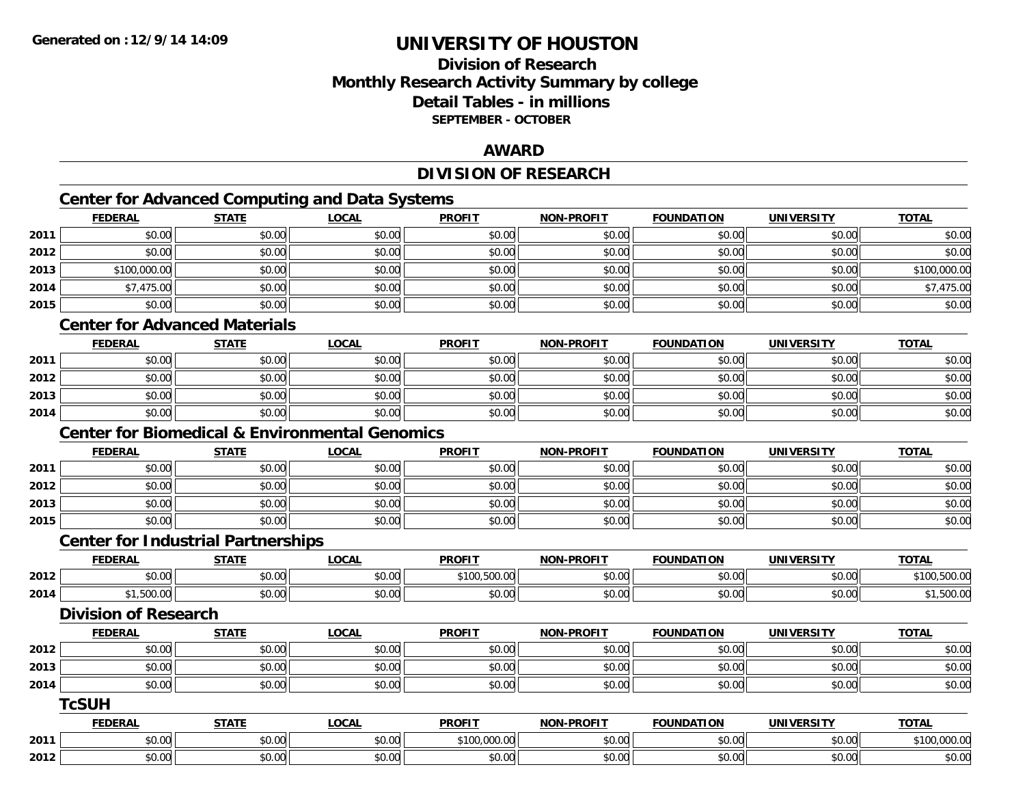### **Division of ResearchMonthly Research Activity Summary by college Detail Tables - in millions SEPTEMBER - OCTOBER**

#### **AWARD**

#### **DIVISION OF RESEARCH**

## **Center for Advanced Computing and Data Systems**

|      | <b>FEDERAL</b>              | <b>STATE</b>                                              | <b>LOCAL</b> | <b>PROFIT</b> | <b>NON-PROFIT</b> | <b>FOUNDATION</b> | <b>UNIVERSITY</b> | <b>TOTAL</b> |
|------|-----------------------------|-----------------------------------------------------------|--------------|---------------|-------------------|-------------------|-------------------|--------------|
| 2011 | \$0.00                      | \$0.00                                                    | \$0.00       | \$0.00        | \$0.00            | \$0.00            | \$0.00            | \$0.00       |
| 2012 | \$0.00                      | \$0.00                                                    | \$0.00       | \$0.00        | \$0.00            | \$0.00            | \$0.00            | \$0.00       |
| 2013 | \$100,000.00                | \$0.00                                                    | \$0.00       | \$0.00        | \$0.00            | \$0.00            | \$0.00            | \$100,000.00 |
| 2014 | \$7,475.00                  | \$0.00                                                    | \$0.00       | \$0.00        | \$0.00            | \$0.00            | \$0.00            | \$7,475.00   |
| 2015 | \$0.00                      | \$0.00                                                    | \$0.00       | \$0.00        | \$0.00            | \$0.00            | \$0.00            | \$0.00       |
|      |                             | <b>Center for Advanced Materials</b>                      |              |               |                   |                   |                   |              |
|      | <b>FEDERAL</b>              | <b>STATE</b>                                              | <b>LOCAL</b> | <b>PROFIT</b> | <b>NON-PROFIT</b> | <b>FOUNDATION</b> | <b>UNIVERSITY</b> | <b>TOTAL</b> |
| 2011 | \$0.00                      | \$0.00                                                    | \$0.00       | \$0.00        | \$0.00            | \$0.00            | \$0.00            | \$0.00       |
| 2012 | \$0.00                      | \$0.00                                                    | \$0.00       | \$0.00        | \$0.00            | \$0.00            | \$0.00            | \$0.00       |
| 2013 | \$0.00                      | \$0.00                                                    | \$0.00       | \$0.00        | \$0.00            | \$0.00            | \$0.00            | \$0.00       |
| 2014 | \$0.00                      | \$0.00                                                    | \$0.00       | \$0.00        | \$0.00            | \$0.00            | \$0.00            | \$0.00       |
|      |                             | <b>Center for Biomedical &amp; Environmental Genomics</b> |              |               |                   |                   |                   |              |
|      | <b>FEDERAL</b>              | <b>STATE</b>                                              | <b>LOCAL</b> | <b>PROFIT</b> | <b>NON-PROFIT</b> | <b>FOUNDATION</b> | <b>UNIVERSITY</b> | <b>TOTAL</b> |
| 2011 | \$0.00                      | \$0.00                                                    | \$0.00       | \$0.00        | \$0.00            | \$0.00            | \$0.00            | \$0.00       |
| 2012 | \$0.00                      | \$0.00                                                    | \$0.00       | \$0.00        | \$0.00            | \$0.00            | \$0.00            | \$0.00       |
| 2013 | \$0.00                      | \$0.00                                                    | \$0.00       | \$0.00        | \$0.00            | \$0.00            | \$0.00            | \$0.00       |
| 2015 | \$0.00                      | \$0.00                                                    | \$0.00       | \$0.00        | \$0.00            | \$0.00            | \$0.00            | \$0.00       |
|      |                             | <b>Center for Industrial Partnerships</b>                 |              |               |                   |                   |                   |              |
|      | <b>FEDERAL</b>              | <b>STATE</b>                                              | <b>LOCAL</b> | <b>PROFIT</b> | <b>NON-PROFIT</b> | <b>FOUNDATION</b> | <b>UNIVERSITY</b> | <b>TOTAL</b> |
| 2012 | \$0.00                      | \$0.00                                                    | \$0.00       | \$100,500.00  | \$0.00            | \$0.00            | \$0.00            | \$100,500.00 |
| 2014 | \$1,500.00                  | \$0.00                                                    | \$0.00       | \$0.00        | \$0.00            | \$0.00            | \$0.00            | \$1,500.00   |
|      | <b>Division of Research</b> |                                                           |              |               |                   |                   |                   |              |
|      | <b>FEDERAL</b>              | <b>STATE</b>                                              | <b>LOCAL</b> | <b>PROFIT</b> | <b>NON-PROFIT</b> | <b>FOUNDATION</b> | <b>UNIVERSITY</b> | <b>TOTAL</b> |
| 2012 | \$0.00                      | \$0.00                                                    | \$0.00       | \$0.00        | \$0.00            | \$0.00            | \$0.00            | \$0.00       |
| 2013 | \$0.00                      | \$0.00                                                    | \$0.00       | \$0.00        | \$0.00            | \$0.00            | \$0.00            | \$0.00       |
| 2014 | \$0.00                      | \$0.00                                                    | \$0.00       | \$0.00        | \$0.00            | \$0.00            | \$0.00            | \$0.00       |
|      | <b>TcSUH</b>                |                                                           |              |               |                   |                   |                   |              |
|      | <b>FEDERAL</b>              | <b>STATE</b>                                              | <b>LOCAL</b> | <b>PROFIT</b> | <b>NON-PROFIT</b> | <b>FOUNDATION</b> | <b>UNIVERSITY</b> | <b>TOTAL</b> |
| 2011 | \$0.00                      | \$0.00                                                    | \$0.00       | \$100,000.00  | \$0.00            | \$0.00            | \$0.00            | \$100,000.00 |
| 2012 | \$0.00                      | \$0.00                                                    | \$0.00       | \$0.00        | \$0.00            | \$0.00            | \$0.00            | \$0.00       |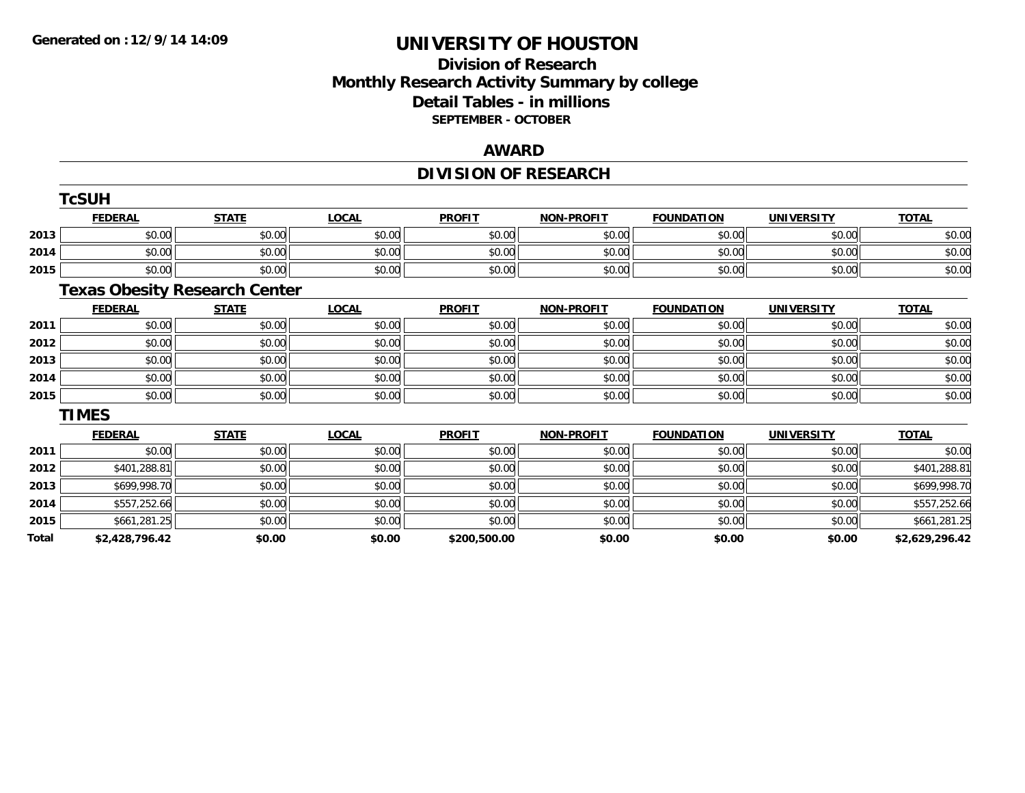### **Division of ResearchMonthly Research Activity Summary by college Detail Tables - in millions SEPTEMBER - OCTOBER**

#### **AWARD**

## **DIVISION OF RESEARCH**

|       | TcSUH                                |              |              |               |                   |                   |                   |                |  |  |
|-------|--------------------------------------|--------------|--------------|---------------|-------------------|-------------------|-------------------|----------------|--|--|
|       | <b>FEDERAL</b>                       | <b>STATE</b> | <b>LOCAL</b> | <b>PROFIT</b> | <b>NON-PROFIT</b> | <b>FOUNDATION</b> | <b>UNIVERSITY</b> | <b>TOTAL</b>   |  |  |
| 2013  | \$0.00                               | \$0.00       | \$0.00       | \$0.00        | \$0.00            | \$0.00            | \$0.00            | \$0.00         |  |  |
| 2014  | \$0.00                               | \$0.00       | \$0.00       | \$0.00        | \$0.00            | \$0.00            | \$0.00            | \$0.00         |  |  |
| 2015  | \$0.00                               | \$0.00       | \$0.00       | \$0.00        | \$0.00            | \$0.00            | \$0.00            | \$0.00         |  |  |
|       | <b>Texas Obesity Research Center</b> |              |              |               |                   |                   |                   |                |  |  |
|       | <b>FEDERAL</b>                       | <b>STATE</b> | <b>LOCAL</b> | <b>PROFIT</b> | <b>NON-PROFIT</b> | <b>FOUNDATION</b> | <b>UNIVERSITY</b> | <b>TOTAL</b>   |  |  |
| 2011  | \$0.00                               | \$0.00       | \$0.00       | \$0.00        | \$0.00            | \$0.00            | \$0.00            | \$0.00         |  |  |
| 2012  | \$0.00                               | \$0.00       | \$0.00       | \$0.00        | \$0.00            | \$0.00            | \$0.00            | \$0.00         |  |  |
| 2013  | \$0.00                               | \$0.00       | \$0.00       | \$0.00        | \$0.00            | \$0.00            | \$0.00            | \$0.00         |  |  |
| 2014  | \$0.00                               | \$0.00       | \$0.00       | \$0.00        | \$0.00            | \$0.00            | \$0.00            | \$0.00         |  |  |
| 2015  | \$0.00                               | \$0.00       | \$0.00       | \$0.00        | \$0.00            | \$0.00            | \$0.00            | \$0.00         |  |  |
|       | <b>TIMES</b>                         |              |              |               |                   |                   |                   |                |  |  |
|       | <b>FEDERAL</b>                       | <b>STATE</b> | <b>LOCAL</b> | <b>PROFIT</b> | <b>NON-PROFIT</b> | <b>FOUNDATION</b> | <b>UNIVERSITY</b> | <b>TOTAL</b>   |  |  |
| 2011  | \$0.00                               | \$0.00       | \$0.00       | \$0.00        | \$0.00            | \$0.00            | \$0.00            | \$0.00         |  |  |
| 2012  | \$401,288.81                         | \$0.00       | \$0.00       | \$0.00        | \$0.00            | \$0.00            | \$0.00            | \$401,288.81   |  |  |
| 2013  | \$699,998.70                         | \$0.00       | \$0.00       | \$0.00        | \$0.00            | \$0.00            | \$0.00            | \$699,998.70   |  |  |
| 2014  | \$557,252.66                         | \$0.00       | \$0.00       | \$0.00        | \$0.00            | \$0.00            | \$0.00            | \$557,252.66   |  |  |
| 2015  | \$661,281.25                         | \$0.00       | \$0.00       | \$0.00        | \$0.00            | \$0.00            | \$0.00            | \$661,281.25   |  |  |
| Total | \$2,428,796.42                       | \$0.00       | \$0.00       | \$200,500.00  | \$0.00            | \$0.00            | \$0.00            | \$2,629,296.42 |  |  |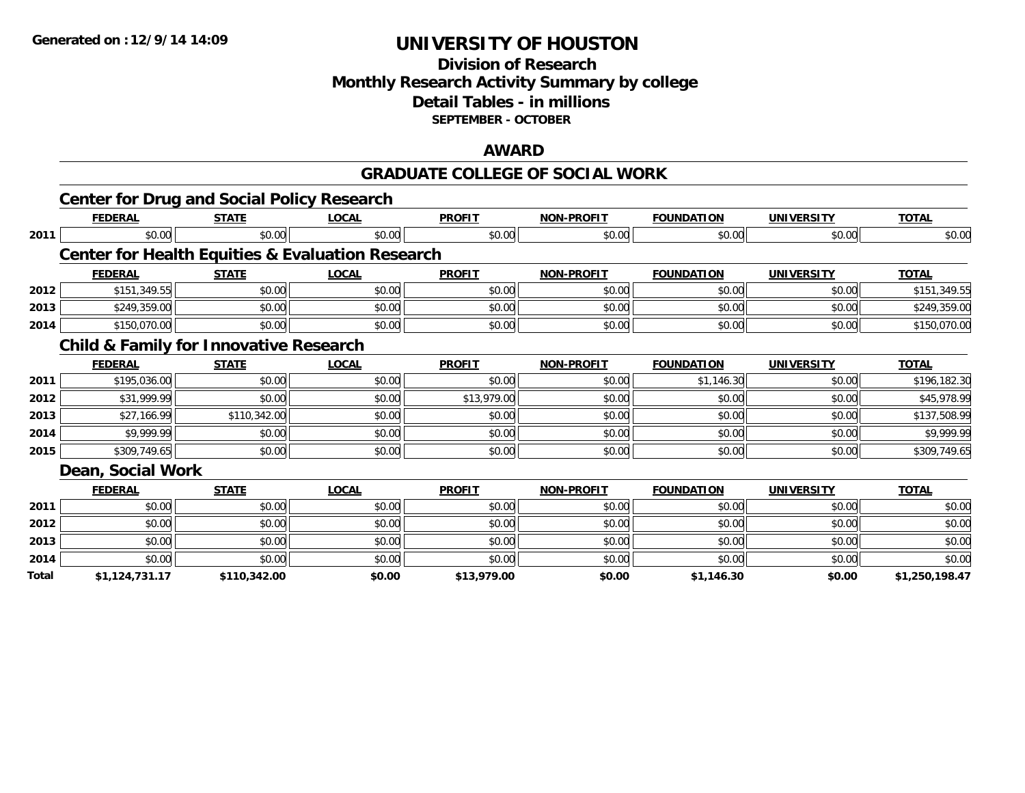#### **Division of Research Monthly Research Activity Summary by college Detail Tables - in millions SEPTEMBER - OCTOBER**

#### **AWARD**

#### **GRADUATE COLLEGE OF SOCIAL WORK**

|       | <b>Center for Drug and Social Policy Research</b> |              |                                                             |               |                   |                   |                   |                |
|-------|---------------------------------------------------|--------------|-------------------------------------------------------------|---------------|-------------------|-------------------|-------------------|----------------|
|       | <b>FEDERAL</b>                                    | <b>STATE</b> | <b>LOCAL</b>                                                | <b>PROFIT</b> | <b>NON-PROFIT</b> | <b>FOUNDATION</b> | <b>UNIVERSITY</b> | <b>TOTAL</b>   |
| 2011  | \$0.00                                            | \$0.00       | \$0.00                                                      | \$0.00        | \$0.00            | \$0.00            | \$0.00            | \$0.00         |
|       |                                                   |              | <b>Center for Health Equities &amp; Evaluation Research</b> |               |                   |                   |                   |                |
|       | <b>FEDERAL</b>                                    | <b>STATE</b> | <b>LOCAL</b>                                                | <b>PROFIT</b> | <b>NON-PROFIT</b> | <b>FOUNDATION</b> | <b>UNIVERSITY</b> | <b>TOTAL</b>   |
| 2012  | \$151,349.55                                      | \$0.00       | \$0.00                                                      | \$0.00        | \$0.00            | \$0.00            | \$0.00            | \$151,349.55   |
| 2013  | \$249,359.00                                      | \$0.00       | \$0.00                                                      | \$0.00        | \$0.00            | \$0.00            | \$0.00            | \$249,359.00   |
| 2014  | \$150,070.00                                      | \$0.00       | \$0.00                                                      | \$0.00        | \$0.00            | \$0.00            | \$0.00            | \$150,070.00   |
|       | <b>Child &amp; Family for Innovative Research</b> |              |                                                             |               |                   |                   |                   |                |
|       | <b>FEDERAL</b>                                    | <b>STATE</b> | <b>LOCAL</b>                                                | <b>PROFIT</b> | <b>NON-PROFIT</b> | <b>FOUNDATION</b> | <b>UNIVERSITY</b> | <b>TOTAL</b>   |
| 2011  | \$195,036.00                                      | \$0.00       | \$0.00                                                      | \$0.00        | \$0.00            | \$1,146.30        | \$0.00            | \$196,182.30   |
| 2012  | \$31,999.99                                       | \$0.00       | \$0.00                                                      | \$13,979.00   | \$0.00            | \$0.00            | \$0.00            | \$45,978.99    |
| 2013  | \$27,166.99                                       | \$110,342.00 | \$0.00                                                      | \$0.00        | \$0.00            | \$0.00            | \$0.00            | \$137,508.99   |
| 2014  | \$9,999.99                                        | \$0.00       | \$0.00                                                      | \$0.00        | \$0.00            | \$0.00            | \$0.00            | \$9,999.99     |
| 2015  | \$309,749.65                                      | \$0.00       | \$0.00                                                      | \$0.00        | \$0.00            | \$0.00            | \$0.00            | \$309,749.65   |
|       | Dean, Social Work                                 |              |                                                             |               |                   |                   |                   |                |
|       | <b>FEDERAL</b>                                    | <b>STATE</b> | <b>LOCAL</b>                                                | <b>PROFIT</b> | <b>NON-PROFIT</b> | <b>FOUNDATION</b> | <b>UNIVERSITY</b> | <b>TOTAL</b>   |
| 2011  | \$0.00                                            | \$0.00       | \$0.00                                                      | \$0.00        | \$0.00            | \$0.00            | \$0.00            | \$0.00         |
| 2012  | \$0.00                                            | \$0.00       | \$0.00                                                      | \$0.00        | \$0.00            | \$0.00            | \$0.00            | \$0.00         |
| 2013  | \$0.00                                            | \$0.00       | \$0.00                                                      | \$0.00        | \$0.00            | \$0.00            | \$0.00            | \$0.00         |
| 2014  | \$0.00                                            | \$0.00       | \$0.00                                                      | \$0.00        | \$0.00            | \$0.00            | \$0.00            | \$0.00         |
| Total | \$1,124,731.17                                    | \$110,342.00 | \$0.00                                                      | \$13,979.00   | \$0.00            | \$1,146.30        | \$0.00            | \$1,250,198.47 |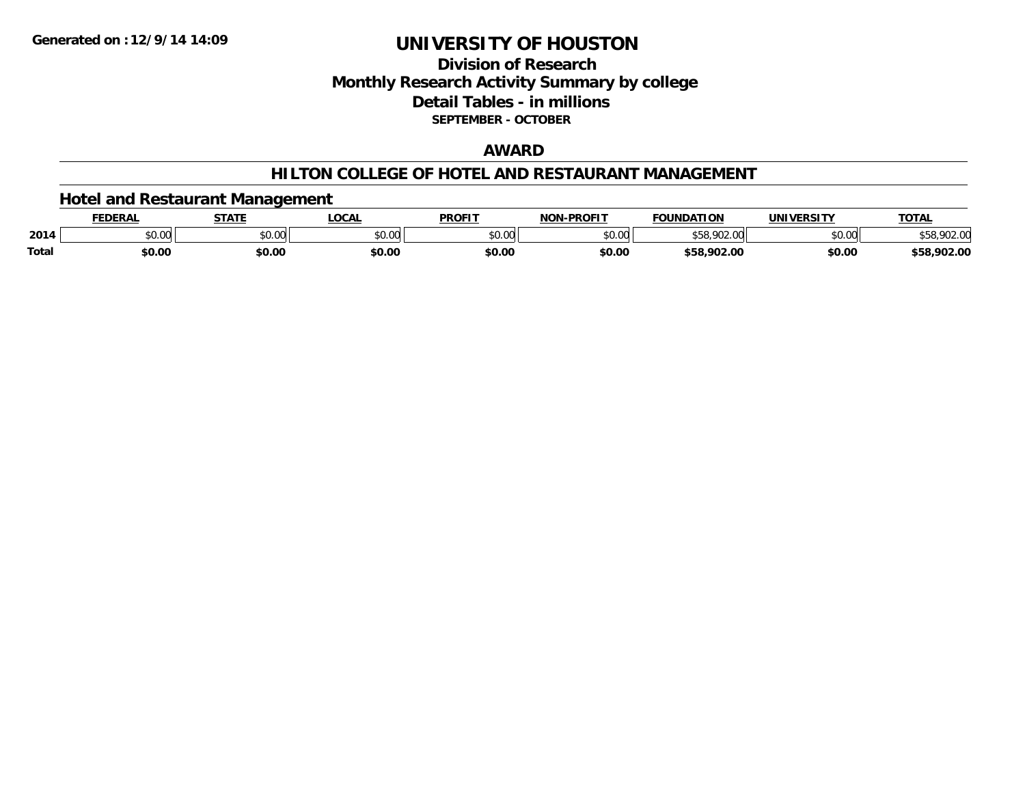### **Division of ResearchMonthly Research Activity Summary by college Detail Tables - in millions SEPTEMBER - OCTOBER**

#### **AWARD**

#### **HILTON COLLEGE OF HOTEL AND RESTAURANT MANAGEMENT**

#### **Hotel and Restaurant Management**

|       | <b>FEDERAI</b> | <b>STATE</b>                        | <b>LOCAL</b>             | <b>PROFIT</b> | NAN BRAFIT     | <b>FOLINDATION</b><br>10B | IINIIVEDCITV                         | <b>TOTAL</b> |
|-------|----------------|-------------------------------------|--------------------------|---------------|----------------|---------------------------|--------------------------------------|--------------|
| 2014  | 0000<br>PU.UU  | $\theta$ $\theta$ $\theta$<br>וטטוע | $n \cap \Omega$<br>DU.UU | \$0.00        | ልስ ሀህ<br>pv.uu | nn<br>ນວດ                 | $*$ $\circ$ $\circ$ $\circ$<br>vv.vv | 70Z.V        |
| Total | \$0.00         | \$0.00                              | \$0.00                   | \$0.00        | \$0.00         | \$58.902.00               | \$0.00                               | \$58,902.00  |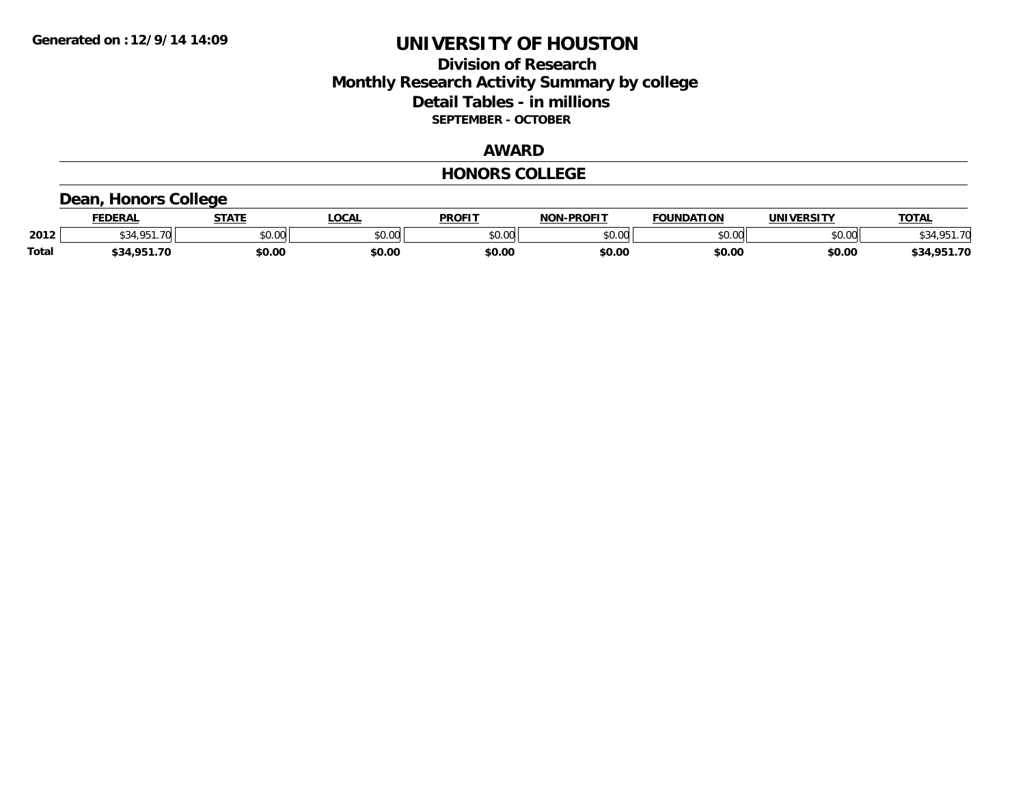#### **Division of Research Monthly Research Activity Summary by college Detail Tables - in millions SEPTEMBER - OCTOBER**

#### **AWARD**

#### **HONORS COLLEGE**

### **Dean, Honors College**

|       | <b>FEDERAL</b> | <b>STATE</b> | <b>OCAL</b>   | <b>PROFIT</b> | <b>NON-PROFIT</b> | <b>FOUNDATION</b> | UNIVERSITY | <b>TOTAL</b>    |
|-------|----------------|--------------|---------------|---------------|-------------------|-------------------|------------|-----------------|
| 2012  | 4 O.E.1<br>.70 | \$0.00       | 0000<br>vv.vv | \$0.00        | ልስ ለሰ<br>PU.UU    | \$0.00            | \$0.00     | \$34,951<br>-70 |
| Total | \$34,951.70    | \$0.00       | \$0.00        | \$0.00        | \$0.00            | \$0.00            | \$0.00     | \$34,951.70     |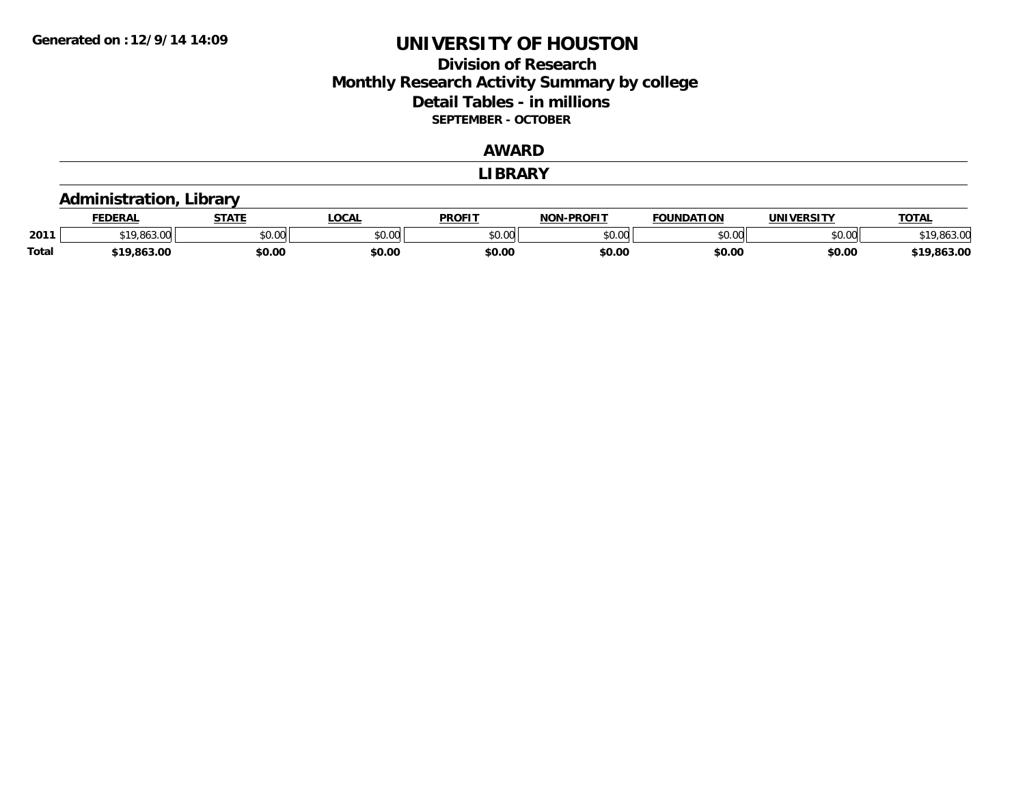#### **Division of Research Monthly Research Activity Summary by college Detail Tables - in millions SEPTEMBER - OCTOBER**

#### **AWARD**

**LIBRARY**

#### **Administration, Library**

|              | <b>FEDERAL</b> | <b>STATE</b> | <b>OCAL</b> | <b>PROFIT</b> | <b>DDAFIT</b><br><b>NON</b> | <b>FOUNDATION</b> | UNIVERSITY | <b>TOTAL</b> |
|--------------|----------------|--------------|-------------|---------------|-----------------------------|-------------------|------------|--------------|
| 2011         | $\sim$         | \$0.00       | vv.vv       | 0000<br>ט.טע  | $\sim$ 00<br>pu.uu          | \$0.00            | \$0.00     |              |
| <b>Total</b> | \$19.863.00    | \$0.00       | \$0.00      | \$0.00        | \$0.00                      | \$0.00            | \$0.00     | 63.00        |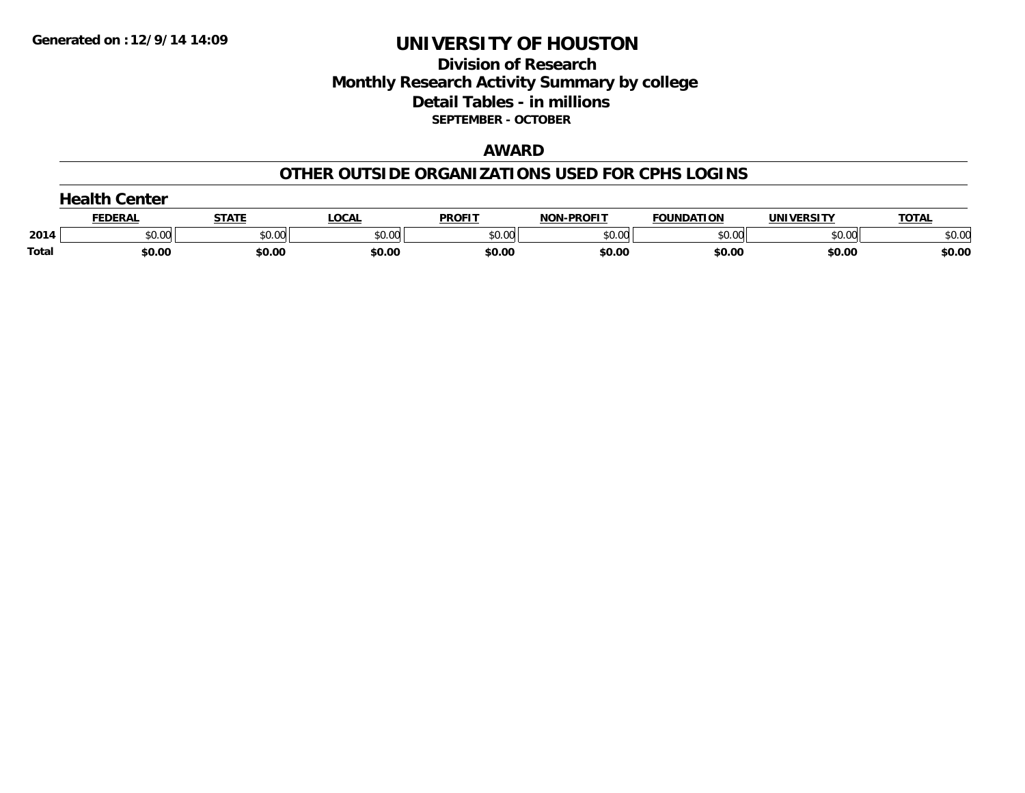#### **Division of Research Monthly Research Activity Summary by college Detail Tables - in millions SEPTEMBER - OCTOBER**

#### **AWARD**

#### **OTHER OUTSIDE ORGANIZATIONS USED FOR CPHS LOGINS**

| .<br>Center  |              |        |        |               |                   |                   |                   |              |
|--------------|--------------|--------|--------|---------------|-------------------|-------------------|-------------------|--------------|
|              | <b>EDERA</b> | STATI  | .OCAI  | <b>PROFIT</b> | <b>NON-PROFIT</b> | <b>FOUNDATION</b> | <b>UNIVERSITY</b> | <b>TOTAL</b> |
| 2014         | \$0.00       | \$0.00 | \$0.00 | \$0.00        | \$0.00            | \$0.00            | \$0.00            | \$0.00       |
| <b>Total</b> | \$0.00       | \$0.00 | \$0.00 | \$0.00        | \$0.00            | \$0.00            | \$0.00            | \$0.00       |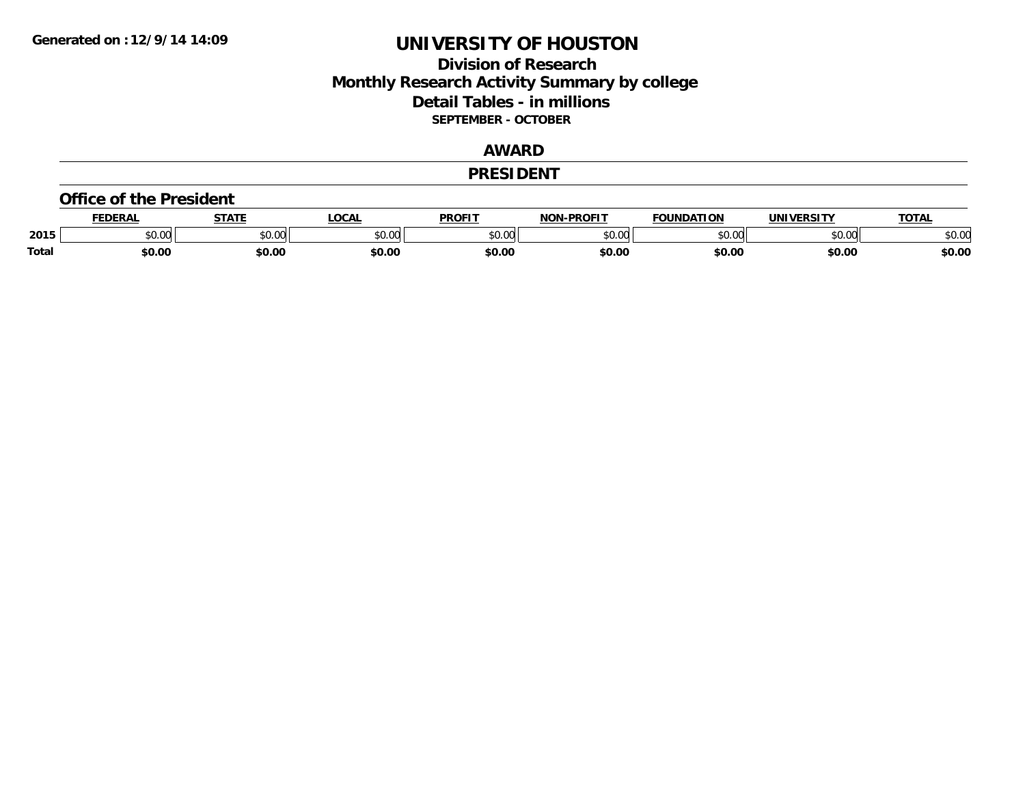#### **Division of Research Monthly Research Activity Summary by college Detail Tables - in millions SEPTEMBER - OCTOBER**

#### **AWARD**

#### **PRESIDENT**

#### **Office of the President**

|              | <b>DERAI</b> | <b>STATE</b>                                      | <b>OCAL</b> | <b>PROFIT</b> | <b>-PROFIT</b><br>NAR | <b>FOUNDATION</b> | <b>JNIVI</b><br><b>IEDCITY</b><br>3. J I | <b>TOTA</b>          |
|--------------|--------------|---------------------------------------------------|-------------|---------------|-----------------------|-------------------|------------------------------------------|----------------------|
| 2015         | \$0.00       | $\mathsf{A}\cap\mathsf{A}\cap\mathsf{A}$<br>JU.UU | \$0.00      | 0000<br>JU.UU | 0000<br>pu.uu         | 0000<br>w.w       | nn na<br>,uu                             | 0000<br><b>DU.UU</b> |
| <b>Total</b> | \$0.00       | \$0.00                                            | \$0.00      | \$0.00        | \$0.00                | \$0.00            | \$0.00                                   | \$0.00               |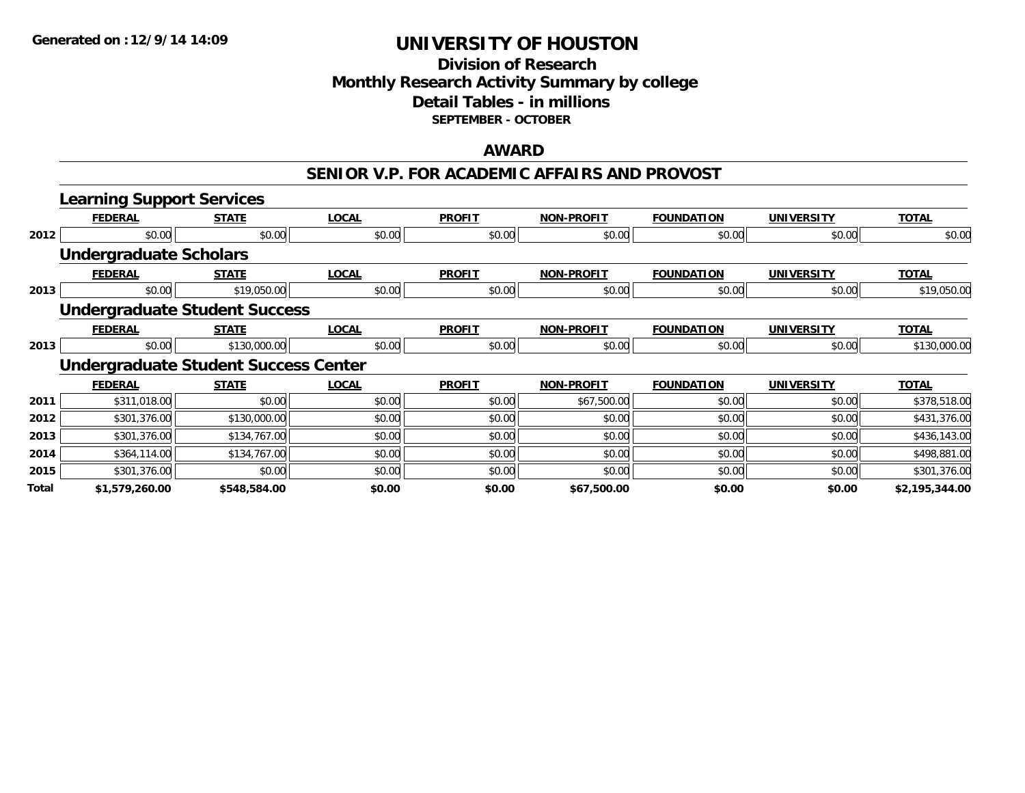#### **Division of Research Monthly Research Activity Summary by college Detail Tables - in millions SEPTEMBER - OCTOBER**

#### **AWARD**

#### **SENIOR V.P. FOR ACADEMIC AFFAIRS AND PROVOST**

|              | <b>Learning Support Services</b>            |              |              |               |                   |                   |                   |                |
|--------------|---------------------------------------------|--------------|--------------|---------------|-------------------|-------------------|-------------------|----------------|
|              | <b>FEDERAL</b>                              | <b>STATE</b> | <b>LOCAL</b> | <b>PROFIT</b> | <b>NON-PROFIT</b> | <b>FOUNDATION</b> | <b>UNIVERSITY</b> | <b>TOTAL</b>   |
| 2012         | \$0.00                                      | \$0.00       | \$0.00       | \$0.00        | \$0.00            | \$0.00            | \$0.00            | \$0.00         |
|              | <b>Undergraduate Scholars</b>               |              |              |               |                   |                   |                   |                |
|              | <b>FEDERAL</b>                              | <b>STATE</b> | <b>LOCAL</b> | <b>PROFIT</b> | <b>NON-PROFIT</b> | <b>FOUNDATION</b> | <b>UNIVERSITY</b> | <b>TOTAL</b>   |
| 2013         | \$0.00                                      | \$19,050.00  | \$0.00       | \$0.00        | \$0.00            | \$0.00            | \$0.00            | \$19,050.00    |
|              | <b>Undergraduate Student Success</b>        |              |              |               |                   |                   |                   |                |
|              | <b>FEDERAL</b>                              | <b>STATE</b> | <b>LOCAL</b> | <b>PROFIT</b> | <b>NON-PROFIT</b> | <b>FOUNDATION</b> | <b>UNIVERSITY</b> | <b>TOTAL</b>   |
| 2013         | \$0.00                                      | \$130,000.00 | \$0.00       | \$0.00        | \$0.00            | \$0.00            | \$0.00            | \$130,000.00   |
|              | <b>Undergraduate Student Success Center</b> |              |              |               |                   |                   |                   |                |
|              | <b>FEDERAL</b>                              | <b>STATE</b> | <b>LOCAL</b> | <b>PROFIT</b> | <b>NON-PROFIT</b> | <b>FOUNDATION</b> | <b>UNIVERSITY</b> | <b>TOTAL</b>   |
| 2011         | \$311,018.00                                | \$0.00       | \$0.00       | \$0.00        | \$67,500.00       | \$0.00            | \$0.00            | \$378,518.00   |
| 2012         | \$301,376.00                                | \$130,000.00 | \$0.00       | \$0.00        | \$0.00            | \$0.00            | \$0.00            | \$431,376.00   |
| 2013         | \$301,376.00                                | \$134,767.00 | \$0.00       | \$0.00        | \$0.00            | \$0.00            | \$0.00            | \$436,143.00   |
| 2014         | \$364,114.00                                | \$134,767.00 | \$0.00       | \$0.00        | \$0.00            | \$0.00            | \$0.00            | \$498,881.00   |
| 2015         | \$301,376.00                                | \$0.00       | \$0.00       | \$0.00        | \$0.00            | \$0.00            | \$0.00            | \$301,376.00   |
| <b>Total</b> | \$1,579,260.00                              | \$548,584.00 | \$0.00       | \$0.00        | \$67,500.00       | \$0.00            | \$0.00            | \$2,195,344.00 |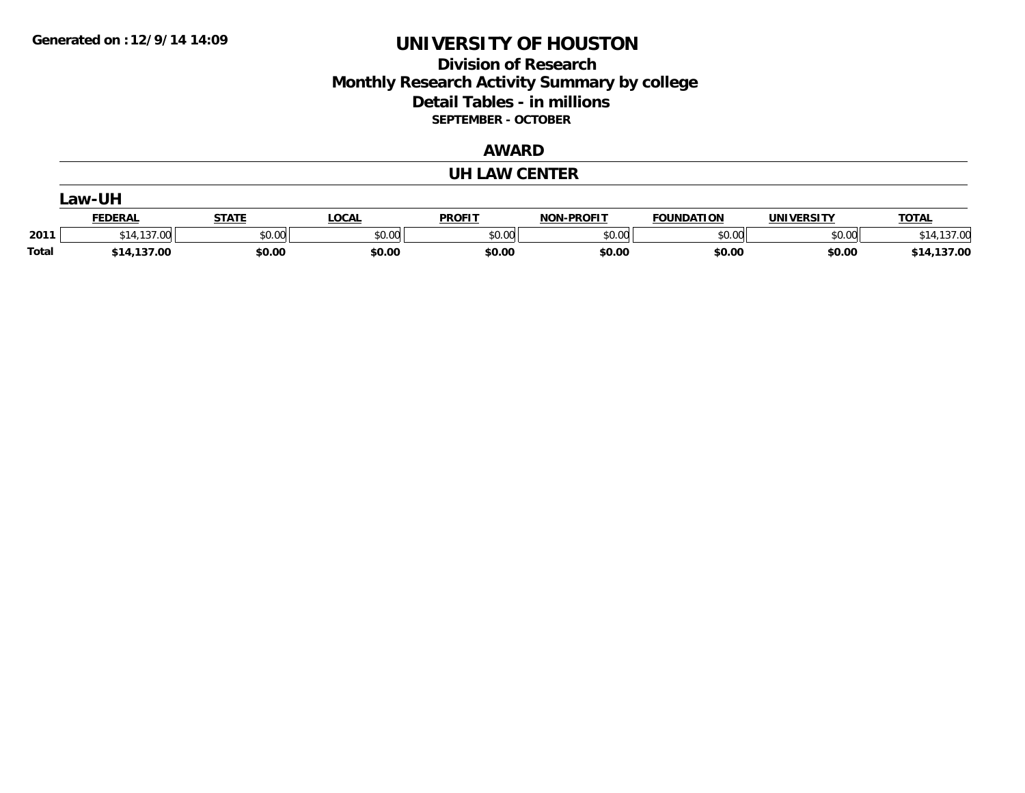### **Division of Research Monthly Research Activity Summary by college Detail Tables - in millions SEPTEMBER - OCTOBER**

#### **AWARD**

#### **UH LAW CENTER**

|              | _aw-UH      |        |        |               |                   |                   |            |                |  |  |  |
|--------------|-------------|--------|--------|---------------|-------------------|-------------------|------------|----------------|--|--|--|
|              | FEDERAL     | STATE  | _OCAL  | <b>PROFIT</b> | <b>NON-PROFIT</b> | <b>FOUNDATION</b> | UNIVERSITY | <u>TOTAL</u>   |  |  |  |
| 2011         | \$14,137.00 | \$0.00 | \$0.00 | \$0.00        | \$0.00            | \$0.00            | \$0.00     | .137.00        |  |  |  |
| <b>Total</b> | \$14,137.00 | \$0.00 | \$0.00 | \$0.00        | \$0.00            | \$0.00            | \$0.00     | 137.00<br>\$14 |  |  |  |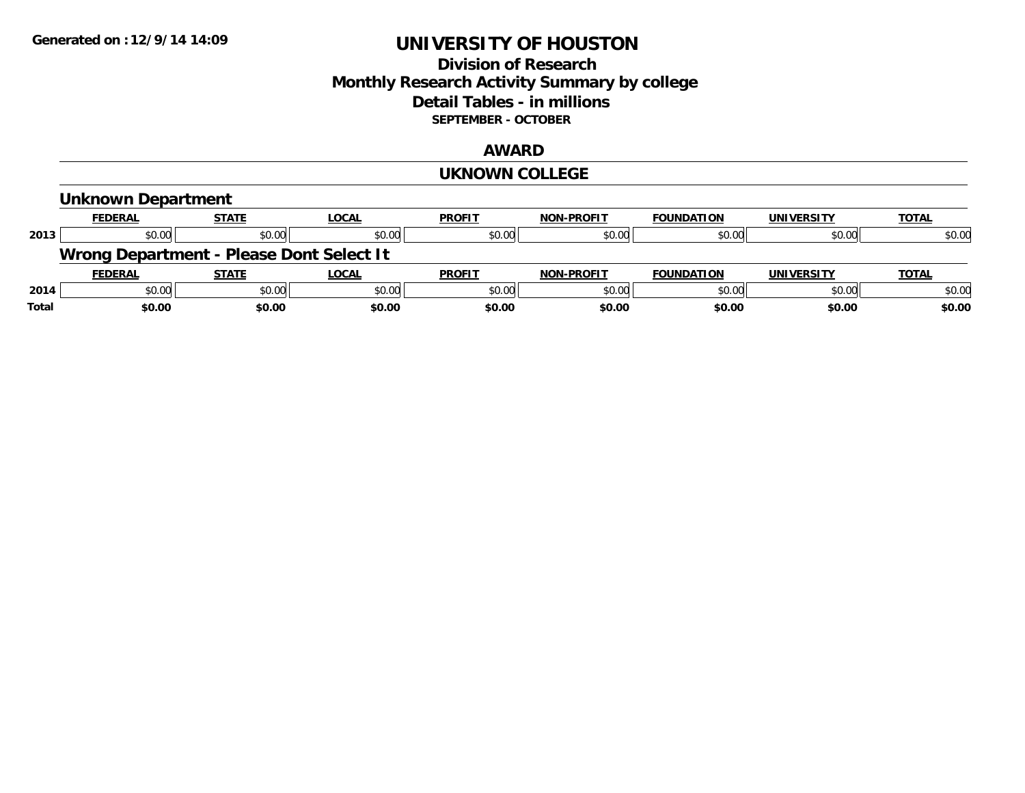### **Division of Research Monthly Research Activity Summary by college Detail Tables - in millions SEPTEMBER - OCTOBER**

#### **AWARD**

#### **UKNOWN COLLEGE**

|       | Unknown Department                       |              |              |               |                   |                   |                   |              |
|-------|------------------------------------------|--------------|--------------|---------------|-------------------|-------------------|-------------------|--------------|
|       | <b>FEDERAL</b>                           | <b>STATE</b> | LOCAL        | <b>PROFIT</b> | <b>NON-PROFIT</b> | <b>FOUNDATION</b> | <b>UNIVERSITY</b> | <b>TOTAL</b> |
| 2013  | \$0.00                                   | \$0.00       | \$0.00       | \$0.00        | \$0.00            | \$0.00            | \$0.00            | \$0.00       |
|       | Wrong Department - Please Dont Select It |              |              |               |                   |                   |                   |              |
|       | <b>FEDERAL</b>                           | <b>STATE</b> | <u>LOCAL</u> | <b>PROFIT</b> | <b>NON-PROFIT</b> | <b>FOUNDATION</b> | <b>UNIVERSITY</b> | <b>TOTAL</b> |
| 2014  | \$0.00                                   | \$0.00       | \$0.00       | \$0.00        | \$0.00            | \$0.00            | \$0.00            | \$0.00       |
| Total | \$0.00                                   | \$0.00       | \$0.00       | \$0.00        | \$0.00            | \$0.00            | \$0.00            | \$0.00       |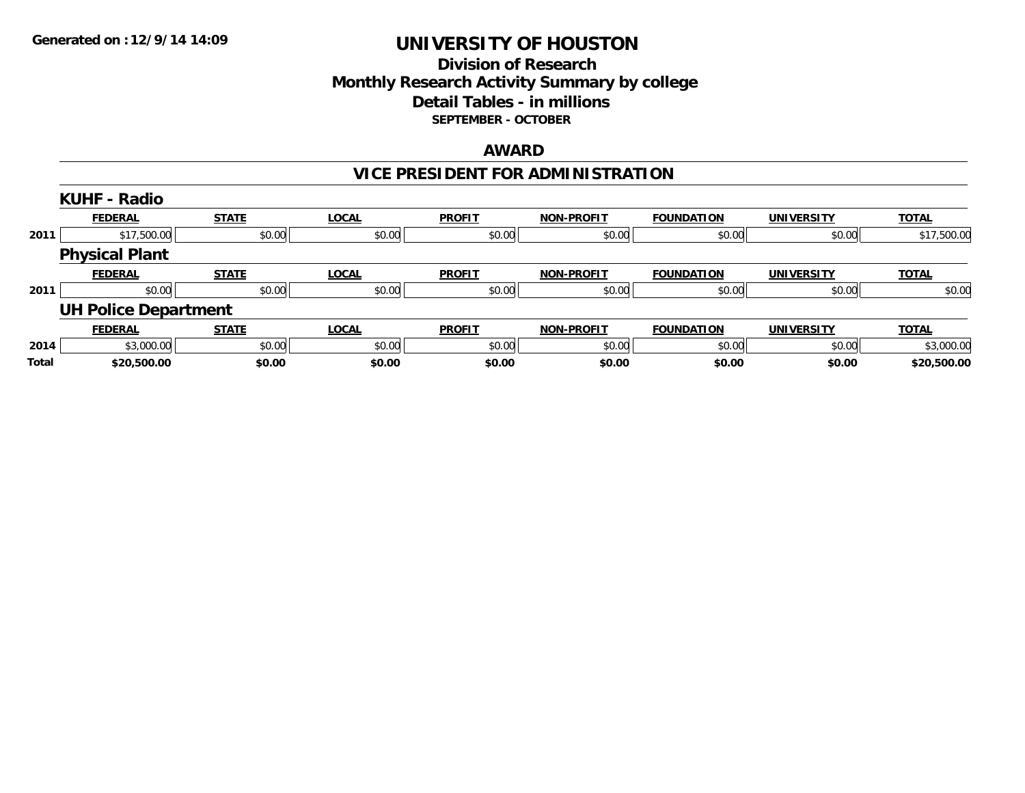#### **Division of Research Monthly Research Activity Summary by college Detail Tables - in millions SEPTEMBER - OCTOBER**

#### **AWARD**

## **VICE PRESIDENT FOR ADMINISTRATION**

|       | <b>KUHF - Radio</b>         |              |              |               |                   |                   |                   |              |
|-------|-----------------------------|--------------|--------------|---------------|-------------------|-------------------|-------------------|--------------|
|       | <b>FEDERAL</b>              | <b>STATE</b> | <b>LOCAL</b> | <b>PROFIT</b> | <b>NON-PROFIT</b> | <b>FOUNDATION</b> | <b>UNIVERSITY</b> | <b>TOTAL</b> |
| 2011  | \$17,500.00                 | \$0.00       | \$0.00       | \$0.00        | \$0.00            | \$0.00            | \$0.00            | \$17,500.00  |
|       | <b>Physical Plant</b>       |              |              |               |                   |                   |                   |              |
|       | <b>FEDERAL</b>              | <b>STATE</b> | <b>LOCAL</b> | <b>PROFIT</b> | NON-PROFIT        | <b>FOUNDATION</b> | <b>UNIVERSITY</b> | <b>TOTAL</b> |
| 2011  | \$0.00                      | \$0.00       | \$0.00       | \$0.00        | \$0.00            | \$0.00            | \$0.00            | \$0.00       |
|       | <b>UH Police Department</b> |              |              |               |                   |                   |                   |              |
|       | <b>FEDERAL</b>              | <b>STATE</b> | <b>LOCAL</b> | <b>PROFIT</b> | <b>NON-PROFIT</b> | <b>FOUNDATION</b> | <b>UNIVERSITY</b> | <b>TOTAL</b> |
| 2014  | \$3,000.00                  | \$0.00       | \$0.00       | \$0.00        | \$0.00            | \$0.00            | \$0.00            | \$3,000.00   |
| Total | \$20,500.00                 | \$0.00       | \$0.00       | \$0.00        | \$0.00            | \$0.00            | \$0.00            | \$20,500.00  |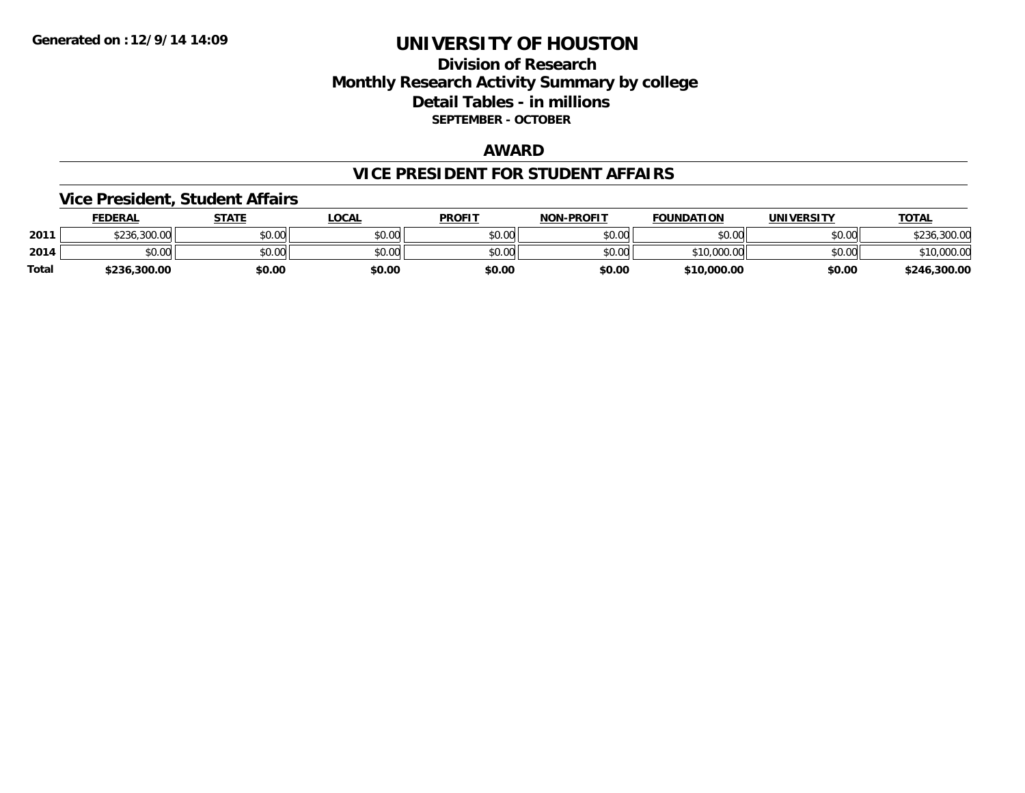#### **Division of Research Monthly Research Activity Summary by college Detail Tables - in millions SEPTEMBER - OCTOBER**

#### **AWARD**

#### **VICE PRESIDENT FOR STUDENT AFFAIRS**

#### **Vice President, Student Affairs**

|       | <b>FEDERAL</b> | STATE  | LOCAL  | <b>PROFIT</b> | <b>NON-PROFIT</b> | <b>FOUNDATION</b> | <b>UNIVERSITY</b> | <u>TOTAL</u> |
|-------|----------------|--------|--------|---------------|-------------------|-------------------|-------------------|--------------|
| 2011  | \$236,300.00   | \$0.00 | \$0.00 | \$0.00        | \$0.00            | \$0.00            | \$0.00            | 300.00,      |
| 2014  | \$0.00         | \$0.00 | \$0.00 | \$0.00        | \$0.00            | \$10,000.00       | \$0.00            | \$10,000.00  |
| Total | \$236,300.00   | \$0.00 | \$0.00 | \$0.00        | \$0.00            | \$10,000.00       | \$0.00            | \$246,300.00 |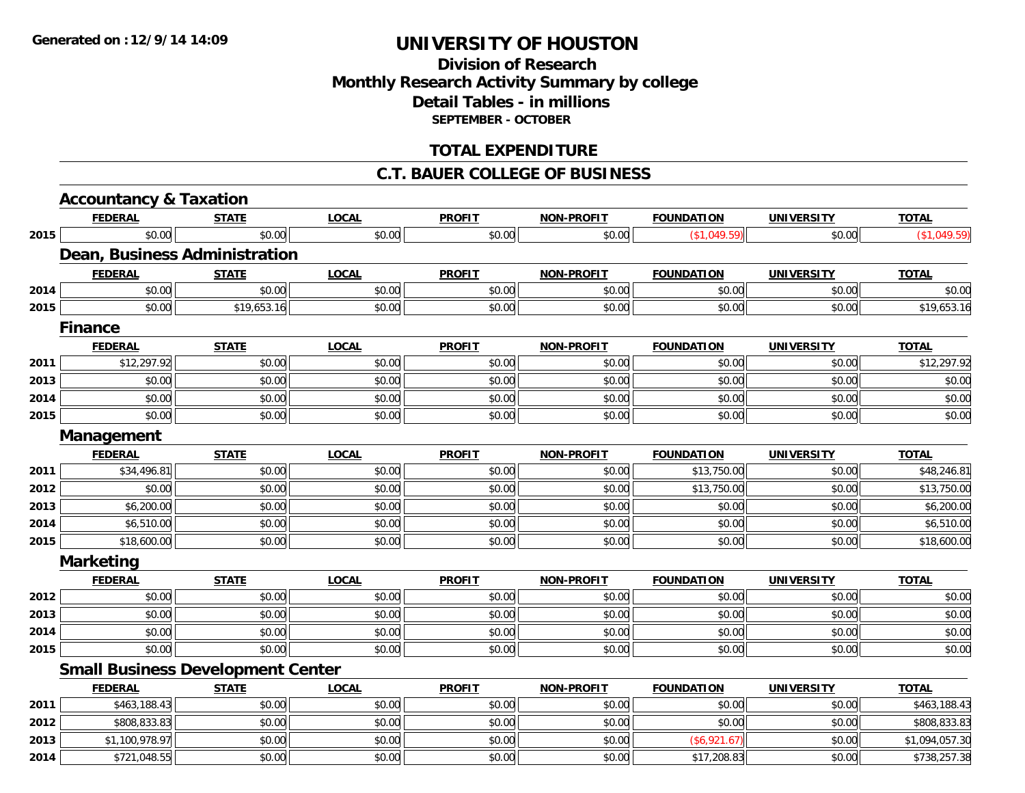### **Division of ResearchMonthly Research Activity Summary by college Detail Tables - in millions SEPTEMBER - OCTOBER**

#### **TOTAL EXPENDITURE**

#### **C.T. BAUER COLLEGE OF BUSINESS**

|      | <b>Accountancy &amp; Taxation</b> |                                          |              |               |                   |                   |                   |                |
|------|-----------------------------------|------------------------------------------|--------------|---------------|-------------------|-------------------|-------------------|----------------|
|      | <b>FEDERAL</b>                    | <b>STATE</b>                             | <b>LOCAL</b> | <b>PROFIT</b> | <b>NON-PROFIT</b> | <b>FOUNDATION</b> | <b>UNIVERSITY</b> | <b>TOTAL</b>   |
| 2015 | \$0.00                            | \$0.00                                   | \$0.00       | \$0.00        | \$0.00            | (\$1,049.59)      | \$0.00            | (\$1,049.59)   |
|      |                                   | Dean, Business Administration            |              |               |                   |                   |                   |                |
|      | <b>FEDERAL</b>                    | <b>STATE</b>                             | <b>LOCAL</b> | <b>PROFIT</b> | <b>NON-PROFIT</b> | <b>FOUNDATION</b> | <b>UNIVERSITY</b> | <b>TOTAL</b>   |
| 2014 | \$0.00                            | \$0.00                                   | \$0.00       | \$0.00        | \$0.00            | \$0.00            | \$0.00            | \$0.00         |
| 2015 | \$0.00                            | \$19,653.16                              | \$0.00       | \$0.00        | \$0.00            | \$0.00            | \$0.00            | \$19,653.16    |
|      | <b>Finance</b>                    |                                          |              |               |                   |                   |                   |                |
|      | <b>FEDERAL</b>                    | <b>STATE</b>                             | <b>LOCAL</b> | <b>PROFIT</b> | <b>NON-PROFIT</b> | <b>FOUNDATION</b> | <b>UNIVERSITY</b> | <b>TOTAL</b>   |
| 2011 | \$12,297.92                       | \$0.00                                   | \$0.00       | \$0.00        | \$0.00            | \$0.00            | \$0.00            | \$12,297.92    |
| 2013 | \$0.00                            | \$0.00                                   | \$0.00       | \$0.00        | \$0.00            | \$0.00            | \$0.00            | \$0.00         |
| 2014 | \$0.00                            | \$0.00                                   | \$0.00       | \$0.00        | \$0.00            | \$0.00            | \$0.00            | \$0.00         |
| 2015 | \$0.00                            | \$0.00                                   | \$0.00       | \$0.00        | \$0.00            | \$0.00            | \$0.00            | \$0.00         |
|      | Management                        |                                          |              |               |                   |                   |                   |                |
|      | <b>FEDERAL</b>                    | <b>STATE</b>                             | <b>LOCAL</b> | <b>PROFIT</b> | <b>NON-PROFIT</b> | <b>FOUNDATION</b> | <b>UNIVERSITY</b> | <b>TOTAL</b>   |
| 2011 | \$34,496.81                       | \$0.00                                   | \$0.00       | \$0.00        | \$0.00            | \$13,750.00       | \$0.00            | \$48,246.81    |
| 2012 | \$0.00                            | \$0.00                                   | \$0.00       | \$0.00        | \$0.00            | \$13,750.00       | \$0.00            | \$13,750.00    |
| 2013 | \$6,200.00                        | \$0.00                                   | \$0.00       | \$0.00        | \$0.00            | \$0.00            | \$0.00            | \$6,200.00     |
| 2014 | \$6,510.00                        | \$0.00                                   | \$0.00       | \$0.00        | \$0.00            | \$0.00            | \$0.00            | \$6,510.00     |
| 2015 | \$18,600.00                       | \$0.00                                   | \$0.00       | \$0.00        | \$0.00            | \$0.00            | \$0.00            | \$18,600.00    |
|      | <b>Marketing</b>                  |                                          |              |               |                   |                   |                   |                |
|      | <b>FEDERAL</b>                    | <b>STATE</b>                             | <b>LOCAL</b> | <b>PROFIT</b> | <b>NON-PROFIT</b> | <b>FOUNDATION</b> | <b>UNIVERSITY</b> | <b>TOTAL</b>   |
| 2012 | \$0.00                            | \$0.00                                   | \$0.00       | \$0.00        | \$0.00            | \$0.00            | \$0.00            | \$0.00         |
| 2013 | \$0.00                            | \$0.00                                   | \$0.00       | \$0.00        | \$0.00            | \$0.00            | \$0.00            | \$0.00         |
| 2014 | \$0.00                            | \$0.00                                   | \$0.00       | \$0.00        | \$0.00            | \$0.00            | \$0.00            | \$0.00         |
| 2015 | \$0.00                            | \$0.00                                   | \$0.00       | \$0.00        | \$0.00            | \$0.00            | \$0.00            | \$0.00         |
|      |                                   | <b>Small Business Development Center</b> |              |               |                   |                   |                   |                |
|      | <b>FEDERAL</b>                    | <b>STATE</b>                             | <b>LOCAL</b> | <b>PROFIT</b> | <b>NON-PROFIT</b> | <b>FOUNDATION</b> | <b>UNIVERSITY</b> | <b>TOTAL</b>   |
| 2011 | \$463,188.43                      | \$0.00                                   | \$0.00       | \$0.00        | \$0.00            | \$0.00            | \$0.00            | \$463,188.43   |
| 2012 | \$808,833.83                      | \$0.00                                   | \$0.00       | \$0.00        | \$0.00            | \$0.00            | \$0.00            | \$808,833.83   |
| 2013 | \$1,100,978.97                    | \$0.00                                   | \$0.00       | \$0.00        | \$0.00            | (\$6,921.67)      | \$0.00            | \$1,094,057.30 |
| 2014 | \$721,048.55                      | \$0.00                                   | \$0.00       | \$0.00        | \$0.00            | \$17,208.83       | \$0.00            | \$738,257.38   |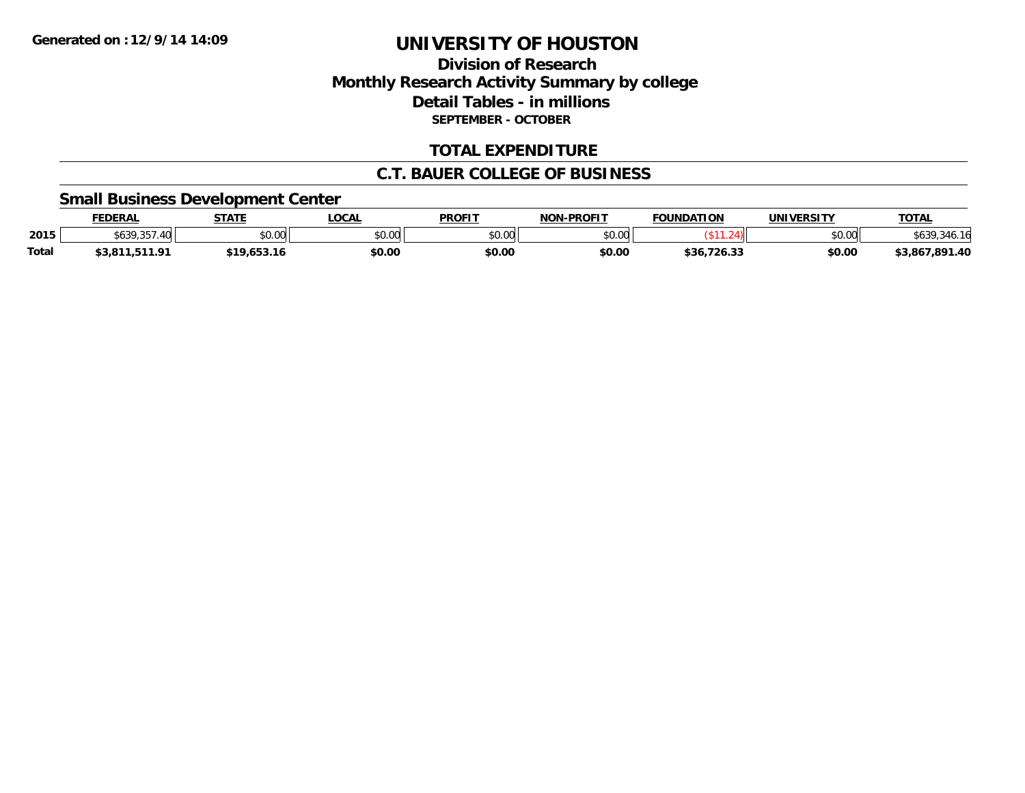### **Division of ResearchMonthly Research Activity Summary by college Detail Tables - in millions SEPTEMBER - OCTOBER**

#### **TOTAL EXPENDITURE**

#### **C.T. BAUER COLLEGE OF BUSINESS**

#### **Small Business Development Center**

|              | <b>FEDERAL</b>            | <b>STATE</b> | LOCAI         | <b>PROFIT</b> | <b>-PROFIT</b><br><b>NON</b> | <b>FOUNDATION</b> | <b>UNIVERSITY</b> | <b>TOTAL</b>   |
|--------------|---------------------------|--------------|---------------|---------------|------------------------------|-------------------|-------------------|----------------|
| 2015         | ATOOT<br>.40<br>\$639,357 | \$0.00       | 0000<br>vv.vv | \$0.00        | \$0.00                       |                   | \$0.00            | າວວ            |
| <b>Total</b> | 11.01<br>JJ.OI            | \$19.653.16  | \$0.00        | \$0.00        | \$0.00                       | \$36.<br>726.33   | \$0.00            | \$3,867,891.40 |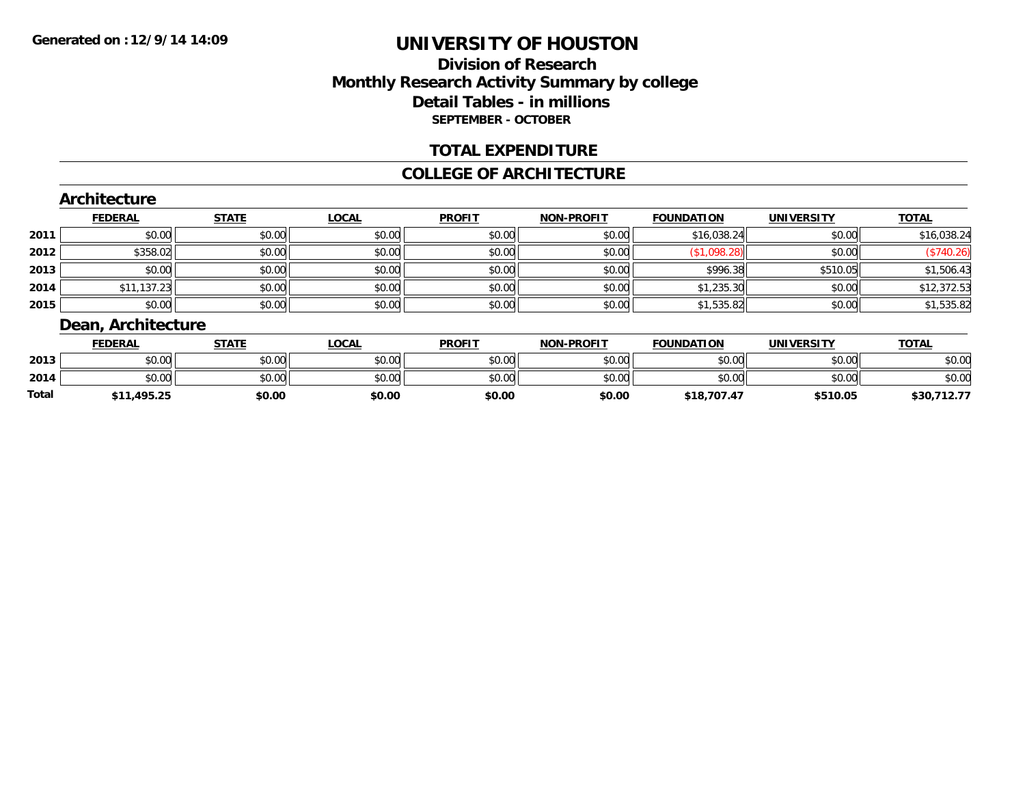### **Division of ResearchMonthly Research Activity Summary by college Detail Tables - in millions SEPTEMBER - OCTOBER**

#### **TOTAL EXPENDITURE**

#### **COLLEGE OF ARCHITECTURE**

#### **Architecture**

|      | <b>FEDERAL</b> | <b>STATE</b> | <b>LOCAL</b> | <b>PROFIT</b> | <b>NON-PROFIT</b> | <b>FOUNDATION</b> | <b>UNIVERSITY</b> | <b>TOTAL</b> |
|------|----------------|--------------|--------------|---------------|-------------------|-------------------|-------------------|--------------|
| 2011 | \$0.00         | \$0.00       | \$0.00       | \$0.00        | \$0.00            | \$16,038.24       | \$0.00            | \$16,038.24  |
| 2012 | \$358.02       | \$0.00       | \$0.00       | \$0.00        | \$0.00            | \$1,098.28        | \$0.00            | (\$740.26)   |
| 2013 | \$0.00         | \$0.00       | \$0.00       | \$0.00        | \$0.00            | \$996.38          | \$510.05          | \$1,506.43   |
| 2014 | \$11,137.23    | \$0.00       | \$0.00       | \$0.00        | \$0.00            | \$1,235.30        | \$0.00            | \$12,372.53  |
| 2015 | \$0.00         | \$0.00       | \$0.00       | \$0.00        | \$0.00            | \$1,535.82        | \$0.00            | \$1,535.82   |

#### **Dean, Architecture**

|       | <b>FEDERAL</b> | <b>STATE</b> | <b>LOCAL</b> | <b>PROFIT</b> | <b>NON-PROFIT</b> | <b>FOUNDATION</b> | UNIVERSITY | <b>TOTAL</b>   |
|-------|----------------|--------------|--------------|---------------|-------------------|-------------------|------------|----------------|
| 2013  | \$0.00         | \$0.00       | \$0.00       | \$0.00        | \$0.00            | \$0.00            | \$0.00     | \$0.00         |
| 2014  | \$0.00         | \$0.00       | \$0.00       | \$0.00        | \$0.00            | \$0.00            | \$0.00     | \$0.00         |
| Total | \$11,495.25    | \$0.00       | \$0.00       | \$0.00        | \$0.00            | \$18,707.47       | \$510.05   | \$30,<br>14. I |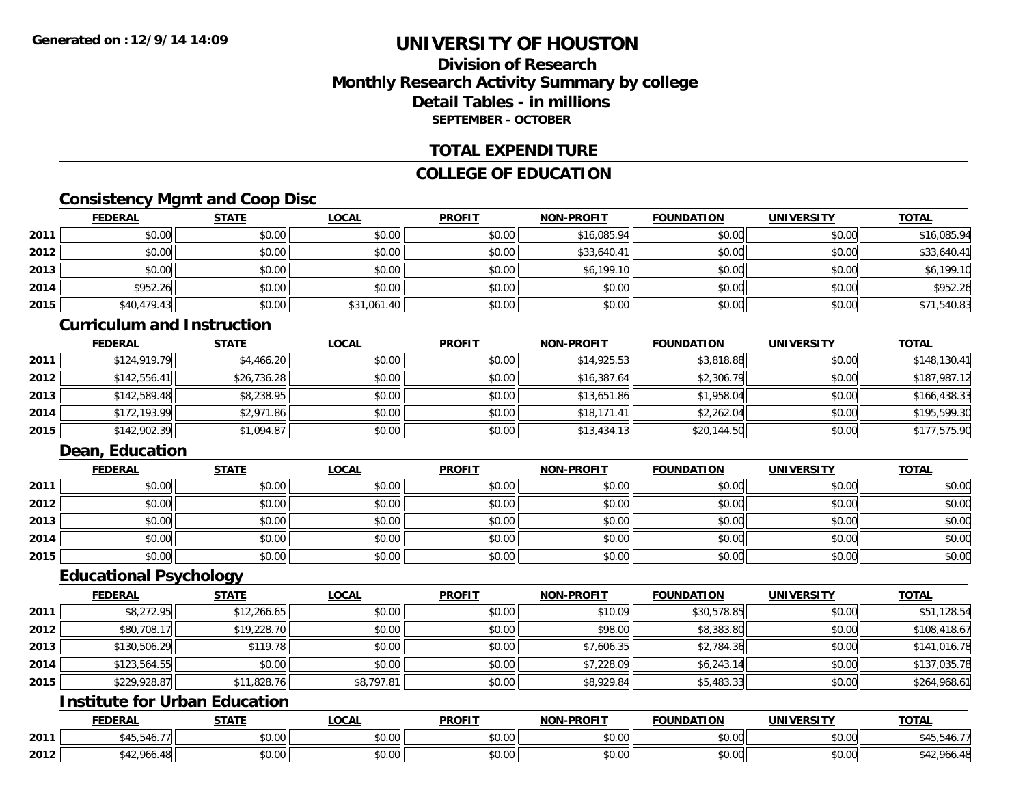### **Division of ResearchMonthly Research Activity Summary by college Detail Tables - in millionsSEPTEMBER - OCTOBER**

#### **TOTAL EXPENDITURE**

#### **COLLEGE OF EDUCATION**

### **Consistency Mgmt and Coop Disc**

|      | <b>FEDERAL</b> | <b>STATE</b> | <b>LOCAL</b> | <b>PROFIT</b> | NON-PROFIT  | <b>FOUNDATION</b> | <b>UNIVERSITY</b> | <b>TOTAL</b> |
|------|----------------|--------------|--------------|---------------|-------------|-------------------|-------------------|--------------|
| 2011 | \$0.00         | \$0.00       | \$0.00       | \$0.00        | \$16,085.94 | \$0.00            | \$0.00            | \$16,085.94  |
| 2012 | \$0.00         | \$0.00       | \$0.00       | \$0.00        | \$33,640.41 | \$0.00            | \$0.00            | \$33,640.41  |
| 2013 | \$0.00         | \$0.00       | \$0.00       | \$0.00        | \$6,199.10  | \$0.00            | \$0.00            | \$6,199.10   |
| 2014 | \$952.26       | \$0.00       | \$0.00       | \$0.00        | \$0.00      | \$0.00            | \$0.00            | \$952.26     |
| 2015 | \$40,479.43    | \$0.00       | \$31,061.40  | \$0.00        | \$0.00      | \$0.00            | \$0.00            | \$71,540.83  |

#### **Curriculum and Instruction**

|      | <b>FEDERAL</b> | <b>STATE</b> | <b>LOCAL</b> | <b>PROFIT</b> | <b>NON-PROFIT</b> | <b>FOUNDATION</b> | <b>UNIVERSITY</b> | <b>TOTAL</b> |
|------|----------------|--------------|--------------|---------------|-------------------|-------------------|-------------------|--------------|
| 2011 | \$124,919.79   | \$4,466.20   | \$0.00       | \$0.00        | \$14,925.53       | \$3,818.88        | \$0.00            | \$148,130.41 |
| 2012 | \$142,556.41   | \$26,736.28  | \$0.00       | \$0.00        | \$16,387.64       | \$2,306.79        | \$0.00            | \$187,987.12 |
| 2013 | \$142,589.48   | \$8,238.95   | \$0.00       | \$0.00        | \$13,651.86       | \$1,958.04        | \$0.00            | \$166,438.33 |
| 2014 | \$172,193.99   | \$2,971.86   | \$0.00       | \$0.00        | \$18,171.41       | \$2,262.04        | \$0.00            | \$195,599.30 |
| 2015 | \$142,902.39   | \$1,094.87   | \$0.00       | \$0.00        | \$13,434.13       | \$20,144.50       | \$0.00            | \$177,575.90 |

### **Dean, Education**

|      | <b>FEDERAL</b> | <b>STATE</b> | <u>LOCAL</u> | <b>PROFIT</b> | <b>NON-PROFIT</b> | <b>FOUNDATION</b> | <b>UNIVERSITY</b> | <b>TOTAL</b> |
|------|----------------|--------------|--------------|---------------|-------------------|-------------------|-------------------|--------------|
| 2011 | \$0.00         | \$0.00       | \$0.00       | \$0.00        | \$0.00            | \$0.00            | \$0.00            | \$0.00       |
| 2012 | \$0.00         | \$0.00       | \$0.00       | \$0.00        | \$0.00            | \$0.00            | \$0.00            | \$0.00       |
| 2013 | \$0.00         | \$0.00       | \$0.00       | \$0.00        | \$0.00            | \$0.00            | \$0.00            | \$0.00       |
| 2014 | \$0.00         | \$0.00       | \$0.00       | \$0.00        | \$0.00            | \$0.00            | \$0.00            | \$0.00       |
| 2015 | \$0.00         | \$0.00       | \$0.00       | \$0.00        | \$0.00            | \$0.00            | \$0.00            | \$0.00       |

#### **Educational Psychology**

|      | <b>FEDERAL</b> | <b>STATE</b> | <b>LOCAL</b> | <b>PROFIT</b> | <b>NON-PROFIT</b> | <b>FOUNDATION</b> | <b>UNIVERSITY</b> | <b>TOTAL</b> |
|------|----------------|--------------|--------------|---------------|-------------------|-------------------|-------------------|--------------|
| 2011 | \$8,272.95     | \$12,266.65  | \$0.00       | \$0.00        | \$10.09           | \$30,578.85       | \$0.00            | \$51,128.54  |
| 2012 | \$80,708.17    | \$19,228.70  | \$0.00       | \$0.00        | \$98.00           | \$8,383.80        | \$0.00            | \$108,418.67 |
| 2013 | \$130,506.29   | \$119.78     | \$0.00       | \$0.00        | \$7,606.35        | \$2,784.36        | \$0.00            | \$141,016.78 |
| 2014 | \$123,564.55   | \$0.00       | \$0.00       | \$0.00        | \$7,228.09        | \$6,243.14        | \$0.00            | \$137,035.78 |
| 2015 | \$229,928.87   | \$11,828.76  | \$8,797.81   | \$0.00        | \$8,929.84        | \$5,483.33        | \$0.00            | \$264,968.61 |

## **Institute for Urban Education**

|      | <b>FEDERAL</b>                   | <b>STATE</b> | <b>LOCAL</b>              | <b>PROFIT</b>        | <b>NON-PROFIT</b>    | <b>FOUNDATION</b> | UNIVERSITY                | <b>TOTAL</b> |
|------|----------------------------------|--------------|---------------------------|----------------------|----------------------|-------------------|---------------------------|--------------|
| 2011 | ደ ⊿ ፍ<br>.45.540.77              | \$0.00       | $\sim$<br>$\sim$<br>vv.vv | 0.001<br>DU.UU       | 0.00<br>DU.UU        | \$0.00            | $\sim$ 00<br><b>JU.UU</b> |              |
| 2012 | <b>CAO CAS</b><br>$\overline{1}$ | \$0.00       | ሖ ∩<br>$\sim$<br>vu.uu    | 0000<br><b>DU.UU</b> | 0.00<br><b>DU.UU</b> | \$0.00            | $\sim$ 00<br><b>JU.UU</b> | 064          |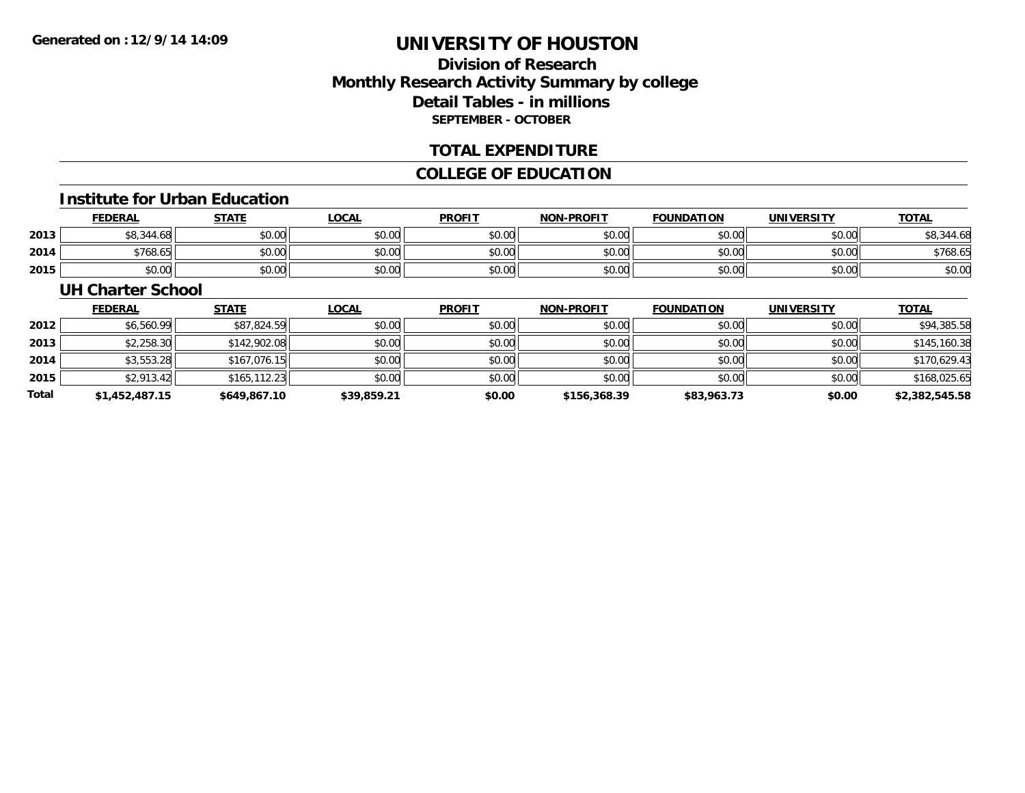### **Division of ResearchMonthly Research Activity Summary by college Detail Tables - in millions SEPTEMBER - OCTOBER**

#### **TOTAL EXPENDITURE**

#### **COLLEGE OF EDUCATION**

#### **Institute for Urban Education**

|      | <b>FEDERAL</b> | <b>STATE</b> | LOCAL  | <b>PROFIT</b> | <b>NON-PROFIT</b> | <b>FOUNDATION</b> | <b>UNIVERSITY</b> | <b>TOTAL</b>   |
|------|----------------|--------------|--------|---------------|-------------------|-------------------|-------------------|----------------|
| 2013 | \$8,344.68     | \$0.00       | \$0.00 | \$0.00        | \$0.00            | \$0.00            | \$0.00            | ,344.68<br>.১০ |
| 2014 | \$768.65       | \$0.00       | \$0.00 | \$0.00        | \$0.00            | \$0.00            | \$0.00            | \$768.65       |
| 2015 | \$0.00         | \$0.00       | \$0.00 | \$0.00        | \$0.00            | \$0.00            | \$0.00            | \$0.00         |

#### **UH Charter School**

|       | <b>FEDERAL</b> | <b>STATE</b> | <b>LOCAL</b> | <b>PROFIT</b> | <b>NON-PROFIT</b> | <b>FOUNDATION</b> | <b>UNIVERSITY</b> | <b>TOTAL</b>   |
|-------|----------------|--------------|--------------|---------------|-------------------|-------------------|-------------------|----------------|
| 2012  | \$6,560.99     | \$87,824.59  | \$0.00       | \$0.00        | \$0.00            | \$0.00            | \$0.00            | \$94,385.58    |
| 2013  | \$2,258.30     | \$142,902.08 | \$0.00       | \$0.00        | \$0.00            | \$0.00            | \$0.00            | \$145,160.38   |
| 2014  | \$3,553.28     | \$167,076.15 | \$0.00       | \$0.00        | \$0.00            | \$0.00            | \$0.00            | \$170.629.43   |
| 2015  | \$2,913.42     | \$165.112.23 | \$0.00       | \$0.00        | \$0.00            | \$0.00            | \$0.00            | \$168,025.65   |
| Total | \$1,452,487.15 | \$649,867.10 | \$39,859.21  | \$0.00        | \$156,368.39      | \$83,963.73       | \$0.00            | \$2,382,545.58 |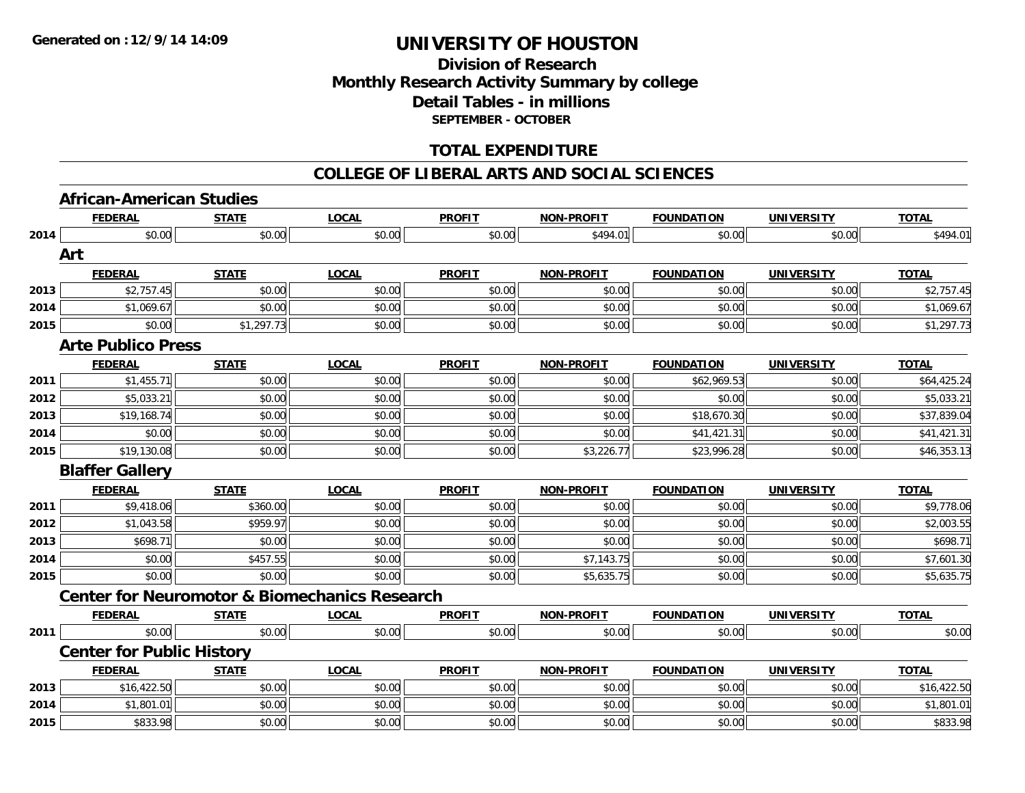### **Division of ResearchMonthly Research Activity Summary by college Detail Tables - in millions SEPTEMBER - OCTOBER**

#### **TOTAL EXPENDITURE**

#### **COLLEGE OF LIBERAL ARTS AND SOCIAL SCIENCES**

#### **African-American Studies**

|      | <b>FEDERAL</b>                   | <b>STATE</b> | <b>LOCAL</b>                                             | <b>PROFIT</b> | <b>NON-PROFIT</b> | <b>FOUNDATION</b> | <b>UNIVERSITY</b> | <b>TOTAL</b> |
|------|----------------------------------|--------------|----------------------------------------------------------|---------------|-------------------|-------------------|-------------------|--------------|
| 2014 | \$0.00                           | \$0.00       | \$0.00                                                   | \$0.00        | \$494.01          | \$0.00            | \$0.00            | \$494.01     |
|      | Art                              |              |                                                          |               |                   |                   |                   |              |
|      | <b>FEDERAL</b>                   | <b>STATE</b> | <b>LOCAL</b>                                             | <b>PROFIT</b> | <b>NON-PROFIT</b> | <b>FOUNDATION</b> | <b>UNIVERSITY</b> | <b>TOTAL</b> |
| 2013 | \$2,757.45                       | \$0.00       | \$0.00                                                   | \$0.00        | \$0.00            | \$0.00            | \$0.00            | \$2,757.45   |
| 2014 | \$1,069.67                       | \$0.00       | \$0.00                                                   | \$0.00        | \$0.00            | \$0.00            | \$0.00            | \$1,069.67   |
| 2015 | \$0.00                           | \$1,297.73   | \$0.00                                                   | \$0.00        | \$0.00            | \$0.00            | \$0.00            | \$1,297.73   |
|      | <b>Arte Publico Press</b>        |              |                                                          |               |                   |                   |                   |              |
|      | <b>FEDERAL</b>                   | <b>STATE</b> | <b>LOCAL</b>                                             | <b>PROFIT</b> | <b>NON-PROFIT</b> | <b>FOUNDATION</b> | <b>UNIVERSITY</b> | <b>TOTAL</b> |
| 2011 | \$1,455.71                       | \$0.00       | \$0.00                                                   | \$0.00        | \$0.00            | \$62,969.53       | \$0.00            | \$64,425.24  |
| 2012 | \$5,033.21                       | \$0.00       | \$0.00                                                   | \$0.00        | \$0.00            | \$0.00            | \$0.00            | \$5,033.21   |
| 2013 | \$19,168.74                      | \$0.00       | \$0.00                                                   | \$0.00        | \$0.00            | \$18,670.30       | \$0.00            | \$37,839.04  |
| 2014 | \$0.00                           | \$0.00       | \$0.00                                                   | \$0.00        | \$0.00            | \$41,421.31       | \$0.00            | \$41,421.31  |
| 2015 | \$19,130.08                      | \$0.00       | \$0.00                                                   | \$0.00        | \$3,226.77        | \$23,996.28       | \$0.00            | \$46,353.13  |
|      | <b>Blaffer Gallery</b>           |              |                                                          |               |                   |                   |                   |              |
|      | <b>FEDERAL</b>                   | <b>STATE</b> | <b>LOCAL</b>                                             | <b>PROFIT</b> | <b>NON-PROFIT</b> | <b>FOUNDATION</b> | <b>UNIVERSITY</b> | <b>TOTAL</b> |
| 2011 | \$9,418.06                       | \$360.00     | \$0.00                                                   | \$0.00        | \$0.00            | \$0.00            | \$0.00            | \$9,778.06   |
| 2012 | \$1,043.58                       | \$959.97     | \$0.00                                                   | \$0.00        | \$0.00            | \$0.00            | \$0.00            | \$2,003.55   |
| 2013 | \$698.71                         | \$0.00       | \$0.00                                                   | \$0.00        | \$0.00            | \$0.00            | \$0.00            | \$698.71     |
| 2014 | \$0.00                           | \$457.55     | \$0.00                                                   | \$0.00        | \$7,143.75        | \$0.00            | \$0.00            | \$7,601.30   |
| 2015 | \$0.00                           | \$0.00       | \$0.00                                                   | \$0.00        | \$5,635.75        | \$0.00            | \$0.00            | \$5,635.75   |
|      |                                  |              | <b>Center for Neuromotor &amp; Biomechanics Research</b> |               |                   |                   |                   |              |
|      | <b>FEDERAL</b>                   | <b>STATE</b> | <b>LOCAL</b>                                             | <b>PROFIT</b> | NON-PROFIT        | <b>FOUNDATION</b> | <b>UNIVERSITY</b> | <b>TOTAL</b> |
| 2011 | \$0.00                           | \$0.00       | \$0.00                                                   | \$0.00        | \$0.00            | \$0.00            | \$0.00            | \$0.00       |
|      | <b>Center for Public History</b> |              |                                                          |               |                   |                   |                   |              |
|      | <b>FEDERAL</b>                   | <b>STATE</b> | <b>LOCAL</b>                                             | <b>PROFIT</b> | <b>NON-PROFIT</b> | <b>FOUNDATION</b> | <b>UNIVERSITY</b> | <b>TOTAL</b> |
| 2013 | \$16,422.50                      | \$0.00       | \$0.00                                                   | \$0.00        | \$0.00            | \$0.00            | \$0.00            | \$16,422.50  |
| 2014 | \$1,801.01                       | \$0.00       | \$0.00                                                   | \$0.00        | \$0.00            | \$0.00            | \$0.00            | \$1,801.01   |
| 2015 | \$833.98                         | \$0.00       | \$0.00                                                   | \$0.00        | \$0.00            | \$0.00            | \$0.00            | \$833.98     |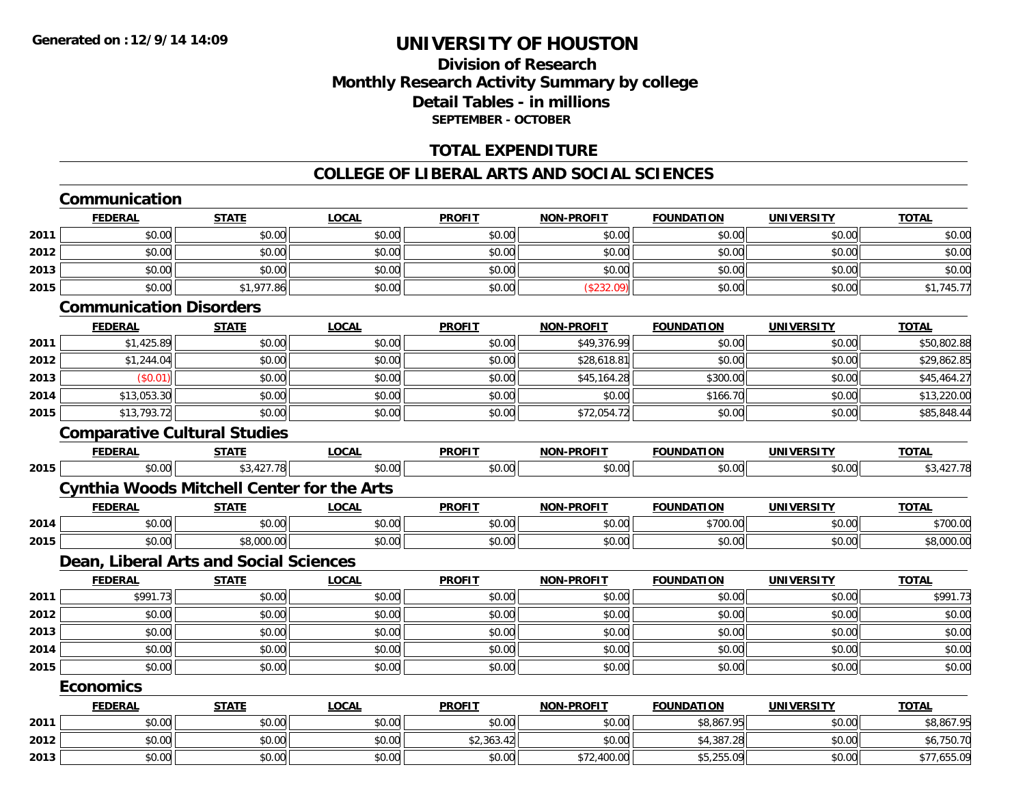### **Division of ResearchMonthly Research Activity Summary by college Detail Tables - in millions SEPTEMBER - OCTOBER**

#### **TOTAL EXPENDITURE**

#### **COLLEGE OF LIBERAL ARTS AND SOCIAL SCIENCES**

|                                      | <b>FEDERAL</b>                      | <b>STATE</b>                                      | <b>LOCAL</b> | <b>PROFIT</b> | <b>NON-PROFIT</b> | <b>FOUNDATION</b> | <b>UNIVERSITY</b> | <b>TOTAL</b>                                           |
|--------------------------------------|-------------------------------------|---------------------------------------------------|--------------|---------------|-------------------|-------------------|-------------------|--------------------------------------------------------|
| 2011                                 | \$0.00                              | \$0.00                                            | \$0.00       | \$0.00        | \$0.00            | \$0.00            | \$0.00            | \$0.00                                                 |
| 2012                                 | \$0.00                              | \$0.00                                            | \$0.00       | \$0.00        | \$0.00            | \$0.00            | \$0.00            | \$0.00                                                 |
| 2013                                 | \$0.00                              | \$0.00                                            | \$0.00       | \$0.00        | \$0.00            | \$0.00            | \$0.00            | \$0.00                                                 |
| 2015                                 | \$0.00                              | \$1,977.86                                        | \$0.00       | \$0.00        | (\$232.09)        | \$0.00            | \$0.00            | \$1,745.77                                             |
|                                      | <b>Communication Disorders</b>      |                                                   |              |               |                   |                   |                   |                                                        |
|                                      | <b>FEDERAL</b>                      | <b>STATE</b>                                      | <b>LOCAL</b> | <b>PROFIT</b> | <b>NON-PROFIT</b> | <b>FOUNDATION</b> | <b>UNIVERSITY</b> | <b>TOTAL</b>                                           |
| 2011                                 | \$1,425.89                          | \$0.00                                            | \$0.00       | \$0.00        | \$49,376.99       | \$0.00            | \$0.00            | \$50,802.88                                            |
| 2012                                 | \$1,244.04                          | \$0.00                                            | \$0.00       | \$0.00        | \$28,618.81       | \$0.00            | \$0.00            | \$29,862.85                                            |
| 2013                                 | (S0.01)                             | \$0.00                                            | \$0.00       | \$0.00        | \$45,164.28       | \$300.00          | \$0.00            | \$45,464.27                                            |
| 2014                                 | \$13,053.30                         | \$0.00                                            | \$0.00       | \$0.00        | \$0.00            | \$166.70          | \$0.00            | \$13,220.00                                            |
| 2015                                 | \$13,793.72                         | \$0.00                                            | \$0.00       | \$0.00        | \$72,054.72       | \$0.00            | \$0.00            | \$85,848.44                                            |
|                                      | <b>Comparative Cultural Studies</b> |                                                   |              |               |                   |                   |                   |                                                        |
|                                      | <b>FEDERAL</b>                      | <b>STATE</b>                                      | <b>LOCAL</b> | <b>PROFIT</b> | <b>NON-PROFIT</b> | <b>FOUNDATION</b> | UNIVERSITY        | <b>TOTAL</b>                                           |
| 2015                                 | \$0.00                              | \$3,427.78                                        | \$0.00       | \$0.00        | \$0.00            | \$0.00            | \$0.00            | \$3,427.78                                             |
|                                      |                                     | <b>Cynthia Woods Mitchell Center for the Arts</b> |              |               |                   |                   |                   |                                                        |
|                                      | <b>FEDERAL</b>                      | <b>STATE</b>                                      | <b>LOCAL</b> | <b>PROFIT</b> | <b>NON-PROFIT</b> | <b>FOUNDATION</b> | <b>UNIVERSITY</b> | <b>TOTAL</b>                                           |
| 2014                                 | \$0.00                              | \$0.00                                            | \$0.00       | \$0.00        | \$0.00            | \$700.00          | \$0.00            | \$700.00                                               |
| 2015                                 | \$0.00                              | \$8,000.00                                        | \$0.00       | \$0.00        | \$0.00            | \$0.00            | \$0.00            | \$8,000.00                                             |
|                                      |                                     | Dean, Liberal Arts and Social Sciences            |              |               |                   |                   |                   |                                                        |
|                                      | <b>FEDERAL</b>                      | <b>STATE</b>                                      | <b>LOCAL</b> | <b>PROFIT</b> | <b>NON-PROFIT</b> | <b>FOUNDATION</b> | <b>UNIVERSITY</b> | <b>TOTAL</b>                                           |
| 2011                                 | \$991.73                            | \$0.00                                            | \$0.00       | \$0.00        | \$0.00            | \$0.00            | \$0.00            | \$991.73                                               |
| 2012                                 | \$0.00                              |                                                   |              |               |                   | \$0.00            | \$0.00            | \$0.00                                                 |
|                                      |                                     | \$0.00                                            | \$0.00       | \$0.00        | \$0.00            |                   |                   |                                                        |
|                                      | \$0.00                              | \$0.00                                            | \$0.00       | \$0.00        | \$0.00            | \$0.00            | \$0.00            |                                                        |
|                                      | \$0.00                              | \$0.00                                            | \$0.00       | \$0.00        | \$0.00            | \$0.00            | \$0.00            |                                                        |
|                                      | \$0.00                              | \$0.00                                            | \$0.00       | \$0.00        | \$0.00            | \$0.00            | \$0.00            |                                                        |
|                                      | <b>Economics</b>                    |                                                   |              |               |                   |                   |                   |                                                        |
|                                      | <b>FEDERAL</b>                      | <b>STATE</b>                                      | <b>LOCAL</b> | <b>PROFIT</b> | <b>NON-PROFIT</b> | <b>FOUNDATION</b> | <b>UNIVERSITY</b> | <b>TOTAL</b>                                           |
|                                      | \$0.00                              | \$0.00                                            | \$0.00       | \$0.00        | \$0.00            | \$8,867.95        | \$0.00            |                                                        |
| 2013<br>2014<br>2015<br>2011<br>2012 | \$0.00                              | \$0.00                                            | \$0.00       | \$2,363.42    | \$0.00            | \$4,387.28        | \$0.00            | \$0.00<br>\$0.00<br>\$0.00<br>\$8,867.95<br>\$6,750.70 |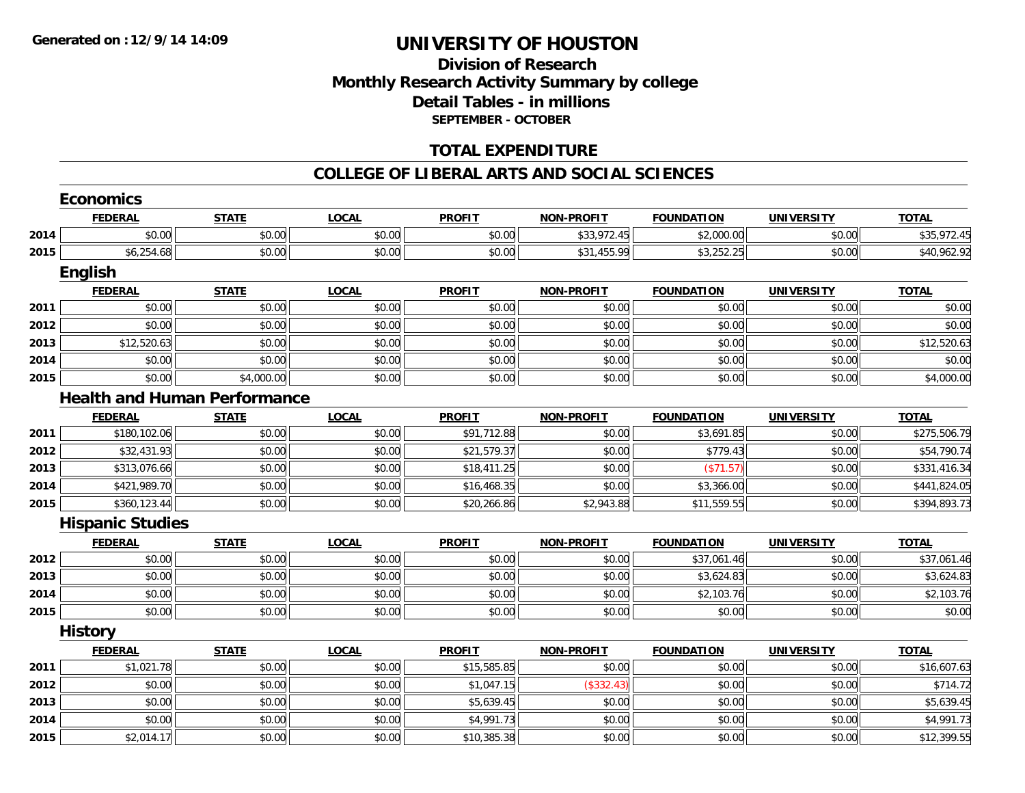#### **Division of Research Monthly Research Activity Summary by college Detail Tables - in millions SEPTEMBER - OCTOBER**

#### **TOTAL EXPENDITURE**

#### **COLLEGE OF LIBERAL ARTS AND SOCIAL SCIENCES**

|      | <b>Economics</b>        |                                     |              |               |                   |                   |                   |              |
|------|-------------------------|-------------------------------------|--------------|---------------|-------------------|-------------------|-------------------|--------------|
|      | <b>FEDERAL</b>          | <b>STATE</b>                        | <b>LOCAL</b> | <b>PROFIT</b> | <b>NON-PROFIT</b> | <b>FOUNDATION</b> | <b>UNIVERSITY</b> | <b>TOTAL</b> |
| 2014 | \$0.00                  | \$0.00                              | \$0.00       | \$0.00        | \$33,972.45       | \$2,000.00        | \$0.00            | \$35,972.45  |
| 2015 | \$6,254.68              | \$0.00                              | \$0.00       | \$0.00        | \$31,455.99       | \$3,252.25        | \$0.00            | \$40,962.92  |
|      | English                 |                                     |              |               |                   |                   |                   |              |
|      | <b>FEDERAL</b>          | <b>STATE</b>                        | <b>LOCAL</b> | <b>PROFIT</b> | <b>NON-PROFIT</b> | <b>FOUNDATION</b> | <b>UNIVERSITY</b> | <b>TOTAL</b> |
| 2011 | \$0.00                  | \$0.00                              | \$0.00       | \$0.00        | \$0.00            | \$0.00            | \$0.00            | \$0.00       |
| 2012 | \$0.00                  | \$0.00                              | \$0.00       | \$0.00        | \$0.00            | \$0.00            | \$0.00            | \$0.00       |
| 2013 | \$12,520.63             | \$0.00                              | \$0.00       | \$0.00        | \$0.00            | \$0.00            | \$0.00            | \$12,520.63  |
| 2014 | \$0.00                  | \$0.00                              | \$0.00       | \$0.00        | \$0.00            | \$0.00            | \$0.00            | \$0.00       |
| 2015 | \$0.00                  | \$4,000.00                          | \$0.00       | \$0.00        | \$0.00            | \$0.00            | \$0.00            | \$4,000.00   |
|      |                         | <b>Health and Human Performance</b> |              |               |                   |                   |                   |              |
|      | <b>FEDERAL</b>          | <b>STATE</b>                        | <b>LOCAL</b> | <b>PROFIT</b> | <b>NON-PROFIT</b> | <b>FOUNDATION</b> | <b>UNIVERSITY</b> | <b>TOTAL</b> |
| 2011 | \$180,102.06            | \$0.00                              | \$0.00       | \$91,712.88   | \$0.00            | \$3,691.85        | \$0.00            | \$275,506.79 |
| 2012 | \$32,431.93             | \$0.00                              | \$0.00       | \$21,579.37   | \$0.00            | \$779.43          | \$0.00            | \$54,790.74  |
| 2013 | \$313,076.66            | \$0.00                              | \$0.00       | \$18,411.25   | \$0.00            | (\$71.57)         | \$0.00            | \$331,416.34 |
| 2014 | \$421,989.70            | \$0.00                              | \$0.00       | \$16,468.35   | \$0.00            | \$3,366.00        | \$0.00            | \$441,824.05 |
| 2015 | \$360,123.44            | \$0.00                              | \$0.00       | \$20,266.86   | \$2,943.88        | \$11,559.55       | \$0.00            | \$394,893.73 |
|      | <b>Hispanic Studies</b> |                                     |              |               |                   |                   |                   |              |
|      | <b>FEDERAL</b>          | <b>STATE</b>                        | <b>LOCAL</b> | <b>PROFIT</b> | <b>NON-PROFIT</b> | <b>FOUNDATION</b> | <b>UNIVERSITY</b> | <b>TOTAL</b> |
| 2012 | \$0.00                  | \$0.00                              | \$0.00       | \$0.00        | \$0.00            | \$37,061.46       | \$0.00            | \$37,061.46  |
| 2013 | \$0.00                  | \$0.00                              | \$0.00       | \$0.00        | \$0.00            | \$3,624.83        | \$0.00            | \$3,624.83   |
| 2014 | \$0.00                  | \$0.00                              | \$0.00       | \$0.00        | \$0.00            | \$2,103.76        | \$0.00            | \$2,103.76   |
| 2015 | \$0.00                  | \$0.00                              | \$0.00       | \$0.00        | \$0.00            | \$0.00            | \$0.00            | \$0.00       |
|      | <b>History</b>          |                                     |              |               |                   |                   |                   |              |
|      | <b>FEDERAL</b>          | <b>STATE</b>                        | <b>LOCAL</b> | <b>PROFIT</b> | <b>NON-PROFIT</b> | <b>FOUNDATION</b> | <b>UNIVERSITY</b> | <b>TOTAL</b> |
| 2011 | \$1,021.78              | \$0.00                              | \$0.00       | \$15,585.85   | \$0.00            | \$0.00            | \$0.00            | \$16,607.63  |
| 2012 | \$0.00                  | \$0.00                              | \$0.00       | \$1,047.15    | (\$332.43)        | \$0.00            | \$0.00            | \$714.72     |
| 2013 | \$0.00                  | \$0.00                              | \$0.00       | \$5,639.45    | \$0.00            | \$0.00            | \$0.00            | \$5,639.45   |
| 2014 | \$0.00                  | \$0.00                              | \$0.00       | \$4,991.73    | \$0.00            | \$0.00            | \$0.00            | \$4,991.73   |
| 2015 | \$2,014.17              | \$0.00                              | \$0.00       | \$10,385.38   | \$0.00            | \$0.00            | \$0.00            | \$12,399.55  |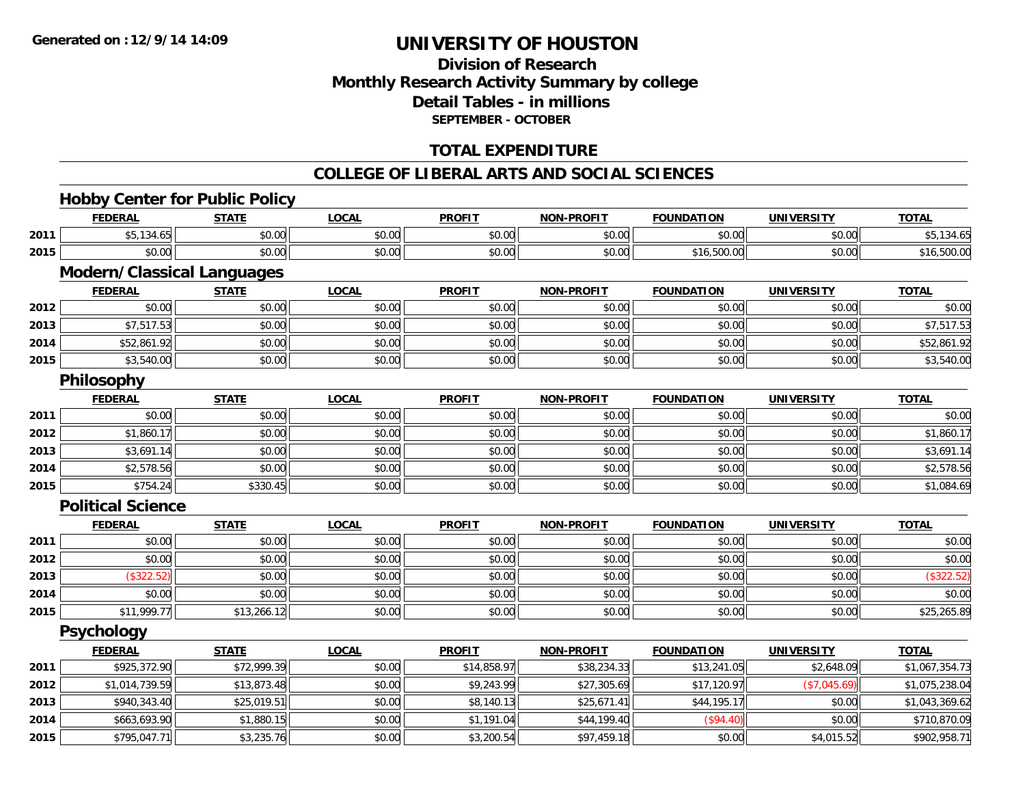### **Division of ResearchMonthly Research Activity Summary by college Detail Tables - in millions SEPTEMBER - OCTOBER**

### **TOTAL EXPENDITURE**

#### **COLLEGE OF LIBERAL ARTS AND SOCIAL SCIENCES**

### **Hobby Center for Public Policy**

|      | <b>FEDERAL</b>                    | <b>STATE</b> | <b>LOCAL</b> | <b>PROFIT</b> | <b>NON-PROFIT</b> | <b>FOUNDATION</b> | <b>UNIVERSITY</b> | <b>TOTAL</b>   |
|------|-----------------------------------|--------------|--------------|---------------|-------------------|-------------------|-------------------|----------------|
| 2011 | \$5,134.65                        | \$0.00       | \$0.00       | \$0.00        | \$0.00            | \$0.00            | \$0.00            | \$5,134.65     |
| 2015 | \$0.00                            | \$0.00       | \$0.00       | \$0.00        | \$0.00            | \$16,500.00       | \$0.00            | \$16,500.00    |
|      | <b>Modern/Classical Languages</b> |              |              |               |                   |                   |                   |                |
|      | <b>FEDERAL</b>                    | <b>STATE</b> | <b>LOCAL</b> | <b>PROFIT</b> | <b>NON-PROFIT</b> | <b>FOUNDATION</b> | <b>UNIVERSITY</b> | <b>TOTAL</b>   |
| 2012 | \$0.00                            | \$0.00       | \$0.00       | \$0.00        | \$0.00            | \$0.00            | \$0.00            | \$0.00         |
| 2013 | \$7,517.53                        | \$0.00       | \$0.00       | \$0.00        | \$0.00            | \$0.00            | \$0.00            | \$7,517.53     |
| 2014 | \$52,861.92                       | \$0.00       | \$0.00       | \$0.00        | \$0.00            | \$0.00            | \$0.00            | \$52,861.92    |
| 2015 | \$3,540.00                        | \$0.00       | \$0.00       | \$0.00        | \$0.00            | \$0.00            | \$0.00            | \$3,540.00     |
|      | <b>Philosophy</b>                 |              |              |               |                   |                   |                   |                |
|      | <b>FEDERAL</b>                    | <b>STATE</b> | <b>LOCAL</b> | <b>PROFIT</b> | <b>NON-PROFIT</b> | <b>FOUNDATION</b> | <b>UNIVERSITY</b> | <b>TOTAL</b>   |
| 2011 | \$0.00                            | \$0.00       | \$0.00       | \$0.00        | \$0.00            | \$0.00            | \$0.00            | \$0.00         |
| 2012 | \$1,860.17                        | \$0.00       | \$0.00       | \$0.00        | \$0.00            | \$0.00            | \$0.00            | \$1,860.17     |
| 2013 | \$3,691.14                        | \$0.00       | \$0.00       | \$0.00        | \$0.00            | \$0.00            | \$0.00            | \$3,691.14     |
| 2014 | \$2,578.56                        | \$0.00       | \$0.00       | \$0.00        | \$0.00            | \$0.00            | \$0.00            | \$2,578.56     |
| 2015 | \$754.24                          | \$330.45     | \$0.00       | \$0.00        | \$0.00            | \$0.00            | \$0.00            | \$1,084.69     |
|      | <b>Political Science</b>          |              |              |               |                   |                   |                   |                |
|      | <b>FEDERAL</b>                    | <b>STATE</b> | <b>LOCAL</b> | <b>PROFIT</b> | <b>NON-PROFIT</b> | <b>FOUNDATION</b> | <b>UNIVERSITY</b> | <b>TOTAL</b>   |
| 2011 | \$0.00                            | \$0.00       | \$0.00       | \$0.00        | \$0.00            | \$0.00            | \$0.00            | \$0.00         |
| 2012 | \$0.00                            | \$0.00       | \$0.00       | \$0.00        | \$0.00            | \$0.00            | \$0.00            | \$0.00         |
| 2013 | (\$322.52)                        | \$0.00       | \$0.00       | \$0.00        | \$0.00            | \$0.00            | \$0.00            | (\$322.52)     |
| 2014 | \$0.00                            | \$0.00       | \$0.00       | \$0.00        | \$0.00            | \$0.00            | \$0.00            | \$0.00         |
| 2015 | \$11,999.77                       | \$13,266.12  | \$0.00       | \$0.00        | \$0.00            | \$0.00            | \$0.00            | \$25,265.89    |
|      | <b>Psychology</b>                 |              |              |               |                   |                   |                   |                |
|      | <b>FEDERAL</b>                    | <b>STATE</b> | <b>LOCAL</b> | <b>PROFIT</b> | <b>NON-PROFIT</b> | <b>FOUNDATION</b> | <b>UNIVERSITY</b> | <b>TOTAL</b>   |
| 2011 | \$925,372.90                      | \$72,999.39  | \$0.00       | \$14,858.97   | \$38,234.33       | \$13,241.05       | \$2,648.09        | \$1,067,354.73 |
| 2012 | \$1,014,739.59                    | \$13,873.48  | \$0.00       | \$9,243.99    | \$27,305.69       | \$17,120.97       | (\$7,045.69)      | \$1,075,238.04 |
| 2013 | \$940,343.40                      | \$25,019.51  | \$0.00       | \$8,140.13    | \$25,671.41       | \$44,195.17       | \$0.00            | \$1,043,369.62 |
| 2014 | \$663,693.90                      | \$1,880.15   | \$0.00       | \$1,191.04    | \$44,199.40       | (\$94.40)         | \$0.00            | \$710,870.09   |
| 2015 | \$795,047.71                      | \$3,235.76   | \$0.00       | \$3,200.54    | \$97,459.18       | \$0.00            | \$4,015.52        | \$902,958.71   |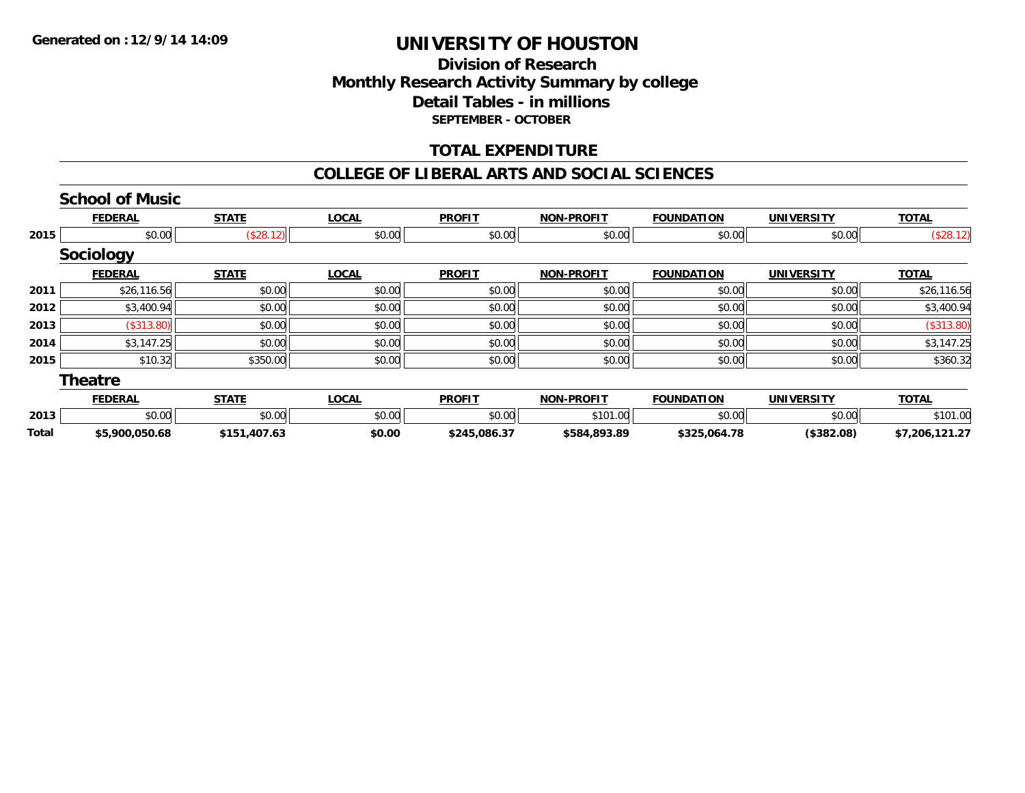### **Division of ResearchMonthly Research Activity Summary by college Detail Tables - in millions SEPTEMBER - OCTOBER**

#### **TOTAL EXPENDITURE**

#### **COLLEGE OF LIBERAL ARTS AND SOCIAL SCIENCES**

|              | <b>School of Music</b> |              |              |               |                   |                   |                   |                |
|--------------|------------------------|--------------|--------------|---------------|-------------------|-------------------|-------------------|----------------|
|              | <b>FEDERAL</b>         | <b>STATE</b> | <b>LOCAL</b> | <b>PROFIT</b> | <b>NON-PROFIT</b> | <b>FOUNDATION</b> | <b>UNIVERSITY</b> | <b>TOTAL</b>   |
| 2015         | \$0.00                 | (\$28.12)    | \$0.00       | \$0.00        | \$0.00            | \$0.00            | \$0.00            | (\$28.12)      |
|              | <b>Sociology</b>       |              |              |               |                   |                   |                   |                |
|              | <b>FEDERAL</b>         | <b>STATE</b> | <b>LOCAL</b> | <b>PROFIT</b> | <b>NON-PROFIT</b> | <b>FOUNDATION</b> | <b>UNIVERSITY</b> | <b>TOTAL</b>   |
| 2011         | \$26,116.56            | \$0.00       | \$0.00       | \$0.00        | \$0.00            | \$0.00            | \$0.00            | \$26,116.56    |
| 2012         | \$3,400.94             | \$0.00       | \$0.00       | \$0.00        | \$0.00            | \$0.00            | \$0.00            | \$3,400.94     |
| 2013         | (\$313.80)             | \$0.00       | \$0.00       | \$0.00        | \$0.00            | \$0.00            | \$0.00            | (\$313.80)     |
| 2014         | \$3,147.25             | \$0.00       | \$0.00       | \$0.00        | \$0.00            | \$0.00            | \$0.00            | \$3,147.25     |
| 2015         | \$10.32                | \$350.00     | \$0.00       | \$0.00        | \$0.00            | \$0.00            | \$0.00            | \$360.32       |
|              | <b>Theatre</b>         |              |              |               |                   |                   |                   |                |
|              | <b>FEDERAL</b>         | <b>STATE</b> | <b>LOCAL</b> | <b>PROFIT</b> | <b>NON-PROFIT</b> | <b>FOUNDATION</b> | <b>UNIVERSITY</b> | <b>TOTAL</b>   |
| 2013         | \$0.00                 | \$0.00       | \$0.00       | \$0.00        | \$101.00          | \$0.00            | \$0.00            | \$101.00       |
| <b>Total</b> | \$5,900,050.68         | \$151,407.63 | \$0.00       | \$245,086.37  | \$584,893.89      | \$325,064.78      | (\$382.08)        | \$7,206,121.27 |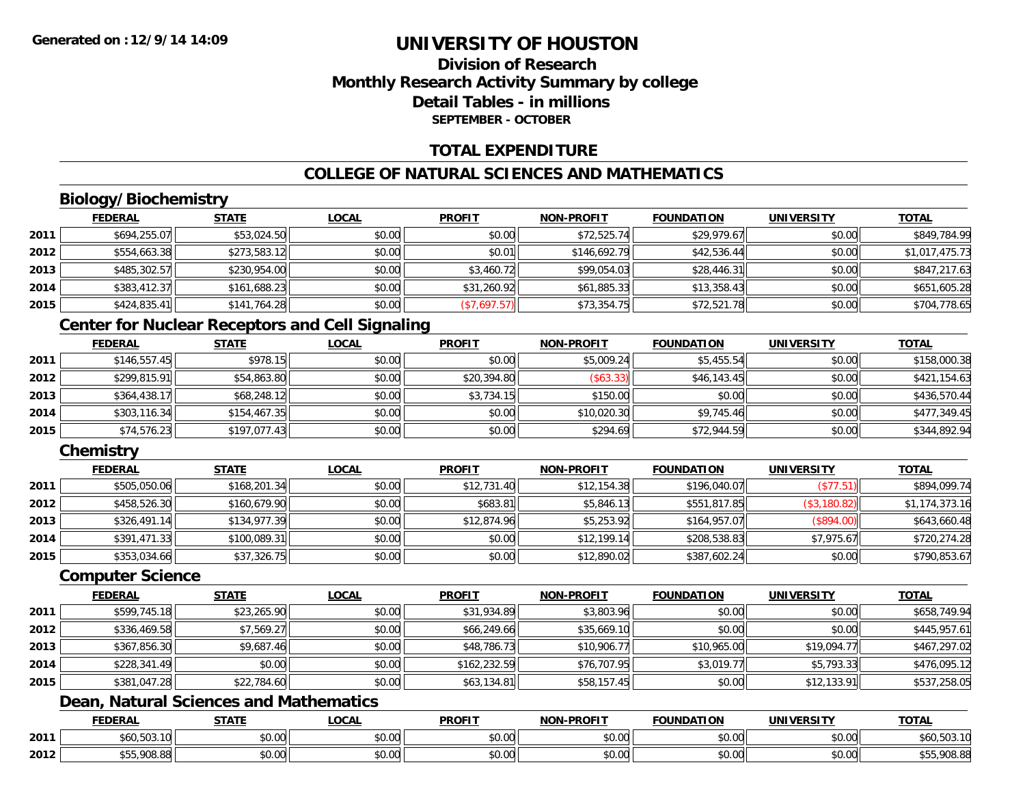### **Division of ResearchMonthly Research Activity Summary by college Detail Tables - in millionsSEPTEMBER - OCTOBER**

### **TOTAL EXPENDITURE**

### **COLLEGE OF NATURAL SCIENCES AND MATHEMATICS**

## **Biology/Biochemistry**

|      | <b>FEDERAL</b> | <b>STATE</b> | <b>LOCAL</b> | <b>PROFIT</b> | <b>NON-PROFIT</b> | <b>FOUNDATION</b> | <b>UNIVERSITY</b> | <b>TOTAL</b>   |
|------|----------------|--------------|--------------|---------------|-------------------|-------------------|-------------------|----------------|
| 2011 | \$694,255.07   | \$53,024.50  | \$0.00       | \$0.00        | \$72,525.74       | \$29,979.67       | \$0.00            | \$849,784.99   |
| 2012 | \$554,663.38   | \$273,583.12 | \$0.00       | \$0.01        | \$146,692.79      | \$42,536.44       | \$0.00            | \$1,017,475.73 |
| 2013 | \$485,302.57   | \$230,954.00 | \$0.00       | \$3,460.72    | \$99,054.03       | \$28,446.31       | \$0.00            | \$847,217.63   |
| 2014 | \$383,412.37   | \$161,688.23 | \$0.00       | \$31,260.92   | \$61,885.33       | \$13,358.43       | \$0.00            | \$651,605.28   |
| 2015 | \$424,835.41   | \$141,764.28 | \$0.00       | (\$7,697.57)  | \$73,354.75       | \$72,521.78       | \$0.00            | \$704,778.65   |

#### **Center for Nuclear Receptors and Cell Signaling**

|      | <b>FEDERAL</b> | <u>STATE</u> | <u>LOCAL</u> | <b>PROFIT</b> | <b>NON-PROFIT</b> | <b>FOUNDATION</b> | <b>UNIVERSITY</b> | <b>TOTAL</b> |
|------|----------------|--------------|--------------|---------------|-------------------|-------------------|-------------------|--------------|
| 2011 | \$146,557.45   | \$978.15     | \$0.00       | \$0.00        | \$5,009.24        | \$5,455.54        | \$0.00            | \$158,000.38 |
| 2012 | \$299,815.91   | \$54,863.80  | \$0.00       | \$20,394.80   | ( \$63.33)        | \$46,143.45       | \$0.00            | \$421,154.63 |
| 2013 | \$364,438.17   | \$68,248.12  | \$0.00       | \$3,734.15    | \$150.00          | \$0.00            | \$0.00            | \$436,570.44 |
| 2014 | \$303,116.34   | \$154,467.35 | \$0.00       | \$0.00        | \$10,020.30       | \$9,745.46        | \$0.00            | \$477,349.45 |
| 2015 | \$74,576.23    | \$197,077.43 | \$0.00       | \$0.00        | \$294.69          | \$72,944.59       | \$0.00            | \$344,892.94 |

#### **Chemistry**

|      | <b>FEDERAL</b> | <b>STATE</b> | <u>LOCAL</u> | <b>PROFIT</b> | <b>NON-PROFIT</b> | <b>FOUNDATION</b> | <b>UNIVERSITY</b> | <b>TOTAL</b>   |
|------|----------------|--------------|--------------|---------------|-------------------|-------------------|-------------------|----------------|
| 2011 | \$505,050.06   | \$168,201.34 | \$0.00       | \$12,731.40   | \$12,154.38       | \$196,040.07      | (\$77.51)         | \$894,099.74   |
| 2012 | \$458,526.30   | \$160,679.90 | \$0.00       | \$683.81      | \$5,846.13        | \$551,817.85      | (\$3,180.82)      | \$1,174,373.16 |
| 2013 | \$326,491.14   | \$134,977.39 | \$0.00       | \$12,874.96   | \$5,253.92        | \$164,957.07      | (\$894.00)        | \$643,660.48   |
| 2014 | \$391,471.33   | \$100,089.31 | \$0.00       | \$0.00        | \$12,199.14       | \$208,538.83      | \$7,975.67        | \$720,274.28   |
| 2015 | \$353,034.66   | \$37,326.75  | \$0.00       | \$0.00        | \$12,890.02       | \$387,602.24      | \$0.00            | \$790,853.67   |

#### **Computer Science**

|      | <b>FEDERAL</b> | <b>STATE</b> | <b>LOCAL</b> | <b>PROFIT</b> | <b>NON-PROFIT</b> | <b>FOUNDATION</b> | <b>UNIVERSITY</b> | <b>TOTAL</b> |
|------|----------------|--------------|--------------|---------------|-------------------|-------------------|-------------------|--------------|
| 2011 | \$599,745.18   | \$23,265.90  | \$0.00       | \$31,934.89   | \$3,803.96        | \$0.00            | \$0.00            | \$658,749.94 |
| 2012 | \$336,469.58   | \$7,569.27   | \$0.00       | \$66,249.66   | \$35,669.10       | \$0.00            | \$0.00            | \$445,957.61 |
| 2013 | \$367,856.30   | \$9,687.46   | \$0.00       | \$48,786.73   | \$10,906.77       | \$10,965.00       | \$19,094.77       | \$467,297.02 |
| 2014 | \$228,341.49   | \$0.00       | \$0.00       | \$162,232.59  | \$76,707.95       | \$3,019.77        | \$5,793.33        | \$476,095.12 |
| 2015 | \$381,047.28   | \$22,784.60  | \$0.00       | \$63,134.81   | \$58,157.45       | \$0.00            | \$12,133.91       | \$537,258.05 |

### **Dean, Natural Sciences and Mathematics**

|      | <b>FEDERAL</b>    | <b>CTATI</b><br>- 31 A . | 00n<br>.UGAL              | <b>PROFIT</b> | $-DD$ $\cap$<br><b>NIONI</b> | FOUNDATION | UNIVERSITY                    | <b>TOTAL</b>         |
|------|-------------------|--------------------------|---------------------------|---------------|------------------------------|------------|-------------------------------|----------------------|
| 2011 | :6ľ<br>600.503.TU | \$0.00                   | $\sim$<br>$\sim$<br>vv.vv | 0000<br>DU.UG | 0.00<br>pu.uu                | \$0.00     | $\sim$ $\sim$<br><b>JU.UU</b> | \$60,503.10          |
| 2012 | 00000<br>U8.85    | \$0.00                   | $\sim$<br>PU.UU           | 0000<br>DU.UG | 0.00<br><b>DU.UU</b>         | \$0.00     | $\sim$ $\sim$<br><b>JU.UU</b> | non pr<br>ასს,∀∪ბ.ბ× |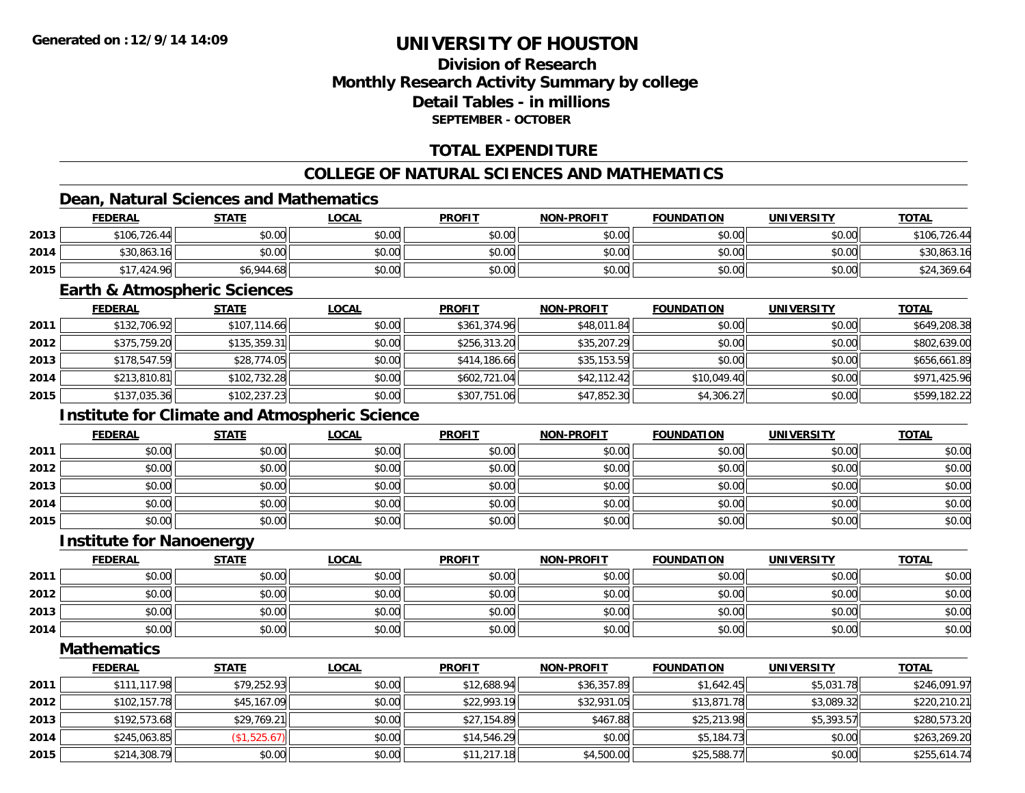### **Division of ResearchMonthly Research Activity Summary by college Detail Tables - in millionsSEPTEMBER - OCTOBER**

### **TOTAL EXPENDITURE**

### **COLLEGE OF NATURAL SCIENCES AND MATHEMATICS**

### **Dean, Natural Sciences and Mathematics**

|      | <b>FEDERAL</b>  | <b>STATE</b> | <u>LOCAL</u>   | <b>PROFIT</b> | <b>NON-PROFIT</b> | <b>FOUNDATION</b> | <b>UNIVERSITY</b> | <b>TOTAL</b> |
|------|-----------------|--------------|----------------|---------------|-------------------|-------------------|-------------------|--------------|
| 2013 | \$106,726.44    | \$0.00       | \$0.00         | \$0.00        | \$0.00            | \$0.00            | \$0.00            | \$106,726.44 |
| 2014 | \$30,863.16     | \$0.00       | ልስ ሰሰ<br>DU.UG | \$0.00        | \$0.00            | \$0.00            | \$0.00            | \$30,863.16  |
| 2015 | ,424.96<br>0.17 | \$6,944.68   | \$0.00         | \$0.00        | \$0.00            | \$0.00            | \$0.00            | \$24,369.64  |

#### **Earth & Atmospheric Sciences**

|      | <b>FEDERAL</b> | <u>STATE</u> | <b>LOCAL</b> | <b>PROFIT</b> | <b>NON-PROFIT</b> | <b>FOUNDATION</b> | <b>UNIVERSITY</b> | <b>TOTAL</b> |
|------|----------------|--------------|--------------|---------------|-------------------|-------------------|-------------------|--------------|
| 2011 | \$132,706.92   | \$107,114.66 | \$0.00       | \$361,374.96  | \$48,011.84       | \$0.00            | \$0.00            | \$649,208.38 |
| 2012 | \$375,759.20   | \$135,359.31 | \$0.00       | \$256,313.20  | \$35,207.29       | \$0.00            | \$0.00            | \$802,639.00 |
| 2013 | \$178,547.59   | \$28,774.05  | \$0.00       | \$414,186.66  | \$35,153.59       | \$0.00            | \$0.00            | \$656,661.89 |
| 2014 | \$213,810.81   | \$102,732.28 | \$0.00       | \$602.721.04  | \$42,112.42       | \$10,049.40       | \$0.00            | \$971,425.96 |
| 2015 | \$137,035.36   | \$102,237.23 | \$0.00       | \$307,751.06  | \$47,852.30       | \$4,306.27        | \$0.00            | \$599,182.22 |

### **Institute for Climate and Atmospheric Science**

|      | <b>FEDERAL</b> | <b>STATE</b> | <u>LOCAL</u> | <b>PROFIT</b> | <b>NON-PROFIT</b> | <b>FOUNDATION</b> | <b>UNIVERSITY</b> | <b>TOTAL</b> |
|------|----------------|--------------|--------------|---------------|-------------------|-------------------|-------------------|--------------|
| 2011 | \$0.00         | \$0.00       | \$0.00       | \$0.00        | \$0.00            | \$0.00            | \$0.00            | \$0.00       |
| 2012 | \$0.00         | \$0.00       | \$0.00       | \$0.00        | \$0.00            | \$0.00            | \$0.00            | \$0.00       |
| 2013 | \$0.00         | \$0.00       | \$0.00       | \$0.00        | \$0.00            | \$0.00            | \$0.00            | \$0.00       |
| 2014 | \$0.00         | \$0.00       | \$0.00       | \$0.00        | \$0.00            | \$0.00            | \$0.00            | \$0.00       |
| 2015 | \$0.00         | \$0.00       | \$0.00       | \$0.00        | \$0.00            | \$0.00            | \$0.00            | \$0.00       |

#### **Institute for Nanoenergy**

|      | <b>FEDERAL</b> | <b>STATE</b> | <u>LOCAL</u> | <b>PROFIT</b> | <b>NON-PROFIT</b> | <b>FOUNDATION</b> | <b>UNIVERSITY</b> | <b>TOTAL</b> |
|------|----------------|--------------|--------------|---------------|-------------------|-------------------|-------------------|--------------|
| 2011 | \$0.00         | \$0.00       | \$0.00       | \$0.00        | \$0.00            | \$0.00            | \$0.00            | \$0.00       |
| 2012 | \$0.00         | \$0.00       | \$0.00       | \$0.00        | \$0.00            | \$0.00            | \$0.00            | \$0.00       |
| 2013 | \$0.00         | \$0.00       | \$0.00       | \$0.00        | \$0.00            | \$0.00            | \$0.00            | \$0.00       |
| 2014 | \$0.00         | \$0.00       | \$0.00       | \$0.00        | \$0.00            | \$0.00            | \$0.00            | \$0.00       |

**Mathematics**

|      | <b>FEDERAL</b> | <b>STATE</b> | <b>LOCAL</b> | <b>PROFIT</b> | <b>NON-PROFIT</b> | <b>FOUNDATION</b> | <b>UNIVERSITY</b> | <b>TOTAL</b> |
|------|----------------|--------------|--------------|---------------|-------------------|-------------------|-------------------|--------------|
| 2011 | \$111,117.98   | \$79,252.93  | \$0.00       | \$12,688.94   | \$36,357.89       | \$1,642.45        | \$5,031.78        | \$246,091.97 |
| 2012 | \$102,157.78   | \$45,167.09  | \$0.00       | \$22,993.19   | \$32,931.05       | \$13,871.78       | \$3,089.32        | \$220,210.21 |
| 2013 | \$192,573.68   | \$29,769.21  | \$0.00       | \$27,154.89   | \$467.88          | \$25,213.98       | \$5,393.57        | \$280,573.20 |
| 2014 | \$245,063.85   | (\$1,525.67) | \$0.00       | \$14,546.29   | \$0.00            | \$5,184.73        | \$0.00            | \$263,269.20 |
| 2015 | \$214,308.79   | \$0.00       | \$0.00       | \$11,217.18   | \$4,500.00        | \$25,588.77       | \$0.00            | \$255,614.74 |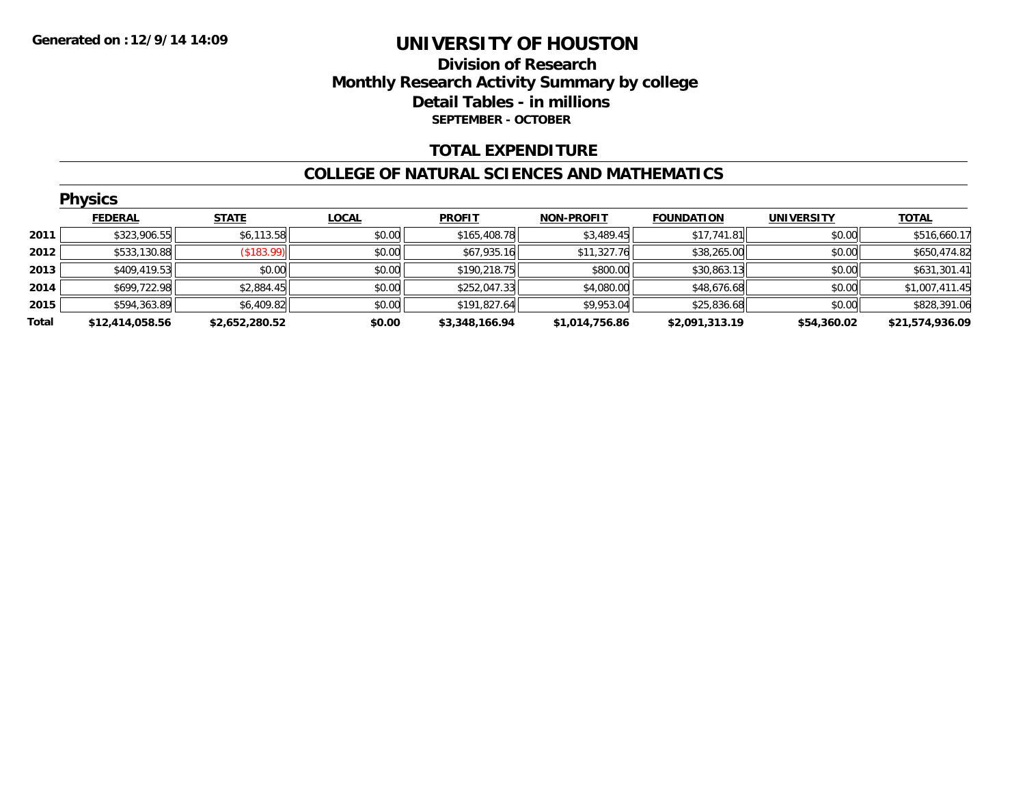#### **Division of Research Monthly Research Activity Summary by college Detail Tables - in millions SEPTEMBER - OCTOBER**

#### **TOTAL EXPENDITURE**

#### **COLLEGE OF NATURAL SCIENCES AND MATHEMATICS**

|       | <b>Physics</b>  |                |              |                |                   |                   |                   |                 |  |  |  |  |
|-------|-----------------|----------------|--------------|----------------|-------------------|-------------------|-------------------|-----------------|--|--|--|--|
|       | <b>FEDERAL</b>  | <b>STATE</b>   | <b>LOCAL</b> | <b>PROFIT</b>  | <b>NON-PROFIT</b> | <b>FOUNDATION</b> | <b>UNIVERSITY</b> | <b>TOTAL</b>    |  |  |  |  |
| 2011  | \$323,906.55    | \$6,113.58     | \$0.00       | \$165,408.78   | \$3,489.45        | \$17,741.81       | \$0.00            | \$516,660.17    |  |  |  |  |
| 2012  | \$533,130.88    | (\$183.99)     | \$0.00       | \$67,935.16    | \$11,327.76       | \$38,265.00       | \$0.00            | \$650,474.82    |  |  |  |  |
| 2013  | \$409,419.53    | \$0.00         | \$0.00       | \$190,218.75   | \$800.00          | \$30,863.13       | \$0.00            | \$631,301.41    |  |  |  |  |
| 2014  | \$699,722.98    | \$2,884.45     | \$0.00       | \$252,047.33   | \$4,080.00        | \$48,676.68       | \$0.00            | \$1,007,411.45  |  |  |  |  |
| 2015  | \$594,363.89    | \$6,409.82     | \$0.00       | \$191,827.64   | \$9,953.04        | \$25,836.68       | \$0.00            | \$828,391.06    |  |  |  |  |
| Total | \$12,414,058.56 | \$2,652,280.52 | \$0.00       | \$3,348,166.94 | \$1,014,756.86    | \$2,091,313.19    | \$54,360.02       | \$21,574,936.09 |  |  |  |  |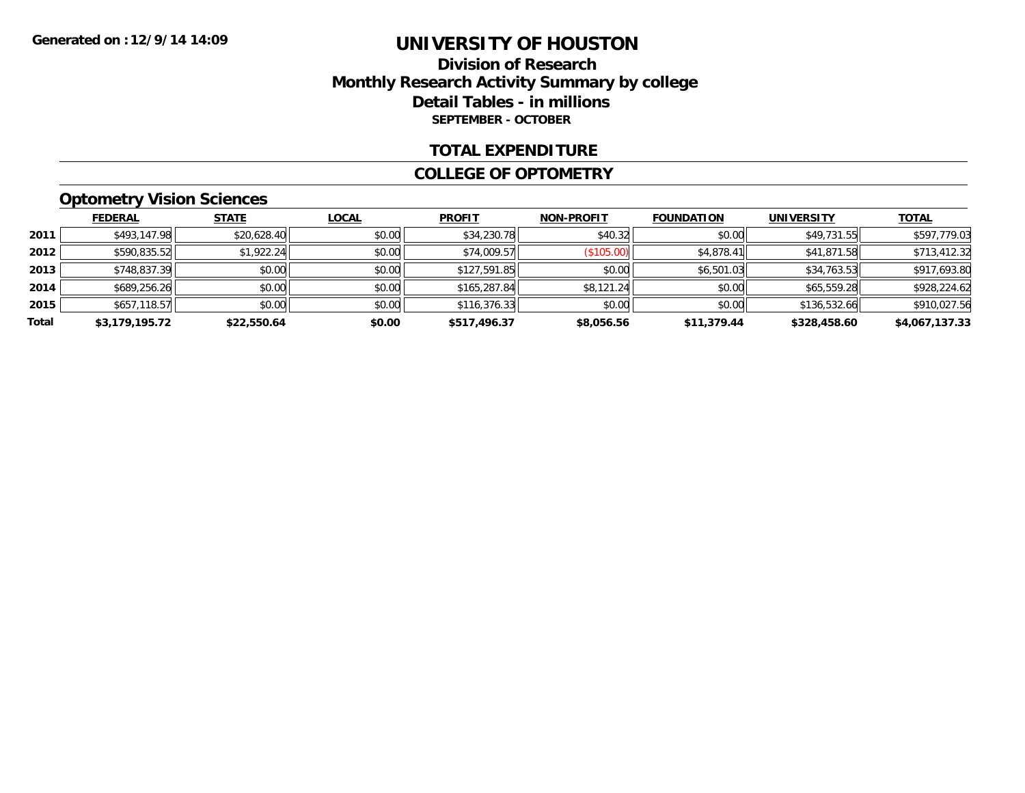#### **Division of Research Monthly Research Activity Summary by college Detail Tables - in millions SEPTEMBER - OCTOBER**

#### **TOTAL EXPENDITURE**

#### **COLLEGE OF OPTOMETRY**

### **Optometry Vision Sciences**

|       | <b>FEDERAL</b> | <b>STATE</b> | <b>LOCAL</b> | <b>PROFIT</b> | <b>NON-PROFIT</b> | <b>FOUNDATION</b> | <b>UNIVERSITY</b> | <b>TOTAL</b>   |
|-------|----------------|--------------|--------------|---------------|-------------------|-------------------|-------------------|----------------|
| 2011  | \$493,147.98   | \$20,628.40  | \$0.00       | \$34,230.78   | \$40.32           | \$0.00            | \$49,731.55       | \$597,779.03   |
| 2012  | \$590,835.52   | \$1,922.24   | \$0.00       | \$74,009.57   | (\$105.00)        | \$4,878.41        | \$41,871.58       | \$713,412.32   |
| 2013  | \$748,837.39   | \$0.00       | \$0.00       | \$127,591.85  | \$0.00            | \$6,501.03        | \$34,763.53       | \$917,693.80   |
| 2014  | \$689,256.26   | \$0.00       | \$0.00       | \$165,287.84  | \$8,121.24        | \$0.00            | \$65,559.28       | \$928,224.62   |
| 2015  | \$657,118.57   | \$0.00       | \$0.00       | \$116,376.33  | \$0.00            | \$0.00            | \$136,532.66      | \$910,027.56   |
| Total | \$3,179,195.72 | \$22,550.64  | \$0.00       | \$517,496.37  | \$8,056.56        | \$11,379.44       | \$328,458.60      | \$4,067,137.33 |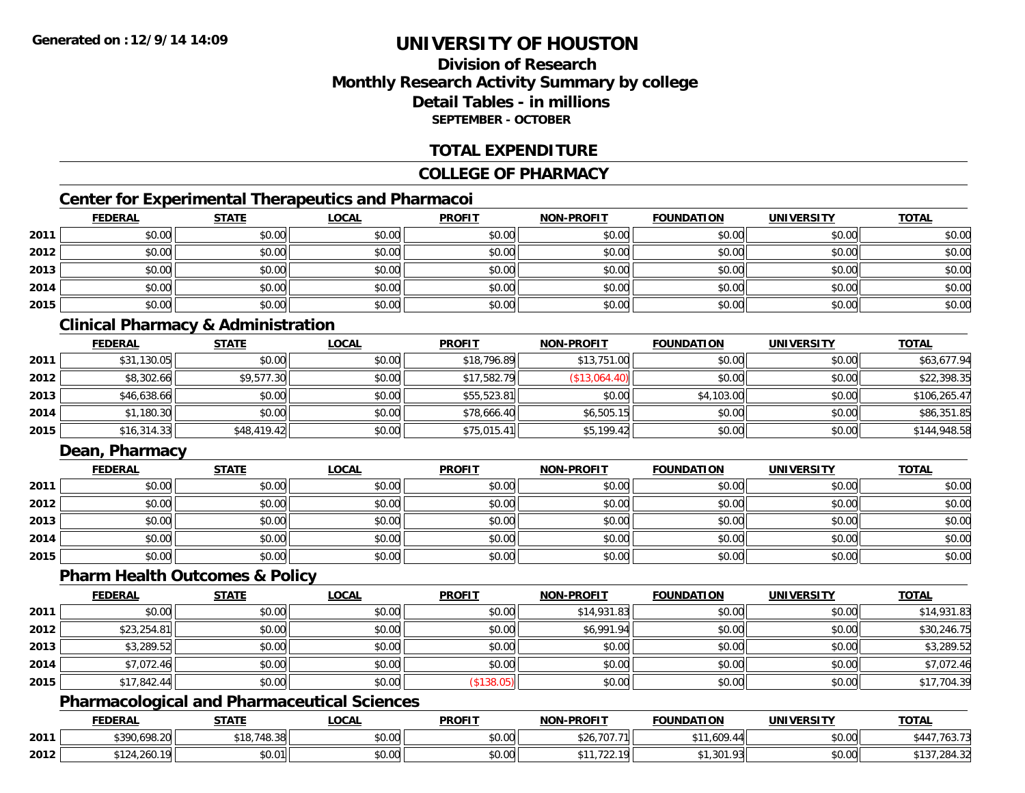### **Division of ResearchMonthly Research Activity Summary by college Detail Tables - in millionsSEPTEMBER - OCTOBER**

#### **TOTAL EXPENDITURE**

#### **COLLEGE OF PHARMACY**

### **Center for Experimental Therapeutics and Pharmacoi**

|      | <b>FEDERAL</b> | <b>STATE</b> | <b>LOCAL</b> | <b>PROFIT</b> | <b>NON-PROFIT</b> | <b>FOUNDATION</b> | <b>UNIVERSITY</b> | <b>TOTAL</b> |
|------|----------------|--------------|--------------|---------------|-------------------|-------------------|-------------------|--------------|
| 2011 | \$0.00         | \$0.00       | \$0.00       | \$0.00        | \$0.00            | \$0.00            | \$0.00            | \$0.00       |
| 2012 | \$0.00         | \$0.00       | \$0.00       | \$0.00        | \$0.00            | \$0.00            | \$0.00            | \$0.00       |
| 2013 | \$0.00         | \$0.00       | \$0.00       | \$0.00        | \$0.00            | \$0.00            | \$0.00            | \$0.00       |
| 2014 | \$0.00         | \$0.00       | \$0.00       | \$0.00        | \$0.00            | \$0.00            | \$0.00            | \$0.00       |
| 2015 | \$0.00         | \$0.00       | \$0.00       | \$0.00        | \$0.00            | \$0.00            | \$0.00            | \$0.00       |

### **Clinical Pharmacy & Administration**

|      | <b>FEDERAL</b> | <b>STATE</b> | <u>LOCAL</u> | <b>PROFIT</b> | <b>NON-PROFIT</b> | <b>FOUNDATION</b> | <b>UNIVERSITY</b> | <b>TOTAL</b> |
|------|----------------|--------------|--------------|---------------|-------------------|-------------------|-------------------|--------------|
| 2011 | \$31,130.05    | \$0.00       | \$0.00       | \$18,796.89   | \$13,751.00       | \$0.00            | \$0.00            | \$63,677.94  |
| 2012 | \$8,302.66     | \$9,577.30   | \$0.00       | \$17,582.79   | (\$13,064.40)     | \$0.00            | \$0.00            | \$22,398.35  |
| 2013 | \$46,638.66    | \$0.00       | \$0.00       | \$55,523.81   | \$0.00            | \$4,103.00        | \$0.00            | \$106,265.47 |
| 2014 | \$1,180.30     | \$0.00       | \$0.00       | \$78,666.40   | \$6,505.15        | \$0.00            | \$0.00            | \$86,351.85  |
| 2015 | \$16,314.33    | \$48,419.42  | \$0.00       | \$75,015.41   | \$5,199.42        | \$0.00            | \$0.00            | \$144,948.58 |

#### **Dean, Pharmacy**

|      | <b>FEDERAL</b> | <b>STATE</b> | <u>LOCAL</u> | <b>PROFIT</b> | <b>NON-PROFIT</b> | <b>FOUNDATION</b> | <b>UNIVERSITY</b> | <b>TOTAL</b> |
|------|----------------|--------------|--------------|---------------|-------------------|-------------------|-------------------|--------------|
| 2011 | \$0.00         | \$0.00       | \$0.00       | \$0.00        | \$0.00            | \$0.00            | \$0.00            | \$0.00       |
| 2012 | \$0.00         | \$0.00       | \$0.00       | \$0.00        | \$0.00            | \$0.00            | \$0.00            | \$0.00       |
| 2013 | \$0.00         | \$0.00       | \$0.00       | \$0.00        | \$0.00            | \$0.00            | \$0.00            | \$0.00       |
| 2014 | \$0.00         | \$0.00       | \$0.00       | \$0.00        | \$0.00            | \$0.00            | \$0.00            | \$0.00       |
| 2015 | \$0.00         | \$0.00       | \$0.00       | \$0.00        | \$0.00            | \$0.00            | \$0.00            | \$0.00       |

#### **Pharm Health Outcomes & Policy**

|      | <b>FEDERAL</b> | <b>STATE</b> | <u>LOCAL</u> | <b>PROFIT</b> | <b>NON-PROFIT</b> | <b>FOUNDATION</b> | <b>UNIVERSITY</b> | <b>TOTAL</b> |
|------|----------------|--------------|--------------|---------------|-------------------|-------------------|-------------------|--------------|
| 2011 | \$0.00         | \$0.00       | \$0.00       | \$0.00        | \$14,931.83       | \$0.00            | \$0.00            | \$14,931.83  |
| 2012 | \$23,254.81    | \$0.00       | \$0.00       | \$0.00        | \$6,991.94        | \$0.00            | \$0.00            | \$30,246.75  |
| 2013 | \$3,289.52     | \$0.00       | \$0.00       | \$0.00        | \$0.00            | \$0.00            | \$0.00            | \$3,289.52   |
| 2014 | \$7,072.46     | \$0.00       | \$0.00       | \$0.00        | \$0.00            | \$0.00            | \$0.00            | \$7,072.46   |
| 2015 | \$17,842.44    | \$0.00       | \$0.00       | \$138.05      | \$0.00            | \$0.00            | \$0.00            | \$17,704.39  |

### **Pharmacological and Pharmaceutical Sciences**

|      | <b>FEDERAL</b>                 | <b>STATE</b>          | _OCAL              | <b>PROFIT</b>          | <b>LPROFIT</b><br><b>NON</b><br>. JIM | <b>FOUNDATION</b> | UNIVERSITY<br>ER SIT | <b>TOTAL</b> |
|------|--------------------------------|-----------------------|--------------------|------------------------|---------------------------------------|-------------------|----------------------|--------------|
| 2011 | <b>4300 608 20</b><br>U.698.ZU | 748.38<br>*າດ<br>- 10 | $\sim$ 00<br>vv.vv | $n \cap \neg$<br>JU.UU | 707<br>5ZO.<br>. I V I                | .609<br>---       | \$0.00               | 103.1        |
| 2012 | 0.121<br>- ۲۵                  | \$0.01                | $\sim$ 00<br>PU.UU | ልስ ለሰ<br>JU.UU         | $\overline{\phantom{a}}$<br>1 വ       | 1.301.<br>.       | \$0.00               | ,284.32      |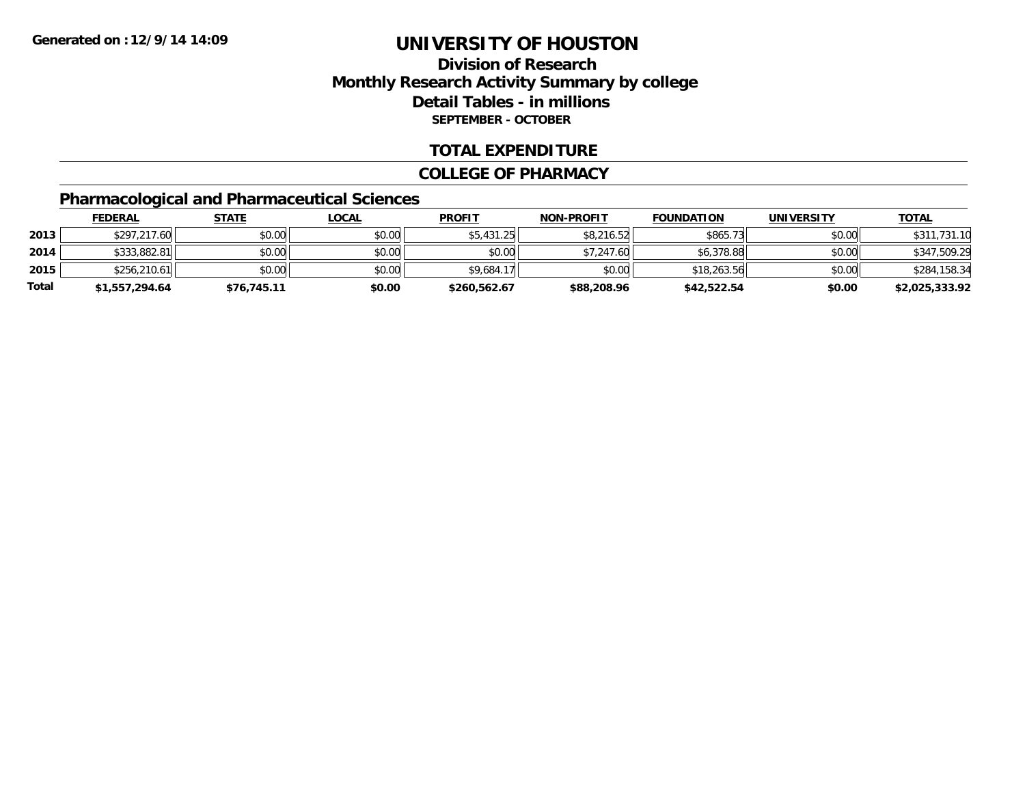### **Division of ResearchMonthly Research Activity Summary by college Detail Tables - in millions SEPTEMBER - OCTOBER**

#### **TOTAL EXPENDITURE**

#### **COLLEGE OF PHARMACY**

### **Pharmacological and Pharmaceutical Sciences**

|       | <b>FEDERAL</b> | <u>STATE</u> | <u>LOCAL</u> | <b>PROFIT</b> | <b>NON-PROFIT</b> | <b>FOUNDATION</b> | UNIVERSITY | <b>TOTAL</b>   |
|-------|----------------|--------------|--------------|---------------|-------------------|-------------------|------------|----------------|
| 2013  | \$297,217.60   | \$0.00       | \$0.00       | \$5,431.25    | \$8,216.52        | \$865.73          | \$0.00     | \$311,731.10   |
| 2014  | \$333,882.81   | \$0.00       | \$0.00       | \$0.00        | \$7,247.60        | \$6,378.88        | \$0.00     | \$347,509.29   |
| 2015  | \$256,210.61   | \$0.00       | \$0.00       | \$9,684.17    | \$0.00            | \$18,263.56       | \$0.00     | \$284,158.34   |
| Total | \$1,557,294.64 | \$76,745.11  | \$0.00       | \$260,562.67  | \$88,208.96       | \$42,522.54       | \$0.00     | \$2,025,333.92 |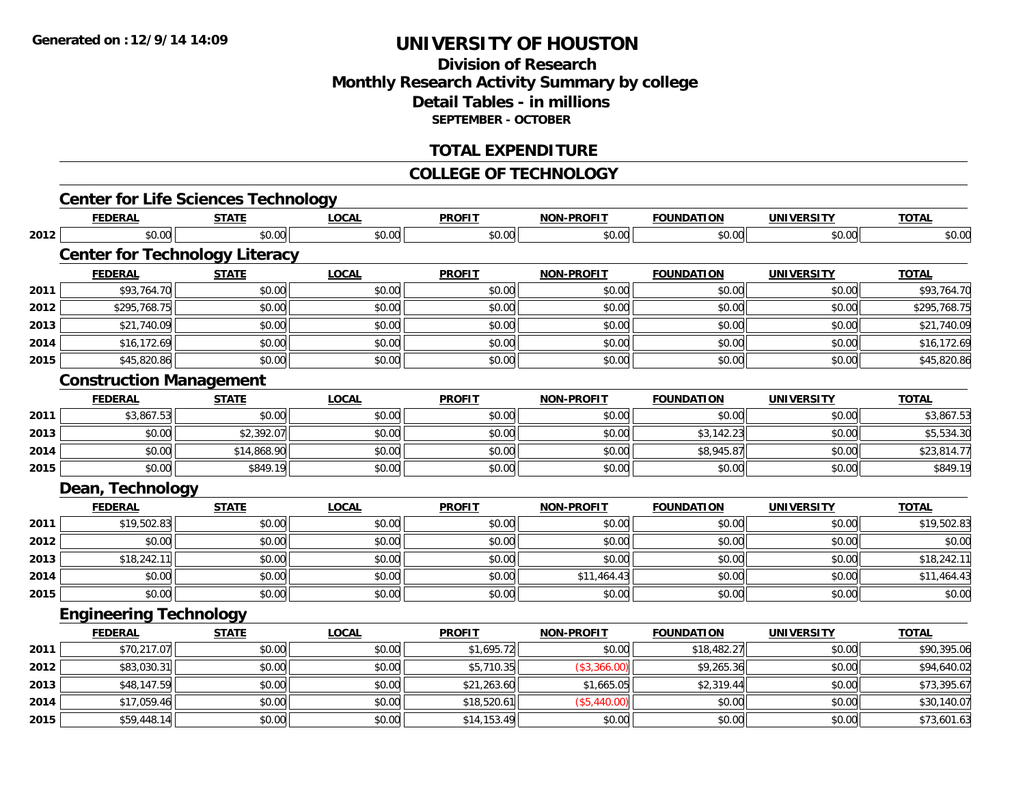### **Division of ResearchMonthly Research Activity Summary by college Detail Tables - in millions SEPTEMBER - OCTOBER**

#### **TOTAL EXPENDITURE**

#### **COLLEGE OF TECHNOLOGY**

|      | <b>Center for Life Sciences Technology</b> |              |              |               |                   |                   |                   |              |
|------|--------------------------------------------|--------------|--------------|---------------|-------------------|-------------------|-------------------|--------------|
|      | <b>FEDERAL</b>                             | <b>STATE</b> | <b>LOCAL</b> | <b>PROFIT</b> | <b>NON-PROFIT</b> | <b>FOUNDATION</b> | <b>UNIVERSITY</b> | <b>TOTAL</b> |
| 2012 | \$0.00                                     | \$0.00       | \$0.00       | \$0.00        | \$0.00            | \$0.00            | \$0.00            | \$0.00       |
|      | <b>Center for Technology Literacy</b>      |              |              |               |                   |                   |                   |              |
|      | <b>FEDERAL</b>                             | <b>STATE</b> | <b>LOCAL</b> | <b>PROFIT</b> | <b>NON-PROFIT</b> | <b>FOUNDATION</b> | <b>UNIVERSITY</b> | <b>TOTAL</b> |
| 2011 | \$93,764.70                                | \$0.00       | \$0.00       | \$0.00        | \$0.00            | \$0.00            | \$0.00            | \$93,764.70  |
| 2012 | \$295,768.75                               | \$0.00       | \$0.00       | \$0.00        | \$0.00            | \$0.00            | \$0.00            | \$295,768.75 |
| 2013 | \$21,740.09                                | \$0.00       | \$0.00       | \$0.00        | \$0.00            | \$0.00            | \$0.00            | \$21,740.09  |
| 2014 | \$16,172.69                                | \$0.00       | \$0.00       | \$0.00        | \$0.00            | \$0.00            | \$0.00            | \$16,172.69  |
| 2015 | \$45,820.86                                | \$0.00       | \$0.00       | \$0.00        | \$0.00            | \$0.00            | \$0.00            | \$45,820.86  |
|      | <b>Construction Management</b>             |              |              |               |                   |                   |                   |              |
|      | <b>FEDERAL</b>                             | <b>STATE</b> | <b>LOCAL</b> | <b>PROFIT</b> | <b>NON-PROFIT</b> | <b>FOUNDATION</b> | <b>UNIVERSITY</b> | <b>TOTAL</b> |
| 2011 | \$3,867.53                                 | \$0.00       | \$0.00       | \$0.00        | \$0.00            | \$0.00            | \$0.00            | \$3,867.53   |
| 2013 | \$0.00                                     | \$2,392.07   | \$0.00       | \$0.00        | \$0.00            | \$3,142.23        | \$0.00            | \$5,534.30   |
| 2014 | \$0.00                                     | \$14,868.90  | \$0.00       | \$0.00        | \$0.00            | \$8,945.87        | \$0.00            | \$23,814.77  |
| 2015 | \$0.00                                     | \$849.19     | \$0.00       | \$0.00        | \$0.00            | \$0.00            | \$0.00            | \$849.19     |
|      | Dean, Technology                           |              |              |               |                   |                   |                   |              |
|      | <b>FEDERAL</b>                             | <b>STATE</b> | <b>LOCAL</b> | <b>PROFIT</b> | <b>NON-PROFIT</b> | <b>FOUNDATION</b> | <b>UNIVERSITY</b> | <b>TOTAL</b> |
| 2011 | \$19,502.83                                | \$0.00       | \$0.00       | \$0.00        | \$0.00            | \$0.00            | \$0.00            | \$19,502.83  |
| 2012 | \$0.00                                     | \$0.00       | \$0.00       | \$0.00        | \$0.00            | \$0.00            | \$0.00            | \$0.00       |
| 2013 | \$18,242.11                                | \$0.00       | \$0.00       | \$0.00        | \$0.00            | \$0.00            | \$0.00            | \$18,242.11  |
| 2014 | \$0.00                                     | \$0.00       | \$0.00       | \$0.00        | \$11,464.43       | \$0.00            | \$0.00            | \$11,464.43  |
| 2015 | \$0.00                                     | \$0.00       | \$0.00       | \$0.00        | \$0.00            | \$0.00            | \$0.00            | \$0.00       |
|      | <b>Engineering Technology</b>              |              |              |               |                   |                   |                   |              |
|      | <b>FEDERAL</b>                             | <b>STATE</b> | <b>LOCAL</b> | <b>PROFIT</b> | <b>NON-PROFIT</b> | <b>FOUNDATION</b> | <b>UNIVERSITY</b> | <b>TOTAL</b> |
| 2011 | \$70,217.07                                | \$0.00       | \$0.00       | \$1,695.72    | \$0.00            | \$18,482.27       | \$0.00            | \$90,395.06  |
| 2012 | \$83,030.31                                | \$0.00       | \$0.00       | \$5,710.35    | (\$3,366.00)      | \$9,265.36        | \$0.00            | \$94,640.02  |
| 2013 | \$48,147.59                                | \$0.00       | \$0.00       | \$21,263.60   | \$1,665.05        | \$2,319.44        | \$0.00            | \$73,395.67  |
| 2014 | \$17,059.46                                | \$0.00       | \$0.00       | \$18,520.61   | (\$5,440.00)      | \$0.00            | \$0.00            | \$30,140.07  |
| 2015 | \$59,448.14                                | \$0.00       | \$0.00       | \$14,153.49   | \$0.00            | \$0.00            | \$0.00            | \$73,601.63  |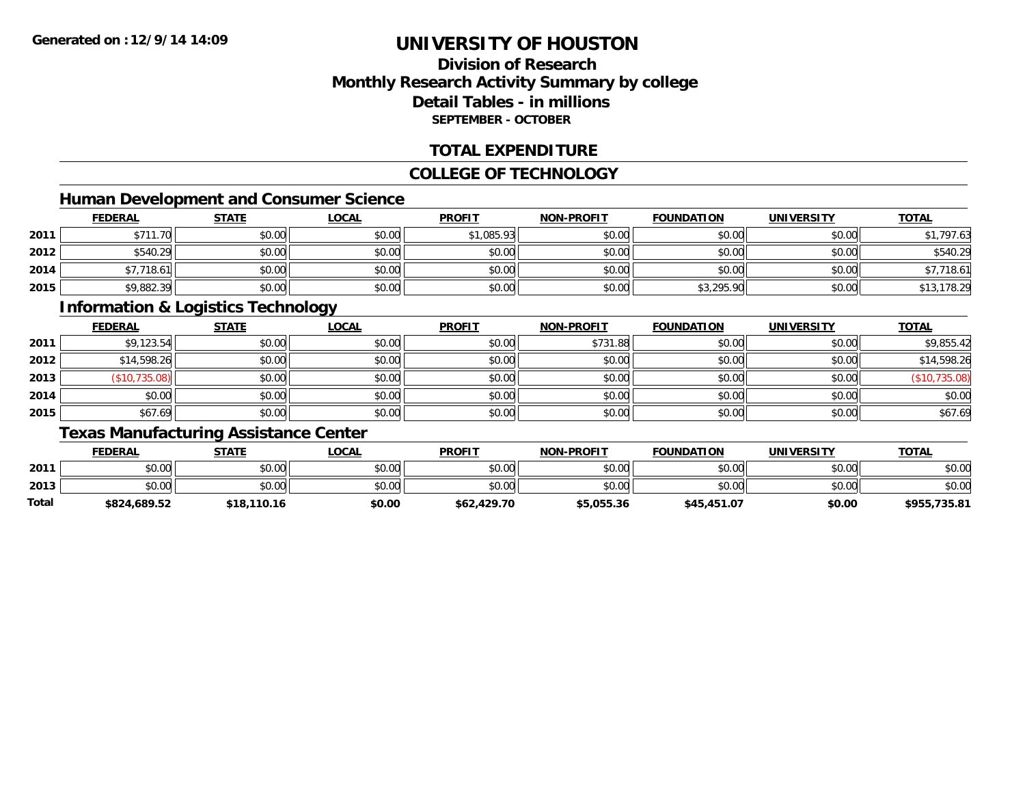### **Division of ResearchMonthly Research Activity Summary by college Detail Tables - in millionsSEPTEMBER - OCTOBER**

#### **TOTAL EXPENDITURE**

#### **COLLEGE OF TECHNOLOGY**

### **Human Development and Consumer Science**

|      | <b>FEDERAL</b>  | <b>STATE</b> | <b>LOCAL</b> | <b>PROFIT</b> | <b>NON-PROFIT</b> | <b>FOUNDATION</b> | <b>UNIVERSITY</b> | <b>TOTAL</b> |
|------|-----------------|--------------|--------------|---------------|-------------------|-------------------|-------------------|--------------|
| 2011 | \$711.<br>11.70 | \$0.00       | \$0.00       | \$1,085.93    | \$0.00            | \$0.00            | \$0.00            | ,797.63      |
| 2012 | \$540.29        | \$0.00       | \$0.00       | \$0.00        | \$0.00            | \$0.00            | \$0.00            | \$540.29     |
| 2014 | 7.718.61        | \$0.00       | \$0.00       | \$0.00        | \$0.00            | \$0.00            | \$0.00            | \$7,718.61   |
| 2015 | \$9,882.39      | \$0.00       | \$0.00       | \$0.00        | \$0.00            | \$3,295.90        | \$0.00            | \$13,178.29  |

#### **Information & Logistics Technology**

|      | <b>FEDERAL</b> | <b>STATE</b> | <b>LOCAL</b> | <b>PROFIT</b> | <b>NON-PROFIT</b> | <b>FOUNDATION</b> | <b>UNIVERSITY</b> | <b>TOTAL</b> |
|------|----------------|--------------|--------------|---------------|-------------------|-------------------|-------------------|--------------|
| 2011 | \$9,123.54     | \$0.00       | \$0.00       | \$0.00        | \$731.88          | \$0.00            | \$0.00            | \$9,855.42   |
| 2012 | \$14,598.26    | \$0.00       | \$0.00       | \$0.00        | \$0.00            | \$0.00            | \$0.00            | \$14,598.26  |
| 2013 | \$10,735.08    | \$0.00       | \$0.00       | \$0.00        | \$0.00            | \$0.00            | \$0.00            | 735.08)      |
| 2014 | \$0.00         | \$0.00       | \$0.00       | \$0.00        | \$0.00            | \$0.00            | \$0.00            | \$0.00       |
| 2015 | \$67.69        | \$0.00       | \$0.00       | \$0.00        | \$0.00            | \$0.00            | \$0.00            | \$67.69      |

### **Texas Manufacturing Assistance Center**

|       | <b>FEDERAL</b> | STATE       | <u>LOCAL</u> | <b>PROFIT</b> | <b>NON-PROFIT</b> | <b>FOUNDATION</b> | <b>UNIVERSITY</b> | <b>TOTAL</b> |
|-------|----------------|-------------|--------------|---------------|-------------------|-------------------|-------------------|--------------|
| 2011  | \$0.00         | \$0.00      | \$0.00       | \$0.00        | \$0.00            | \$0.00            | \$0.00            | \$0.00       |
| 2013  | \$0.00         | \$0.00      | \$0.00       | \$0.00        | \$0.00            | \$0.00            | \$0.00            | \$0.00       |
| Total | \$824,689.52   | \$18,110.16 | \$0.00       | \$62,429.70   | \$5,055.36        | \$45,451.07       | \$0.00            | \$955,735.81 |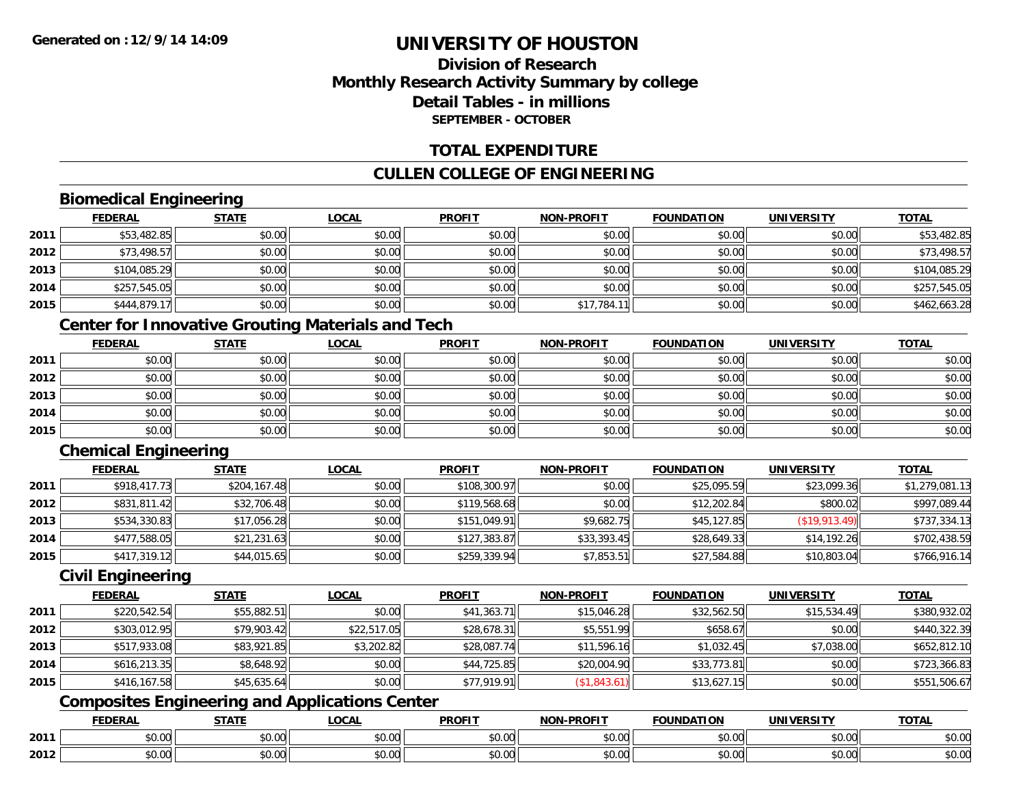### **Division of ResearchMonthly Research Activity Summary by college Detail Tables - in millionsSEPTEMBER - OCTOBER**

#### **TOTAL EXPENDITURE**

#### **CULLEN COLLEGE OF ENGINEERING**

### **Biomedical Engineering**

|      | <b>FEDERAL</b> | <b>STATE</b> | <b>LOCAL</b> | <b>PROFIT</b> | NON-PROFIT  | <b>FOUNDATION</b> | <b>UNIVERSITY</b> | <b>TOTAL</b> |
|------|----------------|--------------|--------------|---------------|-------------|-------------------|-------------------|--------------|
| 2011 | \$53,482.85    | \$0.00       | \$0.00       | \$0.00        | \$0.00      | \$0.00            | \$0.00            | \$53,482.85  |
| 2012 | \$73,498.57    | \$0.00       | \$0.00       | \$0.00        | \$0.00      | \$0.00            | \$0.00            | \$73,498.57  |
| 2013 | \$104,085.29   | \$0.00       | \$0.00       | \$0.00        | \$0.00      | \$0.00            | \$0.00            | \$104,085.29 |
| 2014 | \$257,545.05   | \$0.00       | \$0.00       | \$0.00        | \$0.00      | \$0.00            | \$0.00            | \$257,545.05 |
| 2015 | \$444,879.17   | \$0.00       | \$0.00       | \$0.00        | \$17,784.11 | \$0.00            | \$0.00            | \$462,663.28 |

### **Center for Innovative Grouting Materials and Tech**

|      | <u>FEDERAL</u> | <u>STATE</u> | <u>LOCAL</u> | <b>PROFIT</b> | <b>NON-PROFIT</b> | <b>FOUNDATION</b> | <b>UNIVERSITY</b> | <b>TOTAL</b> |
|------|----------------|--------------|--------------|---------------|-------------------|-------------------|-------------------|--------------|
| 2011 | \$0.00         | \$0.00       | \$0.00       | \$0.00        | \$0.00            | \$0.00            | \$0.00            | \$0.00       |
| 2012 | \$0.00         | \$0.00       | \$0.00       | \$0.00        | \$0.00            | \$0.00            | \$0.00            | \$0.00       |
| 2013 | \$0.00         | \$0.00       | \$0.00       | \$0.00        | \$0.00            | \$0.00            | \$0.00            | \$0.00       |
| 2014 | \$0.00         | \$0.00       | \$0.00       | \$0.00        | \$0.00            | \$0.00            | \$0.00            | \$0.00       |
| 2015 | \$0.00         | \$0.00       | \$0.00       | \$0.00        | \$0.00            | \$0.00            | \$0.00            | \$0.00       |

### **Chemical Engineering**

|      | <b>FEDERAL</b> | <b>STATE</b> | <u>LOCAL</u> | <b>PROFIT</b> | <b>NON-PROFIT</b> | <b>FOUNDATION</b> | <b>UNIVERSITY</b> | <b>TOTAL</b>   |
|------|----------------|--------------|--------------|---------------|-------------------|-------------------|-------------------|----------------|
| 2011 | \$918,417.73   | \$204,167.48 | \$0.00       | \$108,300.97  | \$0.00            | \$25,095.59       | \$23,099.36       | \$1,279,081.13 |
| 2012 | \$831,811.42   | \$32,706.48  | \$0.00       | \$119,568.68  | \$0.00            | \$12,202.84       | \$800.02          | \$997,089.44   |
| 2013 | \$534,330.83   | \$17,056.28  | \$0.00       | \$151,049.91  | \$9,682.75        | \$45,127.85       | (\$19,913.49)     | \$737,334.13   |
| 2014 | \$477,588.05   | \$21,231.63  | \$0.00       | \$127,383.87  | \$33,393.45       | \$28,649.33       | \$14.192.26       | \$702,438.59   |
| 2015 | \$417,319.12   | \$44,015.65  | \$0.00       | \$259,339.94  | \$7,853.51        | \$27,584.88       | \$10,803.04       | \$766,916.14   |

#### **Civil Engineering**

|      | <b>FEDERAL</b> | <b>STATE</b> | <b>LOCAL</b> | <b>PROFIT</b> | <b>NON-PROFIT</b> | <b>FOUNDATION</b> | <b>UNIVERSITY</b> | <b>TOTAL</b> |
|------|----------------|--------------|--------------|---------------|-------------------|-------------------|-------------------|--------------|
| 2011 | \$220,542.54   | \$55,882.51  | \$0.00       | \$41,363.71   | \$15,046.28       | \$32,562.50       | \$15,534.49       | \$380,932.02 |
| 2012 | \$303,012.95   | \$79,903.42  | \$22,517.05  | \$28,678.31   | \$5,551.99        | \$658.67          | \$0.00            | \$440,322.39 |
| 2013 | \$517,933.08   | \$83,921.85  | \$3,202.82   | \$28,087.74   | \$11,596.16       | \$1,032.45        | \$7,038.00        | \$652,812.10 |
| 2014 | \$616,213.35   | \$8,648.92   | \$0.00       | \$44,725.85   | \$20,004.90       | \$33,773.81       | \$0.00            | \$723,366.83 |
| 2015 | \$416,167.58   | \$45,635.64  | \$0.00       | \$77,919.91   | (\$1,843.61)      | \$13,627.15       | \$0.00            | \$551,506.67 |

## **Composites Engineering and Applications Center**

|      | <b>DERAL</b>                     | <b>CTATI</b>          | .OCAI                  | <b>PROFIT</b>         | <b>DDAEIT</b><br><b>NION</b> | .<br>ב נוחו<br>пом | - R.J.         | <b>TOTAL</b>                   |
|------|----------------------------------|-----------------------|------------------------|-----------------------|------------------------------|--------------------|----------------|--------------------------------|
| 2011 | $\sim$<br>. uu u                 | $\overline{ }$<br>ט.ט | $\sim$ 00<br>pu.uu     | $\sim$ 00<br>ັ⊎ບ.ບບ,  | 0.00<br>PO.OO                | vv.vv              | 0.001<br>vv.vv | 0000<br>\$U.UU                 |
| 2012 | $\sim$ $\sim$<br>$\sim$<br>,u.uu | しいい                   | $\sim$ $\sim$<br>vu.uu | $\sim$ 00<br>ັ້ນບ.ບເ∞ | 0.00<br>PO.OO                | JU.UU              | 0.00<br>PO.OO  | 0 <sup>0</sup><br><b>JU.UU</b> |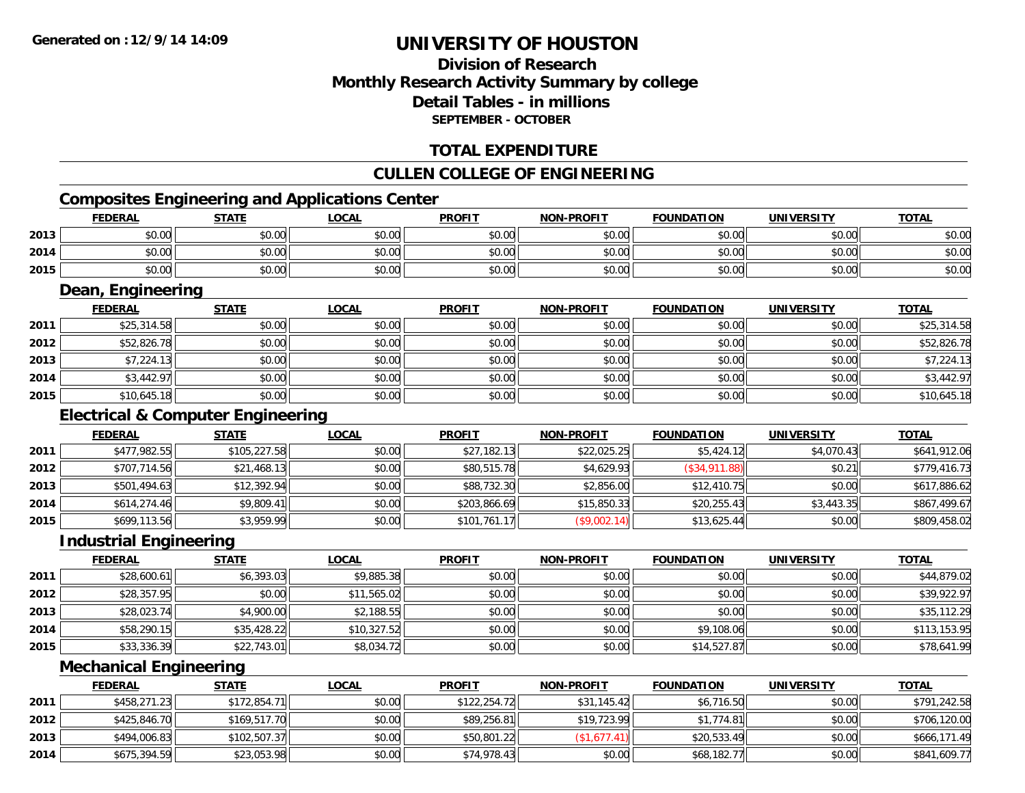### **Division of ResearchMonthly Research Activity Summary by college Detail Tables - in millions SEPTEMBER - OCTOBER**

### **TOTAL EXPENDITURE**

#### **CULLEN COLLEGE OF ENGINEERING**

### **Composites Engineering and Applications Center**

|      | <b>FEDERAL</b>        | <b>STATE</b>                                 | <b>LOCAL</b> | <b>PROFIT</b> | <b>NON-PROFIT</b> | <b>FOUNDATION</b> | <b>UNIVERSITY</b> | <b>TOTAL</b> |
|------|-----------------------|----------------------------------------------|--------------|---------------|-------------------|-------------------|-------------------|--------------|
| 2013 | \$0.00                | \$0.00                                       | \$0.00       | \$0.00        | \$0.00            | \$0.00            | \$0.00            | \$0.00       |
| 2014 | \$0.00                | \$0.00                                       | \$0.00       | \$0.00        | \$0.00            | \$0.00            | \$0.00            | \$0.00       |
| 2015 | \$0.00                | \$0.00                                       | \$0.00       | \$0.00        | \$0.00            | \$0.00            | \$0.00            | \$0.00       |
|      | Dean, Engineering     |                                              |              |               |                   |                   |                   |              |
|      | <b>FEDERAL</b>        | <b>STATE</b>                                 | <b>LOCAL</b> | <b>PROFIT</b> | <b>NON-PROFIT</b> | <b>FOUNDATION</b> | <b>UNIVERSITY</b> | <b>TOTAL</b> |
| 2011 | \$25,314.58           | \$0.00                                       | \$0.00       | \$0.00        | \$0.00            | \$0.00            | \$0.00            | \$25,314.58  |
| 2012 | \$52,826.78           | \$0.00                                       | \$0.00       | \$0.00        | \$0.00            | \$0.00            | \$0.00            | \$52,826.78  |
| 2013 | \$7,224.13            | \$0.00                                       | \$0.00       | \$0.00        | \$0.00            | \$0.00            | \$0.00            | \$7,224.13   |
| 2014 | \$3,442.97            | \$0.00                                       | \$0.00       | \$0.00        | \$0.00            | \$0.00            | \$0.00            | \$3,442.97   |
| 2015 | \$10,645.18           | \$0.00                                       | \$0.00       | \$0.00        | \$0.00            | \$0.00            | \$0.00            | \$10,645.18  |
|      |                       | <b>Electrical &amp; Computer Engineering</b> |              |               |                   |                   |                   |              |
|      | <b>FEDERAL</b>        | <b>STATE</b>                                 | <b>LOCAL</b> | <b>PROFIT</b> | <b>NON-PROFIT</b> | <b>FOUNDATION</b> | <b>UNIVERSITY</b> | <b>TOTAL</b> |
| 2011 | \$477,982.55          | \$105,227.58                                 | \$0.00       | \$27,182.13   | \$22,025.25       | \$5,424.12        | \$4,070.43        | \$641,912.06 |
| 2012 | \$707,714.56          | \$21,468.13                                  | \$0.00       | \$80,515.78   | \$4,629.93        | (\$34,911.88)     | \$0.21            | \$779,416.73 |
| 2013 | \$501,494.63          | \$12,392.94                                  | \$0.00       | \$88,732.30   | \$2,856.00        | \$12,410.75       | \$0.00            | \$617,886.62 |
| 2014 | \$614,274.46          | \$9,809.41                                   | \$0.00       | \$203,866.69  | \$15,850.33       | \$20,255.43       | \$3,443.35        | \$867,499.67 |
| 2015 | \$699,113.56          | \$3,959.99                                   | \$0.00       | \$101,761.17  | (\$9,002.14)      | \$13,625.44       | \$0.00            | \$809,458.02 |
|      | nductrial Engineering |                                              |              |               |                   |                   |                   |              |

#### **Industrial Engineering**

|      | <b>FEDERAL</b> | <u>STATE</u> | <u>LOCAL</u> | <b>PROFIT</b> | <b>NON-PROFIT</b> | <b>FOUNDATION</b> | <b>UNIVERSITY</b> | <b>TOTAL</b> |
|------|----------------|--------------|--------------|---------------|-------------------|-------------------|-------------------|--------------|
| 2011 | \$28,600.61    | \$6,393.03   | \$9,885.38   | \$0.00        | \$0.00            | \$0.00            | \$0.00            | \$44,879.02  |
| 2012 | \$28,357.95    | \$0.00       | \$11,565.02  | \$0.00        | \$0.00            | \$0.00            | \$0.00            | \$39,922.97  |
| 2013 | \$28,023.74    | \$4,900.00   | \$2,188.55   | \$0.00        | \$0.00            | \$0.00            | \$0.00            | \$35,112.29  |
| 2014 | \$58,290.15    | \$35,428.22  | \$10,327.52  | \$0.00        | \$0.00            | \$9,108.06        | \$0.00            | \$113,153.95 |
| 2015 | \$33,336.39    | \$22,743.01  | \$8,034.72   | \$0.00        | \$0.00            | \$14,527.87       | \$0.00            | \$78,641.99  |

#### **Mechanical Engineering**

|      | <b>FEDERAL</b> | <u>STATE</u> | <u>LOCAL</u> | <b>PROFIT</b> | <b>NON-PROFIT</b> | <b>FOUNDATION</b> | <b>UNIVERSITY</b> | <b>TOTAL</b> |
|------|----------------|--------------|--------------|---------------|-------------------|-------------------|-------------------|--------------|
| 2011 | \$458,271.23   | \$172,854.71 | \$0.00       | \$122,254.72  | \$31,145.42       | \$6,716.50        | \$0.00            | \$791,242.58 |
| 2012 | \$425,846.70   | \$169,517.70 | \$0.00       | \$89,256.81   | \$19,723.99       | \$1,774.81        | \$0.00            | \$706,120.00 |
| 2013 | \$494,006.83   | \$102,507.37 | \$0.00       | \$50,801.22   | (S1.677.41)       | \$20,533.49       | \$0.00            | \$666,171.49 |
| 2014 | \$675,394.59   | \$23,053.98  | \$0.00       | \$74,978.43   | \$0.00            | \$68,182.77       | \$0.00            | \$841,609.77 |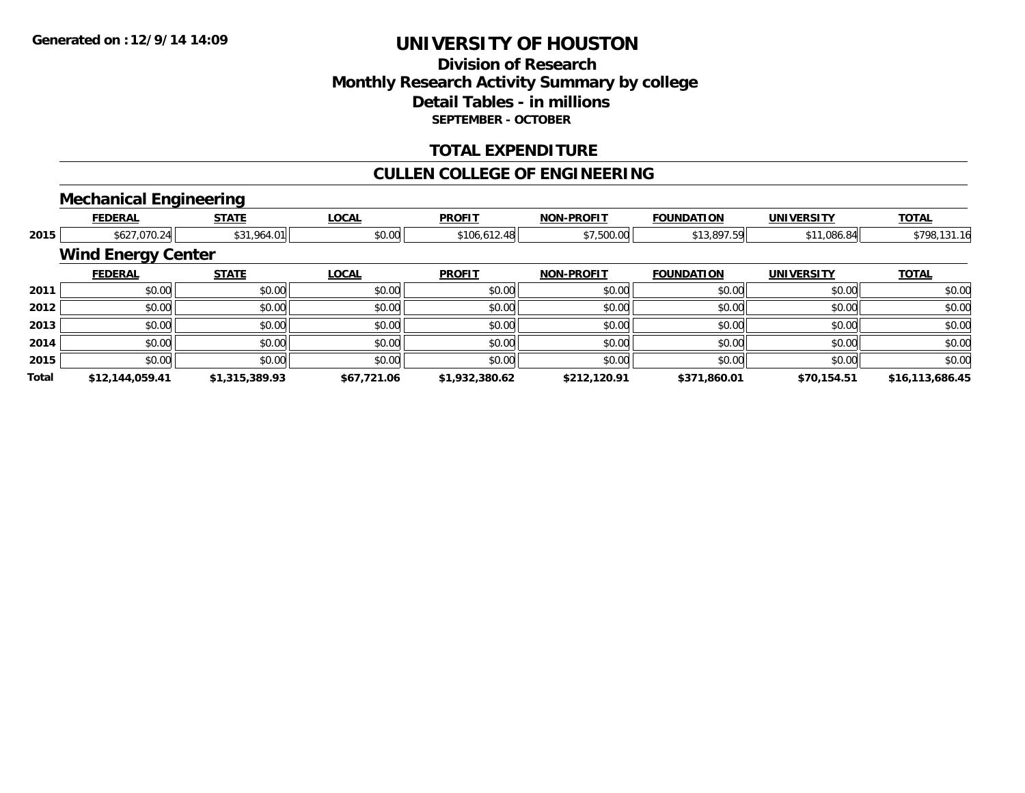### **Division of ResearchMonthly Research Activity Summary by college Detail Tables - in millions SEPTEMBER - OCTOBER**

#### **TOTAL EXPENDITURE**

#### **CULLEN COLLEGE OF ENGINEERING**

### **Mechanical Engineering**

|              | <b>FEDERAL</b>            | <b>STATE</b>   | <b>LOCAL</b> | <b>PROFIT</b>  | <b>NON-PROFIT</b> | <b>FOUNDATION</b> | <b>UNIVERSITY</b> | <b>TOTAL</b>    |
|--------------|---------------------------|----------------|--------------|----------------|-------------------|-------------------|-------------------|-----------------|
| 2015         | \$627,070.24              | \$31,964.01    | \$0.00       | \$106,612.48   | \$7,500.00        | \$13,897.59       | \$11,086.84       | \$798,131.16    |
|              | <b>Wind Energy Center</b> |                |              |                |                   |                   |                   |                 |
|              | <b>FEDERAL</b>            | <b>STATE</b>   | <b>LOCAL</b> | <b>PROFIT</b>  | <b>NON-PROFIT</b> | <b>FOUNDATION</b> | <b>UNIVERSITY</b> | <b>TOTAL</b>    |
| 2011         | \$0.00                    | \$0.00         | \$0.00       | \$0.00         | \$0.00            | \$0.00            | \$0.00            | \$0.00          |
| 2012         | \$0.00                    | \$0.00         | \$0.00       | \$0.00         | \$0.00            | \$0.00            | \$0.00            | \$0.00          |
| 2013         | \$0.00                    | \$0.00         | \$0.00       | \$0.00         | \$0.00            | \$0.00            | \$0.00            | \$0.00          |
| 2014         | \$0.00                    | \$0.00         | \$0.00       | \$0.00         | \$0.00            | \$0.00            | \$0.00            | \$0.00          |
| 2015         | \$0.00                    | \$0.00         | \$0.00       | \$0.00         | \$0.00            | \$0.00            | \$0.00            | \$0.00          |
| <b>Total</b> | \$12,144,059.41           | \$1,315,389.93 | \$67,721.06  | \$1,932,380.62 | \$212,120.91      | \$371,860.01      | \$70,154.51       | \$16,113,686.45 |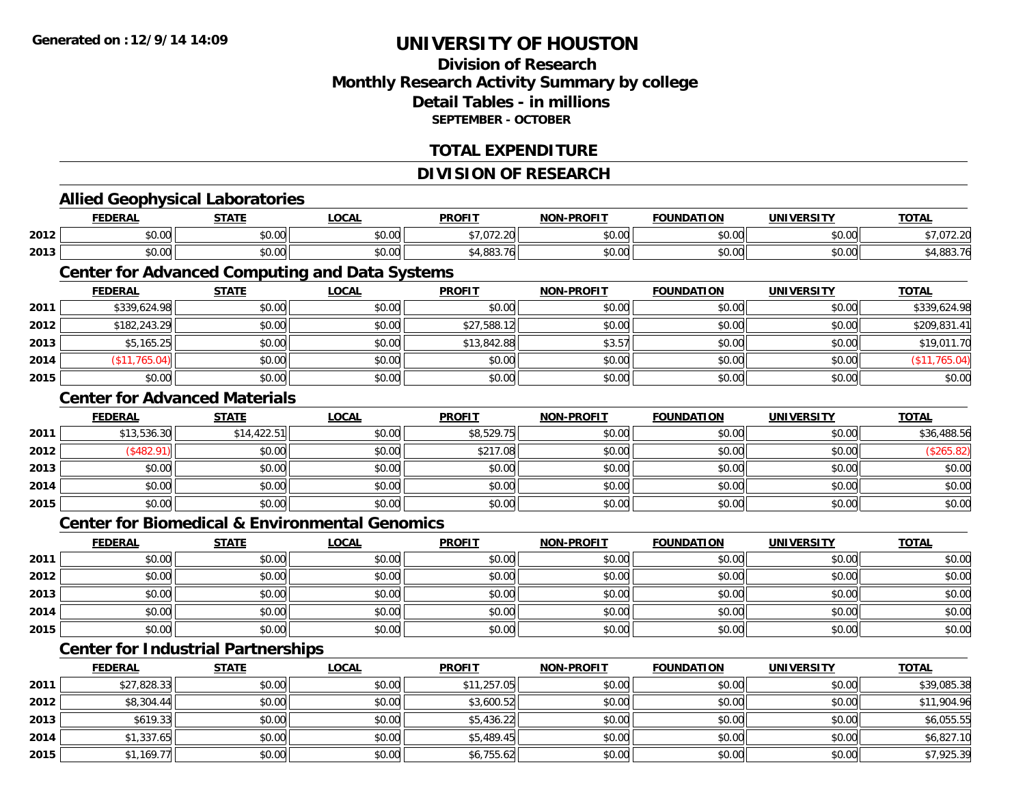#### **Division of ResearchMonthly Research Activity Summary by college Detail Tables - in millionsSEPTEMBER - OCTOBER**

#### **TOTAL EXPENDITURE**

#### **DIVISION OF RESEARCH**

#### **Allied Geophysical Laboratories FEDERAL STATE LOCAL PROFIT NON-PROFIT FOUNDATION UNIVERSITY TOTALTOTAL 2012**2 | \$0.00| \$0.00| \$0.00| \$0.00| \$0.00| \$0.00| \$7,072.20 \$0.00| \$0.00| \$0.00| \$0.00| \$0.00| \$7,072.20 **2013** \$0.00 \$0.00 \$0.00 \$4,883.76 \$0.00 \$0.00 \$0.00 \$4,883.76 **Center for Advanced Computing and Data Systems FEDERAL STATE LOCAL PROFIT NON-PROFIT FOUNDATION UNIVERSITY TOTALTOTAL 2011**1 \$339,624.98 \$0.00 \$0.00 \$0.00 \$0.00 \$0.00 \$0.00 \$0.00 \$0.00 \$0.00 \$0.00 \$0.00 \$0.00 \$339,624.98 **2012**2 | \$182,243.29| \$0.00| \$0.00| \$0.00| \$27,588.12| \$0.00| \$0.00| \$0.00| \$0.00| \$0.00| \$209,831.41 **2013** \$5,165.25 \$0.00 \$0.00 \$13,842.88 \$3.57 \$0.00 \$0.00 \$19,011.70 **2014** (\$11,765.04) \$0.00 \$0.00 \$0.00 \$0.00 \$0.00 \$0.00 (\$11,765.04) **2015**5 | \$0.00 \$0.00 \$0.00 \$0.00 \$0.00 \$0.00 \$0.00 \$0.00 \$0.00 \$0.00 \$0.00 \$0.00 \$0.00 \$0.00 \$0.00 \$0.00 \$0.00 **Center for Advanced MaterialsFEDERAL STATE LOCAL PROFIT NON-PROFIT FOUNDATION UNIVERSITY TOTAL2011** \$13,536.30 \$14,422.51 \$0.00 \$8,529.75 \$0.00 \$0.00 \$0.00 \$36,488.56 **2012**2 | (\$482.91)|| \$0.00|| \$0.00|| \$217.08|| \$0.00|| \$0.00|| (\$265.82) **2013** \$0.00 \$0.00 \$0.00 \$0.00 \$0.00 \$0.00 \$0.00 \$0.00 **2014**4 \$0.00 \$0.00 \$0.00 \$0.00 \$0.00 \$0.00 \$0.00 \$0.00 \$0.00 \$0.00 \$0.00 \$0.00 \$0.00 \$0.00 \$0.00 \$0.00 **2015** \$0.00 \$0.00 \$0.00 \$0.00 \$0.00 \$0.00 \$0.00 \$0.00 **Center for Biomedical & Environmental GenomicsFEDERAL STATE LOCAL PROFIT NON-PROFIT FOUNDATION UNIVERSITY TOTALTOTAL 2011** \$0.00 \$0.00 \$0.00 \$0.00 \$0.00 \$0.00 \$0.00 \$0.00 **2012**2 | \$0.00 \$0.00 \$0.00 \$0.00 \$0.00 \$0.00 \$0.00 \$0.00 \$0.00 \$0.00 \$0.00 \$0.00 \$0.00 \$0.00 \$0.00 \$0.00 \$0.00 **2013** \$0.00 \$0.00 \$0.00 \$0.00 \$0.00 \$0.00 \$0.00 \$0.00 **2014**4 \$0.00 \$0.00 \$0.00 \$0.00 \$0.00 \$0.00 \$0.00 \$0.00 \$0.00 \$0.00 \$0.00 \$0.00 \$0.00 \$0.00 \$0.00 \$0.00 \$0.00 **2015** \$0.00 \$0.00 \$0.00 \$0.00 \$0.00 \$0.00 \$0.00 \$0.00 **Center for Industrial Partnerships FEDERAL STATE LOCAL PROFIT NON-PROFIT FOUNDATION UNIVERSITY TOTAL**

|      | 1 LVLNAL    | 3171L  | <u>LUUNL</u> | <b>FNVIII</b> | <b>IVOIV-FROITI</b> | <b>I VUIVUAI IUIV</b> | <b>UNIVLRJIII</b> | 101AB       |
|------|-------------|--------|--------------|---------------|---------------------|-----------------------|-------------------|-------------|
| 2011 | \$27,828.33 | \$0.00 | \$0.00       | \$11,257.05   | \$0.00              | \$0.00                | \$0.00            | \$39,085.38 |
| 2012 | \$8,304.44  | \$0.00 | \$0.00       | \$3,600.52    | \$0.00              | \$0.00                | \$0.00            | \$11,904.96 |
| 2013 | \$619.33    | \$0.00 | \$0.00       | \$5,436.22    | \$0.00              | \$0.00                | \$0.00            | \$6,055.55  |
| 2014 | \$1,337.65  | \$0.00 | \$0.00       | \$5,489.45    | \$0.00              | \$0.00                | \$0.00            | \$6,827.10  |
| 2015 | \$1,169.77  | \$0.00 | \$0.00       | \$6,755.62    | \$0.00              | \$0.00                | \$0.00            | \$7,925.39  |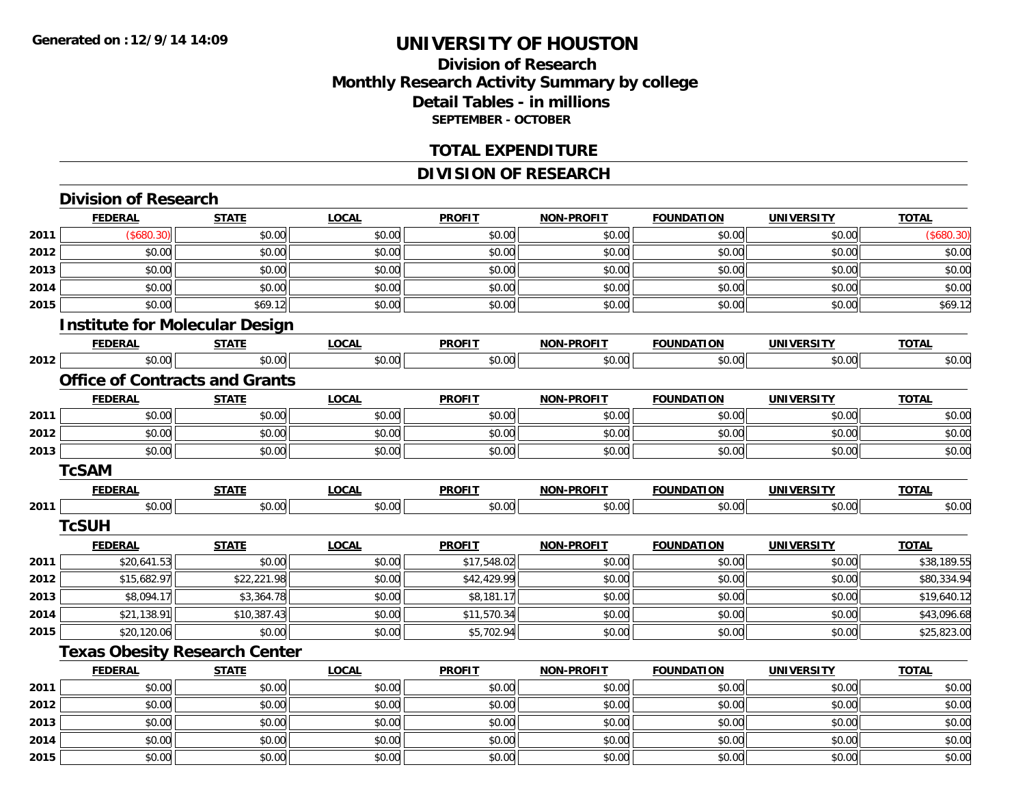### **Division of Research Monthly Research Activity Summary by college Detail Tables - in millions SEPTEMBER - OCTOBER**

#### **TOTAL EXPENDITURE**

### **DIVISION OF RESEARCH**

|      | <b>Division of Research</b>           |              |              |               |                   |                   |                   |              |
|------|---------------------------------------|--------------|--------------|---------------|-------------------|-------------------|-------------------|--------------|
|      | <b>FEDERAL</b>                        | <b>STATE</b> | <b>LOCAL</b> | <b>PROFIT</b> | <b>NON-PROFIT</b> | <b>FOUNDATION</b> | <b>UNIVERSITY</b> | <b>TOTAL</b> |
| 2011 | (\$680.30)                            | \$0.00       | \$0.00       | \$0.00        | \$0.00            | \$0.00            | \$0.00            | (\$680.30)   |
| 2012 | \$0.00                                | \$0.00       | \$0.00       | \$0.00        | \$0.00            | \$0.00            | \$0.00            | \$0.00       |
| 2013 | \$0.00                                | \$0.00       | \$0.00       | \$0.00        | \$0.00            | \$0.00            | \$0.00            | \$0.00       |
| 2014 | \$0.00                                | \$0.00       | \$0.00       | \$0.00        | \$0.00            | \$0.00            | \$0.00            | \$0.00       |
| 2015 | \$0.00                                | \$69.12      | \$0.00       | \$0.00        | \$0.00            | \$0.00            | \$0.00            | \$69.12      |
|      | <b>Institute for Molecular Design</b> |              |              |               |                   |                   |                   |              |
|      | <b>FEDERAL</b>                        | <b>STATE</b> | <b>LOCAL</b> | <b>PROFIT</b> | NON-PROFIT        | <b>FOUNDATION</b> | <b>UNIVERSITY</b> | <b>TOTAL</b> |
| 2012 | \$0.00                                | \$0.00       | \$0.00       | \$0.00        | \$0.00            | \$0.00            | \$0.00            | \$0.00       |
|      | <b>Office of Contracts and Grants</b> |              |              |               |                   |                   |                   |              |
|      | <b>FEDERAL</b>                        | <b>STATE</b> | <b>LOCAL</b> | <b>PROFIT</b> | <b>NON-PROFIT</b> | <b>FOUNDATION</b> | <b>UNIVERSITY</b> | <b>TOTAL</b> |
| 2011 | \$0.00                                | \$0.00       | \$0.00       | \$0.00        | \$0.00            | \$0.00            | \$0.00            | \$0.00       |
| 2012 | \$0.00                                | \$0.00       | \$0.00       | \$0.00        | \$0.00            | \$0.00            | \$0.00            | \$0.00       |
| 2013 | \$0.00                                | \$0.00       | \$0.00       | \$0.00        | \$0.00            | \$0.00            | \$0.00            | \$0.00       |
|      | <b>TcSAM</b>                          |              |              |               |                   |                   |                   |              |
|      | <b>FEDERAL</b>                        | <b>STATE</b> | <b>LOCAL</b> | <b>PROFIT</b> | <b>NON-PROFIT</b> | <b>FOUNDATION</b> | <b>UNIVERSITY</b> | <b>TOTAL</b> |
| 2011 | \$0.00                                | \$0.00       | \$0.00       | \$0.00        | \$0.00            | \$0.00            | \$0.00            | \$0.00       |
|      | <b>TcSUH</b>                          |              |              |               |                   |                   |                   |              |
|      | <b>FEDERAL</b>                        | <b>STATE</b> | <b>LOCAL</b> | <b>PROFIT</b> | <b>NON-PROFIT</b> | <b>FOUNDATION</b> | <b>UNIVERSITY</b> | <b>TOTAL</b> |
| 2011 | \$20,641.53                           | \$0.00       | \$0.00       | \$17,548.02   | \$0.00            | \$0.00            | \$0.00            | \$38,189.55  |
| 2012 | \$15,682.97                           | \$22,221.98  | \$0.00       | \$42,429.99   | \$0.00            | \$0.00            | \$0.00            | \$80,334.94  |
| 2013 | \$8,094.17                            | \$3,364.78   | \$0.00       | \$8,181.17    | \$0.00            | \$0.00            | \$0.00            | \$19,640.12  |
| 2014 | \$21,138.91                           | \$10,387.43  | \$0.00       | \$11,570.34   | \$0.00            | \$0.00            | \$0.00            | \$43,096.68  |
| 2015 | \$20,120.06                           | \$0.00       | \$0.00       | \$5,702.94    | \$0.00            | \$0.00            | \$0.00            | \$25,823.00  |
|      | <b>Texas Obesity Research Center</b>  |              |              |               |                   |                   |                   |              |
|      | <b>FEDERAL</b>                        | <b>STATE</b> | <b>LOCAL</b> | <b>PROFIT</b> | <b>NON-PROFIT</b> | <b>FOUNDATION</b> | <b>UNIVERSITY</b> | <b>TOTAL</b> |
| 2011 | $\ln 0$                               | $\sin$ on    | $\sin$ onl   | $\sin$ onl    | $\sin$ 00         | $\sin$ onl        | \$0.00            | \$0.00       |

| 2011 | \$0.00 | \$0.00 | \$0.00 | \$0.00 | \$0.00 | \$0.00 | \$0.00 | \$0.00 |
|------|--------|--------|--------|--------|--------|--------|--------|--------|
| 2012 | \$0.00 | \$0.00 | \$0.00 | \$0.00 | \$0.00 | \$0.00 | \$0.00 | \$0.00 |
| 2013 | \$0.00 | \$0.00 | \$0.00 | \$0.00 | \$0.00 | \$0.00 | \$0.00 | \$0.00 |
| 2014 | \$0.00 | \$0.00 | \$0.00 | \$0.00 | \$0.00 | \$0.00 | \$0.00 | \$0.00 |
| 2015 | \$0.00 | \$0.00 | \$0.00 | \$0.00 | \$0.00 | \$0.00 | \$0.00 | \$0.00 |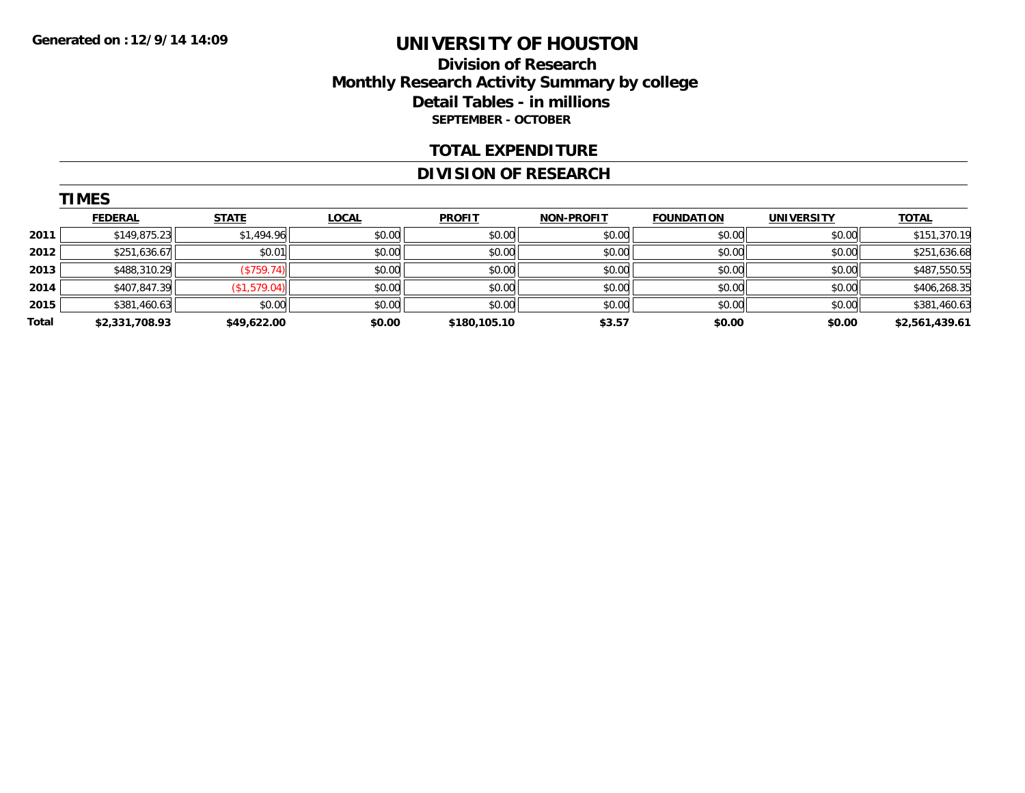### **Division of Research Monthly Research Activity Summary by college Detail Tables - in millions SEPTEMBER - OCTOBER**

#### **TOTAL EXPENDITURE**

#### **DIVISION OF RESEARCH**

|       | <b>TIMES</b>   |              |              |               |                   |                   |                   |                |
|-------|----------------|--------------|--------------|---------------|-------------------|-------------------|-------------------|----------------|
|       | <b>FEDERAL</b> | <b>STATE</b> | <b>LOCAL</b> | <b>PROFIT</b> | <b>NON-PROFIT</b> | <b>FOUNDATION</b> | <b>UNIVERSITY</b> | <b>TOTAL</b>   |
| 2011  | \$149,875.23   | \$1,494.96   | \$0.00       | \$0.00        | \$0.00            | \$0.00            | \$0.00            | \$151,370.19   |
| 2012  | \$251,636.67   | \$0.01       | \$0.00       | \$0.00        | \$0.00            | \$0.00            | \$0.00            | \$251,636.68   |
| 2013  | \$488,310.29   | (\$759.74)   | \$0.00       | \$0.00        | \$0.00            | \$0.00            | \$0.00            | \$487,550.55   |
| 2014  | \$407,847.39   | (\$1,579.04) | \$0.00       | \$0.00        | \$0.00            | \$0.00            | \$0.00            | \$406,268.35   |
| 2015  | \$381,460.63   | \$0.00       | \$0.00       | \$0.00        | \$0.00            | \$0.00            | \$0.00            | \$381,460.63   |
| Total | \$2,331,708.93 | \$49,622.00  | \$0.00       | \$180,105.10  | \$3.57            | \$0.00            | \$0.00            | \$2,561,439.61 |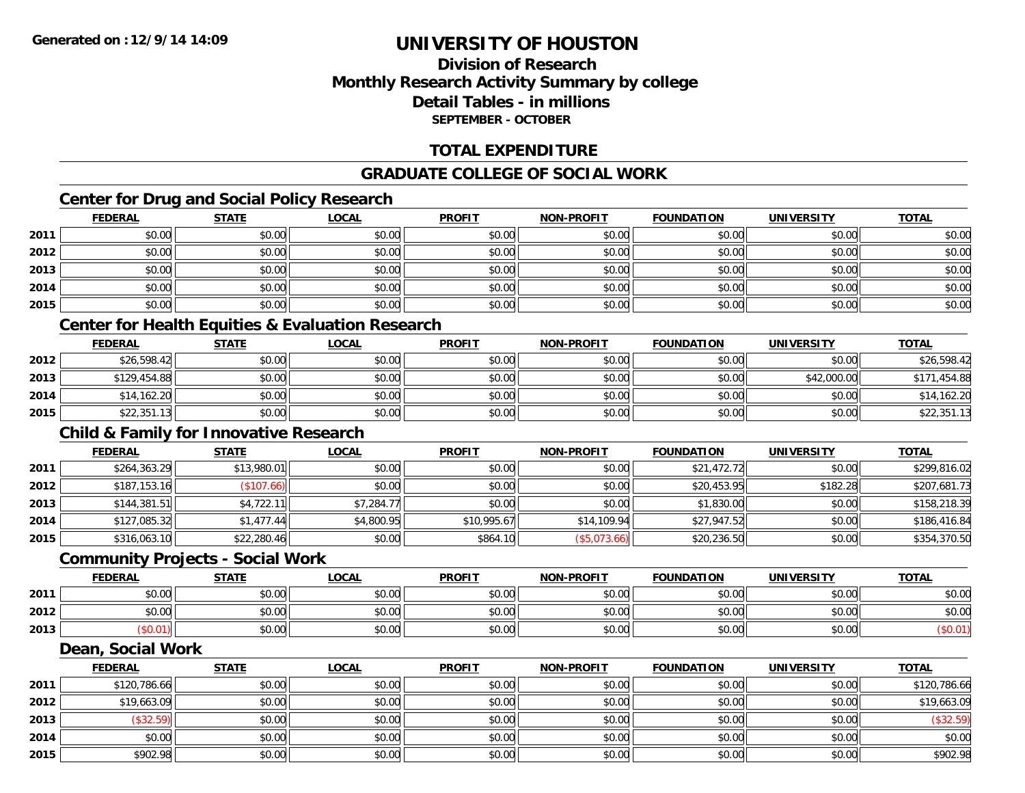**2015**

## **UNIVERSITY OF HOUSTON**

### **Division of ResearchMonthly Research Activity Summary by college Detail Tables - in millions SEPTEMBER - OCTOBER**

### **TOTAL EXPENDITURE**

### **GRADUATE COLLEGE OF SOCIAL WORK**

### **Center for Drug and Social Policy Research**

|      | <b>FEDERAL</b>                                    | <b>STATE</b> | <b>LOCAL</b>                                                | <b>PROFIT</b> | <b>NON-PROFIT</b> | <b>FOUNDATION</b> | <b>UNIVERSITY</b> | <b>TOTAL</b> |
|------|---------------------------------------------------|--------------|-------------------------------------------------------------|---------------|-------------------|-------------------|-------------------|--------------|
| 2011 | \$0.00                                            | \$0.00       | \$0.00                                                      | \$0.00        | \$0.00            | \$0.00            | \$0.00            | \$0.00       |
| 2012 | \$0.00                                            | \$0.00       | \$0.00                                                      | \$0.00        | \$0.00            | \$0.00            | \$0.00            | \$0.00       |
| 2013 | \$0.00                                            | \$0.00       | \$0.00                                                      | \$0.00        | \$0.00            | \$0.00            | \$0.00            | \$0.00       |
| 2014 | \$0.00                                            | \$0.00       | \$0.00                                                      | \$0.00        | \$0.00            | \$0.00            | \$0.00            | \$0.00       |
| 2015 | \$0.00                                            | \$0.00       | \$0.00                                                      | \$0.00        | \$0.00            | \$0.00            | \$0.00            | \$0.00       |
|      |                                                   |              | <b>Center for Health Equities &amp; Evaluation Research</b> |               |                   |                   |                   |              |
|      | <b>FEDERAL</b>                                    | <b>STATE</b> | <b>LOCAL</b>                                                | <b>PROFIT</b> | <b>NON-PROFIT</b> | <b>FOUNDATION</b> | <b>UNIVERSITY</b> | <b>TOTAL</b> |
| 2012 | \$26,598.42                                       | \$0.00       | \$0.00                                                      | \$0.00        | \$0.00            | \$0.00            | \$0.00            | \$26,598.42  |
| 2013 | \$129,454.88                                      | \$0.00       | \$0.00                                                      | \$0.00        | \$0.00            | \$0.00            | \$42,000.00       | \$171,454.88 |
| 2014 | \$14,162.20                                       | \$0.00       | \$0.00                                                      | \$0.00        | \$0.00            | \$0.00            | \$0.00            | \$14,162.20  |
| 2015 | \$22,351.13                                       | \$0.00       | \$0.00                                                      | \$0.00        | \$0.00            | \$0.00            | \$0.00            | \$22,351.13  |
|      | <b>Child &amp; Family for Innovative Research</b> |              |                                                             |               |                   |                   |                   |              |
|      | <b>FEDERAL</b>                                    | <b>STATE</b> | <b>LOCAL</b>                                                | <b>PROFIT</b> | <b>NON-PROFIT</b> | <b>FOUNDATION</b> | <b>UNIVERSITY</b> | <b>TOTAL</b> |
| 2011 | \$264,363.29                                      | \$13,980.01  | \$0.00                                                      | \$0.00        | \$0.00            | \$21,472.72       | \$0.00            | \$299,816.02 |
| 2012 | \$187,153.16                                      | (\$107.66)   | \$0.00                                                      | \$0.00        | \$0.00            | \$20,453.95       | \$182.28          | \$207,681.73 |
| 2013 | \$144,381.51                                      | \$4,722.11   | \$7,284.77                                                  | \$0.00        | \$0.00            | \$1,830.00        | \$0.00            | \$158,218.39 |
| 2014 | \$127,085.32                                      | \$1,477.44   | \$4,800.95                                                  | \$10,995.67   | \$14,109.94       | \$27,947.52       | \$0.00            | \$186,416.84 |
| 2015 | \$316,063.10                                      | \$22,280.46  | \$0.00                                                      | \$864.10      | (\$5,073.66)      | \$20,236.50       | \$0.00            | \$354,370.50 |
|      | <b>Community Projects - Social Work</b>           |              |                                                             |               |                   |                   |                   |              |
|      | <b>FEDERAL</b>                                    | <b>STATE</b> | <b>LOCAL</b>                                                | <b>PROFIT</b> | <b>NON-PROFIT</b> | <b>FOUNDATION</b> | <b>UNIVERSITY</b> | <b>TOTAL</b> |
| 2011 | \$0.00                                            | \$0.00       | \$0.00                                                      | \$0.00        | \$0.00            | \$0.00            | \$0.00            | \$0.00       |
| 2012 | \$0.00                                            | \$0.00       | \$0.00                                                      | \$0.00        | \$0.00            | \$0.00            | \$0.00            | \$0.00       |
| 2013 | (\$0.01)                                          | \$0.00       | \$0.00                                                      | \$0.00        | \$0.00            | \$0.00            | \$0.00            | (\$0.01)     |
|      | <b>Dean, Social Work</b>                          |              |                                                             |               |                   |                   |                   |              |
|      | <b>FEDERAL</b>                                    | <b>STATE</b> | <b>LOCAL</b>                                                | <b>PROFIT</b> | <b>NON-PROFIT</b> | <b>FOUNDATION</b> | <b>UNIVERSITY</b> | <b>TOTAL</b> |
| 2011 | \$120,786.66                                      | \$0.00       | \$0.00                                                      | \$0.00        | \$0.00            | \$0.00            | \$0.00            | \$120,786.66 |
| 2012 | \$19,663.09                                       | \$0.00       | \$0.00                                                      | \$0.00        | \$0.00            | \$0.00            | \$0.00            | \$19,663.09  |
| 2013 | (\$32.59)                                         | \$0.00       | \$0.00                                                      | \$0.00        | \$0.00            | \$0.00            | \$0.00            | (\$32.59)    |
| 2014 | \$0.00                                            | \$0.00       | \$0.00                                                      | \$0.00        | \$0.00            | \$0.00            | \$0.00            | \$0.00       |

\$902.98 \$0.00 \$0.00 \$0.00 \$0.00 \$0.00 \$0.00 \$902.98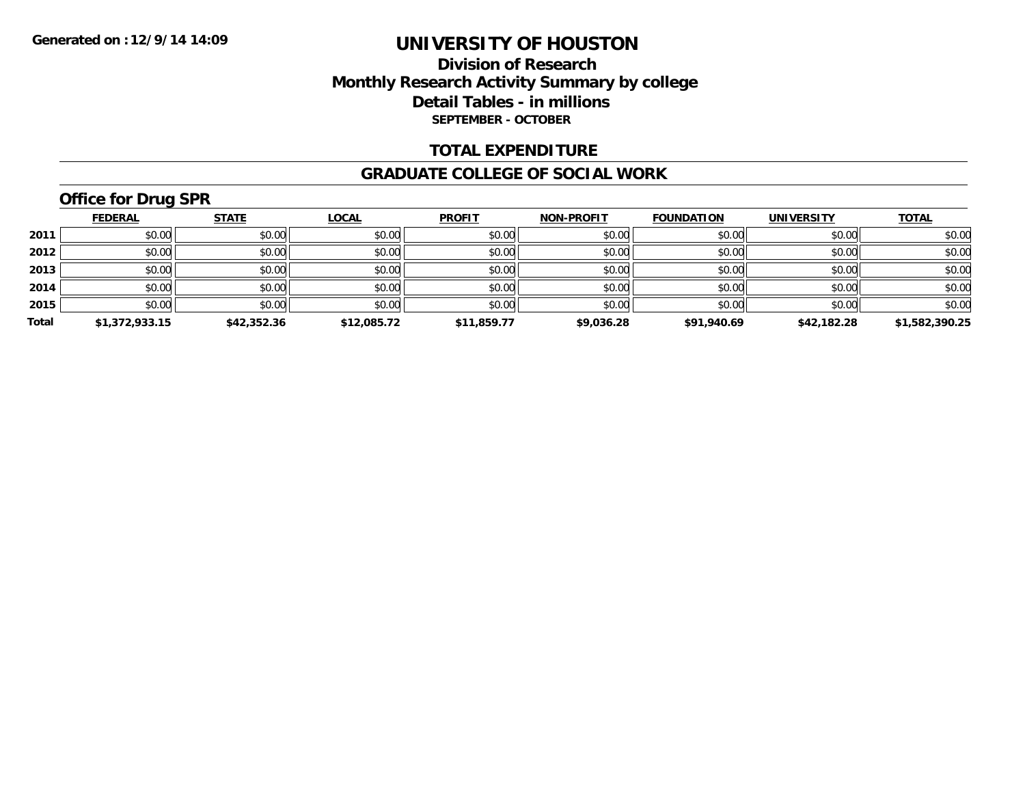### **Division of Research Monthly Research Activity Summary by college Detail Tables - in millions SEPTEMBER - OCTOBER**

#### **TOTAL EXPENDITURE**

#### **GRADUATE COLLEGE OF SOCIAL WORK**

## **Office for Drug SPR**

|       | <b>FEDERAL</b> | <b>STATE</b> | <u>LOCAL</u> | <b>PROFIT</b> | <b>NON-PROFIT</b> | <b>FOUNDATION</b> | <b>UNIVERSITY</b> | <b>TOTAL</b>   |
|-------|----------------|--------------|--------------|---------------|-------------------|-------------------|-------------------|----------------|
| 2011  | \$0.00         | \$0.00       | \$0.00       | \$0.00        | \$0.00            | \$0.00            | \$0.00            | \$0.00         |
| 2012  | \$0.00         | \$0.00       | \$0.00       | \$0.00        | \$0.00            | \$0.00            | \$0.00            | \$0.00         |
| 2013  | \$0.00         | \$0.00       | \$0.00       | \$0.00        | \$0.00            | \$0.00            | \$0.00            | \$0.00         |
| 2014  | \$0.00         | \$0.00       | \$0.00       | \$0.00        | \$0.00            | \$0.00            | \$0.00            | \$0.00         |
| 2015  | \$0.00         | \$0.00       | \$0.00       | \$0.00        | \$0.00            | \$0.00            | \$0.00            | \$0.00         |
| Total | \$1,372,933.15 | \$42,352.36  | \$12,085.72  | \$11,859.77   | \$9,036.28        | \$91,940.69       | \$42,182.28       | \$1,582,390.25 |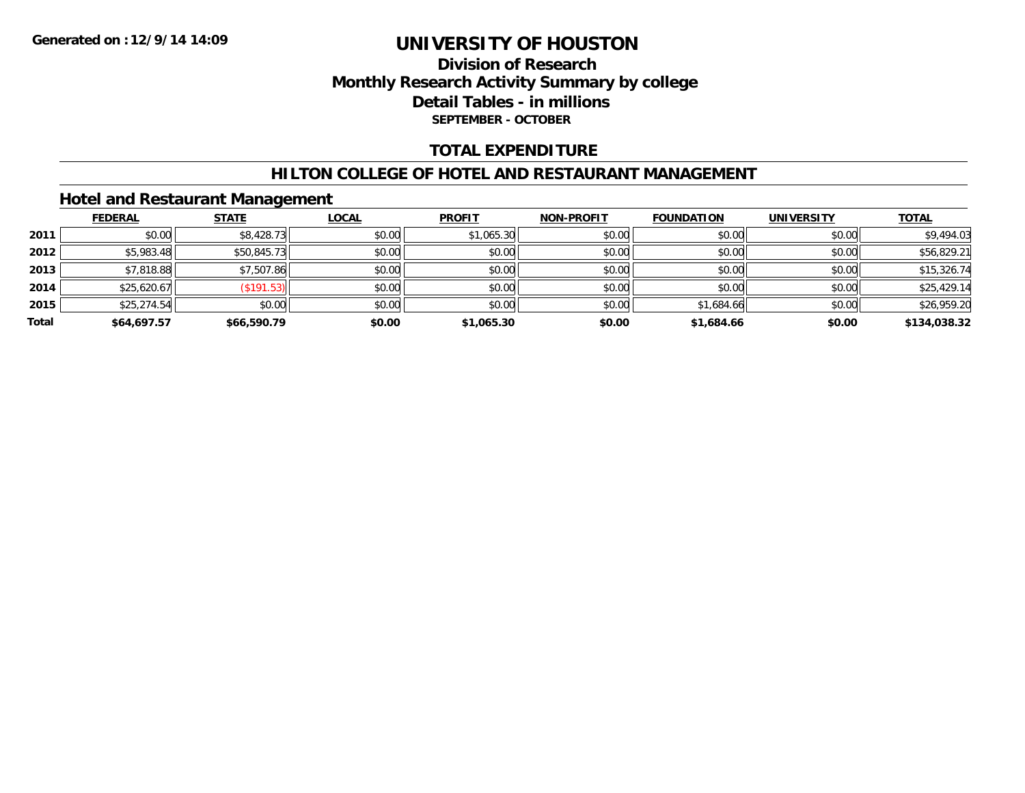### **Division of Research Monthly Research Activity Summary by college Detail Tables - in millions SEPTEMBER - OCTOBER**

### **TOTAL EXPENDITURE**

#### **HILTON COLLEGE OF HOTEL AND RESTAURANT MANAGEMENT**

### **Hotel and Restaurant Management**

|       | <b>FEDERAL</b> | <b>STATE</b> | <b>LOCAL</b> | <b>PROFIT</b> | <b>NON-PROFIT</b> | <b>FOUNDATION</b> | <b>UNIVERSITY</b> | <b>TOTAL</b> |
|-------|----------------|--------------|--------------|---------------|-------------------|-------------------|-------------------|--------------|
| 2011  | \$0.00         | \$8,428.73   | \$0.00       | \$1,065.30    | \$0.00            | \$0.00            | \$0.00            | \$9,494.03   |
| 2012  | \$5,983.48     | \$50,845.73  | \$0.00       | \$0.00        | \$0.00            | \$0.00            | \$0.00            | \$56,829.21  |
| 2013  | \$7,818.88     | \$7,507.86   | \$0.00       | \$0.00        | \$0.00            | \$0.00            | \$0.00            | \$15,326.74  |
| 2014  | \$25,620.67    | (\$191.53)   | \$0.00       | \$0.00        | \$0.00            | \$0.00            | \$0.00            | \$25,429.14  |
| 2015  | \$25,274.54    | \$0.00       | \$0.00       | \$0.00        | \$0.00            | \$1,684.66        | \$0.00            | \$26,959.20  |
| Total | \$64,697.57    | \$66,590.79  | \$0.00       | \$1,065.30    | \$0.00            | \$1,684.66        | \$0.00            | \$134,038.32 |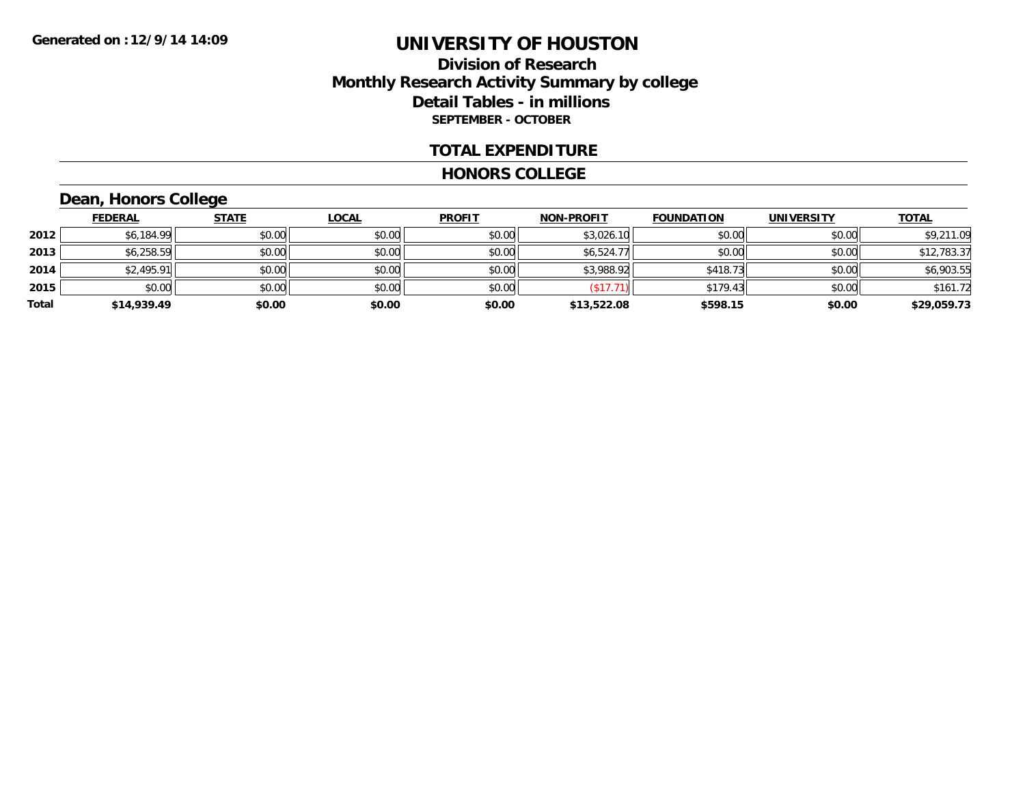### **Division of Research Monthly Research Activity Summary by college Detail Tables - in millions SEPTEMBER - OCTOBER**

#### **TOTAL EXPENDITURE**

#### **HONORS COLLEGE**

### **Dean, Honors College**

|       | <b>FEDERAL</b> | <b>STATE</b> | <u>LOCAL</u> | <b>PROFIT</b> | <b>NON-PROFIT</b> | <b>FOUNDATION</b> | <b>UNIVERSITY</b> | <b>TOTAL</b> |
|-------|----------------|--------------|--------------|---------------|-------------------|-------------------|-------------------|--------------|
| 2012  | \$6,184.99     | \$0.00       | \$0.00       | \$0.00        | \$3,026.10        | \$0.00            | \$0.00            | \$9,211.09   |
| 2013  | \$6,258.59     | \$0.00       | \$0.00       | \$0.00        | \$6,524.77        | \$0.00            | \$0.00            | \$12,783.37  |
| 2014  | \$2,495.91     | \$0.00       | \$0.00       | \$0.00        | \$3,988.92        | \$418.73          | \$0.00            | \$6,903.55   |
| 2015  | \$0.00         | \$0.00       | \$0.00       | \$0.00        | \$17.7            | \$179.43          | \$0.00            | \$161.72     |
| Total | \$14,939.49    | \$0.00       | \$0.00       | \$0.00        | \$13,522.08       | \$598.15          | \$0.00            | \$29,059.73  |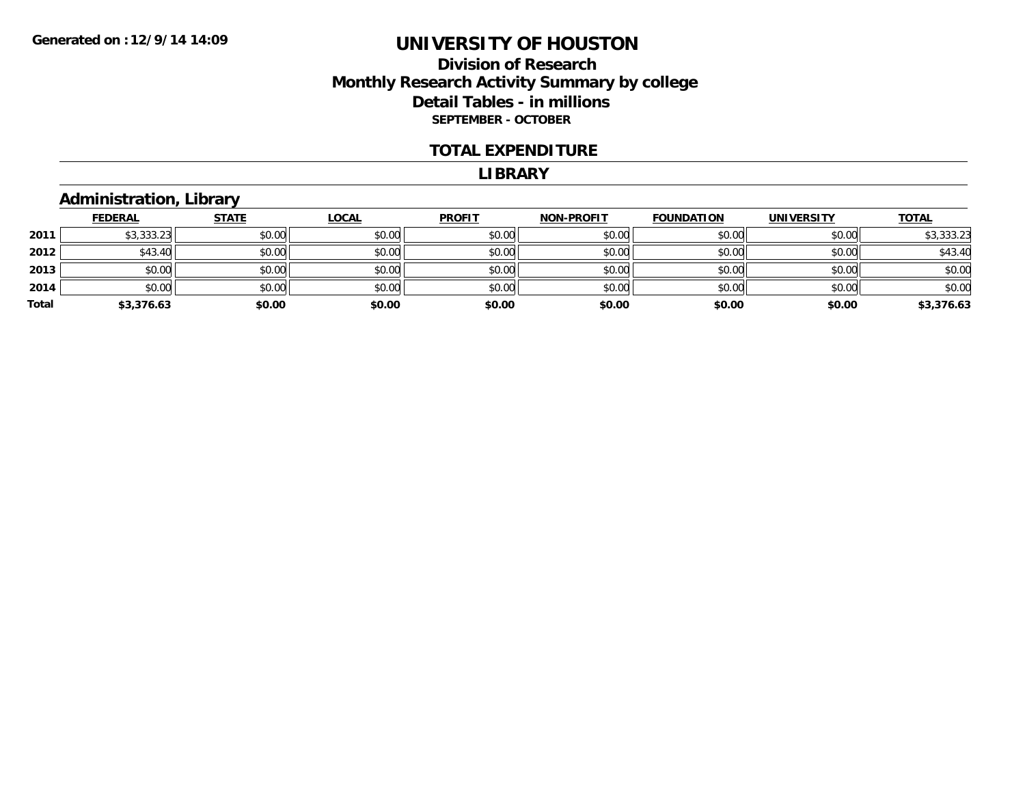### **Division of Research Monthly Research Activity Summary by college Detail Tables - in millions SEPTEMBER - OCTOBER**

#### **TOTAL EXPENDITURE**

#### **LIBRARY**

### **Administration, Library**

|       | <b>FEDERAL</b> | <b>STATE</b> | <u>LOCAL</u> | <b>PROFIT</b> | <b>NON-PROFIT</b> | <b>FOUNDATION</b> | <b>UNIVERSITY</b> | <b>TOTAL</b> |
|-------|----------------|--------------|--------------|---------------|-------------------|-------------------|-------------------|--------------|
| 2011  | \$3,333.23     | \$0.00       | \$0.00       | \$0.00        | \$0.00            | \$0.00            | \$0.00            | \$3,333.23   |
| 2012  | \$43.40        | \$0.00       | \$0.00       | \$0.00        | \$0.00            | \$0.00            | \$0.00            | \$43.40      |
| 2013  | \$0.00         | \$0.00       | \$0.00       | \$0.00        | \$0.00            | \$0.00            | \$0.00            | \$0.00       |
| 2014  | \$0.00         | \$0.00       | \$0.00       | \$0.00        | \$0.00            | \$0.00            | \$0.00            | \$0.00       |
| Total | \$3,376.63     | \$0.00       | \$0.00       | \$0.00        | \$0.00            | \$0.00            | \$0.00            | \$3,376.63   |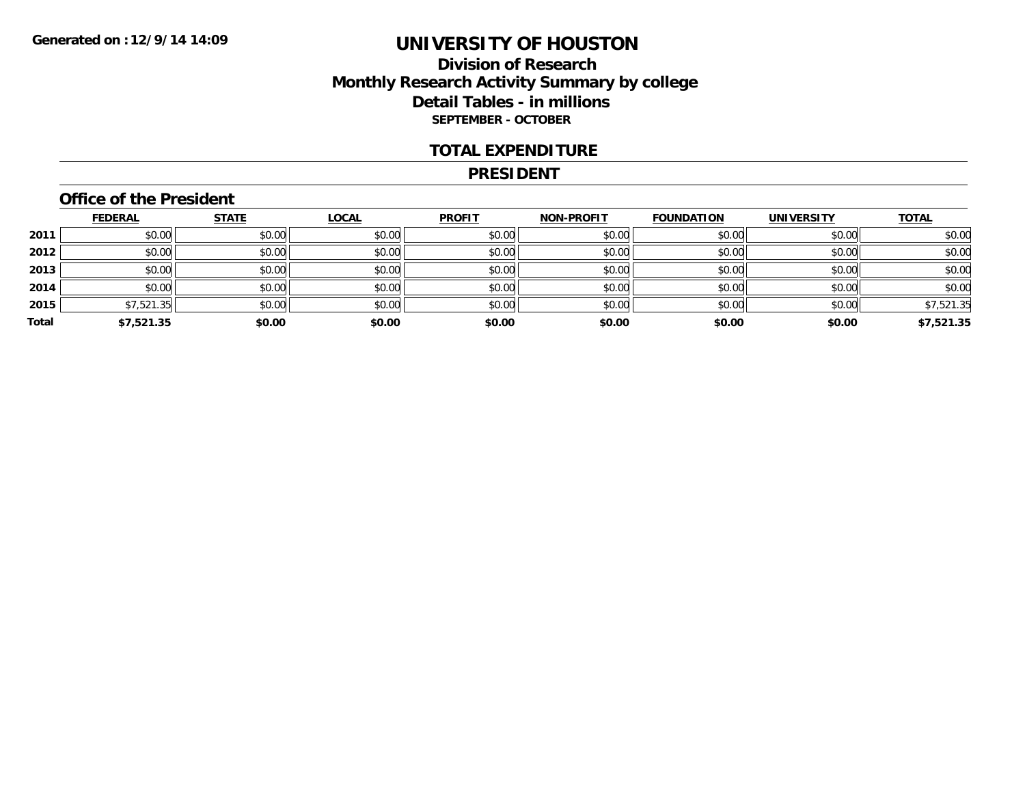### **Division of Research Monthly Research Activity Summary by college Detail Tables - in millions SEPTEMBER - OCTOBER**

#### **TOTAL EXPENDITURE**

#### **PRESIDENT**

### **Office of the President**

|       | <b>FEDERAL</b> | <b>STATE</b> | <u>LOCAL</u> | <b>PROFIT</b> | <b>NON-PROFIT</b> | <b>FOUNDATION</b> | <b>UNIVERSITY</b> | <b>TOTAL</b> |
|-------|----------------|--------------|--------------|---------------|-------------------|-------------------|-------------------|--------------|
| 2011  | \$0.00         | \$0.00       | \$0.00       | \$0.00        | \$0.00            | \$0.00            | \$0.00            | \$0.00       |
| 2012  | \$0.00         | \$0.00       | \$0.00       | \$0.00        | \$0.00            | \$0.00            | \$0.00            | \$0.00       |
| 2013  | \$0.00         | \$0.00       | \$0.00       | \$0.00        | \$0.00            | \$0.00            | \$0.00            | \$0.00       |
| 2014  | \$0.00         | \$0.00       | \$0.00       | \$0.00        | \$0.00            | \$0.00            | \$0.00            | \$0.00       |
| 2015  | \$7,521.35     | \$0.00       | \$0.00       | \$0.00        | \$0.00            | \$0.00            | \$0.00            | \$7,521.35   |
| Total | \$7,521.35     | \$0.00       | \$0.00       | \$0.00        | \$0.00            | \$0.00            | \$0.00            | \$7,521.35   |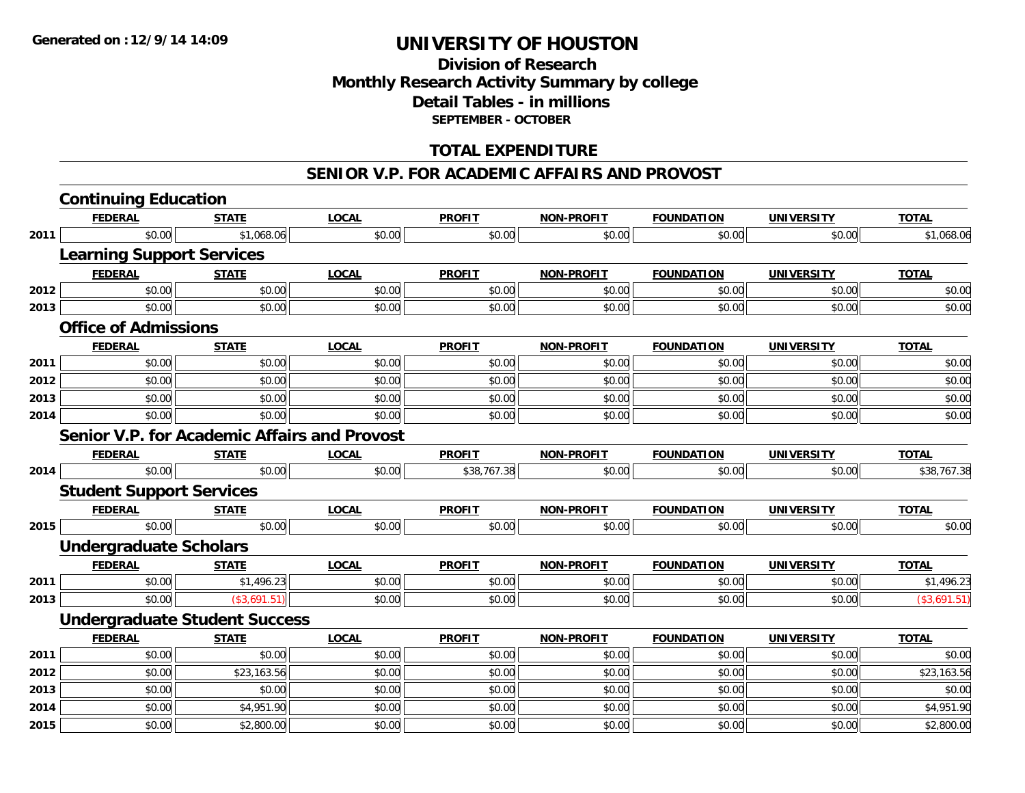### **Division of Research Monthly Research Activity Summary by college Detail Tables - in millions SEPTEMBER - OCTOBER**

### **TOTAL EXPENDITURE**

#### **SENIOR V.P. FOR ACADEMIC AFFAIRS AND PROVOST**

|      | <b>Continuing Education</b>                  |              |              |               |                   |                   |                   |              |
|------|----------------------------------------------|--------------|--------------|---------------|-------------------|-------------------|-------------------|--------------|
|      | <b>FEDERAL</b>                               | <b>STATE</b> | <b>LOCAL</b> | <b>PROFIT</b> | <b>NON-PROFIT</b> | <b>FOUNDATION</b> | <b>UNIVERSITY</b> | <b>TOTAL</b> |
| 2011 | \$0.00                                       | \$1,068.06   | \$0.00       | \$0.00        | \$0.00            | \$0.00            | \$0.00            | \$1,068.06   |
|      | <b>Learning Support Services</b>             |              |              |               |                   |                   |                   |              |
|      | <b>FEDERAL</b>                               | <b>STATE</b> | <b>LOCAL</b> | <b>PROFIT</b> | <b>NON-PROFIT</b> | <b>FOUNDATION</b> | <b>UNIVERSITY</b> | <b>TOTAL</b> |
| 2012 | \$0.00                                       | \$0.00       | \$0.00       | \$0.00        | \$0.00            | \$0.00            | \$0.00            | \$0.00       |
| 2013 | \$0.00                                       | \$0.00       | \$0.00       | \$0.00        | \$0.00            | \$0.00            | \$0.00            | \$0.00       |
|      | <b>Office of Admissions</b>                  |              |              |               |                   |                   |                   |              |
|      | <b>FEDERAL</b>                               | <b>STATE</b> | <b>LOCAL</b> | <b>PROFIT</b> | <b>NON-PROFIT</b> | <b>FOUNDATION</b> | <b>UNIVERSITY</b> | <b>TOTAL</b> |
| 2011 | \$0.00                                       | \$0.00       | \$0.00       | \$0.00        | \$0.00            | \$0.00            | \$0.00            | \$0.00       |
| 2012 | \$0.00                                       | \$0.00       | \$0.00       | \$0.00        | \$0.00            | \$0.00            | \$0.00            | \$0.00       |
| 2013 | \$0.00                                       | \$0.00       | \$0.00       | \$0.00        | \$0.00            | \$0.00            | \$0.00            | \$0.00       |
| 2014 | \$0.00                                       | \$0.00       | \$0.00       | \$0.00        | \$0.00            | \$0.00            | \$0.00            | \$0.00       |
|      | Senior V.P. for Academic Affairs and Provost |              |              |               |                   |                   |                   |              |
|      | <b>FEDERAL</b>                               | <b>STATE</b> | <b>LOCAL</b> | <b>PROFIT</b> | <b>NON-PROFIT</b> | <b>FOUNDATION</b> | <b>UNIVERSITY</b> | <b>TOTAL</b> |
| 2014 | \$0.00                                       | \$0.00       | \$0.00       | \$38,767.38   | \$0.00            | \$0.00            | \$0.00            | \$38,767.38  |
|      | <b>Student Support Services</b>              |              |              |               |                   |                   |                   |              |
|      | <b>FEDERAL</b>                               | <b>STATE</b> | <b>LOCAL</b> | <b>PROFIT</b> | <b>NON-PROFIT</b> | <b>FOUNDATION</b> | <b>UNIVERSITY</b> | <b>TOTAL</b> |
| 2015 | \$0.00                                       | \$0.00       | \$0.00       | \$0.00        | \$0.00            | \$0.00            | \$0.00            | \$0.00       |
|      | <b>Undergraduate Scholars</b>                |              |              |               |                   |                   |                   |              |
|      | <b>FEDERAL</b>                               | <b>STATE</b> | <b>LOCAL</b> | <b>PROFIT</b> | <b>NON-PROFIT</b> | <b>FOUNDATION</b> | <b>UNIVERSITY</b> | <b>TOTAL</b> |
| 2011 | \$0.00                                       | \$1,496.23   | \$0.00       | \$0.00        | \$0.00            | \$0.00            | \$0.00            | \$1,496.23   |
| 2013 | \$0.00                                       | (\$3,691.51) | \$0.00       | \$0.00        | \$0.00            | \$0.00            | \$0.00            | (\$3,691.51) |
|      | <b>Undergraduate Student Success</b>         |              |              |               |                   |                   |                   |              |
|      | <b>FEDERAL</b>                               | <b>STATE</b> | <b>LOCAL</b> | <b>PROFIT</b> | <b>NON-PROFIT</b> | <b>FOUNDATION</b> | <b>UNIVERSITY</b> | <b>TOTAL</b> |
| 2011 | \$0.00                                       | \$0.00       | \$0.00       | \$0.00        | \$0.00            | \$0.00            | \$0.00            | \$0.00       |
| 2012 | \$0.00                                       | \$23,163.56  | \$0.00       | \$0.00        | \$0.00            | \$0.00            | \$0.00            | \$23,163.56  |
| 2013 | \$0.00                                       | \$0.00       | \$0.00       | \$0.00        | \$0.00            | \$0.00            | \$0.00            | \$0.00       |
| 2014 | \$0.00                                       | \$4,951.90   | \$0.00       | \$0.00        | \$0.00            | \$0.00            | \$0.00            | \$4,951.90   |
| 2015 | \$0.00                                       | \$2,800.00   | \$0.00       | \$0.00        | \$0.00            | \$0.00            | \$0.00            | \$2,800.00   |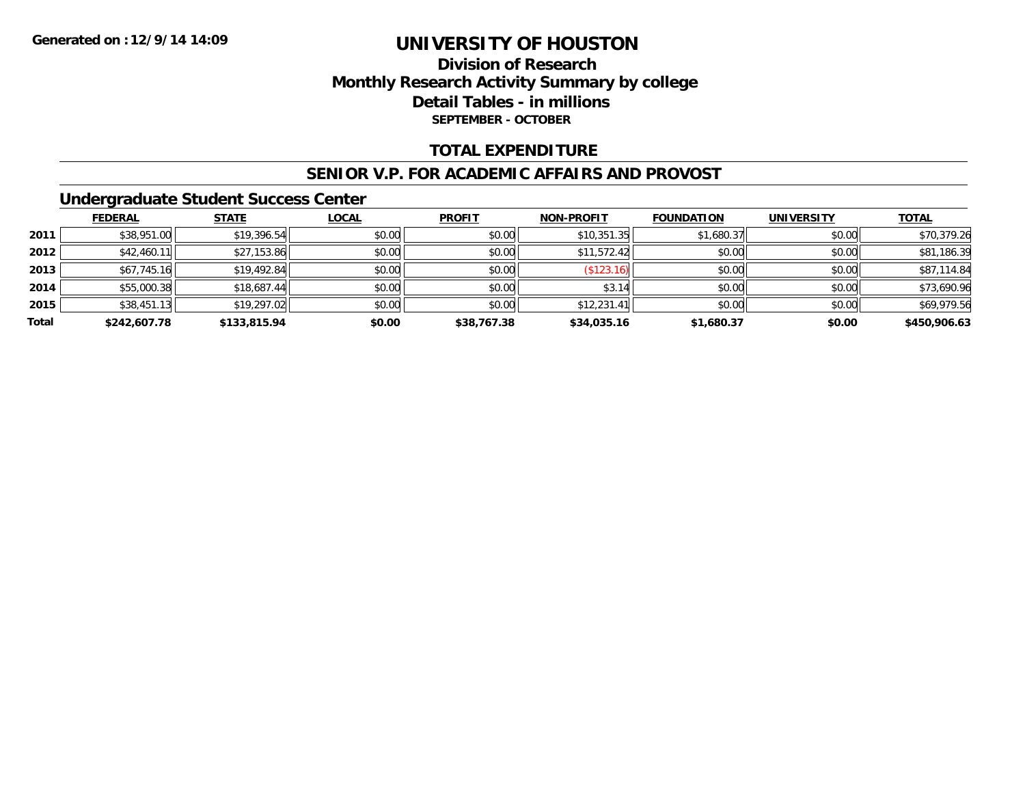### **Division of ResearchMonthly Research Activity Summary by college Detail Tables - in millions SEPTEMBER - OCTOBER**

### **TOTAL EXPENDITURE**

#### **SENIOR V.P. FOR ACADEMIC AFFAIRS AND PROVOST**

### **Undergraduate Student Success Center**

|       | <b>FEDERAL</b> | <b>STATE</b> | <u>LOCAL</u> | <b>PROFIT</b> | <b>NON-PROFIT</b> | <b>FOUNDATION</b> | <b>UNIVERSITY</b> | <b>TOTAL</b> |
|-------|----------------|--------------|--------------|---------------|-------------------|-------------------|-------------------|--------------|
| 2011  | \$38,951.00    | \$19,396.54  | \$0.00       | \$0.00        | \$10,351.35       | \$1,680.37        | \$0.00            | \$70,379.26  |
| 2012  | \$42,460.11    | \$27,153.86  | \$0.00       | \$0.00        | \$11,572.42       | \$0.00            | \$0.00            | \$81,186.39  |
| 2013  | \$67,745.16    | \$19,492.84  | \$0.00       | \$0.00        | (\$123.16)        | \$0.00            | \$0.00            | \$87,114.84  |
| 2014  | \$55,000.38    | \$18,687.44  | \$0.00       | \$0.00        | \$3.14            | \$0.00            | \$0.00            | \$73,690.96  |
| 2015  | \$38,451.13    | \$19,297.02  | \$0.00       | \$0.00        | \$12,231.41       | \$0.00            | \$0.00            | \$69,979.56  |
| Total | \$242,607.78   | \$133,815.94 | \$0.00       | \$38,767.38   | \$34,035.16       | \$1,680.37        | \$0.00            | \$450,906.63 |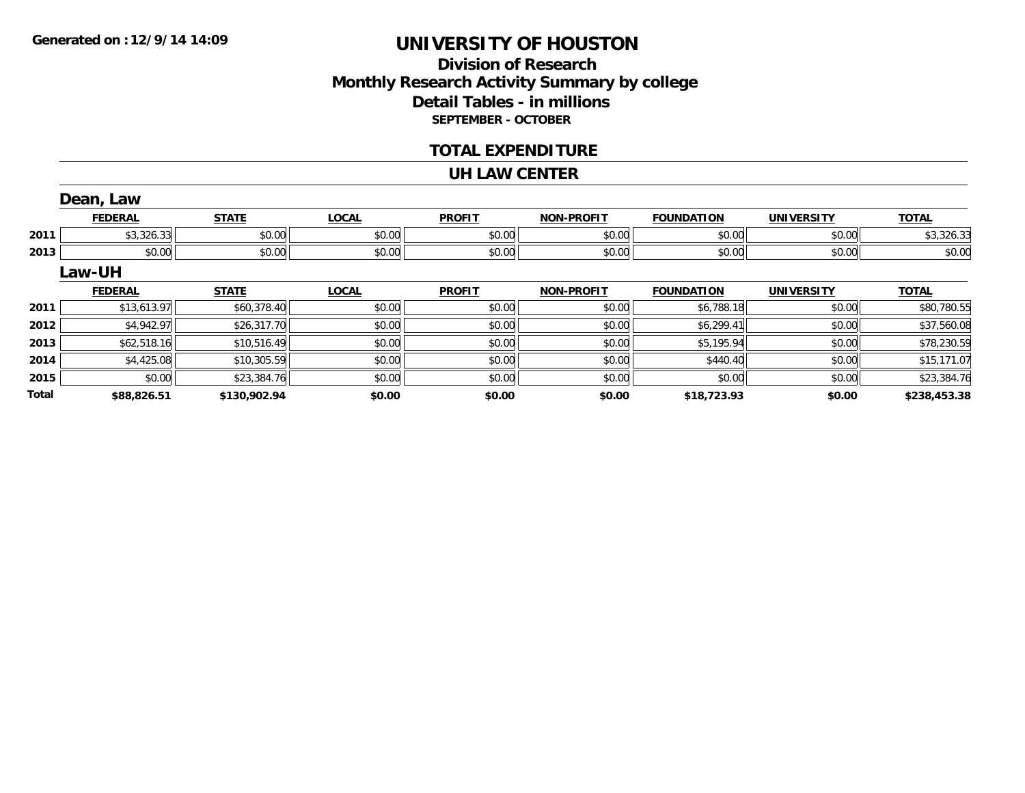**2015**

**Total**

## **UNIVERSITY OF HOUSTON**

### **Division of ResearchMonthly Research Activity Summary by college Detail Tables - in millions SEPTEMBER - OCTOBER**

#### **TOTAL EXPENDITURE**

#### **UH LAW CENTER**

|      | Dean, Law      |              |              |               |                   |                   |                   |              |
|------|----------------|--------------|--------------|---------------|-------------------|-------------------|-------------------|--------------|
|      | <b>FEDERAL</b> | <b>STATE</b> | <b>LOCAL</b> | <b>PROFIT</b> | <b>NON-PROFIT</b> | <b>FOUNDATION</b> | <b>UNIVERSITY</b> | <b>TOTAL</b> |
| 2011 | \$3,326.33     | \$0.00       | \$0.00       | \$0.00        | \$0.00            | \$0.00            | \$0.00            | \$3,326.33   |
| 2013 | \$0.00         | \$0.00       | \$0.00       | \$0.00        | \$0.00            | \$0.00            | \$0.00            | \$0.00       |
|      | Law-UH         |              |              |               |                   |                   |                   |              |
|      | <b>FEDERAL</b> | <b>STATE</b> | <b>LOCAL</b> | <b>PROFIT</b> | <b>NON-PROFIT</b> | <b>FOUNDATION</b> | <b>UNIVERSITY</b> | <b>TOTAL</b> |
| 2011 | \$13,613.97    | \$60,378.40  | \$0.00       | \$0.00        | \$0.00            | \$6,788.18        | \$0.00            | \$80,780.55  |
| 2012 | \$4,942.97     | \$26,317.70  | \$0.00       | \$0.00        | \$0.00            | \$6,299.41        | \$0.00            | \$37,560.08  |
| 2013 | \$62,518.16    | \$10,516.49  | \$0.00       | \$0.00        | \$0.00            | \$5,195.94        | \$0.00            | \$78,230.59  |
|      |                |              |              |               |                   |                   |                   |              |

\$0.00 \$23,384.76 \$0.00 \$0.00 \$0.00 \$0.00 \$0.00 \$23,384.76

**\$88,826.51 \$130,902.94 \$0.00 \$0.00 \$0.00 \$18,723.93 \$0.00 \$238,453.38**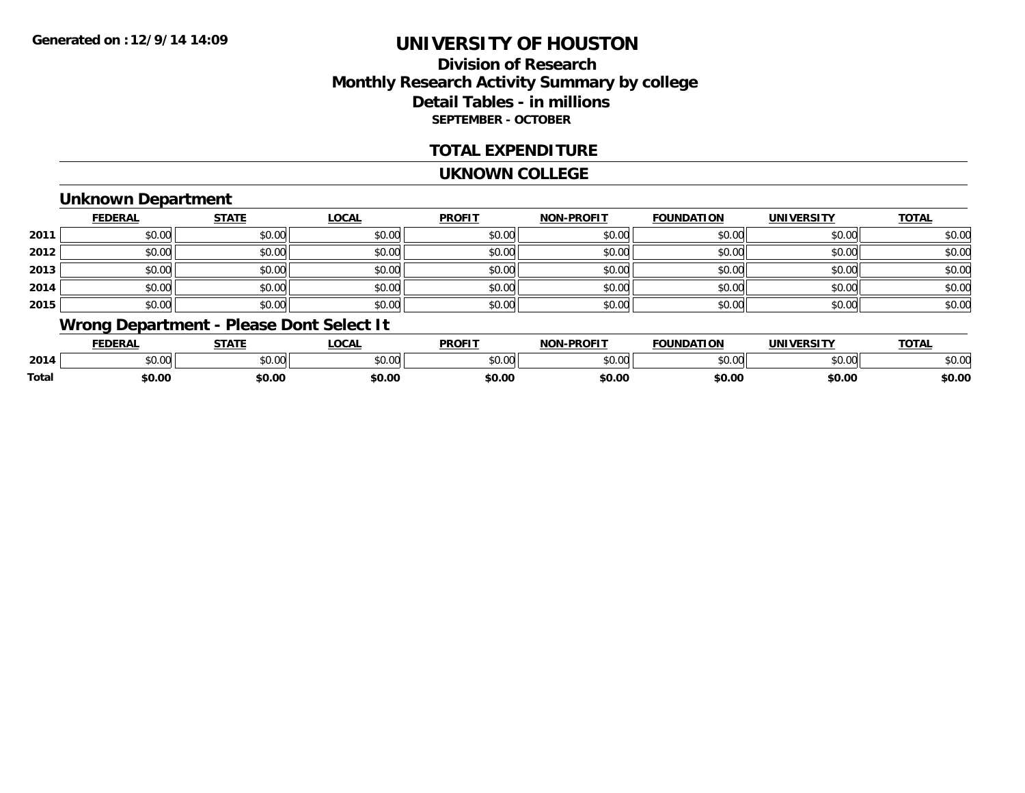### **Division of ResearchMonthly Research Activity Summary by college Detail Tables - in millions SEPTEMBER - OCTOBER**

### **TOTAL EXPENDITURE**

#### **UKNOWN COLLEGE**

### **Unknown Department**

|      | <b>FEDERAL</b> | <b>STATE</b> | <u>LOCAL</u> | <b>PROFIT</b> | <b>NON-PROFIT</b> | <b>FOUNDATION</b> | <b>UNIVERSITY</b> | <b>TOTAL</b> |
|------|----------------|--------------|--------------|---------------|-------------------|-------------------|-------------------|--------------|
| 2011 | \$0.00         | \$0.00       | \$0.00       | \$0.00        | \$0.00            | \$0.00            | \$0.00            | \$0.00       |
| 2012 | \$0.00         | \$0.00       | \$0.00       | \$0.00        | \$0.00            | \$0.00            | \$0.00            | \$0.00       |
| 2013 | \$0.00         | \$0.00       | \$0.00       | \$0.00        | \$0.00            | \$0.00            | \$0.00            | \$0.00       |
| 2014 | \$0.00         | \$0.00       | \$0.00       | \$0.00        | \$0.00            | \$0.00            | \$0.00            | \$0.00       |
| 2015 | \$0.00         | \$0.00       | \$0.00       | \$0.00        | \$0.00            | \$0.00            | \$0.00            | \$0.00       |

### **Wrong Department - Please Dont Select It**

|              | EENEDA<br>.            | 6787F         | 000    | <b>DDOFIT</b> | <b>DDOFIT</b><br>חחו | <b>FOUNDATION</b> | I<br>JNI) | TOTA.          |
|--------------|------------------------|---------------|--------|---------------|----------------------|-------------------|-----------|----------------|
| 2014         | $\sim$ $\sim$<br>vv.vv | 0000<br>JU.UU | JU.UU  | 400<br>JU.U   | 0000<br>₽U.UU        | 0000<br>------    | \$0.00    | ልስ ስሰ<br>DU.UU |
| <b>Total</b> | \$0.00                 | \$0.00        | \$0.00 | \$0.00        | DU.UL                | \$0.00            | \$0.00    | \$0.00         |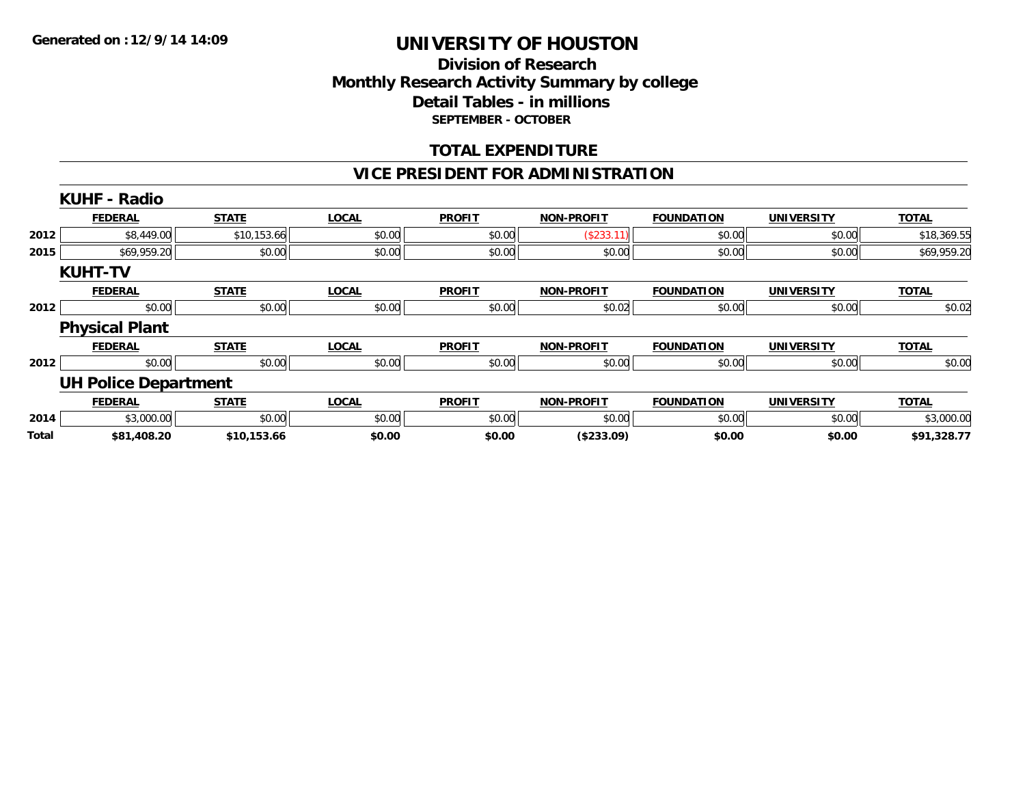### **Division of Research Monthly Research Activity Summary by college Detail Tables - in millions SEPTEMBER - OCTOBER**

### **TOTAL EXPENDITURE**

### **VICE PRESIDENT FOR ADMINISTRATION**

|       | <b>KUHF - Radio</b>         |              |              |               |                   |                   |                   |              |
|-------|-----------------------------|--------------|--------------|---------------|-------------------|-------------------|-------------------|--------------|
|       | <b>FEDERAL</b>              | <b>STATE</b> | <b>LOCAL</b> | <b>PROFIT</b> | <b>NON-PROFIT</b> | <b>FOUNDATION</b> | <b>UNIVERSITY</b> | <b>TOTAL</b> |
| 2012  | \$8,449.00                  | \$10,153.66  | \$0.00       | \$0.00        | (\$233.11)        | \$0.00            | \$0.00            | \$18,369.55  |
| 2015  | \$69,959.20                 | \$0.00       | \$0.00       | \$0.00        | \$0.00            | \$0.00            | \$0.00            | \$69,959.20  |
|       | <b>KUHT-TV</b>              |              |              |               |                   |                   |                   |              |
|       | <b>FEDERAL</b>              | <b>STATE</b> | <b>LOCAL</b> | <b>PROFIT</b> | <b>NON-PROFIT</b> | <b>FOUNDATION</b> | <b>UNIVERSITY</b> | <b>TOTAL</b> |
| 2012  | \$0.00                      | \$0.00       | \$0.00       | \$0.00        | \$0.02            | \$0.00            | \$0.00            | \$0.02       |
|       | <b>Physical Plant</b>       |              |              |               |                   |                   |                   |              |
|       | <b>FEDERAL</b>              | <b>STATE</b> | <b>LOCAL</b> | <b>PROFIT</b> | <b>NON-PROFIT</b> | <b>FOUNDATION</b> | <b>UNIVERSITY</b> | <b>TOTAL</b> |
| 2012  | \$0.00                      | \$0.00       | \$0.00       | \$0.00        | \$0.00            | \$0.00            | \$0.00            | \$0.00       |
|       | <b>UH Police Department</b> |              |              |               |                   |                   |                   |              |
|       | <b>FEDERAL</b>              | <b>STATE</b> | <b>LOCAL</b> | <b>PROFIT</b> | <b>NON-PROFIT</b> | <b>FOUNDATION</b> | <b>UNIVERSITY</b> | <b>TOTAL</b> |
| 2014  | \$3,000.00                  | \$0.00       | \$0.00       | \$0.00        | \$0.00            | \$0.00            | \$0.00            | \$3,000.00   |
| Total | \$81,408.20                 | \$10,153.66  | \$0.00       | \$0.00        | (\$233.09)        | \$0.00            | \$0.00            | \$91,328.77  |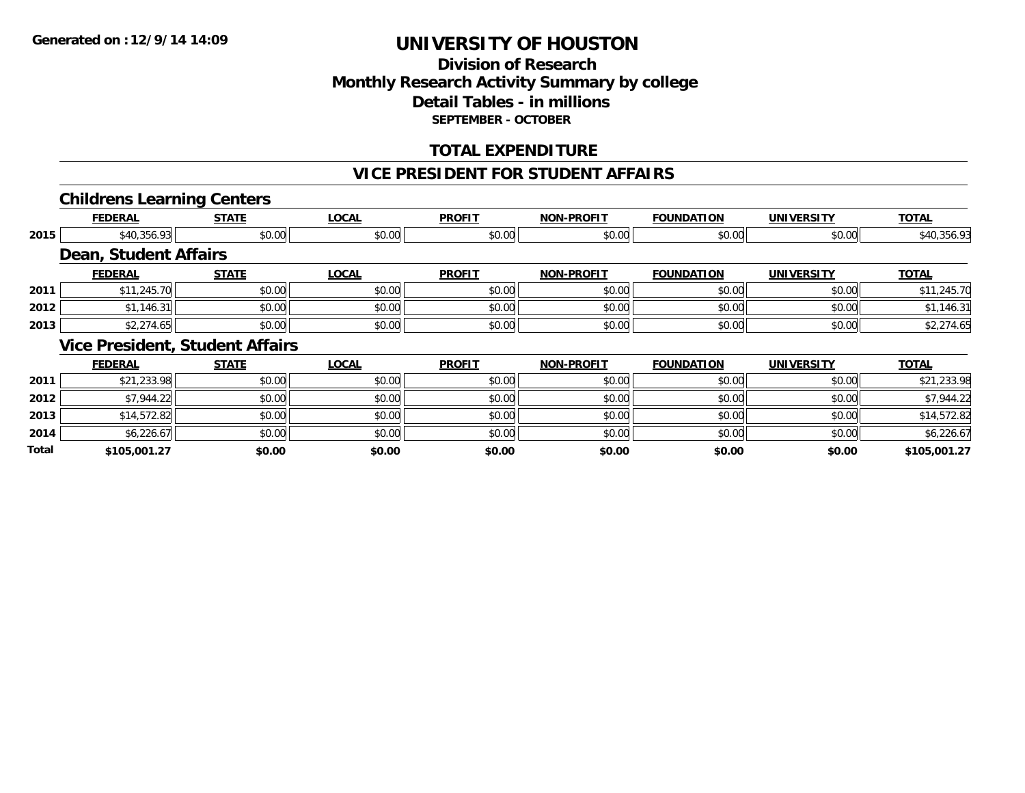### **Division of Research Monthly Research Activity Summary by college Detail Tables - in millions SEPTEMBER - OCTOBER**

### **TOTAL EXPENDITURE**

#### **VICE PRESIDENT FOR STUDENT AFFAIRS**

### **Childrens Learning Centers**

|       | <b>FEDERAL</b>        | <b>STATE</b>                           | <b>LOCAL</b> | <b>PROFIT</b> | <b>NON-PROFIT</b> | <b>FOUNDATION</b> | <b>UNIVERSITY</b> | <b>TOTAL</b> |
|-------|-----------------------|----------------------------------------|--------------|---------------|-------------------|-------------------|-------------------|--------------|
| 2015  | \$40,356.93           | \$0.00                                 | \$0.00       | \$0.00        | \$0.00            | \$0.00            | \$0.00            | \$40,356.93  |
|       | Dean, Student Affairs |                                        |              |               |                   |                   |                   |              |
|       | <b>FEDERAL</b>        | <b>STATE</b>                           | <b>LOCAL</b> | <b>PROFIT</b> | <b>NON-PROFIT</b> | <b>FOUNDATION</b> | <b>UNIVERSITY</b> | <b>TOTAL</b> |
| 2011  | \$11,245.70           | \$0.00                                 | \$0.00       | \$0.00        | \$0.00            | \$0.00            | \$0.00            | \$11,245.70  |
| 2012  | \$1,146.31            | \$0.00                                 | \$0.00       | \$0.00        | \$0.00            | \$0.00            | \$0.00            | \$1,146.31   |
| 2013  | \$2,274.65            | \$0.00                                 | \$0.00       | \$0.00        | \$0.00            | \$0.00            | \$0.00            | \$2,274.65   |
|       |                       | <b>Vice President, Student Affairs</b> |              |               |                   |                   |                   |              |
|       | <b>FEDERAL</b>        | <b>STATE</b>                           | <b>LOCAL</b> | <b>PROFIT</b> | <b>NON-PROFIT</b> | <b>FOUNDATION</b> | <b>UNIVERSITY</b> | <b>TOTAL</b> |
| 2011  | \$21,233.98           | \$0.00                                 | \$0.00       | \$0.00        | \$0.00            | \$0.00            | \$0.00            | \$21,233.98  |
| 2012  | \$7,944.22            | \$0.00                                 | \$0.00       | \$0.00        | \$0.00            | \$0.00            | \$0.00            | \$7,944.22   |
| 2013  | \$14,572.82           | \$0.00                                 | \$0.00       | \$0.00        | \$0.00            | \$0.00            | \$0.00            | \$14,572.82  |
| 2014  | \$6,226.67            | \$0.00                                 | \$0.00       | \$0.00        | \$0.00            | \$0.00            | \$0.00            | \$6,226.67   |
| Total | \$105,001.27          | \$0.00                                 | \$0.00       | \$0.00        | \$0.00            | \$0.00            | \$0.00            | \$105,001.27 |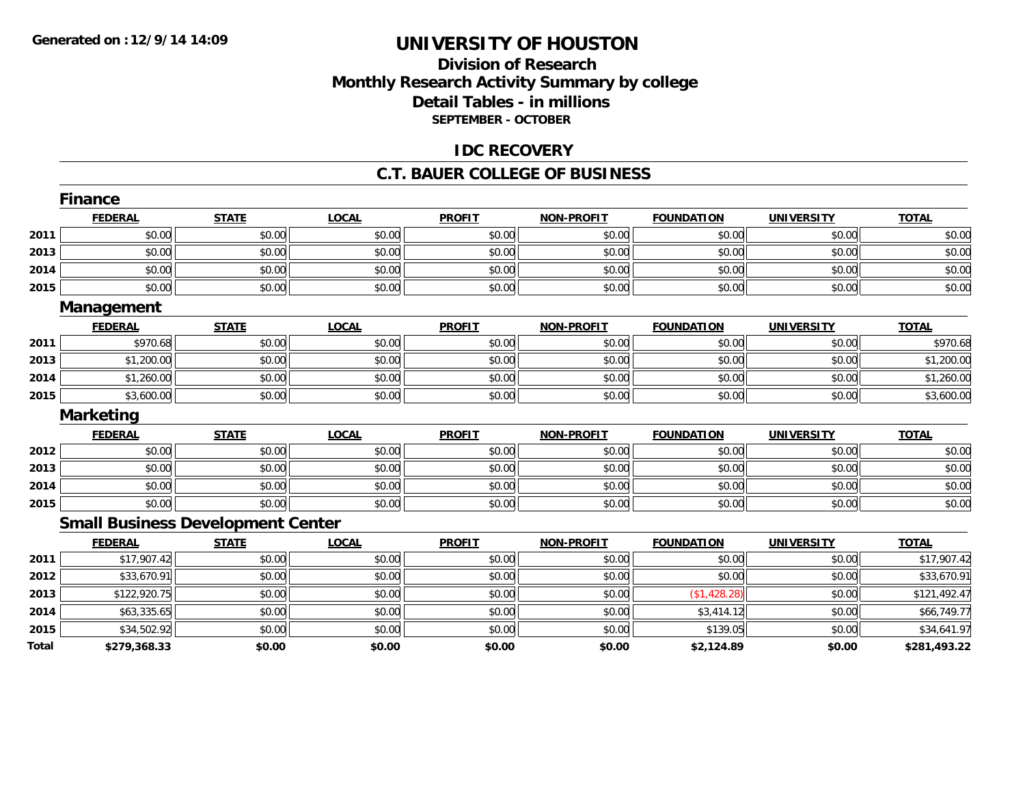### **Division of ResearchMonthly Research Activity Summary by college Detail Tables - in millions SEPTEMBER - OCTOBER**

### **IDC RECOVERY**

#### **C.T. BAUER COLLEGE OF BUSINESS**

|       | <b>Finance</b>                           |              |              |               |                   |                   |                   |              |
|-------|------------------------------------------|--------------|--------------|---------------|-------------------|-------------------|-------------------|--------------|
|       | <b>FEDERAL</b>                           | <b>STATE</b> | <b>LOCAL</b> | <b>PROFIT</b> | <b>NON-PROFIT</b> | <b>FOUNDATION</b> | <b>UNIVERSITY</b> | <b>TOTAL</b> |
| 2011  | \$0.00                                   | \$0.00       | \$0.00       | \$0.00        | \$0.00            | \$0.00            | \$0.00            | \$0.00       |
| 2013  | \$0.00                                   | \$0.00       | \$0.00       | \$0.00        | \$0.00            | \$0.00            | \$0.00            | \$0.00       |
| 2014  | \$0.00                                   | \$0.00       | \$0.00       | \$0.00        | \$0.00            | \$0.00            | \$0.00            | \$0.00       |
| 2015  | \$0.00                                   | \$0.00       | \$0.00       | \$0.00        | \$0.00            | \$0.00            | \$0.00            | \$0.00       |
|       | <b>Management</b>                        |              |              |               |                   |                   |                   |              |
|       | <b>FEDERAL</b>                           | <b>STATE</b> | <b>LOCAL</b> | <b>PROFIT</b> | <b>NON-PROFIT</b> | <b>FOUNDATION</b> | <b>UNIVERSITY</b> | <b>TOTAL</b> |
| 2011  | \$970.68                                 | \$0.00       | \$0.00       | \$0.00        | \$0.00            | \$0.00            | \$0.00            | \$970.68     |
| 2013  | \$1,200.00                               | \$0.00       | \$0.00       | \$0.00        | \$0.00            | \$0.00            | \$0.00            | \$1,200.00   |
| 2014  | \$1,260.00                               | \$0.00       | \$0.00       | \$0.00        | \$0.00            | \$0.00            | \$0.00            | \$1,260.00   |
| 2015  | \$3,600.00                               | \$0.00       | \$0.00       | \$0.00        | \$0.00            | \$0.00            | \$0.00            | \$3,600.00   |
|       | <b>Marketing</b>                         |              |              |               |                   |                   |                   |              |
|       | <b>FEDERAL</b>                           | <b>STATE</b> | <b>LOCAL</b> | <b>PROFIT</b> | <b>NON-PROFIT</b> | <b>FOUNDATION</b> | <b>UNIVERSITY</b> | <b>TOTAL</b> |
| 2012  | \$0.00                                   | \$0.00       | \$0.00       | \$0.00        | \$0.00            | \$0.00            | \$0.00            | \$0.00       |
| 2013  | \$0.00                                   | \$0.00       | \$0.00       | \$0.00        | \$0.00            | \$0.00            | \$0.00            | \$0.00       |
| 2014  | \$0.00                                   | \$0.00       | \$0.00       | \$0.00        | \$0.00            | \$0.00            | \$0.00            | \$0.00       |
| 2015  | \$0.00                                   | \$0.00       | \$0.00       | \$0.00        | \$0.00            | \$0.00            | \$0.00            | \$0.00       |
|       | <b>Small Business Development Center</b> |              |              |               |                   |                   |                   |              |
|       | <b>FEDERAL</b>                           | <b>STATE</b> | <b>LOCAL</b> | <b>PROFIT</b> | <b>NON-PROFIT</b> | <b>FOUNDATION</b> | <b>UNIVERSITY</b> | <b>TOTAL</b> |
| 2011  | \$17,907.42                              | \$0.00       | \$0.00       | \$0.00        | \$0.00            | \$0.00            | \$0.00            | \$17,907.42  |
| 2012  | \$33,670.91                              | \$0.00       | \$0.00       | \$0.00        | \$0.00            | \$0.00            | \$0.00            | \$33,670.91  |
| 2013  | \$122,920.75                             | \$0.00       | \$0.00       | \$0.00        | \$0.00            | (\$1,428.28)      | \$0.00            | \$121,492.47 |
| 2014  | \$63,335.65                              | \$0.00       | \$0.00       | \$0.00        | \$0.00            | \$3,414.12        | \$0.00            | \$66,749.77  |
| 2015  | \$34,502.92                              | \$0.00       | \$0.00       | \$0.00        | \$0.00            | \$139.05          | \$0.00            | \$34,641.97  |
| Total | \$279,368.33                             | \$0.00       | \$0.00       | \$0.00        | \$0.00            | \$2,124.89        | \$0.00            | \$281,493.22 |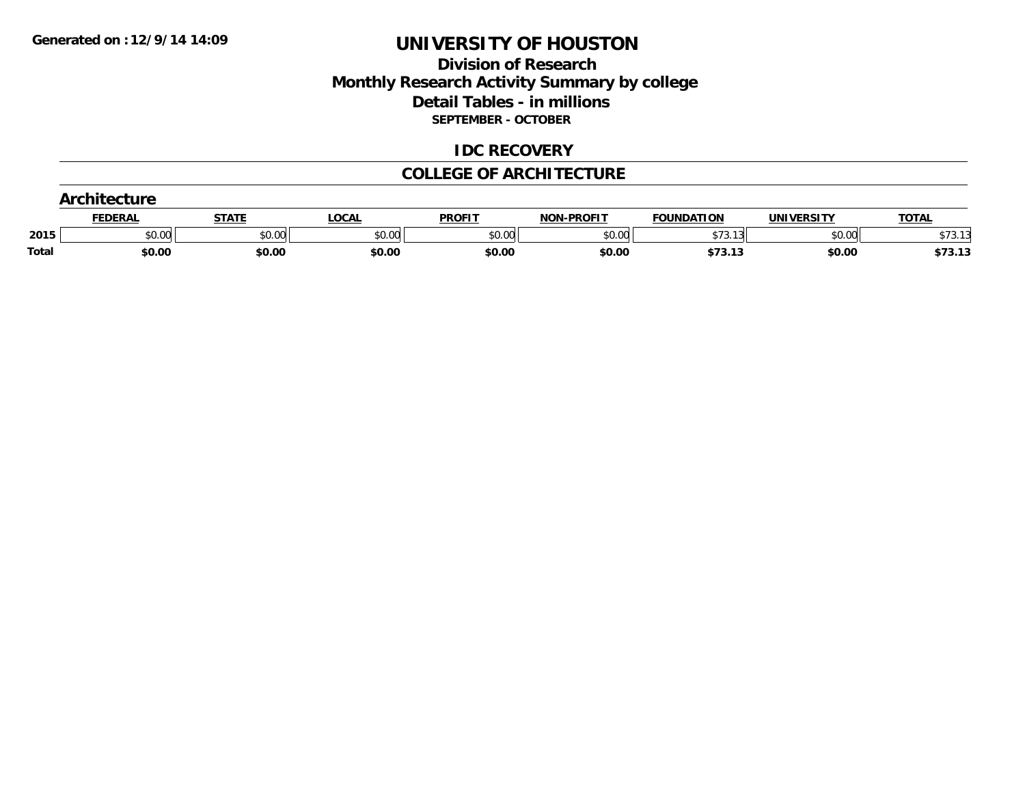### **Division of Research Monthly Research Activity Summary by college Detail Tables - in millions SEPTEMBER - OCTOBER**

#### **IDC RECOVERY**

#### **COLLEGE OF ARCHITECTURE**

|       | $\sim$  |        |        |               |                   |                               |            |                         |
|-------|---------|--------|--------|---------------|-------------------|-------------------------------|------------|-------------------------|
|       | FEDERAI | STATE  | LOCAL  | <b>PROFIT</b> | <b>NON-PROFIT</b> | <b>FOUNDATION</b>             | UNIVERSITY | <b>TOTAL</b>            |
| 2015  | \$0.00  | \$0.00 | \$0.00 | \$0.00        | \$0.00            | $\sim$                        | \$0.00     | $+ -$<br>$\sim$<br>υιν. |
| Total | \$0.00  | \$0.00 | \$0.00 | \$0.00        | \$0.00            | $+72 -$<br>- - -<br>37 J. I J | \$0.00     | \$73.13                 |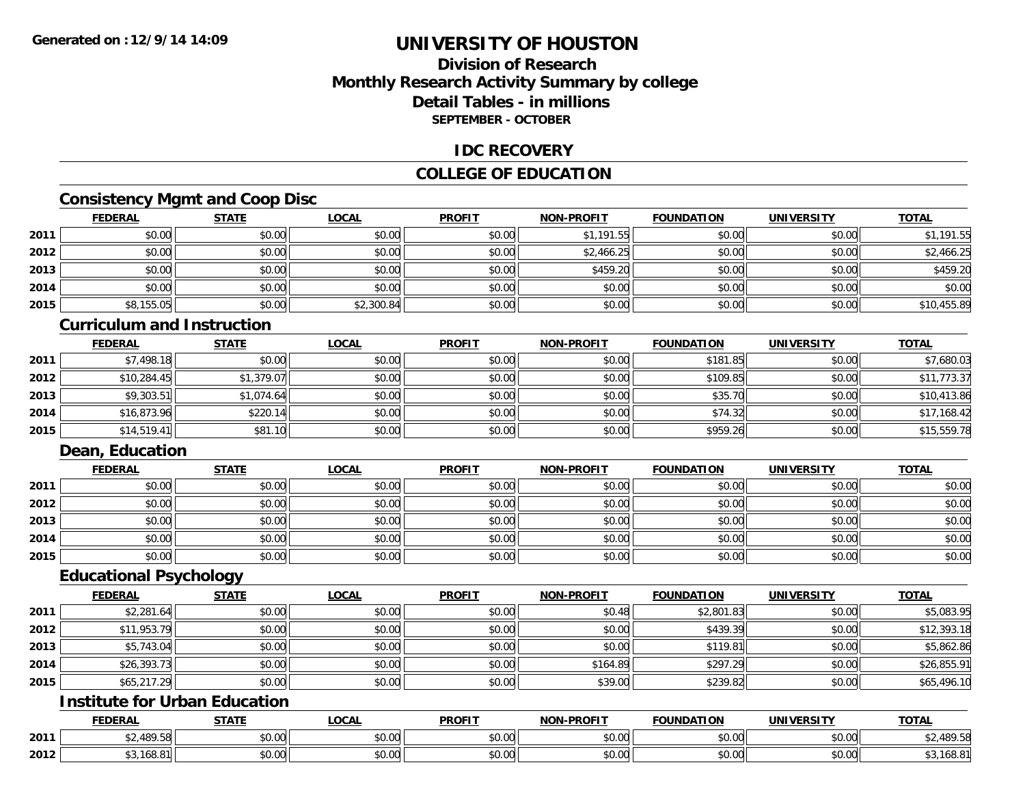### **Division of ResearchMonthly Research Activity Summary by college Detail Tables - in millionsSEPTEMBER - OCTOBER**

### **IDC RECOVERY**

### **COLLEGE OF EDUCATION**

### **Consistency Mgmt and Coop Disc**

|      | <b>FEDERAL</b> | <b>STATE</b> | <b>LOCAL</b> | <b>PROFIT</b> | <b>NON-PROFIT</b> | <b>FOUNDATION</b> | <b>UNIVERSITY</b> | <b>TOTAL</b> |
|------|----------------|--------------|--------------|---------------|-------------------|-------------------|-------------------|--------------|
| 2011 | \$0.00         | \$0.00       | \$0.00       | \$0.00        | \$1.191.55        | \$0.00            | \$0.00            | \$1,191.55   |
| 2012 | \$0.00         | \$0.00       | \$0.00       | \$0.00        | \$2,466.25        | \$0.00            | \$0.00            | \$2,466.25   |
| 2013 | \$0.00         | \$0.00       | \$0.00       | \$0.00        | \$459.20          | \$0.00            | \$0.00            | \$459.20     |
| 2014 | \$0.00         | \$0.00       | \$0.00       | \$0.00        | \$0.00            | \$0.00            | \$0.00            | \$0.00       |
| 2015 | \$8,155.05     | \$0.00       | \$2,300.84   | \$0.00        | \$0.00            | \$0.00            | \$0.00            | \$10,455.89  |

#### **Curriculum and Instruction**

|      | <b>FEDERAL</b> | <b>STATE</b> | <u>LOCAL</u> | <b>PROFIT</b> | <b>NON-PROFIT</b> | <b>FOUNDATION</b> | <b>UNIVERSITY</b> | <b>TOTAL</b> |
|------|----------------|--------------|--------------|---------------|-------------------|-------------------|-------------------|--------------|
| 2011 | \$7,498.18     | \$0.00       | \$0.00       | \$0.00        | \$0.00            | \$181.85          | \$0.00            | \$7,680.03   |
| 2012 | \$10,284.45    | \$1,379.07   | \$0.00       | \$0.00        | \$0.00            | \$109.85          | \$0.00            | \$11,773.37  |
| 2013 | \$9,303.51     | \$1,074.64   | \$0.00       | \$0.00        | \$0.00            | \$35.70           | \$0.00            | \$10,413.86  |
| 2014 | \$16,873.96    | \$220.14     | \$0.00       | \$0.00        | \$0.00            | \$74.32           | \$0.00            | \$17,168.42  |
| 2015 | \$14,519.41    | \$81.10      | \$0.00       | \$0.00        | \$0.00            | \$959.26          | \$0.00            | \$15,559.78  |

### **Dean, Education**

|      | <b>FEDERAL</b> | <b>STATE</b> | <u>LOCAL</u> | <b>PROFIT</b> | <b>NON-PROFIT</b> | <b>FOUNDATION</b> | <b>UNIVERSITY</b> | <b>TOTAL</b> |
|------|----------------|--------------|--------------|---------------|-------------------|-------------------|-------------------|--------------|
| 2011 | \$0.00         | \$0.00       | \$0.00       | \$0.00        | \$0.00            | \$0.00            | \$0.00            | \$0.00       |
| 2012 | \$0.00         | \$0.00       | \$0.00       | \$0.00        | \$0.00            | \$0.00            | \$0.00            | \$0.00       |
| 2013 | \$0.00         | \$0.00       | \$0.00       | \$0.00        | \$0.00            | \$0.00            | \$0.00            | \$0.00       |
| 2014 | \$0.00         | \$0.00       | \$0.00       | \$0.00        | \$0.00            | \$0.00            | \$0.00            | \$0.00       |
| 2015 | \$0.00         | \$0.00       | \$0.00       | \$0.00        | \$0.00            | \$0.00            | \$0.00            | \$0.00       |

### **Educational Psychology**

|      | <b>FEDERAL</b> | <b>STATE</b> | <b>LOCAL</b> | <b>PROFIT</b> | <b>NON-PROFIT</b> | <b>FOUNDATION</b> | <b>UNIVERSITY</b> | <b>TOTAL</b> |
|------|----------------|--------------|--------------|---------------|-------------------|-------------------|-------------------|--------------|
| 2011 | \$2,281.64     | \$0.00       | \$0.00       | \$0.00        | \$0.48            | \$2,801.83        | \$0.00            | \$5,083.95   |
| 2012 | \$11,953.79    | \$0.00       | \$0.00       | \$0.00        | \$0.00            | \$439.39          | \$0.00            | \$12,393.18  |
| 2013 | \$5,743.04     | \$0.00       | \$0.00       | \$0.00        | \$0.00            | \$119.81          | \$0.00            | \$5,862.86   |
| 2014 | \$26,393.73    | \$0.00       | \$0.00       | \$0.00        | \$164.89          | \$297.29          | \$0.00            | \$26,855.91  |
| 2015 | \$65,217.29    | \$0.00       | \$0.00       | \$0.00        | \$39.00           | \$239.82          | \$0.00            | \$65,496.10  |

## **Institute for Urban Education**

|      | <b>FEDERAL</b> | <b>CTATI</b> | 00n<br>.UGAL              | <b>PROFIT</b>     | <b>DDOCLT</b><br><b>MON</b> | INDA'<br>τιον | `INIVF                        | <b>TOTAL</b> |
|------|----------------|--------------|---------------------------|-------------------|-----------------------------|---------------|-------------------------------|--------------|
| 2011 | 100E<br>ں ر    | \$0.00       | $\sim$<br>$\sim$<br>vv.vv | 0000<br>vu.vu     | 0000<br><b>JU.UU</b>        | vu.vu         | $\sim$ $\sim$<br>vu.vu        | ,489.58      |
| 2012 | , ب            | \$0.00       | ሖ ሰ<br>vu.uu              | $\cdots$<br>PO.OO | 0000<br><b>JU.UU</b>        | JU.U          | $\sim$ $\sim$<br><b>JU.UU</b> | \$3,168.8    |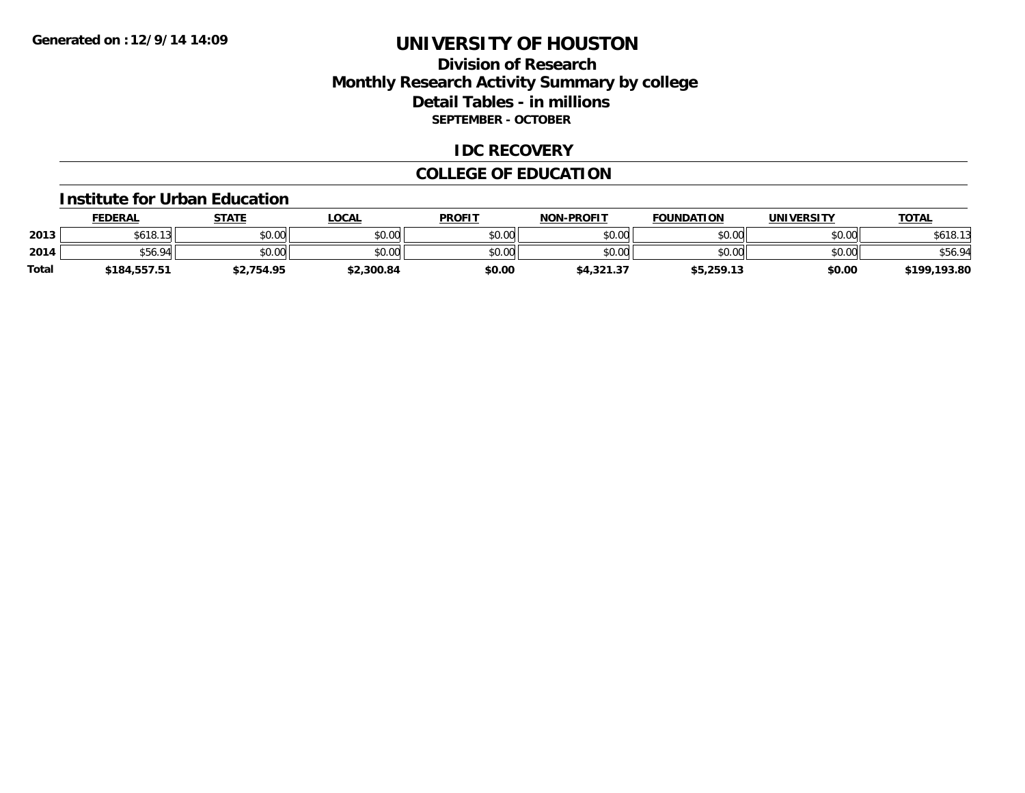### **Division of ResearchMonthly Research Activity Summary by college Detail Tables - in millions SEPTEMBER - OCTOBER**

### **IDC RECOVERY**

### **COLLEGE OF EDUCATION**

#### **Institute for Urban Education**

|       | <b>FEDERAL</b> | <b>STATE</b> | LOCAL      | <b>PROFIT</b> | <b>NON-PROFIT</b> | <b>FOUNDATION</b> | UNIVERSITY | <u> ΤΟΤΑL</u> |
|-------|----------------|--------------|------------|---------------|-------------------|-------------------|------------|---------------|
| 2013  | \$618.13       | \$0.00       | \$0.00     | \$0.00        | \$0.00            | \$0.00            | \$0.00     | \$618.13      |
| 2014  | \$56.94        | \$0.00       | \$0.00     | \$0.00        | \$0.00            | \$0.00            | \$0.00     | \$56.94       |
| Total | \$184,557.51   | \$2,754.95   | \$2,300.84 | \$0.00        | \$4,321.37        | \$5,259.13        | \$0.00     | \$199,193.80  |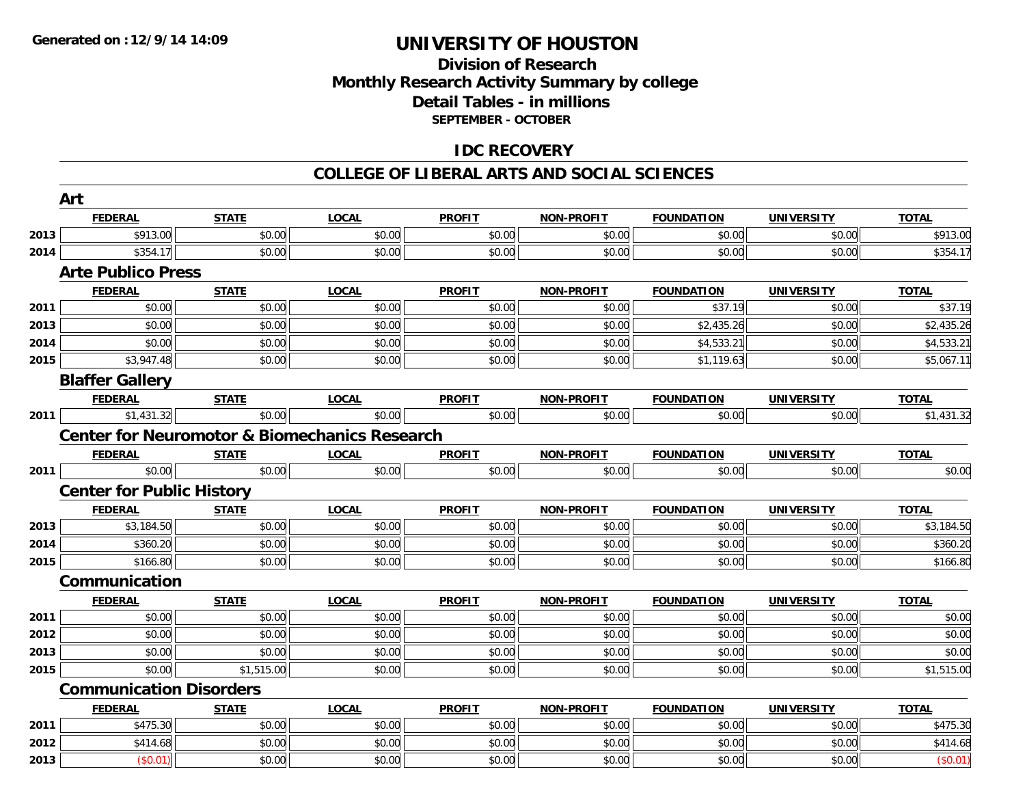### **Division of Research Monthly Research Activity Summary by college Detail Tables - in millions SEPTEMBER - OCTOBER**

### **IDC RECOVERY**

#### **COLLEGE OF LIBERAL ARTS AND SOCIAL SCIENCES**

|      | Art                              |              |                                                          |               |                   |                   |                   |                      |
|------|----------------------------------|--------------|----------------------------------------------------------|---------------|-------------------|-------------------|-------------------|----------------------|
|      | <b>FEDERAL</b>                   | <b>STATE</b> | <b>LOCAL</b>                                             | <b>PROFIT</b> | <b>NON-PROFIT</b> | <b>FOUNDATION</b> | <b>UNIVERSITY</b> | <b>TOTAL</b>         |
| 2013 | \$913.00                         | \$0.00       | \$0.00                                                   | \$0.00        | \$0.00            | \$0.00            | \$0.00            | \$913.00             |
| 2014 | \$354.17                         | \$0.00       | \$0.00                                                   | \$0.00        | \$0.00            | \$0.00            | \$0.00            | \$354.17             |
|      | <b>Arte Publico Press</b>        |              |                                                          |               |                   |                   |                   |                      |
|      | <b>FEDERAL</b>                   | <b>STATE</b> | <b>LOCAL</b>                                             | <b>PROFIT</b> | <b>NON-PROFIT</b> | <b>FOUNDATION</b> | <b>UNIVERSITY</b> | <b>TOTAL</b>         |
| 2011 | \$0.00                           | \$0.00       | \$0.00                                                   | \$0.00        | \$0.00            | \$37.19           | \$0.00            | \$37.19              |
| 2013 | \$0.00                           | \$0.00       | \$0.00                                                   | \$0.00        | \$0.00            | \$2,435.26        | \$0.00            | \$2,435.26           |
| 2014 | \$0.00                           | \$0.00       | \$0.00                                                   | \$0.00        | \$0.00            | \$4,533.21        | \$0.00            | \$4,533.21           |
| 2015 | \$3,947.48                       | \$0.00       | \$0.00                                                   | \$0.00        | \$0.00            | \$1,119.63        | \$0.00            | \$5,067.11           |
|      | <b>Blaffer Gallery</b>           |              |                                                          |               |                   |                   |                   |                      |
|      | <b>FEDERAL</b>                   | <b>STATE</b> | <b>LOCAL</b>                                             | <b>PROFIT</b> | <b>NON-PROFIT</b> | <b>FOUNDATION</b> | <b>UNIVERSITY</b> | <b>TOTAL</b>         |
| 2011 | \$1,431.32                       | \$0.00       | \$0.00                                                   | \$0.00        | \$0.00            | \$0.00            | \$0.00            | \$1,431.32           |
|      |                                  |              | <b>Center for Neuromotor &amp; Biomechanics Research</b> |               |                   |                   |                   |                      |
|      | <b>FEDERAL</b>                   | <b>STATE</b> | <b>LOCAL</b>                                             | <b>PROFIT</b> | <b>NON-PROFIT</b> | <b>FOUNDATION</b> | <b>UNIVERSITY</b> | <b>TOTAL</b>         |
| 2011 | \$0.00                           | \$0.00       | \$0.00                                                   | \$0.00        | \$0.00            | \$0.00            | \$0.00            | \$0.00               |
|      | <b>Center for Public History</b> |              |                                                          |               |                   |                   |                   |                      |
|      | <b>FEDERAL</b>                   | <b>STATE</b> | <b>LOCAL</b>                                             | <b>PROFIT</b> | <b>NON-PROFIT</b> | <b>FOUNDATION</b> | <b>UNIVERSITY</b> | <b>TOTAL</b>         |
| 2013 | \$3,184.50                       | \$0.00       | \$0.00                                                   | \$0.00        | \$0.00            | \$0.00            | \$0.00            | \$3,184.50           |
| 2014 | \$360.20                         | \$0.00       | \$0.00                                                   | \$0.00        | \$0.00            | \$0.00            | \$0.00            | \$360.20             |
| 2015 | \$166.80                         | \$0.00       | \$0.00                                                   | \$0.00        | \$0.00            | \$0.00            | \$0.00            | \$166.80             |
|      | Communication                    |              |                                                          |               |                   |                   |                   |                      |
|      | <b>FEDERAL</b>                   | <b>STATE</b> | <b>LOCAL</b>                                             | <b>PROFIT</b> | <b>NON-PROFIT</b> | <b>FOUNDATION</b> | <b>UNIVERSITY</b> | <b>TOTAL</b>         |
| 2011 | \$0.00                           | \$0.00       | \$0.00                                                   | \$0.00        | \$0.00            | \$0.00            | \$0.00            | \$0.00               |
| 2012 | \$0.00                           | \$0.00       | \$0.00                                                   | \$0.00        | \$0.00            | \$0.00            | \$0.00            | \$0.00               |
| 2013 | \$0.00                           | \$0.00       | \$0.00                                                   | \$0.00        | \$0.00            | \$0.00            | \$0.00            | \$0.00               |
| 2015 | \$0.00                           | \$1,515.00   | \$0.00                                                   | \$0.00        | \$0.00            | \$0.00            | \$0.00            | \$1,515.00           |
|      | <b>Communication Disorders</b>   |              |                                                          |               |                   |                   |                   |                      |
|      | <b>FEDERAL</b>                   | <b>STATE</b> | <b>LOCAL</b>                                             | <b>PROFIT</b> | <b>NON-PROFIT</b> | <b>FOUNDATION</b> | <b>UNIVERSITY</b> | <b>TOTAL</b>         |
| 2011 | \$475.30                         | \$0.00       | \$0.00                                                   | \$0.00        | \$0.00            | \$0.00            | \$0.00            | $\overline{$475.30}$ |
| 2012 | \$414.68                         | \$0.00       | \$0.00                                                   | \$0.00        | \$0.00            | \$0.00            | \$0.00            | \$414.68             |
| 2013 | (\$0.01)                         | \$0.00       | \$0.00                                                   | \$0.00        | \$0.00            | \$0.00            | \$0.00            | (\$0.01)             |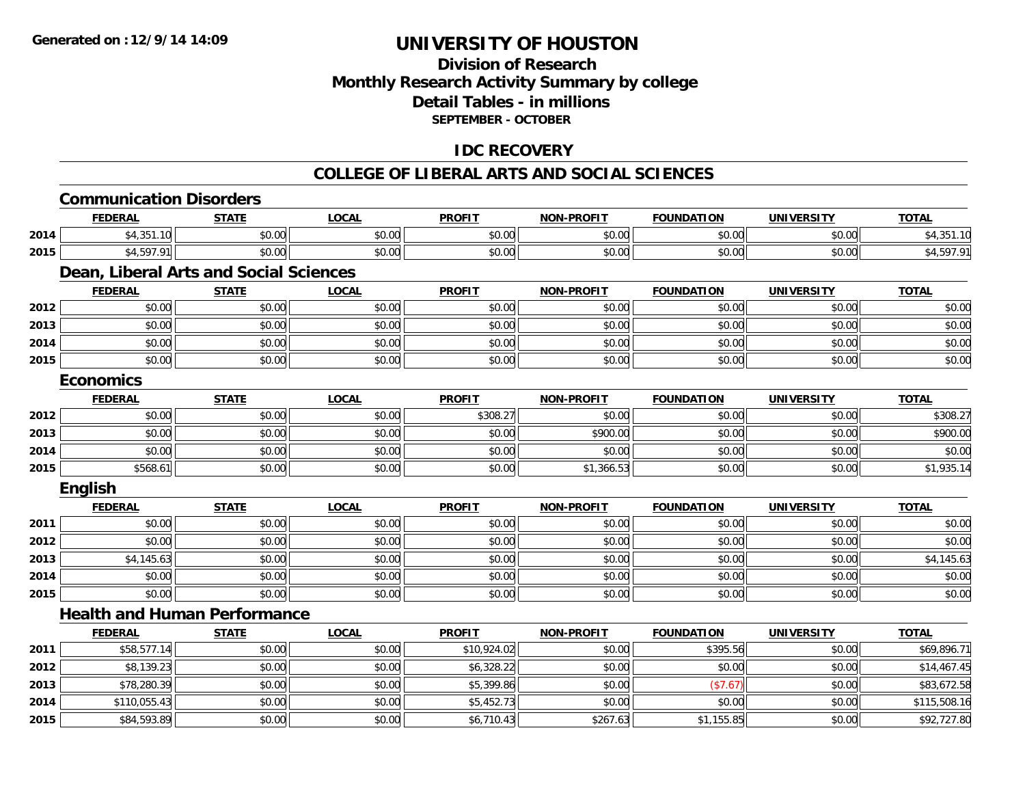**2015**

## **UNIVERSITY OF HOUSTON**

### **Division of ResearchMonthly Research Activity Summary by college Detail Tables - in millions SEPTEMBER - OCTOBER**

### **IDC RECOVERY**

#### **COLLEGE OF LIBERAL ARTS AND SOCIAL SCIENCES**

|      | <b>Communication Disorders</b>         |              |              |               |                   |                   |                   |              |
|------|----------------------------------------|--------------|--------------|---------------|-------------------|-------------------|-------------------|--------------|
|      | <b>FEDERAL</b>                         | <b>STATE</b> | <b>LOCAL</b> | <b>PROFIT</b> | <b>NON-PROFIT</b> | <b>FOUNDATION</b> | <b>UNIVERSITY</b> | <b>TOTAL</b> |
| 2014 | \$4,351.10                             | \$0.00       | \$0.00       | \$0.00        | \$0.00            | \$0.00            | \$0.00            | \$4,351.10   |
| 2015 | \$4,597.91                             | \$0.00       | \$0.00       | \$0.00        | \$0.00            | \$0.00            | \$0.00            | \$4,597.91   |
|      | Dean, Liberal Arts and Social Sciences |              |              |               |                   |                   |                   |              |
|      | <b>FEDERAL</b>                         | <b>STATE</b> | <b>LOCAL</b> | <b>PROFIT</b> | <b>NON-PROFIT</b> | <b>FOUNDATION</b> | <b>UNIVERSITY</b> | <b>TOTAL</b> |
| 2012 | \$0.00                                 | \$0.00       | \$0.00       | \$0.00        | \$0.00            | \$0.00            | \$0.00            | \$0.00       |
| 2013 | \$0.00                                 | \$0.00       | \$0.00       | \$0.00        | \$0.00            | \$0.00            | \$0.00            | \$0.00       |
| 2014 | \$0.00                                 | \$0.00       | \$0.00       | \$0.00        | \$0.00            | \$0.00            | \$0.00            | \$0.00       |
| 2015 | \$0.00                                 | \$0.00       | \$0.00       | \$0.00        | \$0.00            | \$0.00            | \$0.00            | \$0.00       |
|      | <b>Economics</b>                       |              |              |               |                   |                   |                   |              |
|      | <b>FEDERAL</b>                         | <b>STATE</b> | <b>LOCAL</b> | <b>PROFIT</b> | <b>NON-PROFIT</b> | <b>FOUNDATION</b> | <b>UNIVERSITY</b> | <b>TOTAL</b> |
| 2012 | \$0.00                                 | \$0.00       | \$0.00       | \$308.27      | \$0.00            | \$0.00            | \$0.00            | \$308.27     |
| 2013 | \$0.00                                 | \$0.00       | \$0.00       | \$0.00        | \$900.00          | \$0.00            | \$0.00            | \$900.00     |
| 2014 | \$0.00                                 | \$0.00       | \$0.00       | \$0.00        | \$0.00            | \$0.00            | \$0.00            | \$0.00       |
| 2015 | \$568.61                               | \$0.00       | \$0.00       | \$0.00        | \$1,366.53        | \$0.00            | \$0.00            | \$1,935.14   |
|      | English                                |              |              |               |                   |                   |                   |              |
|      | <b>FEDERAL</b>                         | <b>STATE</b> | <b>LOCAL</b> | <b>PROFIT</b> | <b>NON-PROFIT</b> | <b>FOUNDATION</b> | <b>UNIVERSITY</b> | <b>TOTAL</b> |
| 2011 | \$0.00                                 | \$0.00       | \$0.00       | \$0.00        | \$0.00            | \$0.00            | \$0.00            | \$0.00       |
| 2012 | \$0.00                                 | \$0.00       | \$0.00       | \$0.00        | \$0.00            | \$0.00            | \$0.00            | \$0.00       |
| 2013 | \$4,145.63                             | \$0.00       | \$0.00       | \$0.00        | \$0.00            | \$0.00            | \$0.00            | \$4,145.63   |
| 2014 | \$0.00                                 | \$0.00       | \$0.00       | \$0.00        | \$0.00            | \$0.00            | \$0.00            | \$0.00       |
| 2015 | \$0.00                                 | \$0.00       | \$0.00       | \$0.00        | \$0.00            | \$0.00            | \$0.00            | \$0.00       |
|      | <b>Health and Human Performance</b>    |              |              |               |                   |                   |                   |              |
|      | <b>FEDERAL</b>                         | <b>STATE</b> | <b>LOCAL</b> | <b>PROFIT</b> | <b>NON-PROFIT</b> | <b>FOUNDATION</b> | <b>UNIVERSITY</b> | <b>TOTAL</b> |
| 2011 | \$58,577.14                            | \$0.00       | \$0.00       | \$10,924.02   | \$0.00            | \$395.56          | \$0.00            | \$69,896.71  |
| 2012 | \$8,139.23                             | \$0.00       | \$0.00       | \$6,328.22    | \$0.00            | \$0.00            | \$0.00            | \$14,467.45  |
| 2013 | \$78,280.39                            | \$0.00       | \$0.00       | \$5,399.86    | \$0.00            | (\$7.67)          | \$0.00            | \$83,672.58  |
| 2014 | \$110,055.43                           | \$0.00       | \$0.00       | \$5,452.73    | \$0.00            | \$0.00            | \$0.00            | \$115,508.16 |

\$84,593.89 \$0.00 \$0.00 \$6,710.43 \$267.63 \$1,155.85 \$0.00 \$92,727.80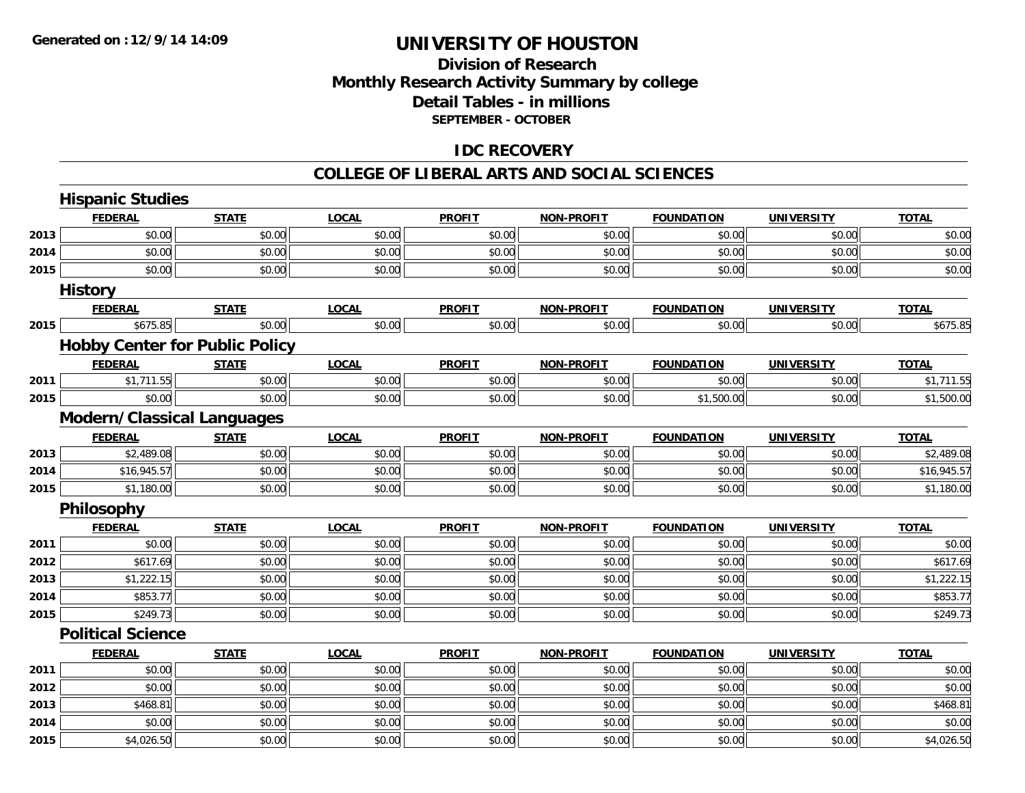### **Division of ResearchMonthly Research Activity Summary by college Detail Tables - in millions SEPTEMBER - OCTOBER**

### **IDC RECOVERY**

#### **COLLEGE OF LIBERAL ARTS AND SOCIAL SCIENCES**

|      | <b>Hispanic Studies</b>               |              |              |               |                   |                   |                   |              |
|------|---------------------------------------|--------------|--------------|---------------|-------------------|-------------------|-------------------|--------------|
|      | <b>FEDERAL</b>                        | <b>STATE</b> | <b>LOCAL</b> | <b>PROFIT</b> | <b>NON-PROFIT</b> | <b>FOUNDATION</b> | <b>UNIVERSITY</b> | <b>TOTAL</b> |
| 2013 | \$0.00                                | \$0.00       | \$0.00       | \$0.00        | \$0.00            | \$0.00            | \$0.00            | \$0.00       |
| 2014 | \$0.00                                | \$0.00       | \$0.00       | \$0.00        | \$0.00            | \$0.00            | \$0.00            | \$0.00       |
| 2015 | \$0.00                                | \$0.00       | \$0.00       | \$0.00        | \$0.00            | \$0.00            | \$0.00            | \$0.00       |
|      | <b>History</b>                        |              |              |               |                   |                   |                   |              |
|      | <b>FEDERAL</b>                        | <b>STATE</b> | <b>LOCAL</b> | <b>PROFIT</b> | <b>NON-PROFIT</b> | <b>FOUNDATION</b> | <b>UNIVERSITY</b> | <b>TOTAL</b> |
| 2015 | \$675.85                              | \$0.00       | \$0.00       | \$0.00        | \$0.00            | \$0.00            | \$0.00            | \$675.85     |
|      | <b>Hobby Center for Public Policy</b> |              |              |               |                   |                   |                   |              |
|      | <b>FEDERAL</b>                        | <b>STATE</b> | <b>LOCAL</b> | <b>PROFIT</b> | <b>NON-PROFIT</b> | <b>FOUNDATION</b> | <b>UNIVERSITY</b> | <b>TOTAL</b> |
| 2011 | \$1,711.55                            | \$0.00       | \$0.00       | \$0.00        | \$0.00            | \$0.00            | \$0.00            | \$1,711.55   |
| 2015 | \$0.00                                | \$0.00       | \$0.00       | \$0.00        | \$0.00            | \$1,500.00        | \$0.00            | \$1,500.00   |
|      | <b>Modern/Classical Languages</b>     |              |              |               |                   |                   |                   |              |
|      | <b>FEDERAL</b>                        | <b>STATE</b> | <b>LOCAL</b> | <b>PROFIT</b> | <b>NON-PROFIT</b> | <b>FOUNDATION</b> | <b>UNIVERSITY</b> | <b>TOTAL</b> |
| 2013 | \$2,489.08                            | \$0.00       | \$0.00       | \$0.00        | \$0.00            | \$0.00            | \$0.00            | \$2,489.08   |
| 2014 | \$16,945.57                           | \$0.00       | \$0.00       | \$0.00        | \$0.00            | \$0.00            | \$0.00            | \$16,945.57  |
| 2015 | \$1,180.00                            | \$0.00       | \$0.00       | \$0.00        | \$0.00            | \$0.00            | \$0.00            | \$1,180.00   |
|      | Philosophy                            |              |              |               |                   |                   |                   |              |
|      | <b>FEDERAL</b>                        | <b>STATE</b> | <b>LOCAL</b> | <b>PROFIT</b> | <b>NON-PROFIT</b> | <b>FOUNDATION</b> | <b>UNIVERSITY</b> | <b>TOTAL</b> |
| 2011 | \$0.00                                | \$0.00       | \$0.00       | \$0.00        | \$0.00            | \$0.00            | \$0.00            | \$0.00       |
| 2012 | \$617.69                              | \$0.00       | \$0.00       | \$0.00        | \$0.00            | \$0.00            | \$0.00            | \$617.69     |
| 2013 | \$1,222.15                            | \$0.00       | \$0.00       | \$0.00        | \$0.00            | \$0.00            | \$0.00            | \$1,222.15   |
| 2014 | \$853.77                              | \$0.00       | \$0.00       | \$0.00        | \$0.00            | \$0.00            | \$0.00            | \$853.77     |
| 2015 | \$249.73                              | \$0.00       | \$0.00       | \$0.00        | \$0.00            | \$0.00            | \$0.00            | \$249.73     |
|      | <b>Political Science</b>              |              |              |               |                   |                   |                   |              |
|      | <b>FEDERAL</b>                        | <b>STATE</b> | <b>LOCAL</b> | <b>PROFIT</b> | <b>NON-PROFIT</b> | <b>FOUNDATION</b> | <b>UNIVERSITY</b> | <b>TOTAL</b> |
| 2011 | \$0.00                                | \$0.00       | \$0.00       | \$0.00        | \$0.00            | \$0.00            | \$0.00            | \$0.00       |
| 2012 | \$0.00                                | \$0.00       | \$0.00       | \$0.00        | \$0.00            | \$0.00            | \$0.00            | \$0.00       |
| 2013 | \$468.81                              | \$0.00       | \$0.00       | \$0.00        | \$0.00            | \$0.00            | \$0.00            | \$468.81     |
| 2014 | \$0.00                                | \$0.00       | \$0.00       | \$0.00        | \$0.00            | \$0.00            | \$0.00            | \$0.00       |
| 2015 | \$4,026.50                            | \$0.00       | \$0.00       | \$0.00        | \$0.00            | \$0.00            | \$0.00            | \$4,026.50   |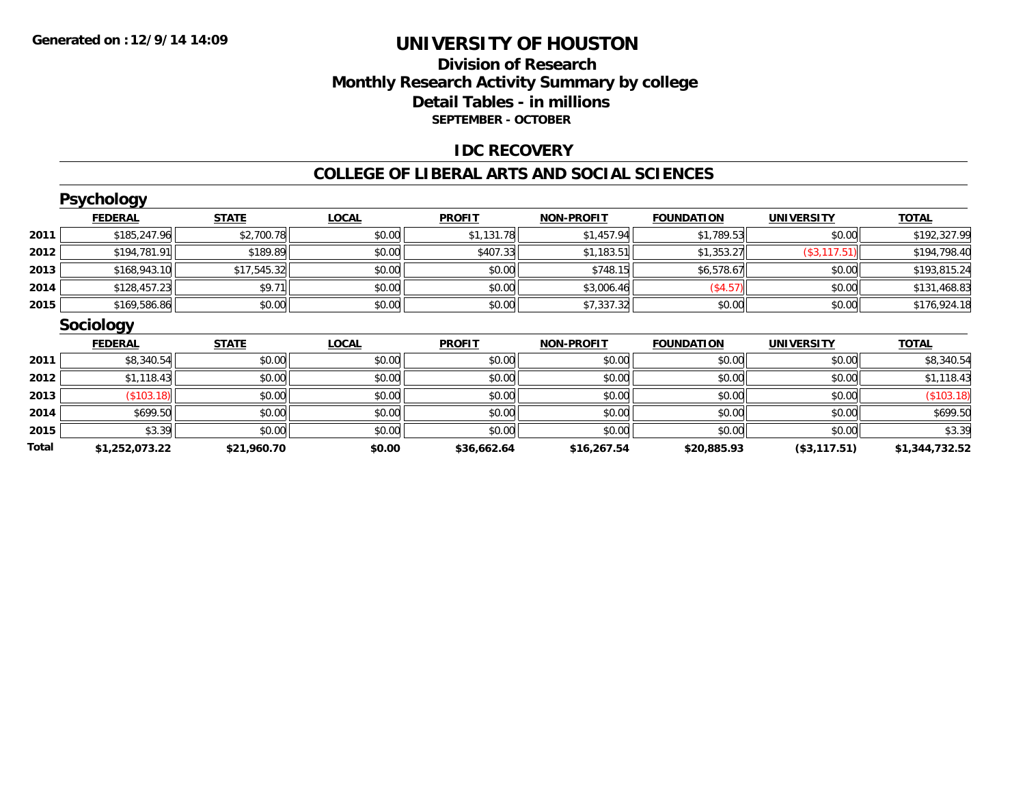### **Division of Research Monthly Research Activity Summary by college Detail Tables - in millions SEPTEMBER - OCTOBER**

### **IDC RECOVERY**

#### **COLLEGE OF LIBERAL ARTS AND SOCIAL SCIENCES**

|       | <b>Psychology</b> |              |              |               |                   |                   |                   |                |
|-------|-------------------|--------------|--------------|---------------|-------------------|-------------------|-------------------|----------------|
|       | <b>FEDERAL</b>    | <b>STATE</b> | <b>LOCAL</b> | <b>PROFIT</b> | <b>NON-PROFIT</b> | <b>FOUNDATION</b> | <b>UNIVERSITY</b> | <b>TOTAL</b>   |
| 2011  | \$185,247.96      | \$2,700.78   | \$0.00       | \$1,131.78    | \$1,457.94        | \$1,789.53        | \$0.00            | \$192,327.99   |
| 2012  | \$194,781.91      | \$189.89     | \$0.00       | \$407.33      | \$1,183.51        | \$1,353.27        | (\$3,117.51)      | \$194,798.40   |
| 2013  | \$168,943.10      | \$17,545.32  | \$0.00       | \$0.00        | \$748.15          | \$6,578.67        | \$0.00            | \$193,815.24   |
| 2014  | \$128,457.23      | \$9.71       | \$0.00       | \$0.00        | \$3,006.46        | (\$4.57)          | \$0.00            | \$131,468.83   |
| 2015  | \$169,586.86      | \$0.00       | \$0.00       | \$0.00        | \$7,337.32        | \$0.00            | \$0.00            | \$176,924.18   |
|       | <b>Sociology</b>  |              |              |               |                   |                   |                   |                |
|       | <b>FEDERAL</b>    | <b>STATE</b> | <b>LOCAL</b> | <b>PROFIT</b> | <b>NON-PROFIT</b> | <b>FOUNDATION</b> | <b>UNIVERSITY</b> | <b>TOTAL</b>   |
| 2011  | \$8,340.54        | \$0.00       | \$0.00       | \$0.00        | \$0.00            | \$0.00            | \$0.00            | \$8,340.54     |
| 2012  | \$1,118.43        | \$0.00       | \$0.00       | \$0.00        | \$0.00            | \$0.00            | \$0.00            | \$1,118.43     |
| 2013  | (\$103.18)        | \$0.00       | \$0.00       | \$0.00        | \$0.00            | \$0.00            | \$0.00            | (\$103.18)     |
| 2014  | \$699.50          | \$0.00       | \$0.00       | \$0.00        | \$0.00            | \$0.00            | \$0.00            | \$699.50       |
| 2015  | \$3.39            | \$0.00       | \$0.00       | \$0.00        | \$0.00            | \$0.00            | \$0.00            | \$3.39         |
| Total | \$1,252,073.22    | \$21,960.70  | \$0.00       | \$36,662.64   | \$16,267.54       | \$20,885.93       | (\$3,117.51)      | \$1,344,732.52 |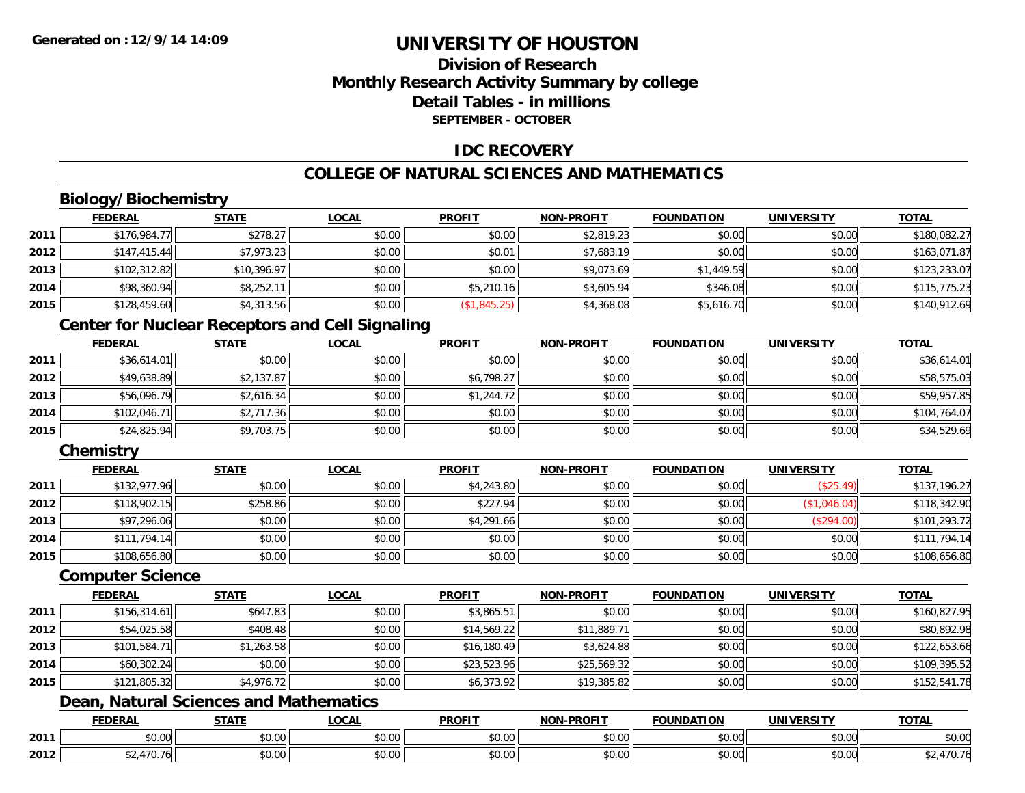### **Division of ResearchMonthly Research Activity Summary by college Detail Tables - in millionsSEPTEMBER - OCTOBER**

### **IDC RECOVERY**

### **COLLEGE OF NATURAL SCIENCES AND MATHEMATICS**

### **Biology/Biochemistry**

|      | <b>FEDERAL</b> | <b>STATE</b> | <u>LOCAL</u> | <b>PROFIT</b> | <b>NON-PROFIT</b> | <b>FOUNDATION</b> | <b>UNIVERSITY</b> | <b>TOTAL</b> |
|------|----------------|--------------|--------------|---------------|-------------------|-------------------|-------------------|--------------|
| 2011 | \$176,984.77   | \$278.27     | \$0.00       | \$0.00        | \$2,819.23        | \$0.00            | \$0.00            | \$180,082.27 |
| 2012 | \$147,415.44   | \$7,973.23   | \$0.00       | \$0.01        | \$7,683.19        | \$0.00            | \$0.00            | \$163,071.87 |
| 2013 | \$102,312.82   | \$10,396.97  | \$0.00       | \$0.00        | \$9,073.69        | \$1,449.59        | \$0.00            | \$123,233.07 |
| 2014 | \$98,360.94    | \$8,252.11   | \$0.00       | \$5,210.16    | \$3,605.94        | \$346.08          | \$0.00            | \$115,775.23 |
| 2015 | \$128,459.60   | \$4,313.56   | \$0.00       | (\$1,845.25)  | \$4,368.08        | \$5,616.70        | \$0.00            | \$140,912.69 |

### **Center for Nuclear Receptors and Cell Signaling**

|      | <b>FEDERAL</b> | <b>STATE</b> | <u>LOCAL</u> | <b>PROFIT</b> | <b>NON-PROFIT</b> | <b>FOUNDATION</b> | <b>UNIVERSITY</b> | <b>TOTAL</b> |
|------|----------------|--------------|--------------|---------------|-------------------|-------------------|-------------------|--------------|
| 2011 | \$36,614.01    | \$0.00       | \$0.00       | \$0.00        | \$0.00            | \$0.00            | \$0.00            | \$36,614.01  |
| 2012 | \$49,638.89    | \$2,137.87   | \$0.00       | \$6,798.27    | \$0.00            | \$0.00            | \$0.00            | \$58,575.03  |
| 2013 | \$56,096.79    | \$2,616.34   | \$0.00       | \$1,244.72    | \$0.00            | \$0.00            | \$0.00            | \$59,957.85  |
| 2014 | \$102,046.71   | \$2,717.36   | \$0.00       | \$0.00        | \$0.00            | \$0.00            | \$0.00            | \$104,764.07 |
| 2015 | \$24,825.94    | \$9,703.75   | \$0.00       | \$0.00        | \$0.00            | \$0.00            | \$0.00            | \$34,529.69  |

### **Chemistry**

|      | <u>FEDERAL</u> | <b>STATE</b> | <u>LOCAL</u> | <b>PROFIT</b> | <b>NON-PROFIT</b> | <b>FOUNDATION</b> | <b>UNIVERSITY</b> | <b>TOTAL</b> |
|------|----------------|--------------|--------------|---------------|-------------------|-------------------|-------------------|--------------|
| 2011 | \$132,977.96   | \$0.00       | \$0.00       | \$4,243.80    | \$0.00            | \$0.00            | (\$25.49)         | \$137,196.27 |
| 2012 | \$118,902.15   | \$258.86     | \$0.00       | \$227.94      | \$0.00            | \$0.00            | \$1,046.04)       | \$118,342.90 |
| 2013 | \$97,296.06    | \$0.00       | \$0.00       | \$4,291.66    | \$0.00            | \$0.00            | (\$294.00)        | \$101,293.72 |
| 2014 | \$111,794.14   | \$0.00       | \$0.00       | \$0.00        | \$0.00            | \$0.00            | \$0.00            | \$111,794.14 |
| 2015 | \$108,656.80   | \$0.00       | \$0.00       | \$0.00        | \$0.00            | \$0.00            | \$0.00            | \$108,656.80 |

#### **Computer Science**

|      | <b>FEDERAL</b> | <b>STATE</b> | <b>LOCAL</b> | <b>PROFIT</b> | <b>NON-PROFIT</b> | <b>FOUNDATION</b> | <b>UNIVERSITY</b> | <b>TOTAL</b> |
|------|----------------|--------------|--------------|---------------|-------------------|-------------------|-------------------|--------------|
| 2011 | \$156,314.61   | \$647.83     | \$0.00       | \$3,865.51    | \$0.00            | \$0.00            | \$0.00            | \$160,827.95 |
| 2012 | \$54,025.58    | \$408.48     | \$0.00       | \$14,569.22   | \$11,889.71       | \$0.00            | \$0.00            | \$80,892.98  |
| 2013 | \$101,584.71   | \$1,263.58   | \$0.00       | \$16,180.49   | \$3,624.88        | \$0.00            | \$0.00            | \$122,653.66 |
| 2014 | \$60,302.24    | \$0.00       | \$0.00       | \$23,523.96   | \$25,569.32       | \$0.00            | \$0.00            | \$109,395.52 |
| 2015 | \$121,805.32   | \$4,976.72   | \$0.00       | \$6,373.92    | \$19,385.82       | \$0.00            | \$0.00            | \$152,541.78 |

### **Dean, Natural Sciences and Mathematics**

|      | <b>FEDERAL</b>        | <b>CTATI</b>        | <b>_OCAL</b>       | <b>PROFIT</b> | <b>-PROFIT</b><br><b>NIONI</b> | <b>FOUNDATION</b> | <b>UNIVERSITY</b> | <b>TOTAL</b> |
|------|-----------------------|---------------------|--------------------|---------------|--------------------------------|-------------------|-------------------|--------------|
| 2011 | $\cap$ $\cap$<br>U.UU | ሖ ヘ<br>טט.          | $\sim$ 00<br>DU.UU | 0000<br>JU.UU | 0.00<br><b>JU.UU</b>           | JU.UU             | 0.001<br>. JU.UU  | \$0.00       |
| 2012 |                       | $\triangle$<br>JU.U | $\sim$ 00<br>JU.UU | 0.00<br>JU.UU | 0.00<br><b>JU.UU</b>           | JU.UU             | 0.00<br>PO.OO     | , , ,        |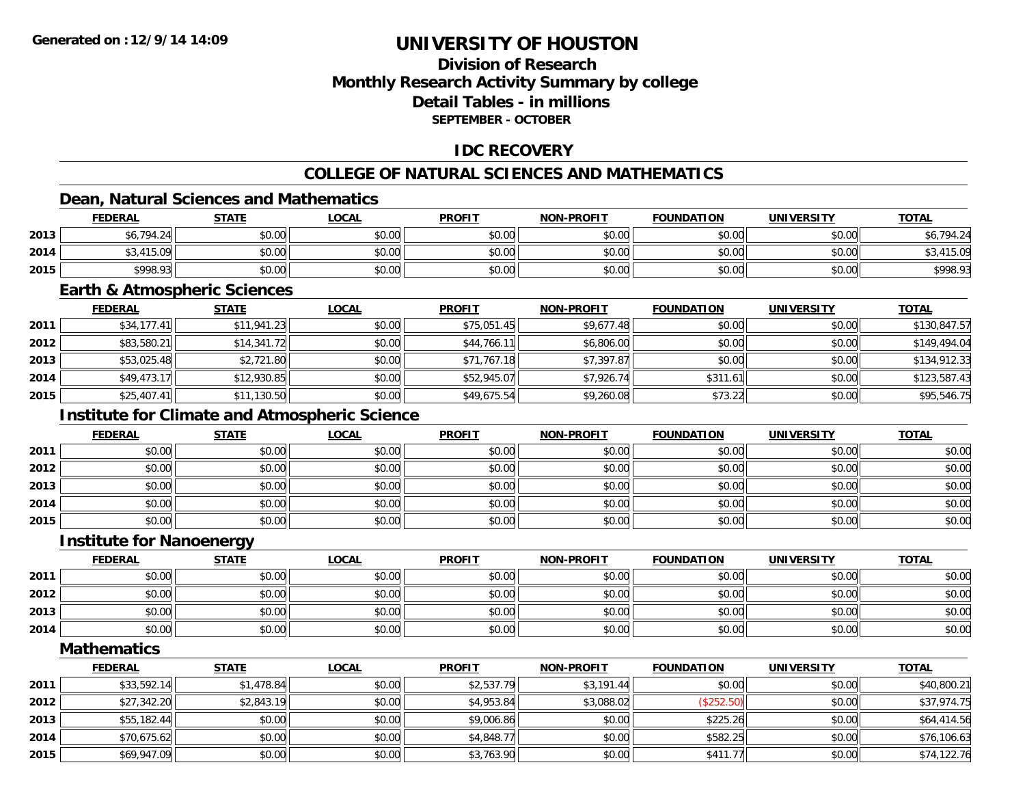### **Division of ResearchMonthly Research Activity Summary by college Detail Tables - in millionsSEPTEMBER - OCTOBER**

### **IDC RECOVERY**

### **COLLEGE OF NATURAL SCIENCES AND MATHEMATICS**

### **Dean, Natural Sciences and Mathematics**

|      | <b>FEDERAL</b> | <b>STATE</b> | <u>LOCAL</u>   | <b>PROFIT</b> | <b>NON-PROFIT</b> | <b>FOUNDATION</b> | <b>UNIVERSITY</b> | <b>TOTAL</b>  |
|------|----------------|--------------|----------------|---------------|-------------------|-------------------|-------------------|---------------|
| 2013 | \$6,794.24     | \$0.00       | en nn<br>DU.UG | \$0.00        | \$0.00            | \$0.00            | \$0.00            | 794.24<br>υU, |
| 2014 | .415.09        | \$0.00       | \$0.00         | \$0.00        | \$0.00            | \$0.00            | \$0.00            | \$3,415.09    |
| 2015 | \$998.93       | \$0.00       | \$0.00         | \$0.00        | \$0.00            | \$0.00            | \$0.00            | \$998.93      |

#### **Earth & Atmospheric Sciences**

|      | <b>FEDERAL</b> | <b>STATE</b> | <b>LOCAL</b> | <b>PROFIT</b> | <b>NON-PROFIT</b> | <b>FOUNDATION</b> | <b>UNIVERSITY</b> | <b>TOTAL</b> |
|------|----------------|--------------|--------------|---------------|-------------------|-------------------|-------------------|--------------|
| 2011 | \$34,177.41    | \$11.941.23  | \$0.00       | \$75,051.45   | \$9,677.48        | \$0.00            | \$0.00            | \$130,847.57 |
| 2012 | \$83,580.21    | \$14,341.72  | \$0.00       | \$44,766.11   | \$6,806.00        | \$0.00            | \$0.00            | \$149,494.04 |
| 2013 | \$53,025.48    | \$2,721.80   | \$0.00       | \$71,767.18   | \$7,397.87        | \$0.00            | \$0.00            | \$134,912.33 |
| 2014 | \$49,473.17    | \$12,930.85  | \$0.00       | \$52,945.07   | \$7,926.74        | \$311.61          | \$0.00            | \$123,587.43 |
| 2015 | \$25,407.41    | \$11,130.50  | \$0.00       | \$49,675.54   | \$9,260.08        | \$73.22           | \$0.00            | \$95,546.75  |

### **Institute for Climate and Atmospheric Science**

|      | <u>FEDERAL</u> | <b>STATE</b> | <u>LOCAL</u> | <b>PROFIT</b> | <b>NON-PROFIT</b> | <b>FOUNDATION</b> | <b>UNIVERSITY</b> | <b>TOTAL</b> |
|------|----------------|--------------|--------------|---------------|-------------------|-------------------|-------------------|--------------|
| 2011 | \$0.00         | \$0.00       | \$0.00       | \$0.00        | \$0.00            | \$0.00            | \$0.00            | \$0.00       |
| 2012 | \$0.00         | \$0.00       | \$0.00       | \$0.00        | \$0.00            | \$0.00            | \$0.00            | \$0.00       |
| 2013 | \$0.00         | \$0.00       | \$0.00       | \$0.00        | \$0.00            | \$0.00            | \$0.00            | \$0.00       |
| 2014 | \$0.00         | \$0.00       | \$0.00       | \$0.00        | \$0.00            | \$0.00            | \$0.00            | \$0.00       |
| 2015 | \$0.00         | \$0.00       | \$0.00       | \$0.00        | \$0.00            | \$0.00            | \$0.00            | \$0.00       |

#### **Institute for Nanoenergy**

|      | <b>FEDERAL</b> | <b>STATE</b> | <u>LOCAL</u> | <b>PROFIT</b> | <b>NON-PROFIT</b> | <b>FOUNDATION</b> | <b>UNIVERSITY</b> | <b>TOTAL</b> |
|------|----------------|--------------|--------------|---------------|-------------------|-------------------|-------------------|--------------|
| 2011 | \$0.00         | \$0.00       | \$0.00       | \$0.00        | \$0.00            | \$0.00            | \$0.00            | \$0.00       |
| 2012 | \$0.00         | \$0.00       | \$0.00       | \$0.00        | \$0.00            | \$0.00            | \$0.00            | \$0.00       |
| 2013 | \$0.00         | \$0.00       | \$0.00       | \$0.00        | \$0.00            | \$0.00            | \$0.00            | \$0.00       |
| 2014 | \$0.00         | \$0.00       | \$0.00       | \$0.00        | \$0.00            | \$0.00            | \$0.00            | \$0.00       |

**Mathematics**

|      | <b>FEDERAL</b> | <b>STATE</b> | <u>LOCAL</u> | <b>PROFIT</b> | <b>NON-PROFIT</b> | <b>FOUNDATION</b> | <b>UNIVERSITY</b> | <b>TOTAL</b> |
|------|----------------|--------------|--------------|---------------|-------------------|-------------------|-------------------|--------------|
| 2011 | \$33,592.14    | \$1,478.84   | \$0.00       | \$2,537.79    | \$3,191.44        | \$0.00            | \$0.00            | \$40,800.21  |
| 2012 | \$27,342.20    | \$2,843.19   | \$0.00       | \$4,953.84    | \$3,088.02        | (\$252.50)        | \$0.00            | \$37,974.75  |
| 2013 | \$55,182.44    | \$0.00       | \$0.00       | \$9,006.86    | \$0.00            | \$225.26          | \$0.00            | \$64,414.56  |
| 2014 | \$70,675.62    | \$0.00       | \$0.00       | \$4,848.77    | \$0.00            | \$582.25          | \$0.00            | \$76,106.63  |
| 2015 | \$69,947.09    | \$0.00       | \$0.00       | \$3,763.90    | \$0.00            | \$411.77          | \$0.00            | \$74,122.76  |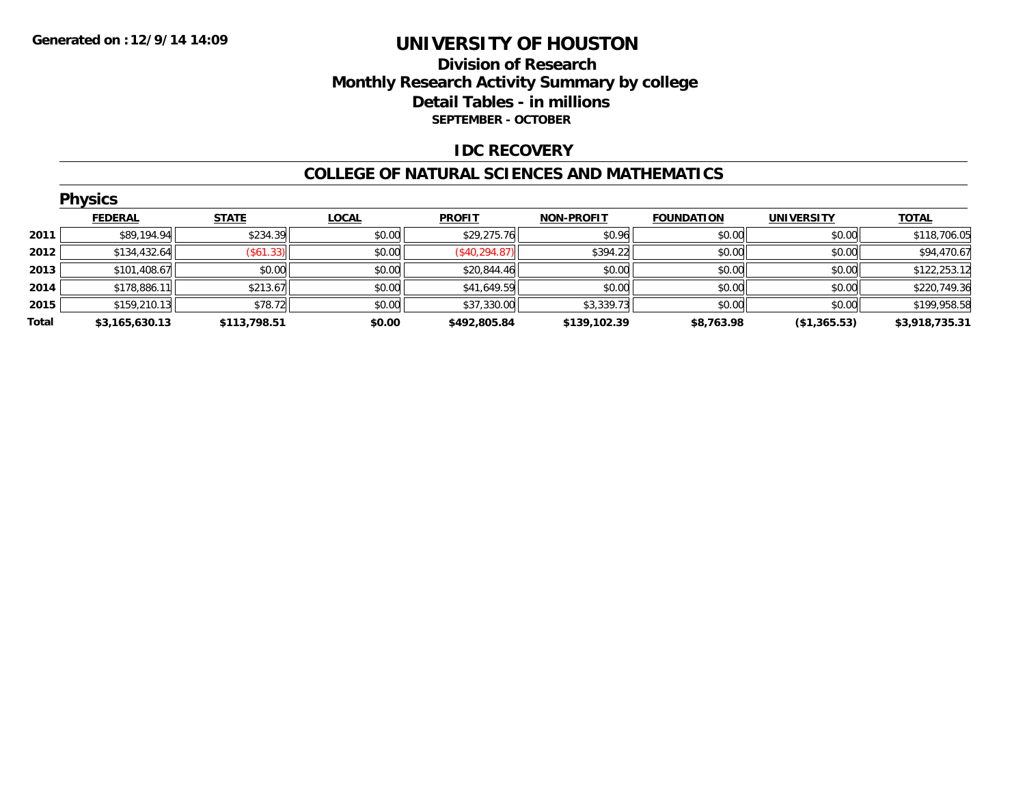### **Division of Research Monthly Research Activity Summary by college Detail Tables - in millions SEPTEMBER - OCTOBER**

### **IDC RECOVERY**

#### **COLLEGE OF NATURAL SCIENCES AND MATHEMATICS**

|       | <b>Physics</b> |              |              |               |                   |                   |                   |                |
|-------|----------------|--------------|--------------|---------------|-------------------|-------------------|-------------------|----------------|
|       | <b>FEDERAL</b> | <b>STATE</b> | <b>LOCAL</b> | <b>PROFIT</b> | <b>NON-PROFIT</b> | <b>FOUNDATION</b> | <b>UNIVERSITY</b> | <b>TOTAL</b>   |
| 2011  | \$89,194.94    | \$234.39     | \$0.00       | \$29,275.76   | \$0.96            | \$0.00            | \$0.00            | \$118,706.05   |
| 2012  | \$134,432.64   | (\$61.33)    | \$0.00       | (\$40,294.87) | \$394.22          | \$0.00            | \$0.00            | \$94,470.67    |
| 2013  | \$101,408.67   | \$0.00       | \$0.00       | \$20,844.46   | \$0.00            | \$0.00            | \$0.00            | \$122,253.12   |
| 2014  | \$178,886.11   | \$213.67     | \$0.00       | \$41,649.59   | \$0.00            | \$0.00            | \$0.00            | \$220,749.36   |
| 2015  | \$159,210.13   | \$78.72      | \$0.00       | \$37,330.00   | \$3,339.73        | \$0.00            | \$0.00            | \$199,958.58   |
| Total | \$3,165,630.13 | \$113,798.51 | \$0.00       | \$492,805.84  | \$139,102.39      | \$8,763.98        | (\$1,365.53)      | \$3,918,735.31 |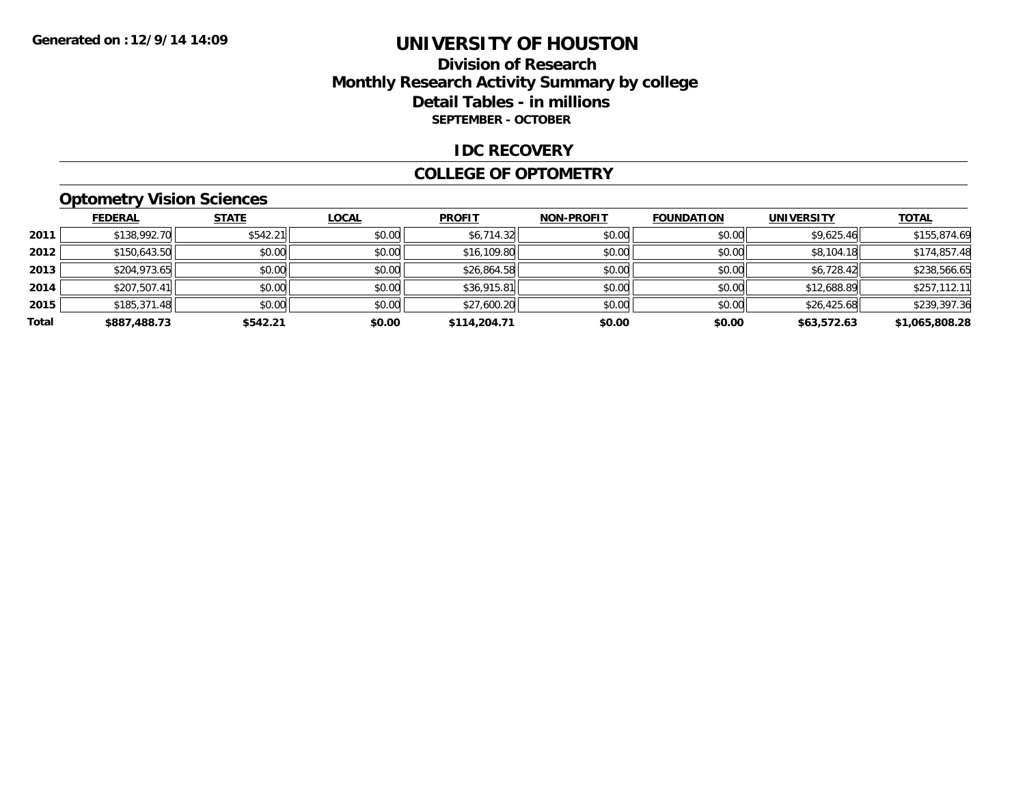### **Division of Research Monthly Research Activity Summary by college Detail Tables - in millions SEPTEMBER - OCTOBER**

#### **IDC RECOVERY**

#### **COLLEGE OF OPTOMETRY**

### **Optometry Vision Sciences**

|       | <b>FEDERAL</b> | <b>STATE</b> | <u>LOCAL</u> | <b>PROFIT</b> | <b>NON-PROFIT</b> | <b>FOUNDATION</b> | <b>UNIVERSITY</b> | <b>TOTAL</b>   |
|-------|----------------|--------------|--------------|---------------|-------------------|-------------------|-------------------|----------------|
| 2011  | \$138,992.70   | \$542.21     | \$0.00       | \$6,714.32    | \$0.00            | \$0.00            | \$9,625.46        | \$155,874.69   |
| 2012  | \$150,643.50   | \$0.00       | \$0.00       | \$16,109.80   | \$0.00            | \$0.00            | \$8,104.18        | \$174,857.48   |
| 2013  | \$204,973.65   | \$0.00       | \$0.00       | \$26,864.58   | \$0.00            | \$0.00            | \$6,728.42        | \$238,566.65   |
| 2014  | \$207,507.41   | \$0.00       | \$0.00       | \$36,915.81   | \$0.00            | \$0.00            | \$12,688.89       | \$257,112.11   |
| 2015  | \$185,371.48   | \$0.00       | \$0.00       | \$27,600.20   | \$0.00            | \$0.00            | \$26,425.68       | \$239,397.36   |
| Total | \$887,488.73   | \$542.21     | \$0.00       | \$114,204.71  | \$0.00            | \$0.00            | \$63,572.63       | \$1,065,808.28 |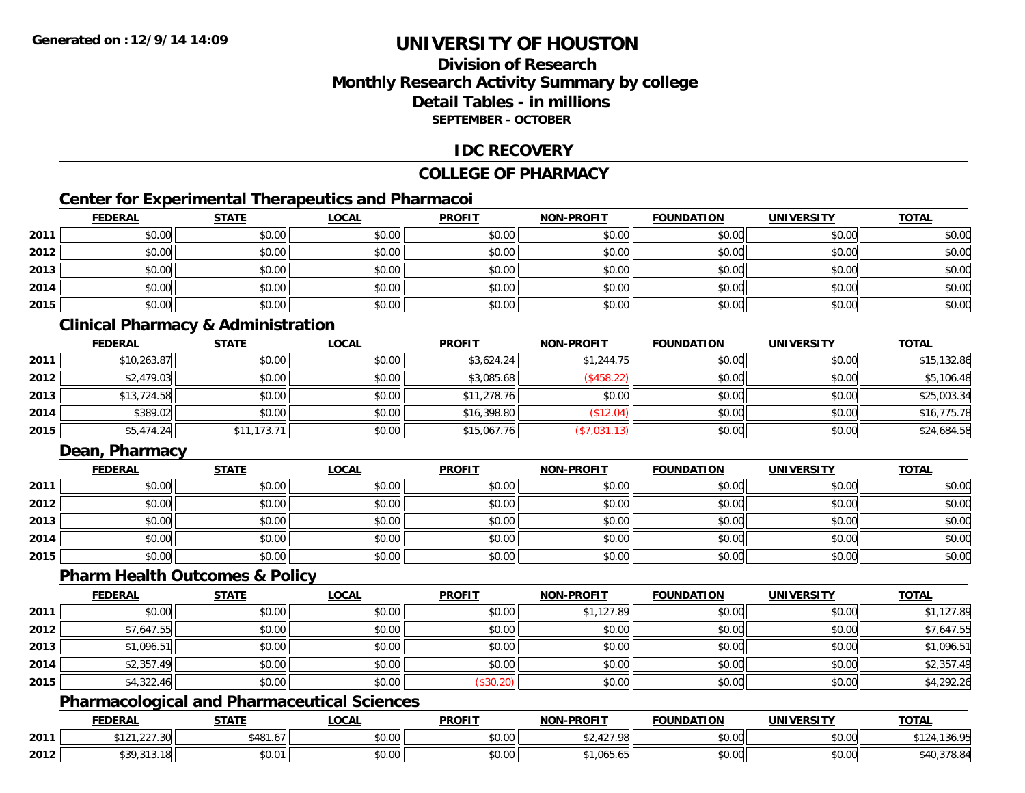### **Division of ResearchMonthly Research Activity Summary by college Detail Tables - in millionsSEPTEMBER - OCTOBER**

### **IDC RECOVERY**

### **COLLEGE OF PHARMACY**

### **Center for Experimental Therapeutics and Pharmacoi**

|      | <b>FEDERAL</b> | <b>STATE</b> | <u>LOCAL</u> | <b>PROFIT</b> | <b>NON-PROFIT</b> | <b>FOUNDATION</b> | <b>UNIVERSITY</b> | <b>TOTAL</b> |
|------|----------------|--------------|--------------|---------------|-------------------|-------------------|-------------------|--------------|
| 2011 | \$0.00         | \$0.00       | \$0.00       | \$0.00        | \$0.00            | \$0.00            | \$0.00            | \$0.00       |
| 2012 | \$0.00         | \$0.00       | \$0.00       | \$0.00        | \$0.00            | \$0.00            | \$0.00            | \$0.00       |
| 2013 | \$0.00         | \$0.00       | \$0.00       | \$0.00        | \$0.00            | \$0.00            | \$0.00            | \$0.00       |
| 2014 | \$0.00         | \$0.00       | \$0.00       | \$0.00        | \$0.00            | \$0.00            | \$0.00            | \$0.00       |
| 2015 | \$0.00         | \$0.00       | \$0.00       | \$0.00        | \$0.00            | \$0.00            | \$0.00            | \$0.00       |

### **Clinical Pharmacy & Administration**

|      | <b>FEDERAL</b> | <b>STATE</b> | <b>LOCAL</b> | <b>PROFIT</b> | <b>NON-PROFIT</b> | <b>FOUNDATION</b> | <b>UNIVERSITY</b> | <b>TOTAL</b> |
|------|----------------|--------------|--------------|---------------|-------------------|-------------------|-------------------|--------------|
| 2011 | \$10,263.87    | \$0.00       | \$0.00       | \$3,624.24    | \$1,244.75        | \$0.00            | \$0.00            | \$15,132.86  |
| 2012 | \$2,479.03     | \$0.00       | \$0.00       | \$3,085.68    | (\$458.22)        | \$0.00            | \$0.00            | \$5,106.48   |
| 2013 | \$13,724.58    | \$0.00       | \$0.00       | \$11,278.76   | \$0.00            | \$0.00            | \$0.00            | \$25,003.34  |
| 2014 | \$389.02       | \$0.00       | \$0.00       | \$16,398.80   | \$12.04)          | \$0.00            | \$0.00            | \$16,775.78  |
| 2015 | \$5,474.24     | \$11,173.71  | \$0.00       | \$15,067.76   | (\$7,031.13)      | \$0.00            | \$0.00            | \$24,684.58  |

### **Dean, Pharmacy**

|      | <b>FEDERAL</b> | <b>STATE</b> | <u>LOCAL</u> | <b>PROFIT</b> | <b>NON-PROFIT</b> | <b>FOUNDATION</b> | <b>UNIVERSITY</b> | <b>TOTAL</b> |
|------|----------------|--------------|--------------|---------------|-------------------|-------------------|-------------------|--------------|
| 2011 | \$0.00         | \$0.00       | \$0.00       | \$0.00        | \$0.00            | \$0.00            | \$0.00            | \$0.00       |
| 2012 | \$0.00         | \$0.00       | \$0.00       | \$0.00        | \$0.00            | \$0.00            | \$0.00            | \$0.00       |
| 2013 | \$0.00         | \$0.00       | \$0.00       | \$0.00        | \$0.00            | \$0.00            | \$0.00            | \$0.00       |
| 2014 | \$0.00         | \$0.00       | \$0.00       | \$0.00        | \$0.00            | \$0.00            | \$0.00            | \$0.00       |
| 2015 | \$0.00         | \$0.00       | \$0.00       | \$0.00        | \$0.00            | \$0.00            | \$0.00            | \$0.00       |

#### **Pharm Health Outcomes & Policy**

|      | <b>FEDERAL</b> | <b>STATE</b> | <b>LOCAL</b> | <b>PROFIT</b> | <b>NON-PROFIT</b> | <b>FOUNDATION</b> | <b>UNIVERSITY</b> | <b>TOTAL</b> |
|------|----------------|--------------|--------------|---------------|-------------------|-------------------|-------------------|--------------|
| 2011 | \$0.00         | \$0.00       | \$0.00       | \$0.00        | \$1,127.89        | \$0.00            | \$0.00            | \$1,127.89   |
| 2012 | \$7,647.55     | \$0.00       | \$0.00       | \$0.00        | \$0.00            | \$0.00            | \$0.00            | \$7,647.55   |
| 2013 | \$1,096.51     | \$0.00       | \$0.00       | \$0.00        | \$0.00            | \$0.00            | \$0.00            | \$1,096.51   |
| 2014 | \$2,357.49     | \$0.00       | \$0.00       | \$0.00        | \$0.00            | \$0.00            | \$0.00            | \$2,357.49   |
| 2015 | \$4,322.46     | \$0.00       | \$0.00       | (\$30.20)     | \$0.00            | \$0.00            | \$0.00            | \$4,292.26   |

### **Pharmacological and Pharmaceutical Sciences**

|      | <b>FEDERAL</b>                            | <b>STATE</b>  | <b>LOCAL</b>              | <b>PROFIT</b>  | <b>NON-PROFIT</b>         | <b>FOUNDATION</b> | UNIVERSITY                | <b>TOTAL</b> |
|------|-------------------------------------------|---------------|---------------------------|----------------|---------------------------|-------------------|---------------------------|--------------|
| 2011 | 0.121<br>$\Omega$<br>9 I Z I . Z Z I . JU | \$481.67      | $\sim$<br>$\sim$<br>vv.vv | 40.00<br>DU.UU | .98<br>← ہے ب<br>−∠ /     | \$0.00            | 0000<br><b>DU.UU</b>      | 199.79       |
| 2012 | . 212<br>ሐ ኅ ሰ<br>7. J 1. J . I O<br>. ט  | 00001<br>JU.U | ሖ ∩<br>$\sim$<br>PU.UU    | \$0.00         | <b>065 65</b><br>טט.טט, ו | \$0.00            | $\sim$ 00<br><b>JU.UU</b> | 940,378.84   |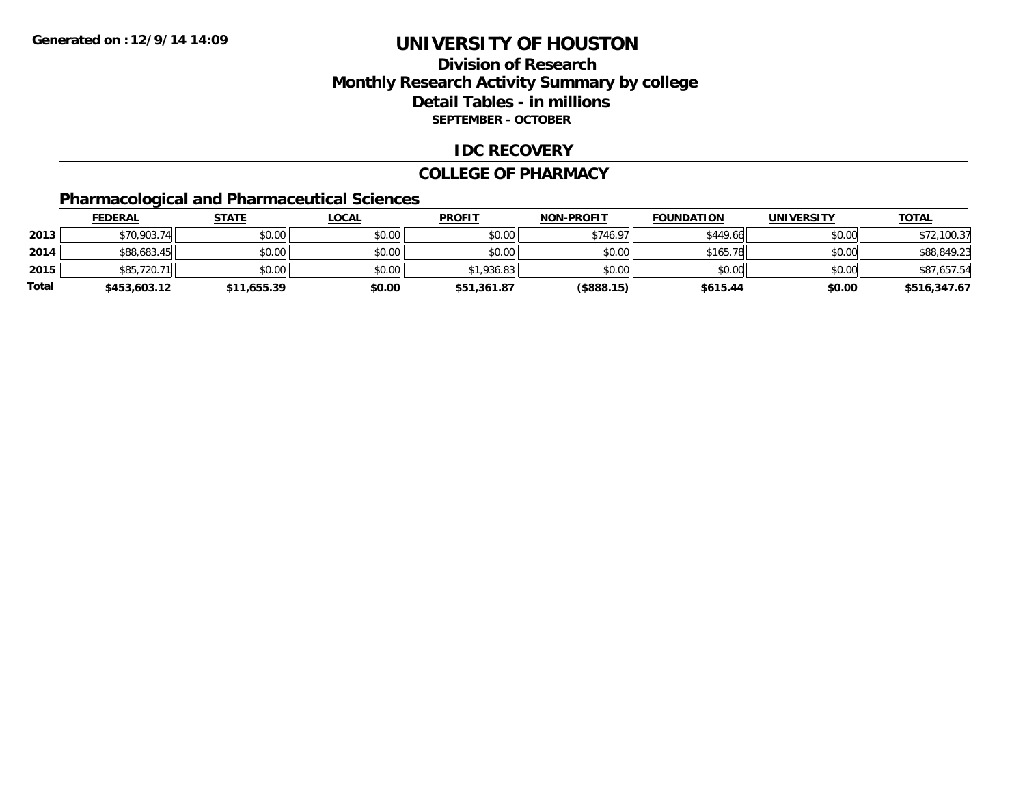### **Division of ResearchMonthly Research Activity Summary by college Detail Tables - in millions SEPTEMBER - OCTOBER**

### **IDC RECOVERY**

#### **COLLEGE OF PHARMACY**

### **Pharmacological and Pharmaceutical Sciences**

|       | <b>FEDERAL</b> | <u>STATE</u> | <u>LOCAL</u> | <b>PROFIT</b> | <b>NON-PROFIT</b> | <b>FOUNDATION</b> | <b>UNIVERSITY</b> | <b>TOTAL</b> |
|-------|----------------|--------------|--------------|---------------|-------------------|-------------------|-------------------|--------------|
| 2013  | \$70,903.74    | \$0.00       | \$0.00       | $$0.00$       | \$746.97          | \$449.66          | \$0.00            | \$72,100.37  |
| 2014  | \$88,683.45    | \$0.00       | \$0.00       | \$0.00        | \$0.00            | \$165.78          | \$0.00            | \$88,849.23  |
| 2015  | \$85,720.71    | \$0.00       | \$0.00       | \$1.936.83    | \$0.00            | \$0.00            | \$0.00            | \$87.657.54  |
| Total | \$453,603.12   | \$11,655.39  | \$0.00       | \$51,361.87   | $($ \$888.15)     | \$615.44          | \$0.00            | \$516,347.67 |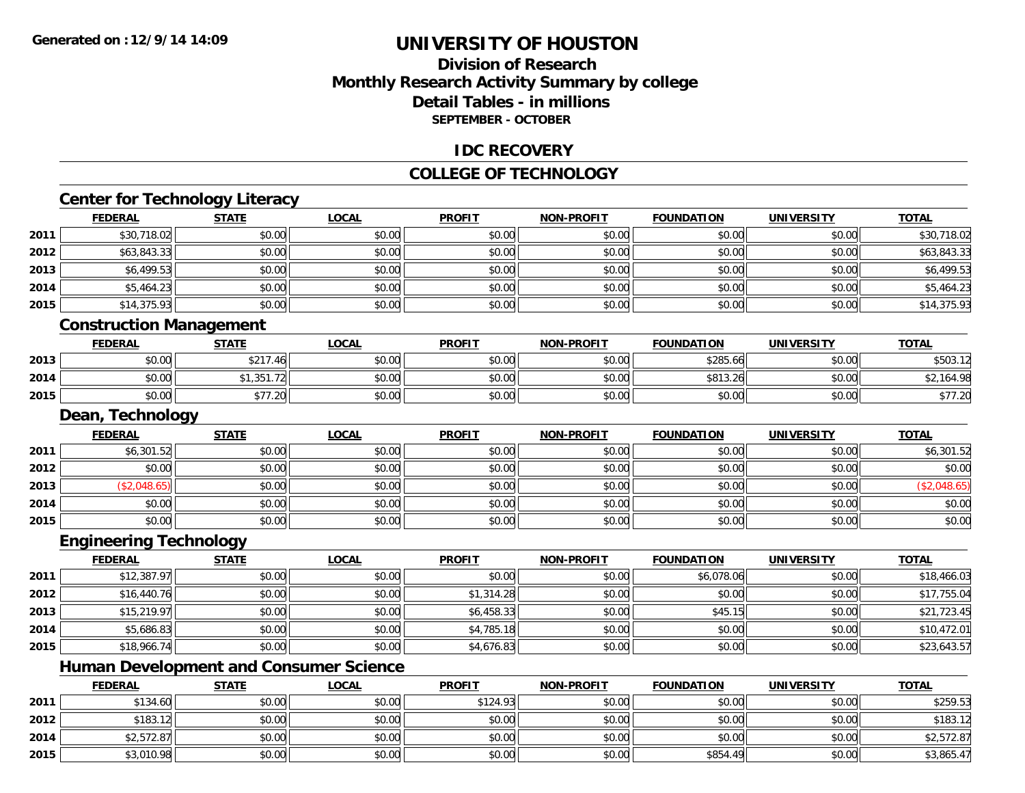### **Division of ResearchMonthly Research Activity Summary by college Detail Tables - in millionsSEPTEMBER - OCTOBER**

### **IDC RECOVERY**

### **COLLEGE OF TECHNOLOGY**

# **Center for Technology Literacy**

|      | FEDERAL                        | <b>STATE</b> | LOCAL        | <b>PROFIT</b> | <b>NON-PROFIT</b> | <b>FOUNDATION</b> | UNIVERSITY        | <u>TOTAL</u> |
|------|--------------------------------|--------------|--------------|---------------|-------------------|-------------------|-------------------|--------------|
| 2011 | \$30,718.02                    | \$0.00       | \$0.00       | \$0.00        | \$0.00            | \$0.00            | \$0.00            | \$30,718.02  |
| 2012 | \$63,843.33                    | \$0.00       | \$0.00       | \$0.00        | \$0.00            | \$0.00            | \$0.00            | \$63,843.33  |
| 2013 | \$6,499.53                     | \$0.00       | \$0.00       | \$0.00        | \$0.00            | \$0.00            | \$0.00            | \$6,499.53   |
| 2014 | \$5,464.23                     | \$0.00       | \$0.00       | \$0.00        | \$0.00            | \$0.00            | \$0.00            | \$5,464.23   |
| 2015 | \$14,375.93                    | \$0.00       | \$0.00       | \$0.00        | \$0.00            | \$0.00            | \$0.00            | \$14,375.93  |
|      | <b>Construction Management</b> |              |              |               |                   |                   |                   |              |
|      | <b>FEDERAL</b>                 | <b>STATE</b> | <b>LOCAL</b> | <b>PROFIT</b> | <b>NON-PROFIT</b> | <b>FOUNDATION</b> | <b>UNIVERSITY</b> | <b>TOTAL</b> |
| 2013 | \$0.00                         | \$217.46     | \$0.00       | \$0.00        | \$0.00            | \$285.66          | \$0.00            | \$503.12     |
| 2014 | \$0.00                         | \$1,351.72   | \$0.00       | \$0.00        | \$0.00            | \$813.26          | \$0.00            | \$2,164.98   |
| 2015 | \$0.00                         | \$77.20      | \$0.00       | \$0.00        | \$0.00            | \$0.00            | \$0.00            | \$77.20      |
|      | Dean, Technology               |              |              |               |                   |                   |                   |              |
|      | <b>FEDERAL</b>                 | <b>STATE</b> | <b>LOCAL</b> | <b>PROFIT</b> | <b>NON-PROFIT</b> | <b>FOUNDATION</b> | <b>UNIVERSITY</b> | <b>TOTAL</b> |
| 2011 | \$6,301.52                     | \$0.00       | \$0.00       | \$0.00        | \$0.00            | \$0.00            | \$0.00            | \$6,301.52   |
| 2012 | \$0.00                         | \$0.00       | \$0.00       | \$0.00        | \$0.00            | \$0.00            | \$0.00            | \$0.00       |
| 2013 | (\$2,048.65)                   | \$0.00       | \$0.00       | \$0.00        | \$0.00            | \$0.00            | \$0.00            | (\$2,048.65) |
|      |                                |              |              |               |                   |                   |                   |              |

### **Engineering Technology**

**2014**

**2015**

|      | <b>FEDERAL</b> | <b>STATE</b> | <u>LOCAL</u> | <b>PROFIT</b> | <b>NON-PROFIT</b> | <b>FOUNDATION</b> | <b>UNIVERSITY</b> | <b>TOTAL</b> |
|------|----------------|--------------|--------------|---------------|-------------------|-------------------|-------------------|--------------|
| 2011 | \$12,387.97    | \$0.00       | \$0.00       | \$0.00        | \$0.00            | \$6,078.06        | \$0.00            | \$18,466.03  |
| 2012 | \$16,440.76    | \$0.00       | \$0.00       | \$1,314.28    | \$0.00            | \$0.00            | \$0.00            | \$17,755.04  |
| 2013 | \$15,219.97    | \$0.00       | \$0.00       | \$6,458.33    | \$0.00            | \$45.15           | \$0.00            | \$21,723.45  |
| 2014 | \$5,686.83     | \$0.00       | \$0.00       | \$4,785.18    | \$0.00            | \$0.00            | \$0.00            | \$10,472.01  |
| 2015 | \$18,966.74    | \$0.00       | \$0.00       | \$4,676.83    | \$0.00            | \$0.00            | \$0.00            | \$23,643.57  |

4 \$0.00| \$0.00| \$0.00| \$0.00| \$0.00| \$0.00| \$0.00| \$0.00|

\$0.00 \$0.00 \$0.00 \$0.00 \$0.00 \$0.00 \$0.00 \$0.00

## **Human Development and Consumer Science**

|      | <b>FEDERAL</b> | STATE  | <u>LOCAL</u> | <b>PROFIT</b> | <b>NON-PROFIT</b> | <b>FOUNDATION</b> | <b>UNIVERSITY</b> | <b>TOTAL</b> |
|------|----------------|--------|--------------|---------------|-------------------|-------------------|-------------------|--------------|
| 2011 | \$134.60       | \$0.00 | \$0.00       | \$124.93      | \$0.00            | \$0.00            | \$0.00            | \$259.53     |
| 2012 | \$183.12       | \$0.00 | \$0.00       | \$0.00        | \$0.00            | \$0.00            | \$0.00            | \$183.12     |
| 2014 | \$2,572.87     | \$0.00 | \$0.00       | \$0.00        | \$0.00            | \$0.00            | \$0.00            | \$2,572.87   |
| 2015 | \$3,010.98     | \$0.00 | \$0.00       | \$0.00        | \$0.00            | \$854.49          | \$0.00            | \$3,865.47   |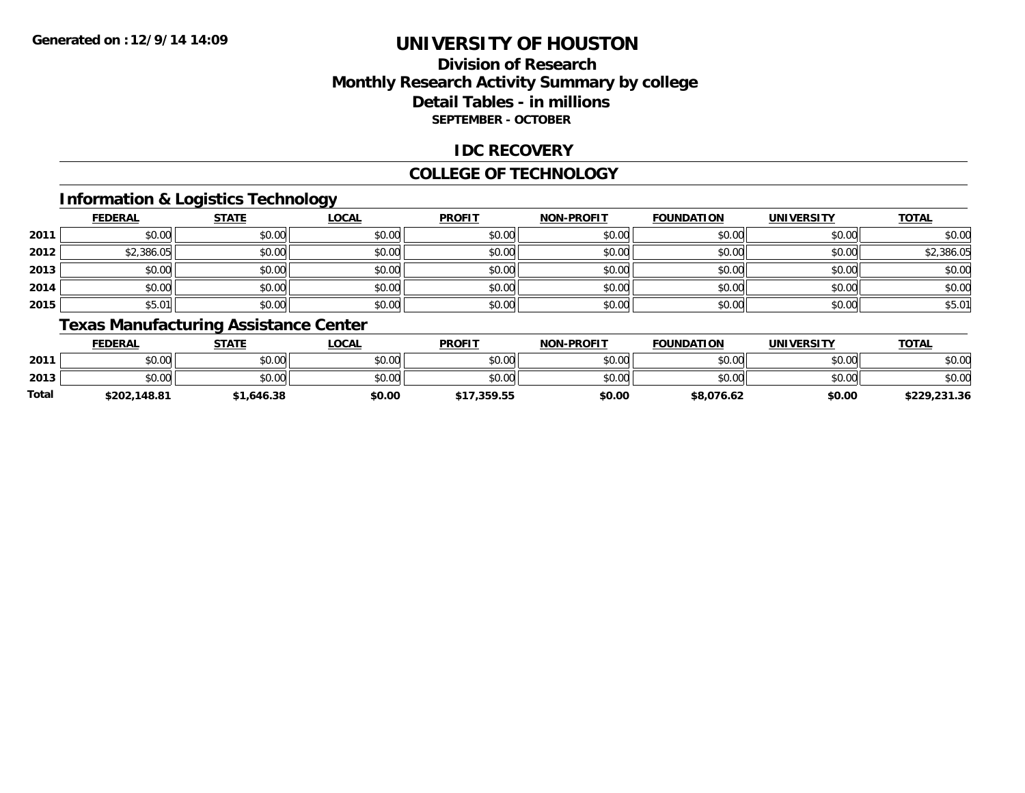### **Division of ResearchMonthly Research Activity Summary by college Detail Tables - in millions SEPTEMBER - OCTOBER**

### **IDC RECOVERY**

#### **COLLEGE OF TECHNOLOGY**

### **Information & Logistics Technology**

|      | <b>FEDERAL</b> | <b>STATE</b> | <b>LOCAL</b> | <b>PROFIT</b> | <b>NON-PROFIT</b> | <b>FOUNDATION</b> | <b>UNIVERSITY</b> | <b>TOTAL</b> |
|------|----------------|--------------|--------------|---------------|-------------------|-------------------|-------------------|--------------|
| 2011 | \$0.00         | \$0.00       | \$0.00       | \$0.00        | \$0.00            | \$0.00            | \$0.00            | \$0.00       |
| 2012 | \$2,386.05     | \$0.00       | \$0.00       | \$0.00        | \$0.00            | \$0.00            | \$0.00            | \$2,386.05   |
| 2013 | \$0.00         | \$0.00       | \$0.00       | \$0.00        | \$0.00            | \$0.00            | \$0.00            | \$0.00       |
| 2014 | \$0.00         | \$0.00       | \$0.00       | \$0.00        | \$0.00            | \$0.00            | \$0.00            | \$0.00       |
| 2015 | \$5.01         | \$0.00       | \$0.00       | \$0.00        | \$0.00            | \$0.00            | \$0.00            | \$5.01       |

### **Texas Manufacturing Assistance Center**

|              | <b>FEDERAL</b> | STATE    | <b>LOCAL</b> | <b>PROFIT</b> | <b>NON-PROFIT</b> | <b>FOUNDATION</b> | <b>UNIVERSITY</b> | <b>TOTAL</b> |
|--------------|----------------|----------|--------------|---------------|-------------------|-------------------|-------------------|--------------|
| 2011         | \$0.00         | \$0.00   | \$0.00       | \$0.00        | \$0.00            | \$0.00            | \$0.00            | \$0.00       |
| 2013         | \$0.00         | \$0.00   | \$0.00       | \$0.00        | \$0.00            | \$0.00            | \$0.00            | \$0.00       |
| <b>Total</b> | \$202,148.81   | 646.38،، | \$0.00       | \$17,359.55   | \$0.00            | \$8,076.62        | \$0.00            | \$229,231.36 |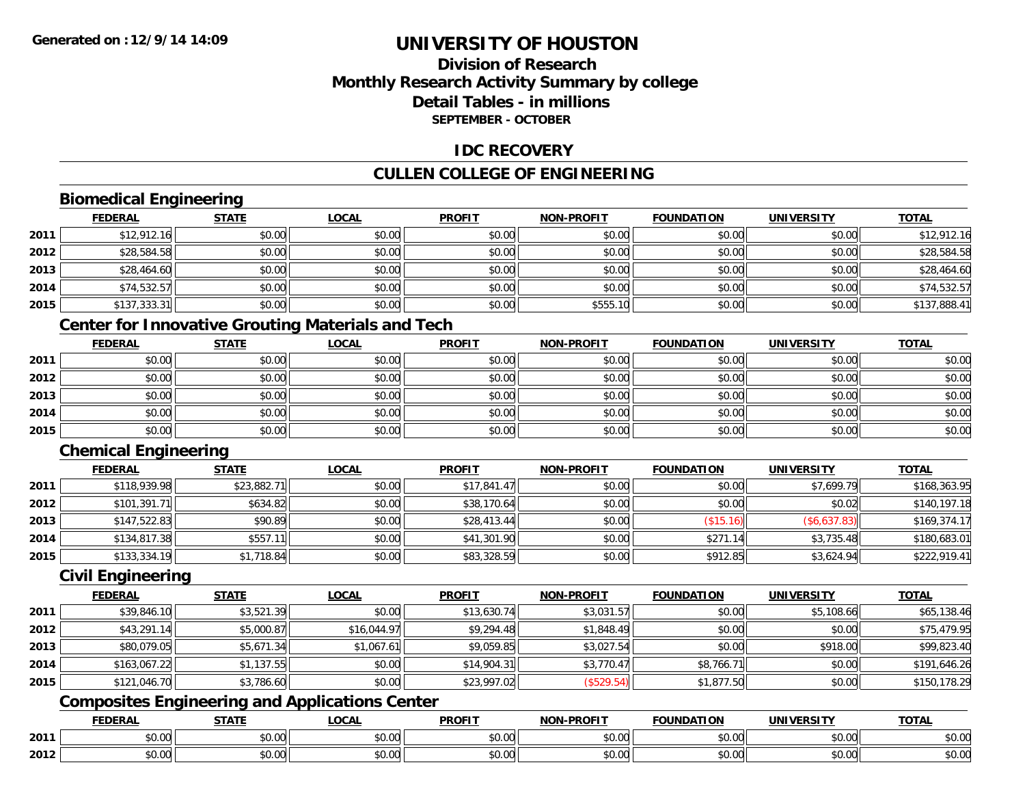### **Division of ResearchMonthly Research Activity Summary by college Detail Tables - in millionsSEPTEMBER - OCTOBER**

### **IDC RECOVERY**

### **CULLEN COLLEGE OF ENGINEERING**

### **Biomedical Engineering**

|      | <b>FEDERAL</b> | <b>STATE</b> | <u>LOCAL</u> | <b>PROFIT</b> | <b>NON-PROFIT</b> | <b>FOUNDATION</b> | <b>UNIVERSITY</b> | <b>TOTAL</b> |
|------|----------------|--------------|--------------|---------------|-------------------|-------------------|-------------------|--------------|
| 2011 | \$12,912.16    | \$0.00       | \$0.00       | \$0.00        | \$0.00            | \$0.00            | \$0.00            | \$12,912.16  |
| 2012 | \$28,584.58    | \$0.00       | \$0.00       | \$0.00        | \$0.00            | \$0.00            | \$0.00            | \$28,584.58  |
| 2013 | \$28,464.60    | \$0.00       | \$0.00       | \$0.00        | \$0.00            | \$0.00            | \$0.00            | \$28,464.60  |
| 2014 | \$74,532.57    | \$0.00       | \$0.00       | \$0.00        | \$0.00            | \$0.00            | \$0.00            | \$74,532.57  |
| 2015 | \$137,333.31   | \$0.00       | \$0.00       | \$0.00        | \$555.10          | \$0.00            | \$0.00            | \$137,888.41 |

### **Center for Innovative Grouting Materials and Tech**

|      | <b>FEDERAL</b> | <b>STATE</b> | <b>LOCAL</b> | <b>PROFIT</b> | <b>NON-PROFIT</b> | <b>FOUNDATION</b> | <b>UNIVERSITY</b> | <b>TOTAL</b> |
|------|----------------|--------------|--------------|---------------|-------------------|-------------------|-------------------|--------------|
| 2011 | \$0.00         | \$0.00       | \$0.00       | \$0.00        | \$0.00            | \$0.00            | \$0.00            | \$0.00       |
| 2012 | \$0.00         | \$0.00       | \$0.00       | \$0.00        | \$0.00            | \$0.00            | \$0.00            | \$0.00       |
| 2013 | \$0.00         | \$0.00       | \$0.00       | \$0.00        | \$0.00            | \$0.00            | \$0.00            | \$0.00       |
| 2014 | \$0.00         | \$0.00       | \$0.00       | \$0.00        | \$0.00            | \$0.00            | \$0.00            | \$0.00       |
| 2015 | \$0.00         | \$0.00       | \$0.00       | \$0.00        | \$0.00            | \$0.00            | \$0.00            | \$0.00       |

### **Chemical Engineering**

|      | <b>FEDERAL</b> | <b>STATE</b> | <b>LOCAL</b> | <b>PROFIT</b> | <b>NON-PROFIT</b> | <b>FOUNDATION</b> | <b>UNIVERSITY</b> | <b>TOTAL</b> |
|------|----------------|--------------|--------------|---------------|-------------------|-------------------|-------------------|--------------|
| 2011 | \$118,939.98   | \$23,882.71  | \$0.00       | \$17,841.47   | \$0.00            | \$0.00            | \$7,699.79        | \$168,363.95 |
| 2012 | \$101,391.71   | \$634.82     | \$0.00       | \$38,170.64   | \$0.00            | \$0.00            | \$0.02            | \$140,197.18 |
| 2013 | \$147,522.83   | \$90.89      | \$0.00       | \$28,413.44   | \$0.00            | (\$15.16)         | (\$6,637.83)      | \$169,374.17 |
| 2014 | \$134,817.38   | \$557.11     | \$0.00       | \$41,301.90   | \$0.00            | \$271.14          | \$3,735.48        | \$180,683.01 |
| 2015 | \$133,334.19   | \$1,718.84   | \$0.00       | \$83,328.59   | \$0.00            | \$912.85          | \$3,624.94        | \$222,919.41 |

#### **Civil Engineering**

|      | <b>FEDERAL</b> | <u>STATE</u> | <b>LOCAL</b> | <b>PROFIT</b> | <b>NON-PROFIT</b> | <b>FOUNDATION</b> | <b>UNIVERSITY</b> | <b>TOTAL</b> |
|------|----------------|--------------|--------------|---------------|-------------------|-------------------|-------------------|--------------|
| 2011 | \$39,846.10    | \$3,521.39   | \$0.00       | \$13,630.74   | \$3,031.57        | \$0.00            | \$5,108.66        | \$65,138.46  |
| 2012 | \$43,291.14    | \$5,000.87   | \$16,044.97  | \$9,294.48    | \$1,848.49        | \$0.00            | \$0.00            | \$75,479.95  |
| 2013 | \$80,079.05    | \$5,671.34   | \$1,067.61   | \$9,059.85    | \$3,027.54        | \$0.00            | \$918.00          | \$99,823.40  |
| 2014 | \$163,067.22   | \$1,137.55   | \$0.00       | \$14,904.31   | \$3,770.47        | \$8,766.71        | \$0.00            | \$191,646.26 |
| 2015 | \$121,046.70   | \$3,786.60   | \$0.00       | \$23,997.02   | (\$529.54)        | \$1,877.50        | \$0.00            | \$150,178.29 |

## **Composites Engineering and Applications Center**

|      | DERAI  | CTATI     | .OCAL     | <b>PROFIT</b> | <b>DDOCIT</b><br><b>ארות</b> | ΓΙΩΝ    | UNIVERSITY                                   | <b>TOTAL</b> |
|------|--------|-----------|-----------|---------------|------------------------------|---------|----------------------------------------------|--------------|
| 2011 | $\sim$ | $\sim$    | $\sim$    | $\cdots$      | 0000                         | 0.00    | $\mathsf{A} \cap \mathsf{A} \cap \mathsf{A}$ | 0000         |
|      | ∕∪.∪∪  | JU.UU     | vv.vv     | vu.vu         | J∪.∪∪                        | - JU.UU | PO.OO                                        | <b>JU.UU</b> |
|      | 0.00   | $\sim$ 00 | $\sim$ 00 | $\cdots$      | 0.00                         | 0.00    | $\sim$ $\sim$                                | $\cdots$     |
| 2012 | וט.טי  | JU.L      | JU.UU     | vv.vv         | JU.UU                        | ww.uu   | PO.OO                                        | <b>JU.UU</b> |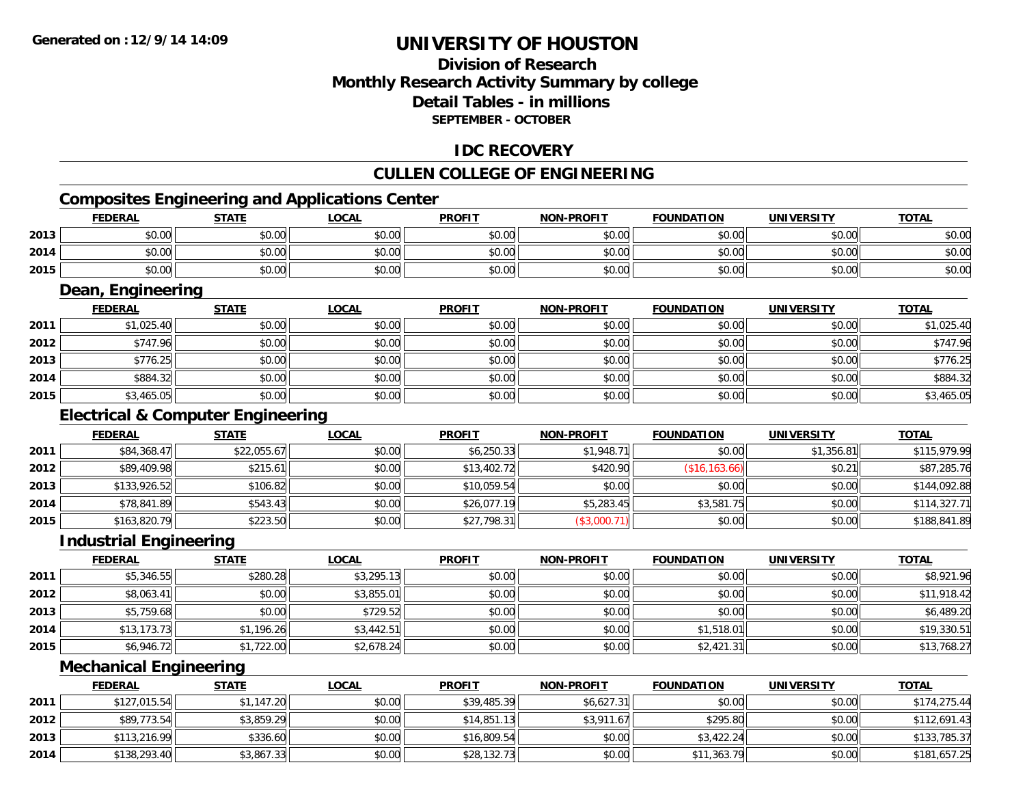### **Division of ResearchMonthly Research Activity Summary by college Detail Tables - in millions SEPTEMBER - OCTOBER**

### **IDC RECOVERY**

### **CULLEN COLLEGE OF ENGINEERING**

### **Composites Engineering and Applications Center**

|      | <b>FEDERAL</b>    | <b>STATE</b>                                 | <b>LOCAL</b> | <b>PROFIT</b> | <b>NON-PROFIT</b> | <b>FOUNDATION</b> | <b>UNIVERSITY</b> | <b>TOTAL</b> |
|------|-------------------|----------------------------------------------|--------------|---------------|-------------------|-------------------|-------------------|--------------|
| 2013 | \$0.00            | \$0.00                                       | \$0.00       | \$0.00        | \$0.00            | \$0.00            | \$0.00            | \$0.00       |
| 2014 | \$0.00            | \$0.00                                       | \$0.00       | \$0.00        | \$0.00            | \$0.00            | \$0.00            | \$0.00       |
| 2015 | \$0.00            | \$0.00                                       | \$0.00       | \$0.00        | \$0.00            | \$0.00            | \$0.00            | \$0.00       |
|      | Dean, Engineering |                                              |              |               |                   |                   |                   |              |
|      | <b>FEDERAL</b>    | <b>STATE</b>                                 | <b>LOCAL</b> | <b>PROFIT</b> | <b>NON-PROFIT</b> | <b>FOUNDATION</b> | <b>UNIVERSITY</b> | <b>TOTAL</b> |
| 2011 | \$1,025.40        | \$0.00                                       | \$0.00       | \$0.00        | \$0.00            | \$0.00            | \$0.00            | \$1,025.40   |
| 2012 | \$747.96          | \$0.00                                       | \$0.00       | \$0.00        | \$0.00            | \$0.00            | \$0.00            | \$747.96     |
| 2013 | \$776.25          | \$0.00                                       | \$0.00       | \$0.00        | \$0.00            | \$0.00            | \$0.00            | \$776.25     |
| 2014 | \$884.32          | \$0.00                                       | \$0.00       | \$0.00        | \$0.00            | \$0.00            | \$0.00            | \$884.32     |
| 2015 | \$3,465.05        | \$0.00                                       | \$0.00       | \$0.00        | \$0.00            | \$0.00            | \$0.00            | \$3,465.05   |
|      |                   | <b>Electrical &amp; Computer Engineering</b> |              |               |                   |                   |                   |              |
|      | <b>FEDERAL</b>    | <b>STATE</b>                                 | <b>LOCAL</b> | <b>PROFIT</b> | <b>NON-PROFIT</b> | <b>FOUNDATION</b> | <b>UNIVERSITY</b> | <b>TOTAL</b> |
| 2011 | \$84,368.47       | \$22,055.67                                  | \$0.00       | \$6,250.33    | \$1,948.71        | \$0.00            | \$1,356.81        | \$115,979.99 |

|      | .            |          |        |             |            |              |        |              |
|------|--------------|----------|--------|-------------|------------|--------------|--------|--------------|
| 2012 | \$89,409.98  | \$215.61 | \$0.00 | \$13,402.72 | \$420.90   | 112<br>(\$16 | \$0.21 | \$87,285.76  |
| 2013 | \$133,926.52 | \$106.82 | \$0.00 | \$10,059.54 | \$0.00     | \$0.00       | \$0.00 | \$144,092.88 |
| 2014 | \$78,841.89  | \$543.43 | \$0.00 | \$26,077.19 | \$5,283.45 | \$3,581.75   | \$0.00 | \$114,327.71 |
| 2015 | \$163,820.79 | \$223.50 | \$0.00 | \$27,798.31 | \$3,000.   | \$0.00       | \$0.00 | \$188,841.89 |

### **Industrial Engineering**

|      | <b>FEDERAL</b> | <b>STATE</b> | <u>LOCAL</u> | <b>PROFIT</b> | <b>NON-PROFIT</b> | <b>FOUNDATION</b> | <b>UNIVERSITY</b> | <b>TOTAL</b> |
|------|----------------|--------------|--------------|---------------|-------------------|-------------------|-------------------|--------------|
| 2011 | \$5,346.55     | \$280.28     | \$3,295.13   | \$0.00        | \$0.00            | \$0.00            | \$0.00            | \$8,921.96   |
| 2012 | \$8,063.41     | \$0.00       | \$3,855.01   | \$0.00        | \$0.00            | \$0.00            | \$0.00            | \$11,918.42  |
| 2013 | \$5,759.68     | \$0.00       | \$729.52     | \$0.00        | \$0.00            | \$0.00            | \$0.00            | \$6,489.20   |
| 2014 | \$13,173.73    | \$1,196.26   | \$3,442.51   | \$0.00        | \$0.00            | \$1,518.01        | \$0.00            | \$19,330.51  |
| 2015 | \$6,946.72     | \$1,722.00   | \$2,678.24   | \$0.00        | \$0.00            | \$2,421.31        | \$0.00            | \$13,768.27  |

### **Mechanical Engineering**

|      | <b>FEDERAL</b> | <u>STATE</u> | <u>LOCAL</u> | <b>PROFIT</b> | <b>NON-PROFIT</b> | <b>FOUNDATION</b> | <b>UNIVERSITY</b> | <b>TOTAL</b> |
|------|----------------|--------------|--------------|---------------|-------------------|-------------------|-------------------|--------------|
| 2011 | \$127,015.54   | \$1,147.20   | \$0.00       | \$39,485.39   | \$6,627.31        | \$0.00            | \$0.00            | \$174,275.44 |
| 2012 | \$89,773.54    | \$3,859.29   | \$0.00       | \$14,851.13   | \$3,911.67        | \$295.80          | \$0.00            | \$112,691.43 |
| 2013 | \$113,216.99   | \$336.60     | \$0.00       | \$16,809.54   | \$0.00            | \$3,422.24        | \$0.00            | \$133,785.37 |
| 2014 | \$138,293.40   | \$3,867.33   | \$0.00       | \$28,132.73   | \$0.00            | \$11,363.79       | \$0.00            | \$181,657.25 |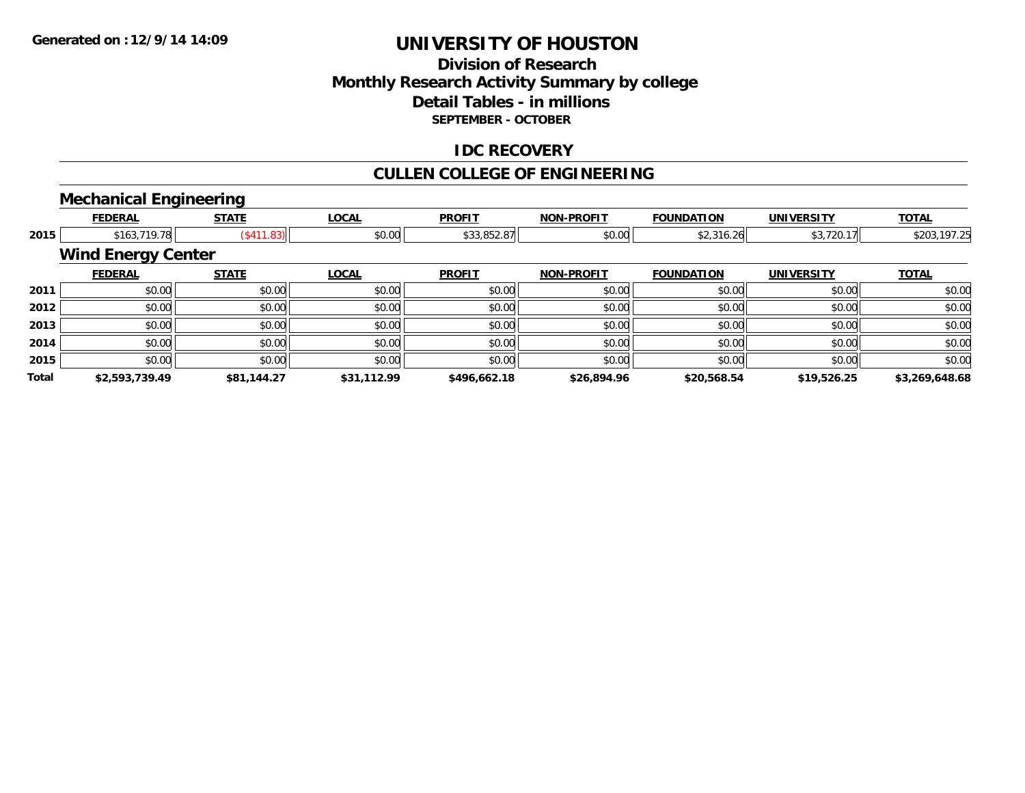### **Division of ResearchMonthly Research Activity Summary by college Detail Tables - in millions SEPTEMBER - OCTOBER**

### **IDC RECOVERY**

### **CULLEN COLLEGE OF ENGINEERING**

### **Mechanical Engineering**

|       | <b>FEDERAL</b>            | <b>STATE</b> | <b>LOCAL</b> | <b>PROFIT</b> | <b>NON-PROFIT</b> | <b>FOUNDATION</b> | <b>UNIVERSITY</b> | <b>TOTAL</b>   |
|-------|---------------------------|--------------|--------------|---------------|-------------------|-------------------|-------------------|----------------|
| 2015  | \$163,719.78              | (\$411.83)   | \$0.00       | \$33,852.87   | \$0.00            | \$2,316.26        | \$3,720.17        | \$203,197.25   |
|       | <b>Wind Energy Center</b> |              |              |               |                   |                   |                   |                |
|       | <b>FEDERAL</b>            | <b>STATE</b> | <b>LOCAL</b> | <b>PROFIT</b> | <b>NON-PROFIT</b> | <b>FOUNDATION</b> | <b>UNIVERSITY</b> | <b>TOTAL</b>   |
| 2011  | \$0.00                    | \$0.00       | \$0.00       | \$0.00        | \$0.00            | \$0.00            | \$0.00            | \$0.00         |
| 2012  | \$0.00                    | \$0.00       | \$0.00       | \$0.00        | \$0.00            | \$0.00            | \$0.00            | \$0.00         |
| 2013  | \$0.00                    | \$0.00       | \$0.00       | \$0.00        | \$0.00            | \$0.00            | \$0.00            | \$0.00         |
| 2014  | \$0.00                    | \$0.00       | \$0.00       | \$0.00        | \$0.00            | \$0.00            | \$0.00            | \$0.00         |
| 2015  | \$0.00                    | \$0.00       | \$0.00       | \$0.00        | \$0.00            | \$0.00            | \$0.00            | \$0.00         |
| Total | \$2,593,739.49            | \$81,144.27  | \$31,112.99  | \$496,662.18  | \$26,894.96       | \$20,568.54       | \$19,526.25       | \$3,269,648.68 |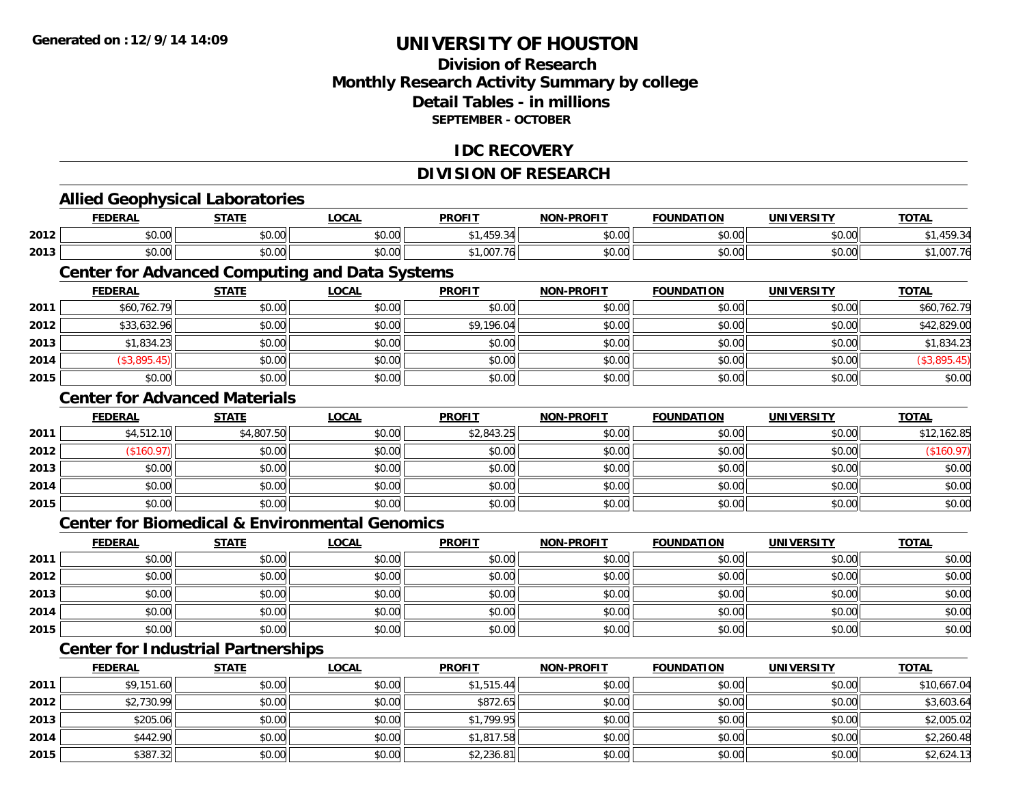**2014**

**2015**

## **UNIVERSITY OF HOUSTON**

### **Division of ResearchMonthly Research Activity Summary by college Detail Tables - in millions SEPTEMBER - OCTOBER**

### **IDC RECOVERY**

### **DIVISION OF RESEARCH**

|      | <b>Allied Geophysical Laboratories</b>                    |              |              |               |                   |                   |                   |              |
|------|-----------------------------------------------------------|--------------|--------------|---------------|-------------------|-------------------|-------------------|--------------|
|      | <b>FEDERAL</b>                                            | <b>STATE</b> | <b>LOCAL</b> | <b>PROFIT</b> | <b>NON-PROFIT</b> | <b>FOUNDATION</b> | <b>UNIVERSITY</b> | <b>TOTAL</b> |
| 2012 | \$0.00                                                    | \$0.00       | \$0.00       | \$1,459.34    | \$0.00            | \$0.00            | \$0.00            | \$1,459.34   |
| 2013 | \$0.00                                                    | \$0.00       | \$0.00       | \$1,007.76    | \$0.00            | \$0.00            | \$0.00            | \$1,007.76   |
|      | <b>Center for Advanced Computing and Data Systems</b>     |              |              |               |                   |                   |                   |              |
|      | <b>FEDERAL</b>                                            | <b>STATE</b> | <b>LOCAL</b> | <b>PROFIT</b> | <b>NON-PROFIT</b> | <b>FOUNDATION</b> | <b>UNIVERSITY</b> | <b>TOTAL</b> |
| 2011 | \$60,762.79                                               | \$0.00       | \$0.00       | \$0.00        | \$0.00            | \$0.00            | \$0.00            | \$60,762.79  |
| 2012 | \$33,632.96                                               | \$0.00       | \$0.00       | \$9,196.04    | \$0.00            | \$0.00            | \$0.00            | \$42,829.00  |
| 2013 | \$1,834.23                                                | \$0.00       | \$0.00       | \$0.00        | \$0.00            | \$0.00            | \$0.00            | \$1,834.23   |
| 2014 | (\$3,895.45)                                              | \$0.00       | \$0.00       | \$0.00        | \$0.00            | \$0.00            | \$0.00            | (\$3,895.45) |
| 2015 | \$0.00                                                    | \$0.00       | \$0.00       | \$0.00        | \$0.00            | \$0.00            | \$0.00            | \$0.00       |
|      | <b>Center for Advanced Materials</b>                      |              |              |               |                   |                   |                   |              |
|      | <b>FEDERAL</b>                                            | <b>STATE</b> | <b>LOCAL</b> | <b>PROFIT</b> | <b>NON-PROFIT</b> | <b>FOUNDATION</b> | <b>UNIVERSITY</b> | <b>TOTAL</b> |
| 2011 | \$4,512.10                                                | \$4,807.50   | \$0.00       | \$2,843.25    | \$0.00            | \$0.00            | \$0.00            | \$12,162.85  |
| 2012 | (\$160.97)                                                | \$0.00       | \$0.00       | \$0.00        | \$0.00            | \$0.00            | \$0.00            | (\$160.97)   |
| 2013 | \$0.00                                                    | \$0.00       | \$0.00       | \$0.00        | \$0.00            | \$0.00            | \$0.00            | \$0.00       |
| 2014 | \$0.00                                                    | \$0.00       | \$0.00       | \$0.00        | \$0.00            | \$0.00            | \$0.00            | \$0.00       |
| 2015 | \$0.00                                                    | \$0.00       | \$0.00       | \$0.00        | \$0.00            | \$0.00            | \$0.00            | \$0.00       |
|      | <b>Center for Biomedical &amp; Environmental Genomics</b> |              |              |               |                   |                   |                   |              |
|      | <b>FEDERAL</b>                                            | <b>STATE</b> | <b>LOCAL</b> | <b>PROFIT</b> | <b>NON-PROFIT</b> | <b>FOUNDATION</b> | <b>UNIVERSITY</b> | <b>TOTAL</b> |
| 2011 | \$0.00                                                    | \$0.00       | \$0.00       | \$0.00        | \$0.00            | \$0.00            | \$0.00            | \$0.00       |
| 2012 | \$0.00                                                    | \$0.00       | \$0.00       | \$0.00        | \$0.00            | \$0.00            | \$0.00            | \$0.00       |
| 2013 | \$0.00                                                    | \$0.00       | \$0.00       | \$0.00        | \$0.00            | \$0.00            | \$0.00            | \$0.00       |
| 2014 | \$0.00                                                    | \$0.00       | \$0.00       | \$0.00        | \$0.00            | \$0.00            | \$0.00            | \$0.00       |
| 2015 | \$0.00                                                    | \$0.00       | \$0.00       | \$0.00        | \$0.00            | \$0.00            | \$0.00            | \$0.00       |
|      | <b>Center for Industrial Partnerships</b>                 |              |              |               |                   |                   |                   |              |
|      | <b>FEDERAL</b>                                            | <b>STATE</b> | <b>LOCAL</b> | <b>PROFIT</b> | <b>NON-PROFIT</b> | <b>FOUNDATION</b> | <b>UNIVERSITY</b> | <b>TOTAL</b> |
| 2011 | \$9,151.60                                                | \$0.00       | \$0.00       | \$1,515.44    | \$0.00            | \$0.00            | \$0.00            | \$10,667.04  |
| 2012 | \$2,730.99                                                | \$0.00       | \$0.00       | \$872.65      | \$0.00            | \$0.00            | \$0.00            | \$3,603.64   |
| 2013 | \$205.06                                                  | \$0.00       | \$0.00       | \$1,799.95    | \$0.00            | \$0.00            | \$0.00            | \$2,005.02   |

4 \$442.90|| \$0.00|| \$0.00|| \$1,817.58|| \$0.00|| \$0.00| \$2,260.48|

\$387.32 \$0.00 \$0.00 \$2,236.81 \$0.00 \$0.00 \$0.00 \$2,624.13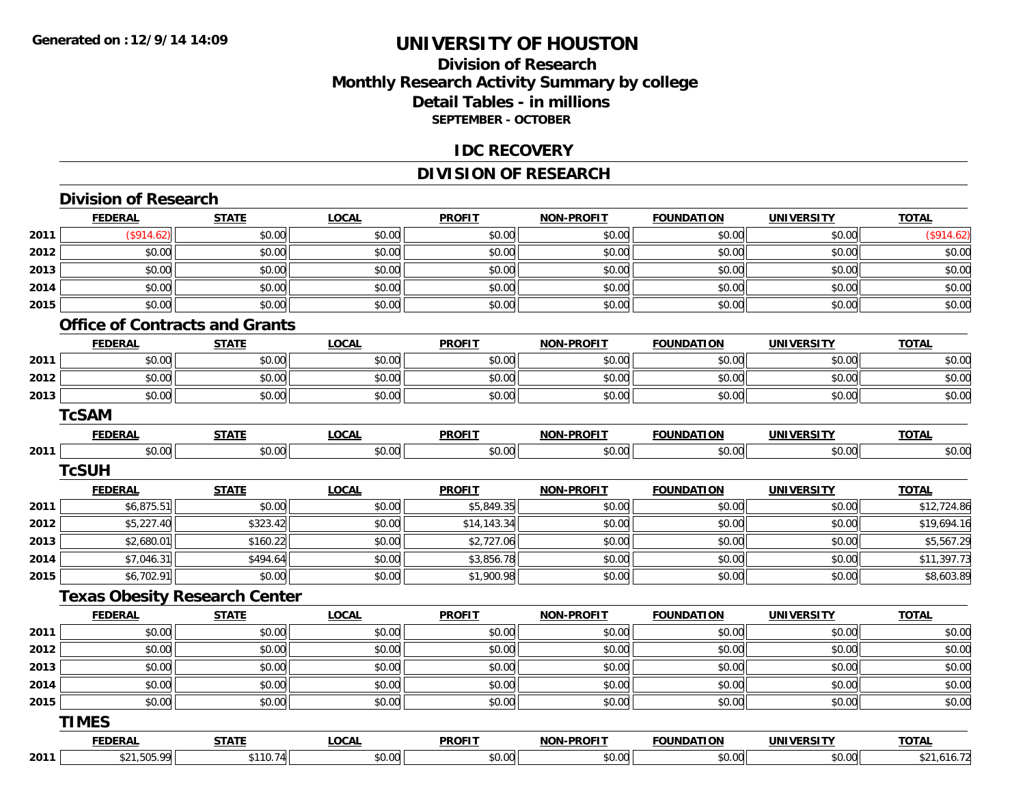### **Division of Research Monthly Research Activity Summary by college Detail Tables - in millions SEPTEMBER - OCTOBER**

#### **IDC RECOVERY**

### **DIVISION OF RESEARCH**

|                              | <b>FEDERAL</b>                        | <b>STATE</b> | <b>LOCAL</b> | <b>PROFIT</b> | <b>NON-PROFIT</b> | <b>FOUNDATION</b> | <b>UNIVERSITY</b> | <b>TOTAL</b>                                                                                              |
|------------------------------|---------------------------------------|--------------|--------------|---------------|-------------------|-------------------|-------------------|-----------------------------------------------------------------------------------------------------------|
| 2011                         | (\$914.62)                            | \$0.00       | \$0.00       | \$0.00        | \$0.00            | \$0.00            | \$0.00            | (\$914.62)                                                                                                |
| 2012                         | \$0.00                                | \$0.00       | \$0.00       | \$0.00        | \$0.00            | \$0.00            | \$0.00            | \$0.00                                                                                                    |
| 2013                         | \$0.00                                | \$0.00       | \$0.00       | \$0.00        | \$0.00            | \$0.00            | \$0.00            | \$0.00                                                                                                    |
| 2014                         | \$0.00                                | \$0.00       | \$0.00       | \$0.00        | \$0.00            | \$0.00            | \$0.00            | \$0.00                                                                                                    |
| 2015                         | \$0.00                                | \$0.00       | \$0.00       | \$0.00        | \$0.00            | \$0.00            | \$0.00            | \$0.00                                                                                                    |
|                              | <b>Office of Contracts and Grants</b> |              |              |               |                   |                   |                   |                                                                                                           |
|                              | <b>FEDERAL</b>                        | <b>STATE</b> | <b>LOCAL</b> | <b>PROFIT</b> | <b>NON-PROFIT</b> | <b>FOUNDATION</b> | <b>UNIVERSITY</b> | <b>TOTAL</b>                                                                                              |
| 2011                         | \$0.00                                | \$0.00       | \$0.00       | \$0.00        | \$0.00            | \$0.00            | \$0.00            | \$0.00                                                                                                    |
| 2012                         | \$0.00                                | \$0.00       | \$0.00       | \$0.00        | \$0.00            | \$0.00            | \$0.00            | \$0.00                                                                                                    |
| 2013                         | \$0.00                                | \$0.00       | \$0.00       | \$0.00        | \$0.00            | \$0.00            | \$0.00            | \$0.00                                                                                                    |
|                              | <b>TcSAM</b>                          |              |              |               |                   |                   |                   |                                                                                                           |
|                              | <b>FEDERAL</b>                        | <b>STATE</b> | <b>LOCAL</b> | <b>PROFIT</b> | <b>NON-PROFIT</b> | <b>FOUNDATION</b> | <b>UNIVERSITY</b> | <b>TOTAL</b>                                                                                              |
| 2011                         | \$0.00                                | \$0.00       | \$0.00       | \$0.00        | \$0.00            | \$0.00            | \$0.00            | \$0.00                                                                                                    |
|                              | <b>TcSUH</b>                          |              |              |               |                   |                   |                   |                                                                                                           |
|                              | <b>FEDERAL</b>                        | <b>STATE</b> | <b>LOCAL</b> | <b>PROFIT</b> | <b>NON-PROFIT</b> | <b>FOUNDATION</b> | <b>UNIVERSITY</b> | <b>TOTAL</b>                                                                                              |
| 2011                         | \$6,875.51                            | \$0.00       | \$0.00       | \$5,849.35    | \$0.00            | \$0.00            | \$0.00            | \$12,724.86                                                                                               |
| 2012                         | \$5,227.40                            | \$323.42     | \$0.00       | \$14,143.34   | \$0.00            | \$0.00            | \$0.00            | \$19,694.16                                                                                               |
|                              |                                       |              |              |               |                   |                   |                   |                                                                                                           |
|                              | \$2,680.01                            | \$160.22     | \$0.00       | \$2,727.06    | \$0.00            | \$0.00            | \$0.00            |                                                                                                           |
|                              | \$7,046.31                            | \$494.64     | \$0.00       | \$3,856.78    | \$0.00            | \$0.00            | \$0.00            |                                                                                                           |
|                              | \$6,702.91                            | \$0.00       | \$0.00       | \$1,900.98    | \$0.00            | \$0.00            | \$0.00            |                                                                                                           |
|                              | <b>Texas Obesity Research Center</b>  |              |              |               |                   |                   |                   |                                                                                                           |
|                              | <b>FEDERAL</b>                        | <b>STATE</b> | <b>LOCAL</b> | <b>PROFIT</b> | NON-PROFIT        | <b>FOUNDATION</b> | <b>UNIVERSITY</b> | <b>TOTAL</b>                                                                                              |
| 2013<br>2014<br>2015<br>2011 | \$0.00                                | \$0.00       | \$0.00       | \$0.00        | \$0.00            | \$0.00            | \$0.00            |                                                                                                           |
| 2012                         | \$0.00                                | \$0.00       | \$0.00       | \$0.00        | \$0.00            | \$0.00            | \$0.00            |                                                                                                           |
| 2013                         | \$0.00                                | \$0.00       | \$0.00       | \$0.00        | \$0.00            | \$0.00            | \$0.00            |                                                                                                           |
|                              | \$0.00                                | \$0.00       | \$0.00       | \$0.00        | \$0.00            | \$0.00            | \$0.00            |                                                                                                           |
|                              | \$0.00                                | \$0.00       | \$0.00       | \$0.00        | \$0.00            | \$0.00            | \$0.00            |                                                                                                           |
| 2014<br>2015                 | <b>TIMES</b>                          |              |              |               |                   |                   |                   |                                                                                                           |
|                              | <b>FEDERAL</b>                        | <b>STATE</b> | <b>LOCAL</b> | <b>PROFIT</b> | <b>NON-PROFIT</b> | <b>FOUNDATION</b> | <b>UNIVERSITY</b> | \$5,567.29<br>\$11,397.73<br>\$8,603.89<br>\$0.00<br>\$0.00<br>\$0.00<br>\$0.00<br>\$0.00<br><b>TOTAL</b> |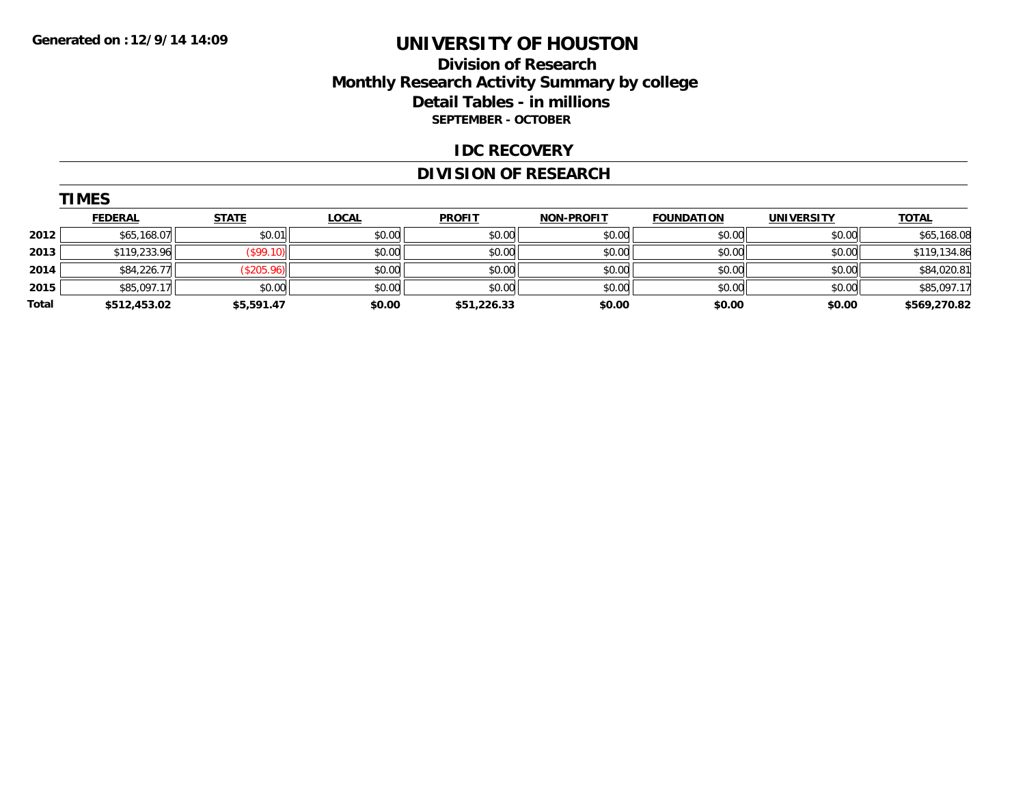**TIMES** 

## **UNIVERSITY OF HOUSTON**

### **Division of Research Monthly Research Activity Summary by college Detail Tables - in millions SEPTEMBER - OCTOBER**

#### **IDC RECOVERY**

### **DIVISION OF RESEARCH**

|       | <b>IMES</b>    |              |              |               |                   |                   |                   |              |
|-------|----------------|--------------|--------------|---------------|-------------------|-------------------|-------------------|--------------|
|       | <b>FEDERAL</b> | <b>STATE</b> | <u>LOCAL</u> | <b>PROFIT</b> | <b>NON-PROFIT</b> | <b>FOUNDATION</b> | <b>UNIVERSITY</b> | <b>TOTAL</b> |
| 2012  | \$65,168.07    | \$0.01       | \$0.00       | \$0.00        | \$0.00            | \$0.00            | \$0.00            | \$65,168.08  |
| 2013  | \$119,233.96   | (\$99.10)    | \$0.00       | \$0.00        | \$0.00            | \$0.00            | \$0.00            | \$119,134.86 |
| 2014  | \$84,226.77    | (\$205.96)   | \$0.00       | \$0.00        | \$0.00            | \$0.00            | \$0.00            | \$84,020.81  |
| 2015  | \$85,097.17    | \$0.00       | \$0.00       | \$0.00        | \$0.00            | \$0.00            | \$0.00            | \$85,097.17  |
| Total | \$512,453.02   | \$5,591.47   | \$0.00       | \$51,226.33   | \$0.00            | \$0.00            | \$0.00            | \$569,270.82 |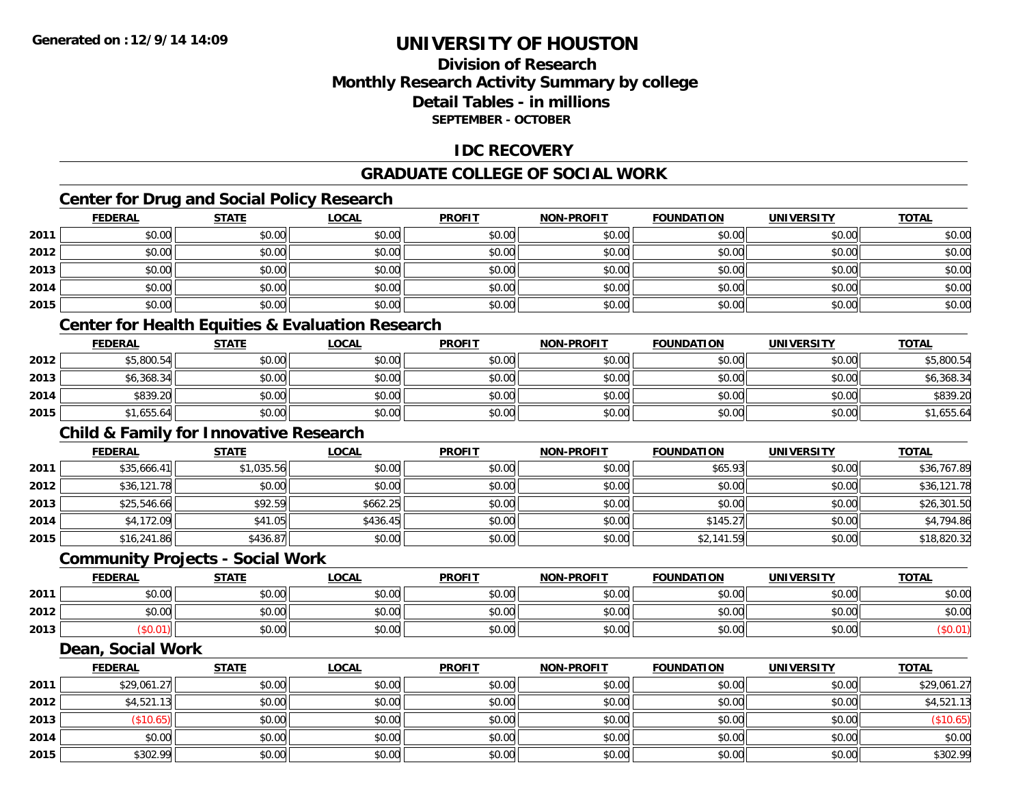**2015**

# **UNIVERSITY OF HOUSTON**

## **Division of ResearchMonthly Research Activity Summary by college Detail Tables - in millions SEPTEMBER - OCTOBER**

### **IDC RECOVERY**

#### **GRADUATE COLLEGE OF SOCIAL WORK**

## **Center for Drug and Social Policy Research**

|      | <b>FEDERAL</b>                                              | <b>STATE</b> | <b>LOCAL</b> | <b>PROFIT</b> | <b>NON-PROFIT</b> | <b>FOUNDATION</b> | <b>UNIVERSITY</b> | <b>TOTAL</b> |
|------|-------------------------------------------------------------|--------------|--------------|---------------|-------------------|-------------------|-------------------|--------------|
| 2011 | \$0.00                                                      | \$0.00       | \$0.00       | \$0.00        | \$0.00            | \$0.00            | \$0.00            | \$0.00       |
| 2012 | \$0.00                                                      | \$0.00       | \$0.00       | \$0.00        | \$0.00            | \$0.00            | \$0.00            | \$0.00       |
| 2013 | \$0.00                                                      | \$0.00       | \$0.00       | \$0.00        | \$0.00            | \$0.00            | \$0.00            | \$0.00       |
| 2014 | \$0.00                                                      | \$0.00       | \$0.00       | \$0.00        | \$0.00            | \$0.00            | \$0.00            | \$0.00       |
| 2015 | \$0.00                                                      | \$0.00       | \$0.00       | \$0.00        | \$0.00            | \$0.00            | \$0.00            | \$0.00       |
|      | <b>Center for Health Equities &amp; Evaluation Research</b> |              |              |               |                   |                   |                   |              |
|      | <b>FEDERAL</b>                                              | <b>STATE</b> | <b>LOCAL</b> | <b>PROFIT</b> | <b>NON-PROFIT</b> | <b>FOUNDATION</b> | <b>UNIVERSITY</b> | <b>TOTAL</b> |
| 2012 | \$5,800.54                                                  | \$0.00       | \$0.00       | \$0.00        | \$0.00            | \$0.00            | \$0.00            | \$5,800.54   |
| 2013 | \$6,368.34                                                  | \$0.00       | \$0.00       | \$0.00        | \$0.00            | \$0.00            | \$0.00            | \$6,368.34   |
| 2014 | \$839.20                                                    | \$0.00       | \$0.00       | \$0.00        | \$0.00            | \$0.00            | \$0.00            | \$839.20     |
| 2015 | \$1,655.64                                                  | \$0.00       | \$0.00       | \$0.00        | \$0.00            | \$0.00            | \$0.00            | \$1,655.64   |
|      | <b>Child &amp; Family for Innovative Research</b>           |              |              |               |                   |                   |                   |              |
|      | <b>FEDERAL</b>                                              | <b>STATE</b> | <b>LOCAL</b> | <b>PROFIT</b> | <b>NON-PROFIT</b> | <b>FOUNDATION</b> | <b>UNIVERSITY</b> | <b>TOTAL</b> |
| 2011 | \$35,666.41                                                 | \$1,035.56   | \$0.00       | \$0.00        | \$0.00            | \$65.93           | \$0.00            | \$36,767.89  |
| 2012 | \$36,121.78                                                 | \$0.00       | \$0.00       | \$0.00        | \$0.00            | \$0.00            | \$0.00            | \$36,121.78  |
| 2013 | \$25,546.66                                                 | \$92.59      | \$662.25     | \$0.00        | \$0.00            | \$0.00            | \$0.00            | \$26,301.50  |
| 2014 | \$4,172.09                                                  | \$41.05      | \$436.45     | \$0.00        | \$0.00            | \$145.27          | \$0.00            | \$4,794.86   |
| 2015 | \$16,241.86                                                 | \$436.87     | \$0.00       | \$0.00        | \$0.00            | \$2,141.59        | \$0.00            | \$18,820.32  |
|      | <b>Community Projects - Social Work</b>                     |              |              |               |                   |                   |                   |              |
|      | <b>FEDERAL</b>                                              | <b>STATE</b> | <b>LOCAL</b> | <b>PROFIT</b> | <b>NON-PROFIT</b> | <b>FOUNDATION</b> | <b>UNIVERSITY</b> | <b>TOTAL</b> |
| 2011 | \$0.00                                                      | \$0.00       | \$0.00       | \$0.00        | \$0.00            | \$0.00            | \$0.00            | \$0.00       |
| 2012 | \$0.00                                                      | \$0.00       | \$0.00       | \$0.00        | \$0.00            | \$0.00            | \$0.00            | \$0.00       |
| 2013 | (\$0.01)                                                    | \$0.00       | \$0.00       | \$0.00        | \$0.00            | \$0.00            | \$0.00            | (\$0.01)     |
|      | Dean, Social Work                                           |              |              |               |                   |                   |                   |              |
|      | <b>FEDERAL</b>                                              | <b>STATE</b> | <b>LOCAL</b> | <b>PROFIT</b> | <b>NON-PROFIT</b> | <b>FOUNDATION</b> | <b>UNIVERSITY</b> | <b>TOTAL</b> |
| 2011 | \$29,061.27                                                 | \$0.00       | \$0.00       | \$0.00        | \$0.00            | \$0.00            | \$0.00            | \$29,061.27  |
| 2012 | \$4,521.13                                                  | \$0.00       | \$0.00       | \$0.00        | \$0.00            | \$0.00            | \$0.00            | \$4,521.13   |
| 2013 | (\$10.65)                                                   | \$0.00       | \$0.00       | \$0.00        | \$0.00            | \$0.00            | \$0.00            | (\$10.65)    |
| 2014 | \$0.00                                                      | \$0.00       | \$0.00       | \$0.00        | \$0.00            | \$0.00            | \$0.00            | \$0.00       |

\$302.99 \$0.00 \$0.00 \$0.00 \$0.00 \$0.00 \$0.00 \$302.99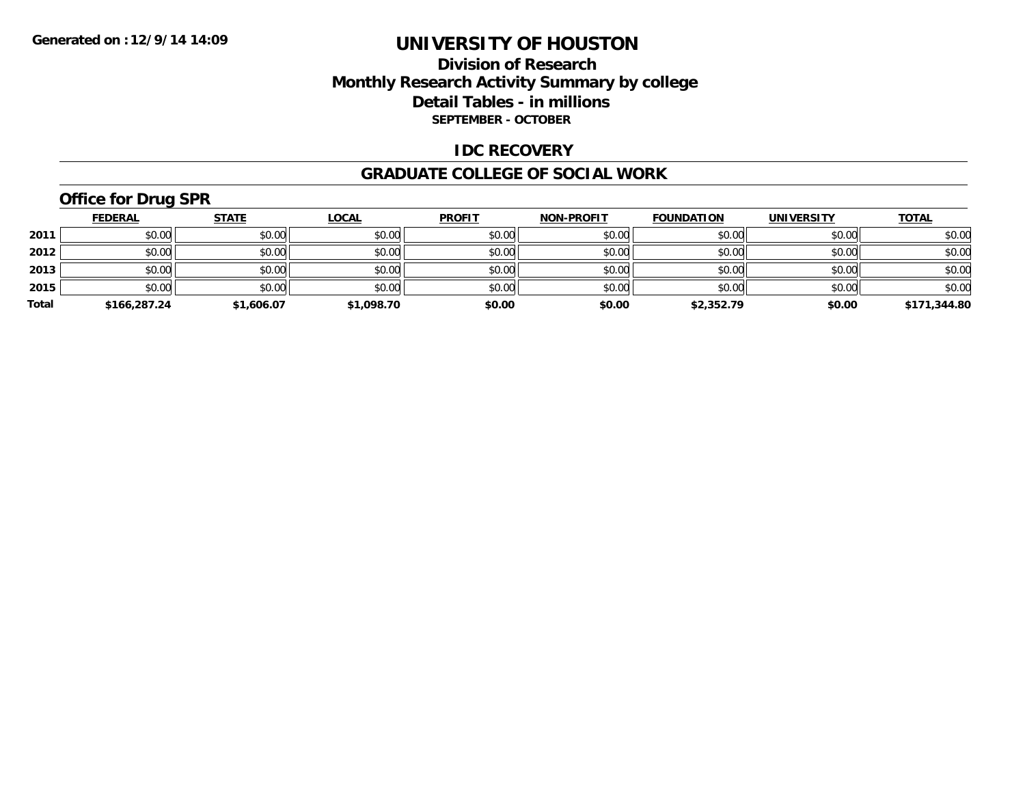### **Division of Research Monthly Research Activity Summary by college Detail Tables - in millions SEPTEMBER - OCTOBER**

#### **IDC RECOVERY**

#### **GRADUATE COLLEGE OF SOCIAL WORK**

# **Office for Drug SPR**

|       | <b>FEDERAL</b> | <u>STATE</u> | <b>LOCAL</b> | <b>PROFIT</b> | <b>NON-PROFIT</b> | <b>FOUNDATION</b> | <b>UNIVERSITY</b> | <b>TOTAL</b> |
|-------|----------------|--------------|--------------|---------------|-------------------|-------------------|-------------------|--------------|
| 2011  | \$0.00         | \$0.00       | \$0.00       | \$0.00        | \$0.00            | \$0.00            | \$0.00            | \$0.00       |
| 2012  | \$0.00         | \$0.00       | \$0.00       | \$0.00        | \$0.00            | \$0.00            | \$0.00            | \$0.00       |
| 2013  | \$0.00         | \$0.00       | \$0.00       | \$0.00        | \$0.00            | \$0.00            | \$0.00            | \$0.00       |
| 2015  | \$0.00         | \$0.00       | \$0.00       | \$0.00        | \$0.00            | \$0.00            | \$0.00            | \$0.00       |
| Total | \$166,287.24   | \$1,606.07   | \$1,098.70   | \$0.00        | \$0.00            | \$2,352.79        | \$0.00            | \$171,344.80 |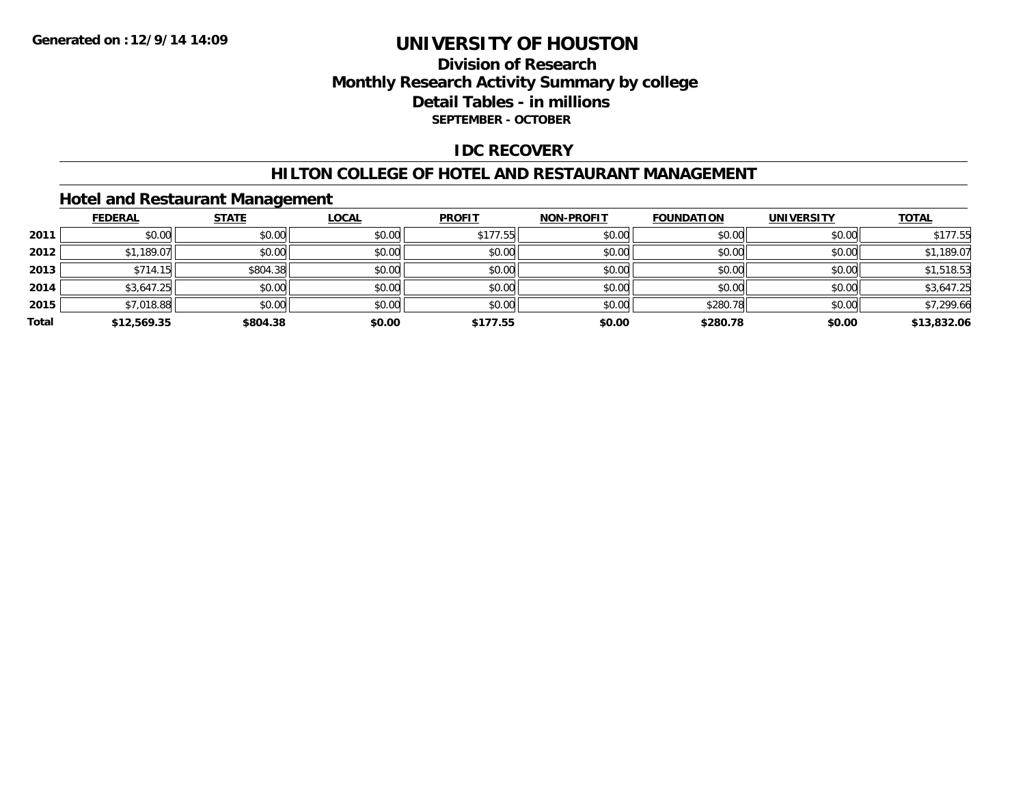### **Division of Research Monthly Research Activity Summary by college Detail Tables - in millions SEPTEMBER - OCTOBER**

#### **IDC RECOVERY**

#### **HILTON COLLEGE OF HOTEL AND RESTAURANT MANAGEMENT**

### **Hotel and Restaurant Management**

|       | <b>FEDERAL</b> | <b>STATE</b> | <u>LOCAL</u> | <b>PROFIT</b> | <b>NON-PROFIT</b> | <b>FOUNDATION</b> | <b>UNIVERSITY</b> | <b>TOTAL</b> |
|-------|----------------|--------------|--------------|---------------|-------------------|-------------------|-------------------|--------------|
| 2011  | \$0.00         | \$0.00       | \$0.00       | \$177.55      | \$0.00            | \$0.00            | \$0.00            | \$177.55     |
| 2012  | \$1,189.07     | \$0.00       | \$0.00       | \$0.00        | \$0.00            | \$0.00            | \$0.00            | \$1,189.07   |
| 2013  | \$714.15       | \$804.38     | \$0.00       | \$0.00        | \$0.00            | \$0.00            | \$0.00            | \$1,518.53   |
| 2014  | \$3,647.25     | \$0.00       | \$0.00       | \$0.00        | \$0.00            | \$0.00            | \$0.00            | \$3,647.25   |
| 2015  | \$7,018.88     | \$0.00       | \$0.00       | \$0.00        | \$0.00            | \$280.78          | \$0.00            | \$7,299.66   |
| Total | \$12,569.35    | \$804.38     | \$0.00       | \$177.55      | \$0.00            | \$280.78          | \$0.00            | \$13,832.06  |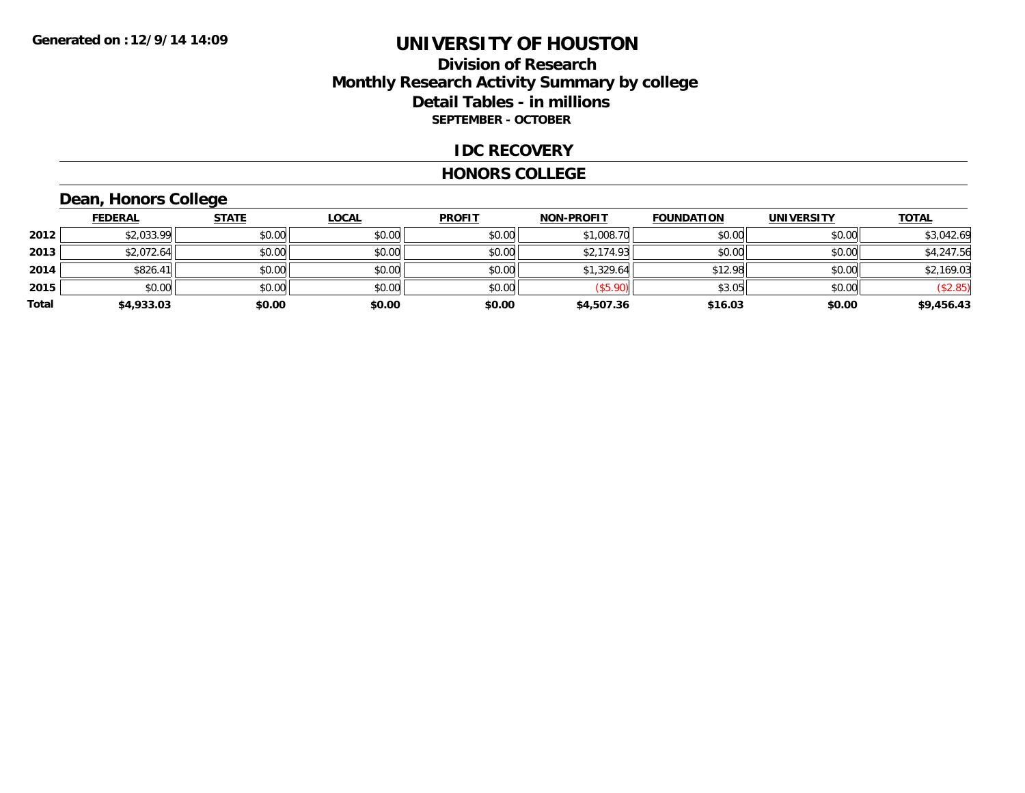### **Division of Research Monthly Research Activity Summary by college Detail Tables - in millions SEPTEMBER - OCTOBER**

#### **IDC RECOVERY**

#### **HONORS COLLEGE**

## **Dean, Honors College**

|       | <b>FEDERAL</b> | <b>STATE</b> | <b>LOCAL</b> | <b>PROFIT</b> | <b>NON-PROFIT</b> | <b>FOUNDATION</b> | <b>UNIVERSITY</b> | <b>TOTAL</b> |
|-------|----------------|--------------|--------------|---------------|-------------------|-------------------|-------------------|--------------|
| 2012  | \$2,033.99     | \$0.00       | \$0.00       | \$0.00        | \$1,008.70        | \$0.00            | \$0.00            | \$3,042.69   |
| 2013  | \$2,072.64     | \$0.00       | \$0.00       | \$0.00        | \$2,174.93        | \$0.00            | \$0.00            | \$4,247.56   |
| 2014  | \$826.41       | \$0.00       | \$0.00       | \$0.00        | \$1,329.64        | \$12.98           | \$0.00            | \$2,169.03   |
| 2015  | \$0.00         | \$0.00       | \$0.00       | \$0.00        | (\$5.90)          | \$3.05            | \$0.00            | (\$2.85)     |
| Total | \$4,933.03     | \$0.00       | \$0.00       | \$0.00        | \$4,507.36        | \$16.03           | \$0.00            | \$9,456.43   |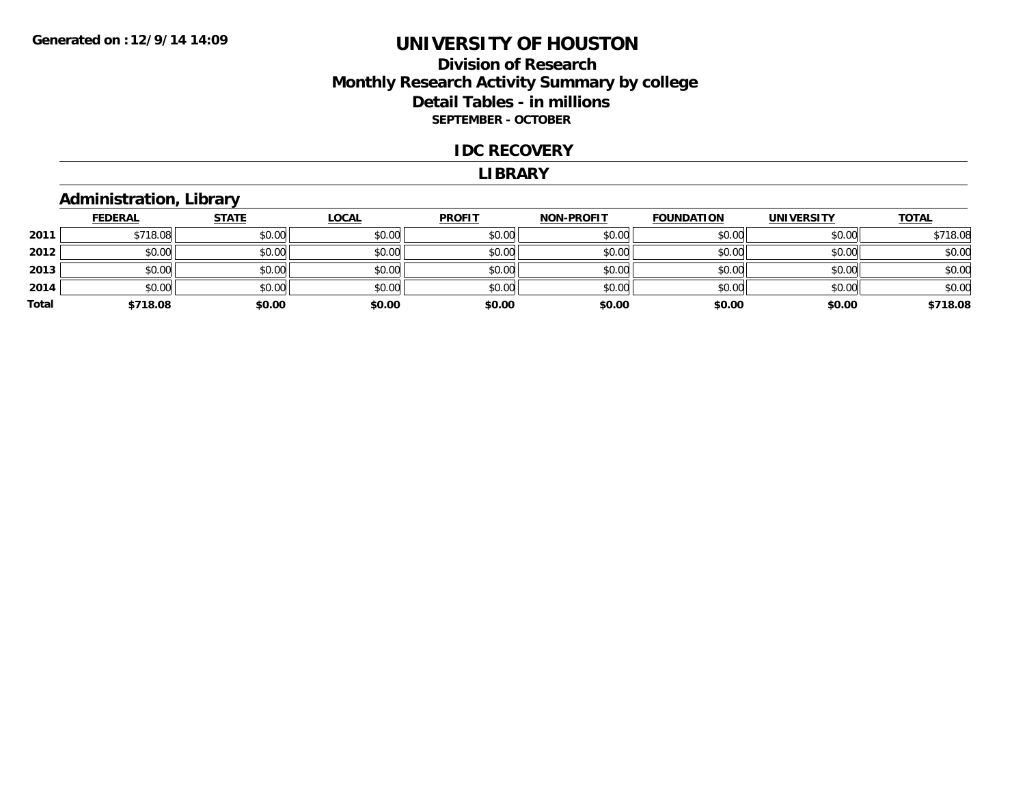### **Division of Research Monthly Research Activity Summary by college Detail Tables - in millions SEPTEMBER - OCTOBER**

#### **IDC RECOVERY**

#### **LIBRARY**

### **Administration, Library**

|       | <b>FEDERAL</b> | <b>STATE</b> | <b>LOCAL</b> | <b>PROFIT</b> | <b>NON-PROFIT</b> | <b>FOUNDATION</b> | <b>UNIVERSITY</b> | <b>TOTAL</b> |
|-------|----------------|--------------|--------------|---------------|-------------------|-------------------|-------------------|--------------|
| 2011  | \$718.08       | \$0.00       | \$0.00       | \$0.00        | \$0.00            | \$0.00            | \$0.00            | \$718.08     |
| 2012  | \$0.00         | \$0.00       | \$0.00       | \$0.00        | \$0.00            | \$0.00            | \$0.00            | \$0.00       |
| 2013  | \$0.00         | \$0.00       | \$0.00       | \$0.00        | \$0.00            | \$0.00            | \$0.00            | \$0.00       |
| 2014  | \$0.00         | \$0.00       | \$0.00       | \$0.00        | \$0.00            | \$0.00            | \$0.00            | \$0.00       |
| Total | \$718.08       | \$0.00       | \$0.00       | \$0.00        | \$0.00            | \$0.00            | \$0.00            | \$718.08     |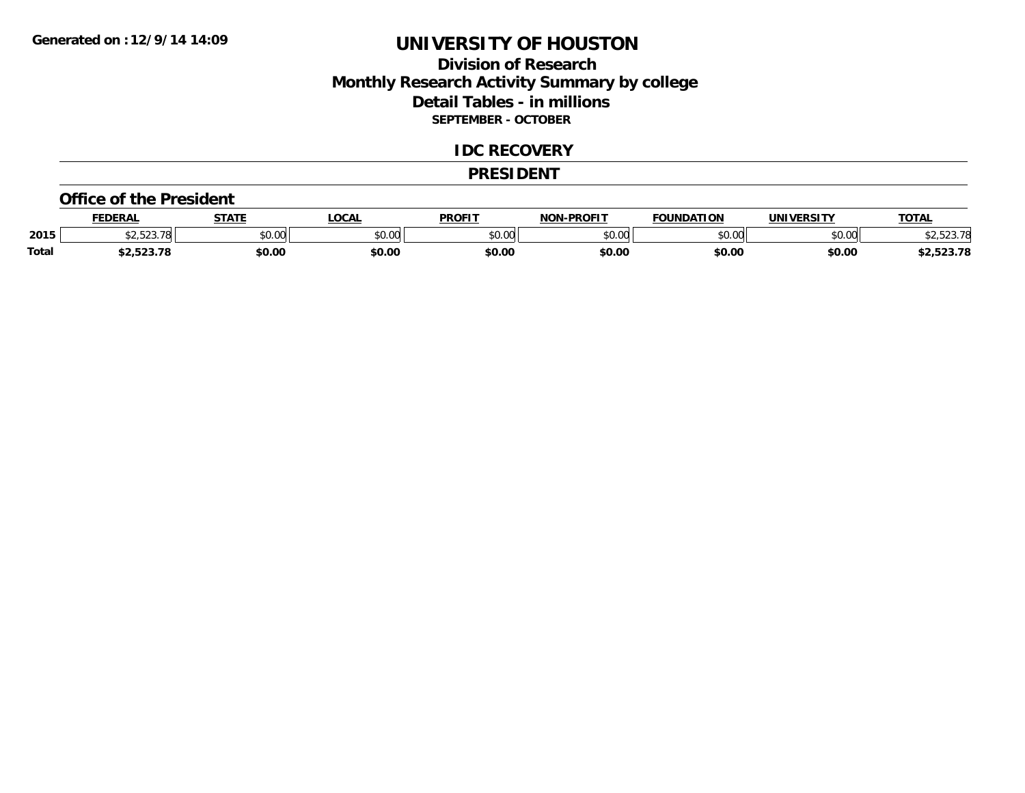### **Division of Research Monthly Research Activity Summary by college Detail Tables - in millions SEPTEMBER - OCTOBER**

#### **IDC RECOVERY**

#### **PRESIDENT**

#### **Office of the President**

|              | <b>FEDERAL</b> | <b>STATE</b> | <b>OCAL</b> | <b>PROFIT</b>   | <b>-PROFIT</b><br>NON | <b>FOUNDATION</b> | UNIVERSITY | <b>TOTAL</b>     |
|--------------|----------------|--------------|-------------|-----------------|-----------------------|-------------------|------------|------------------|
| 2015         | 0.50250        | \$0.00       | JU.UU       | \$0.00<br>JU.UU | ልስ ሀህ<br>וטטוע        | \$0.00            | \$0.00     | חד רר<br>.020.70 |
| <b>Total</b> | ,2,323.70      | \$0.00       | \$0.00      | \$0.00          | \$0.00                | \$0.00            | \$0.00     | 2,523.78         |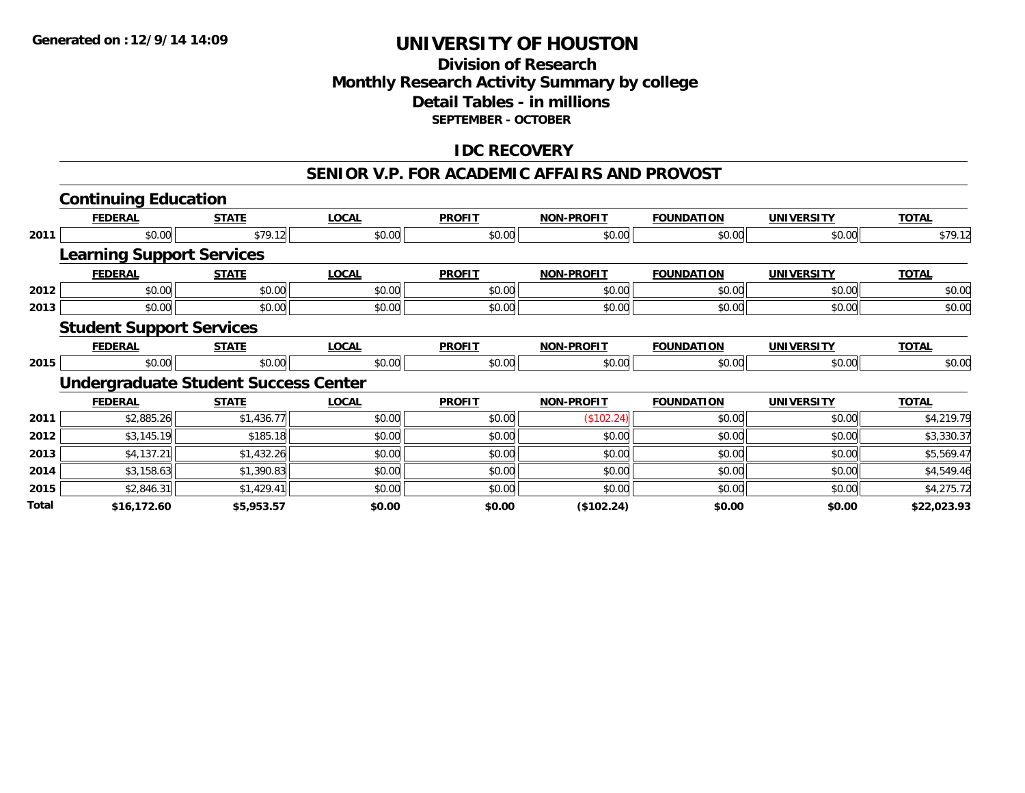### **Division of Research Monthly Research Activity Summary by college Detail Tables - in millions SEPTEMBER - OCTOBER**

### **IDC RECOVERY**

#### **SENIOR V.P. FOR ACADEMIC AFFAIRS AND PROVOST**

|       | <b>Continuing Education</b>                 |              |              |               |                   |                   |                   |              |
|-------|---------------------------------------------|--------------|--------------|---------------|-------------------|-------------------|-------------------|--------------|
|       | <b>FEDERAL</b>                              | <b>STATE</b> | <b>LOCAL</b> | <b>PROFIT</b> | <b>NON-PROFIT</b> | <b>FOUNDATION</b> | <b>UNIVERSITY</b> | <b>TOTAL</b> |
| 2011  | \$0.00                                      | \$79.12      | \$0.00       | \$0.00        | \$0.00            | \$0.00            | \$0.00            | \$79.12      |
|       | <b>Learning Support Services</b>            |              |              |               |                   |                   |                   |              |
|       | <b>FEDERAL</b>                              | <b>STATE</b> | <b>LOCAL</b> | <b>PROFIT</b> | <b>NON-PROFIT</b> | <b>FOUNDATION</b> | <b>UNIVERSITY</b> | <b>TOTAL</b> |
| 2012  | \$0.00                                      | \$0.00       | \$0.00       | \$0.00        | \$0.00            | \$0.00            | \$0.00            | \$0.00       |
| 2013  | \$0.00                                      | \$0.00       | \$0.00       | \$0.00        | \$0.00            | \$0.00            | \$0.00            | \$0.00       |
|       | <b>Student Support Services</b>             |              |              |               |                   |                   |                   |              |
|       | <b>FEDERAL</b>                              | <b>STATE</b> | <b>LOCAL</b> | <b>PROFIT</b> | <b>NON-PROFIT</b> | <b>FOUNDATION</b> | <b>UNIVERSITY</b> | <b>TOTAL</b> |
| 2015  | \$0.00                                      | \$0.00       | \$0.00       | \$0.00        | \$0.00            | \$0.00            | \$0.00            | \$0.00       |
|       | <b>Undergraduate Student Success Center</b> |              |              |               |                   |                   |                   |              |
|       | <b>FEDERAL</b>                              | <b>STATE</b> | <b>LOCAL</b> | <b>PROFIT</b> | <b>NON-PROFIT</b> | <b>FOUNDATION</b> | <b>UNIVERSITY</b> | <b>TOTAL</b> |
| 2011  | \$2,885.26                                  | \$1,436.77   | \$0.00       | \$0.00        | (\$102.24)        | \$0.00            | \$0.00            | \$4,219.79   |
| 2012  | \$3,145.19                                  | \$185.18     | \$0.00       | \$0.00        | \$0.00            | \$0.00            | \$0.00            | \$3,330.37   |
| 2013  | \$4,137.21                                  | \$1,432.26   | \$0.00       | \$0.00        | \$0.00            | \$0.00            | \$0.00            | \$5,569.47   |
| 2014  | \$3,158.63                                  | \$1,390.83   | \$0.00       | \$0.00        | \$0.00            | \$0.00            | \$0.00            | \$4,549.46   |
| 2015  | \$2,846.31                                  | \$1,429.41   | \$0.00       | \$0.00        | \$0.00            | \$0.00            | \$0.00            | \$4,275.72   |
| Total | \$16,172.60                                 | \$5,953.57   | \$0.00       | \$0.00        | (\$102.24)        | \$0.00            | \$0.00            | \$22,023.93  |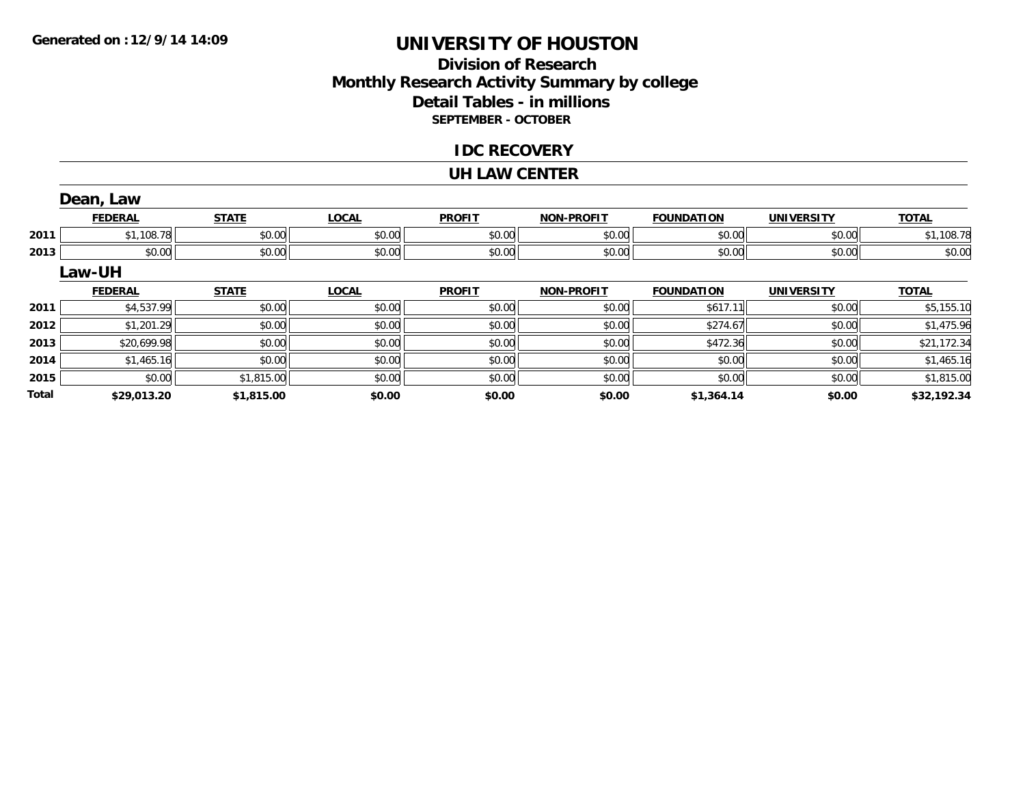**Total**

# **UNIVERSITY OF HOUSTON**

### **Division of Research Monthly Research Activity Summary by college Detail Tables - in millions SEPTEMBER - OCTOBER**

#### **IDC RECOVERY**

#### **UH LAW CENTER**

|      | Dean, Law      |              |              |               |                   |                   |                   |              |
|------|----------------|--------------|--------------|---------------|-------------------|-------------------|-------------------|--------------|
|      | <b>FEDERAL</b> | <b>STATE</b> | <b>LOCAL</b> | <b>PROFIT</b> | <b>NON-PROFIT</b> | <b>FOUNDATION</b> | <b>UNIVERSITY</b> | <b>TOTAL</b> |
| 2011 | \$1,108.78     | \$0.00       | \$0.00       | \$0.00        | \$0.00            | \$0.00            | \$0.00            | \$1,108.78   |
| 2013 | \$0.00         | \$0.00       | \$0.00       | \$0.00        | \$0.00            | \$0.00            | \$0.00            | \$0.00       |
|      | Law-UH         |              |              |               |                   |                   |                   |              |
|      | <b>FEDERAL</b> | <b>STATE</b> | <b>LOCAL</b> | <b>PROFIT</b> | <b>NON-PROFIT</b> | <b>FOUNDATION</b> | <b>UNIVERSITY</b> | <b>TOTAL</b> |
| 2011 | \$4,537.99     | \$0.00       | \$0.00       | \$0.00        | \$0.00            | \$617.11          | \$0.00            | \$5,155.10   |
| 2012 | \$1,201.29     | \$0.00       | \$0.00       | \$0.00        | \$0.00            | \$274.67          | \$0.00            | \$1,475.96   |
| 2013 | \$20,699.98    | \$0.00       | \$0.00       | \$0.00        | \$0.00            | \$472.36          | \$0.00            | \$21,172.34  |
| 2014 | \$1,465.16     | \$0.00       | \$0.00       | \$0.00        | \$0.00            | \$0.00            | \$0.00            | \$1,465.16   |
| 2015 | \$0.00         | \$1,815.00   | \$0.00       | \$0.00        | \$0.00            | \$0.00            | \$0.00            | \$1,815.00   |

**\$29,013.20 \$1,815.00 \$0.00 \$0.00 \$0.00 \$1,364.14 \$0.00 \$32,192.34**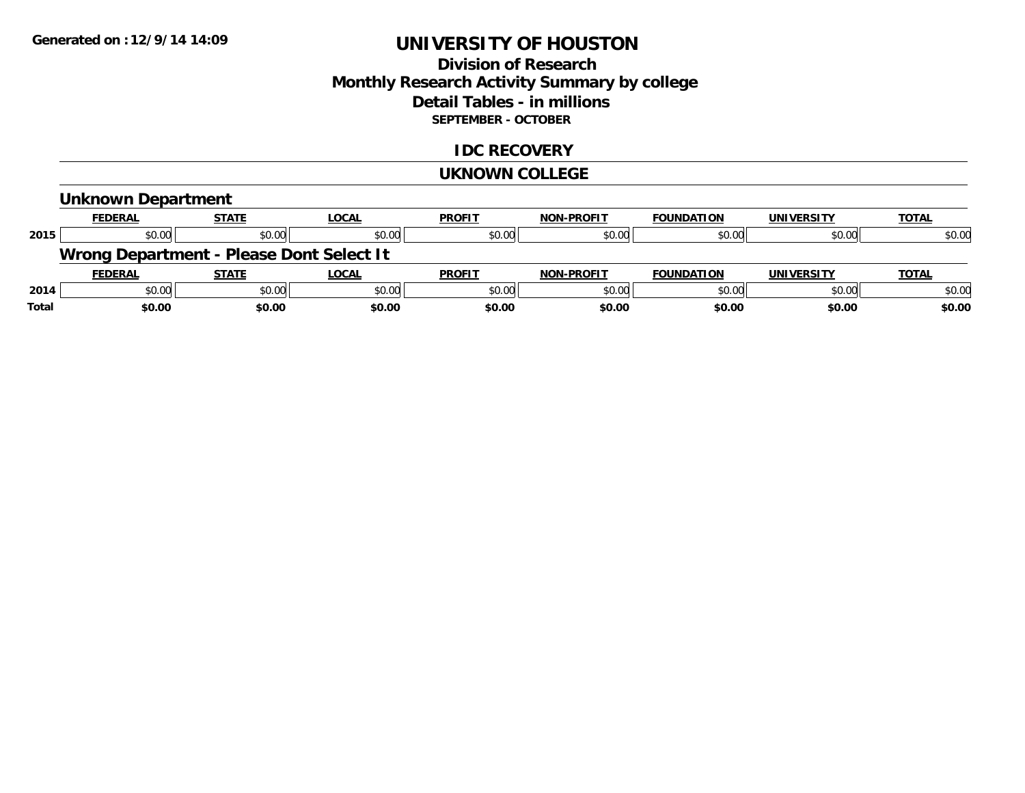### **Division of Research Monthly Research Activity Summary by college Detail Tables - in millions SEPTEMBER - OCTOBER**

### **IDC RECOVERY**

#### **UKNOWN COLLEGE**

# **Unknown Department**

|      | <b>FEDERAL</b>                           | <b>STATE</b> | <u>LOCAL</u> | <b>PROFIT</b> | <b>NON-PROFIT</b> | <b>FOUNDATION</b> | <b>UNIVERSITY</b> | <b>TOTAL</b> |
|------|------------------------------------------|--------------|--------------|---------------|-------------------|-------------------|-------------------|--------------|
| 2015 | \$0.00                                   | \$0.00       | \$0.00       | \$0.00        | \$0.00            | \$0.00            | \$0.00            | \$0.00       |
|      | Wrong Department - Please Dont Select It |              |              |               |                   |                   |                   |              |
|      |                                          |              |              |               |                   |                   |                   |              |
|      | <b>FEDERAL</b>                           | <b>STATE</b> | LOCAL        | <b>PROFIT</b> | <b>NON-PROFIT</b> | <b>FOUNDATION</b> | <b>UNIVERSITY</b> | <b>TOTAL</b> |
| 2014 | \$0.00                                   | \$0.00       | \$0.00       | \$0.00        | \$0.00            | \$0.00            | \$0.00            | \$0.00       |